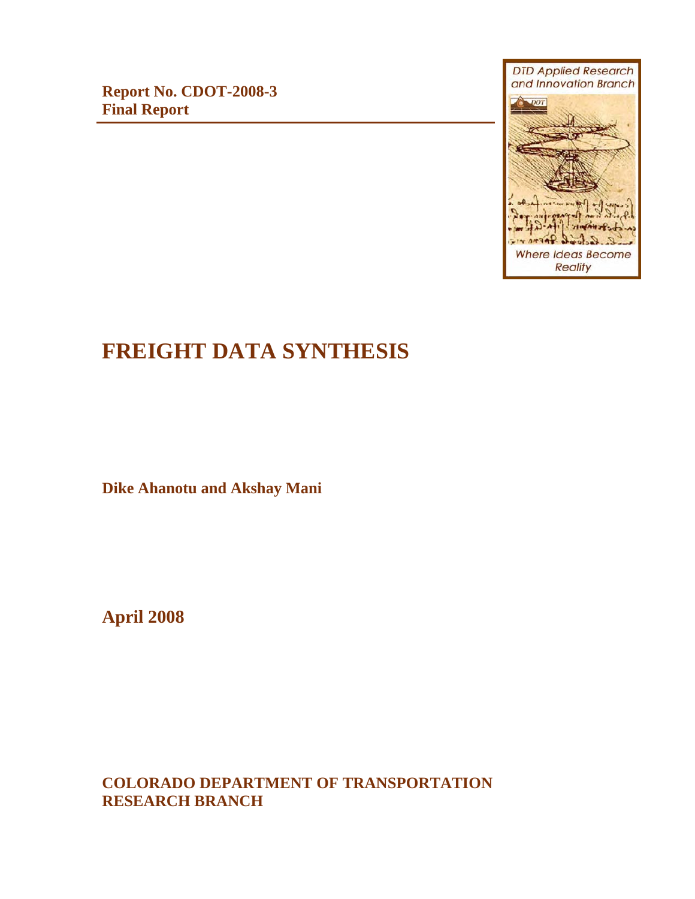**Report No. CDOT-2008-3 Final Report**



# **FREIGHT DATA SYNTHESIS**

**Dike Ahanotu and Akshay Mani**

**April 2008** 

**COLORADO DEPARTMENT OF TRANSPORTATION RESEARCH BRANCH**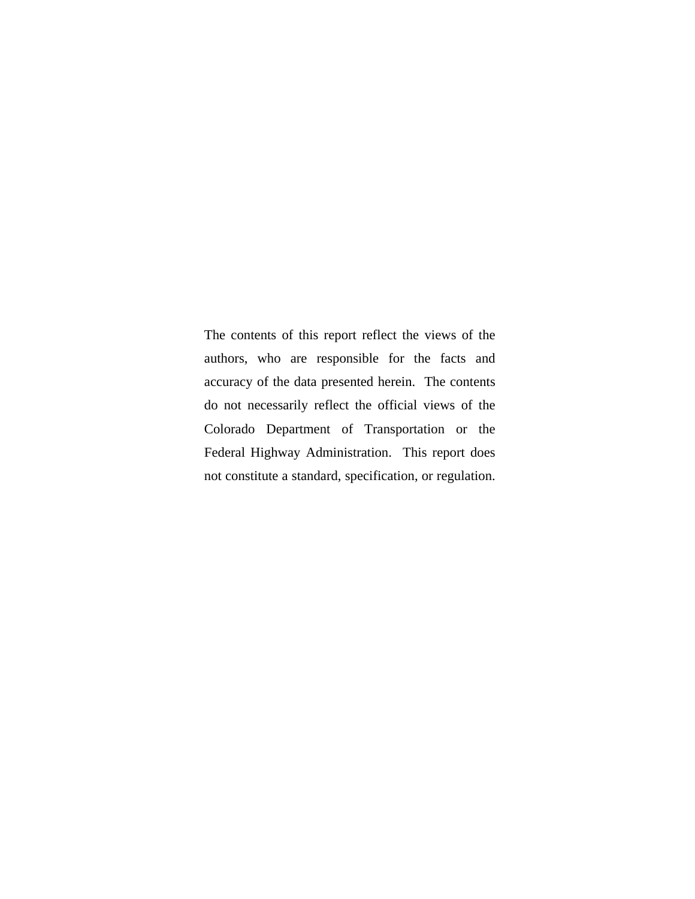The contents of this report reflect the views of the authors, who are responsible for the facts and accuracy of the data presented herein. The contents do not necessarily reflect the official views of the Colorado Department of Transportation or the Federal Highway Administration. This report does not constitute a standard, specification, or regulation.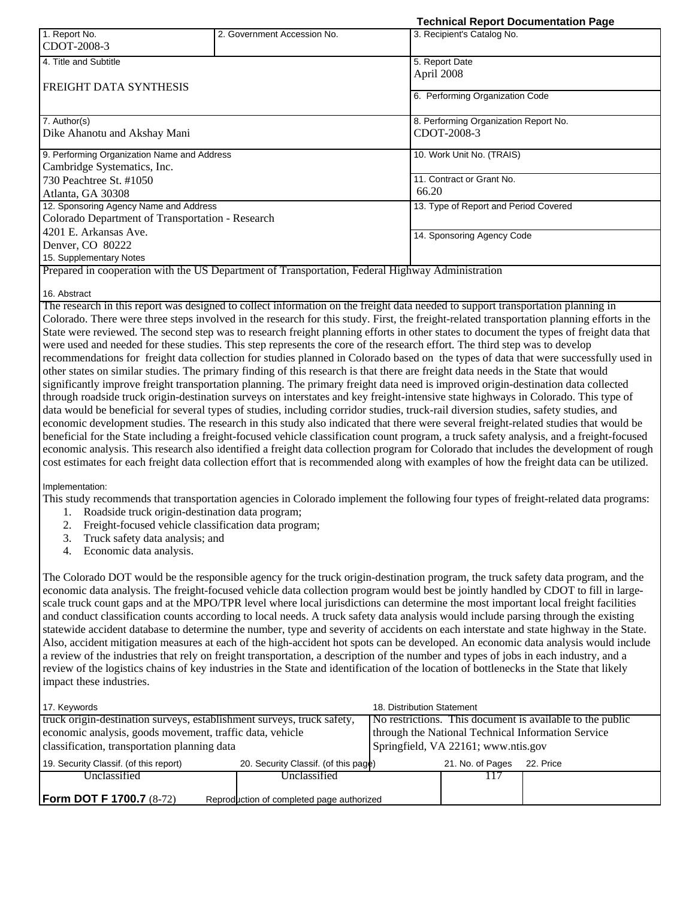| 1. Report No.<br>CDOT-2008-3                     | 2. Government Accession No.                                                                      | 3. Recipient's Catalog No.            |  |
|--------------------------------------------------|--------------------------------------------------------------------------------------------------|---------------------------------------|--|
| 4. Title and Subtitle                            |                                                                                                  | 5. Report Date                        |  |
|                                                  |                                                                                                  | April 2008                            |  |
| FREIGHT DATA SYNTHESIS                           |                                                                                                  | 6. Performing Organization Code       |  |
| 7. Author(s)                                     |                                                                                                  | 8. Performing Organization Report No. |  |
| Dike Ahanotu and Akshay Mani                     |                                                                                                  | CDOT-2008-3                           |  |
| 9. Performing Organization Name and Address      |                                                                                                  | 10. Work Unit No. (TRAIS)             |  |
| Cambridge Systematics, Inc.                      |                                                                                                  |                                       |  |
| 730 Peachtree St. #1050                          |                                                                                                  | 11. Contract or Grant No.             |  |
| Atlanta, GA 30308                                |                                                                                                  | 66.20                                 |  |
| 12. Sponsoring Agency Name and Address           |                                                                                                  | 13. Type of Report and Period Covered |  |
| Colorado Department of Transportation - Research |                                                                                                  |                                       |  |
| 4201 E. Arkansas Ave.                            |                                                                                                  | 14. Sponsoring Agency Code            |  |
| Denver, CO 80222                                 |                                                                                                  |                                       |  |
| 15. Supplementary Notes                          |                                                                                                  |                                       |  |
|                                                  | Prepared in cooperation with the US Department of Transportation, Federal Highway Administration |                                       |  |
|                                                  |                                                                                                  |                                       |  |

**Technical Report Documentation Page** 

#### 16. Abstract

The research in this report was designed to collect information on the freight data needed to support transportation planning in Colorado. There were three steps involved in the research for this study. First, the freight-related transportation planning efforts in the State were reviewed. The second step was to research freight planning efforts in other states to document the types of freight data that were used and needed for these studies. This step represents the core of the research effort. The third step was to develop recommendations for freight data collection for studies planned in Colorado based on the types of data that were successfully used in other states on similar studies. The primary finding of this research is that there are freight data needs in the State that would significantly improve freight transportation planning. The primary freight data need is improved origin-destination data collected through roadside truck origin-destination surveys on interstates and key freight-intensive state highways in Colorado. This type of data would be beneficial for several types of studies, including corridor studies, truck-rail diversion studies, safety studies, and economic development studies. The research in this study also indicated that there were several freight-related studies that would be beneficial for the State including a freight-focused vehicle classification count program, a truck safety analysis, and a freight-focused economic analysis. This research also identified a freight data collection program for Colorado that includes the development of rough cost estimates for each freight data collection effort that is recommended along with examples of how the freight data can be utilized.

Implementation:

This study recommends that transportation agencies in Colorado implement the following four types of freight-related data programs:

- 1. Roadside truck origin-destination data program;
- 2. Freight-focused vehicle classification data program;
- 3. Truck safety data analysis; and
- 4. Economic data analysis.

The Colorado DOT would be the responsible agency for the truck origin-destination program, the truck safety data program, and the economic data analysis. The freight-focused vehicle data collection program would best be jointly handled by CDOT to fill in largescale truck count gaps and at the MPO/TPR level where local jurisdictions can determine the most important local freight facilities and conduct classification counts according to local needs. A truck safety data analysis would include parsing through the existing statewide accident database to determine the number, type and severity of accidents on each interstate and state highway in the State. Also, accident mitigation measures at each of the high-accident hot spots can be developed. An economic data analysis would include a review of the industries that rely on freight transportation, a description of the number and types of jobs in each industry, and a review of the logistics chains of key industries in the State and identification of the location of bottlenecks in the State that likely impact these industries.

| 17. Keywords                                                                   |                                           | 18. Distribution Statement                                |           |
|--------------------------------------------------------------------------------|-------------------------------------------|-----------------------------------------------------------|-----------|
| truck origin-destination surveys, establishment surveys, truck safety,         |                                           | No restrictions. This document is available to the public |           |
| economic analysis, goods movement, traffic data, vehicle                       |                                           | through the National Technical Information Service        |           |
| classification, transportation planning data                                   |                                           | Springfield, VA 22161; www.ntis.gov                       |           |
| 20. Security Classif. (of this page)<br>19. Security Classif. (of this report) |                                           | 21. No. of Pages                                          | 22. Price |
| Unclassified                                                                   | Unclassified                              |                                                           |           |
|                                                                                |                                           |                                                           |           |
| <b>Form DOT F 1700.7</b> (8-72)                                                | Reproduction of completed page authorized |                                                           |           |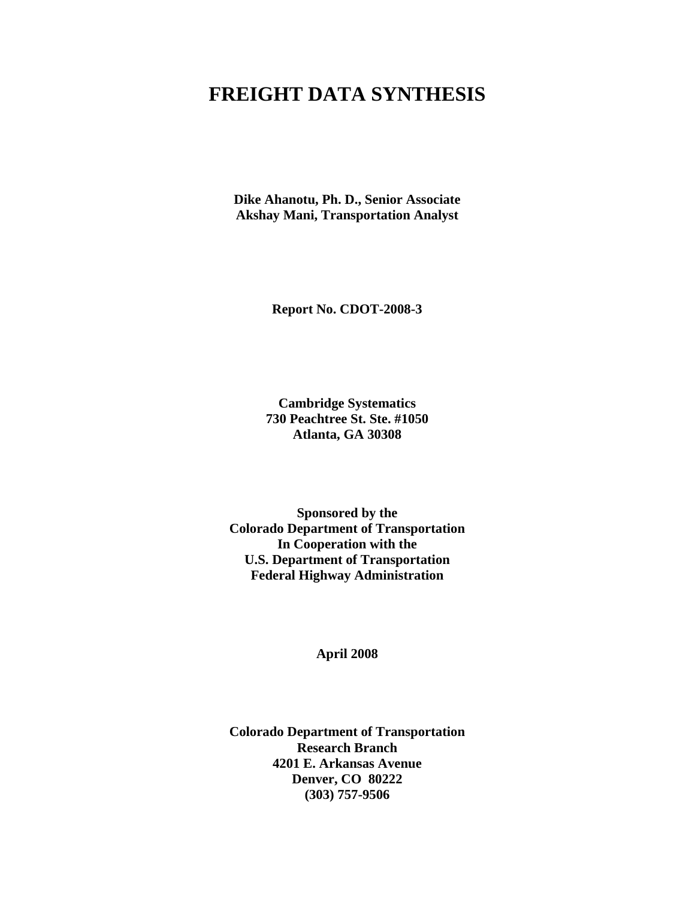# **FREIGHT DATA SYNTHESIS**

**Dike Ahanotu, Ph. D., Senior Associate Akshay Mani, Transportation Analyst** 

**Report No. CDOT-2008-3** 

**Cambridge Systematics 730 Peachtree St. Ste. #1050 Atlanta, GA 30308** 

**Sponsored by the Colorado Department of Transportation In Cooperation with the U.S. Department of Transportation Federal Highway Administration** 

**April 2008** 

**Colorado Department of Transportation Research Branch 4201 E. Arkansas Avenue Denver, CO 80222 (303) 757-9506**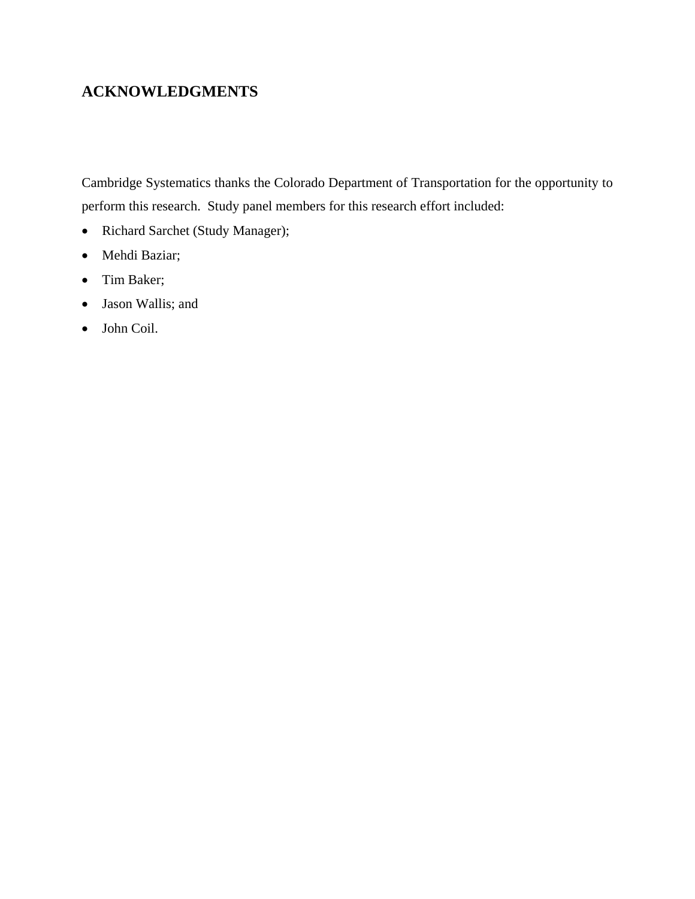## **ACKNOWLEDGMENTS**

Cambridge Systematics thanks the Colorado Department of Transportation for the opportunity to perform this research. Study panel members for this research effort included:

- Richard Sarchet (Study Manager);
- Mehdi Baziar;
- Tim Baker;
- Jason Wallis; and
- John Coil.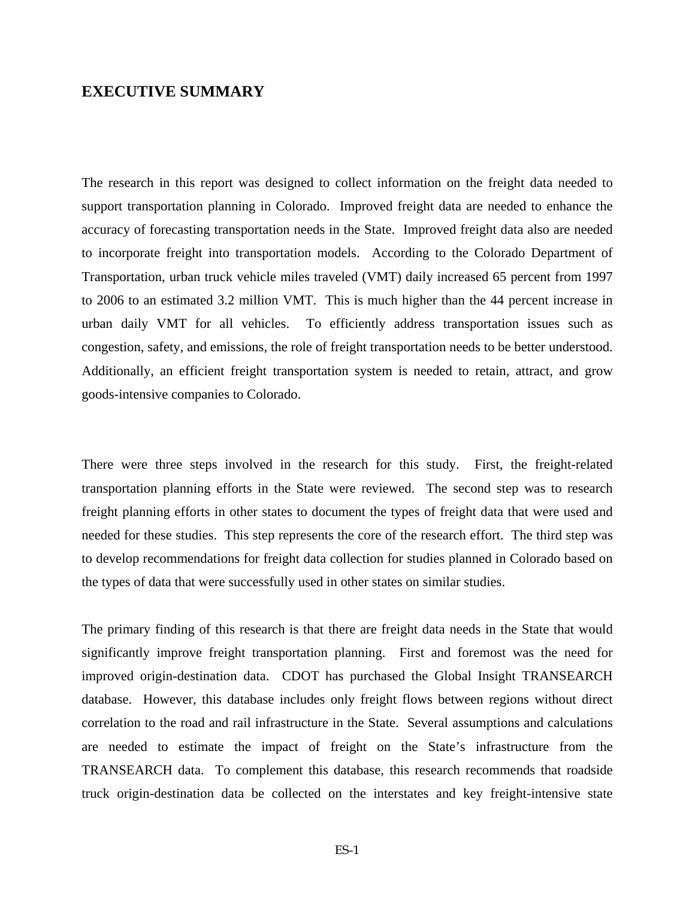### **EXECUTIVE SUMMARY**

The research in this report was designed to collect information on the freight data needed to support transportation planning in Colorado. Improved freight data are needed to enhance the accuracy of forecasting transportation needs in the State. Improved freight data also are needed to incorporate freight into transportation models. According to the Colorado Department of Transportation, urban truck vehicle miles traveled (VMT) daily increased 65 percent from 1997 to 2006 to an estimated 3.2 million VMT. This is much higher than the 44 percent increase in urban daily VMT for all vehicles. To efficiently address transportation issues such as congestion, safety, and emissions, the role of freight transportation needs to be better understood. Additionally, an efficient freight transportation system is needed to retain, attract, and grow goods-intensive companies to Colorado.

There were three steps involved in the research for this study. First, the freight-related transportation planning efforts in the State were reviewed. The second step was to research freight planning efforts in other states to document the types of freight data that were used and needed for these studies. This step represents the core of the research effort. The third step was to develop recommendations for freight data collection for studies planned in Colorado based on the types of data that were successfully used in other states on similar studies.

The primary finding of this research is that there are freight data needs in the State that would significantly improve freight transportation planning. First and foremost was the need for improved origin-destination data. CDOT has purchased the Global Insight TRANSEARCH database. However, this database includes only freight flows between regions without direct correlation to the road and rail infrastructure in the State. Several assumptions and calculations are needed to estimate the impact of freight on the State's infrastructure from the TRANSEARCH data. To complement this database, this research recommends that roadside truck origin-destination data be collected on the interstates and key freight-intensive state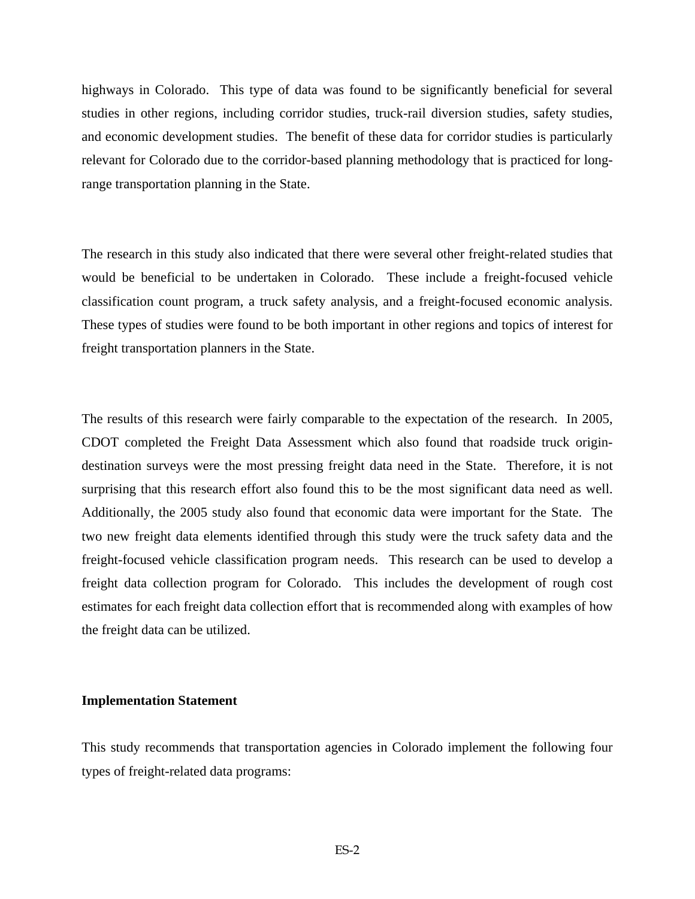highways in Colorado. This type of data was found to be significantly beneficial for several studies in other regions, including corridor studies, truck-rail diversion studies, safety studies, and economic development studies. The benefit of these data for corridor studies is particularly relevant for Colorado due to the corridor-based planning methodology that is practiced for longrange transportation planning in the State.

The research in this study also indicated that there were several other freight-related studies that would be beneficial to be undertaken in Colorado. These include a freight-focused vehicle classification count program, a truck safety analysis, and a freight-focused economic analysis. These types of studies were found to be both important in other regions and topics of interest for freight transportation planners in the State.

The results of this research were fairly comparable to the expectation of the research. In 2005, CDOT completed the Freight Data Assessment which also found that roadside truck origindestination surveys were the most pressing freight data need in the State. Therefore, it is not surprising that this research effort also found this to be the most significant data need as well. Additionally, the 2005 study also found that economic data were important for the State. The two new freight data elements identified through this study were the truck safety data and the freight-focused vehicle classification program needs. This research can be used to develop a freight data collection program for Colorado. This includes the development of rough cost estimates for each freight data collection effort that is recommended along with examples of how the freight data can be utilized.

#### **Implementation Statement**

This study recommends that transportation agencies in Colorado implement the following four types of freight-related data programs: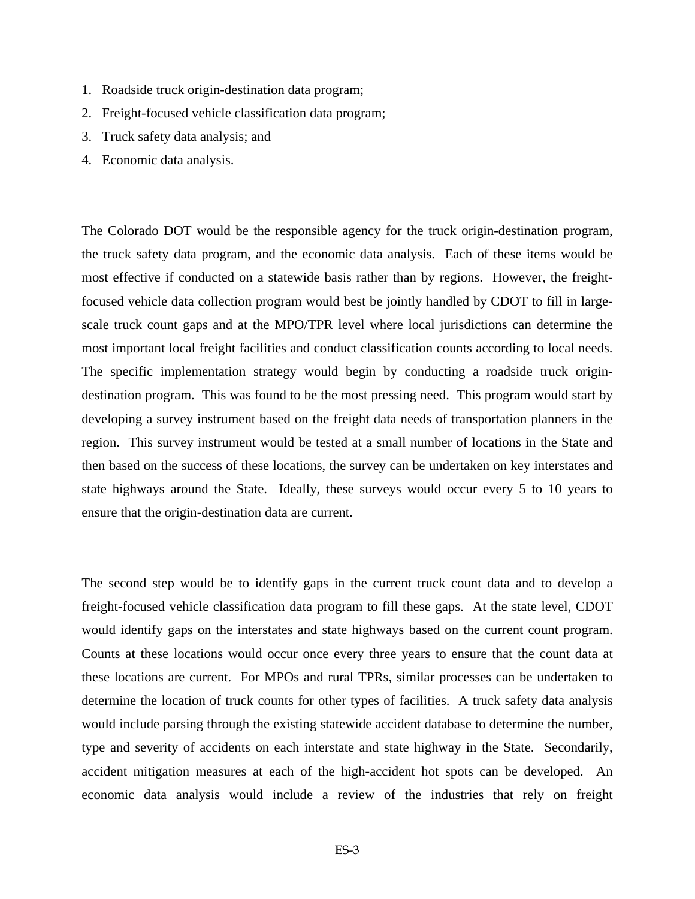- 1. Roadside truck origin-destination data program;
- 2. Freight-focused vehicle classification data program;
- 3. Truck safety data analysis; and
- 4. Economic data analysis.

The Colorado DOT would be the responsible agency for the truck origin-destination program, the truck safety data program, and the economic data analysis. Each of these items would be most effective if conducted on a statewide basis rather than by regions. However, the freightfocused vehicle data collection program would best be jointly handled by CDOT to fill in largescale truck count gaps and at the MPO/TPR level where local jurisdictions can determine the most important local freight facilities and conduct classification counts according to local needs. The specific implementation strategy would begin by conducting a roadside truck origindestination program. This was found to be the most pressing need. This program would start by developing a survey instrument based on the freight data needs of transportation planners in the region. This survey instrument would be tested at a small number of locations in the State and then based on the success of these locations, the survey can be undertaken on key interstates and state highways around the State. Ideally, these surveys would occur every 5 to 10 years to ensure that the origin-destination data are current.

The second step would be to identify gaps in the current truck count data and to develop a freight-focused vehicle classification data program to fill these gaps. At the state level, CDOT would identify gaps on the interstates and state highways based on the current count program. Counts at these locations would occur once every three years to ensure that the count data at these locations are current. For MPOs and rural TPRs, similar processes can be undertaken to determine the location of truck counts for other types of facilities. A truck safety data analysis would include parsing through the existing statewide accident database to determine the number, type and severity of accidents on each interstate and state highway in the State. Secondarily, accident mitigation measures at each of the high-accident hot spots can be developed. An economic data analysis would include a review of the industries that rely on freight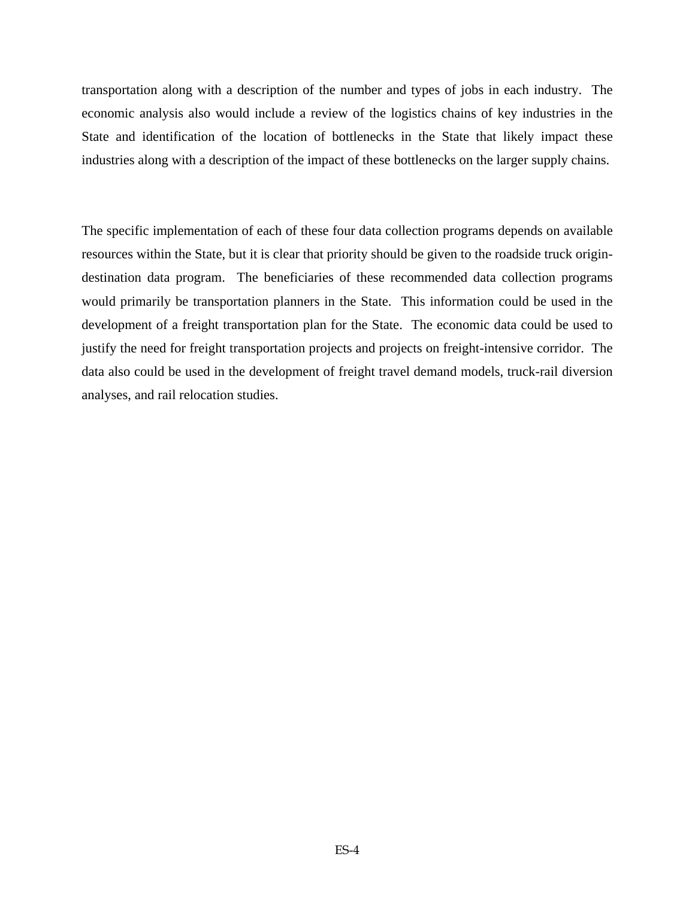transportation along with a description of the number and types of jobs in each industry. The economic analysis also would include a review of the logistics chains of key industries in the State and identification of the location of bottlenecks in the State that likely impact these industries along with a description of the impact of these bottlenecks on the larger supply chains.

The specific implementation of each of these four data collection programs depends on available resources within the State, but it is clear that priority should be given to the roadside truck origindestination data program. The beneficiaries of these recommended data collection programs would primarily be transportation planners in the State. This information could be used in the development of a freight transportation plan for the State. The economic data could be used to justify the need for freight transportation projects and projects on freight-intensive corridor. The data also could be used in the development of freight travel demand models, truck-rail diversion analyses, and rail relocation studies.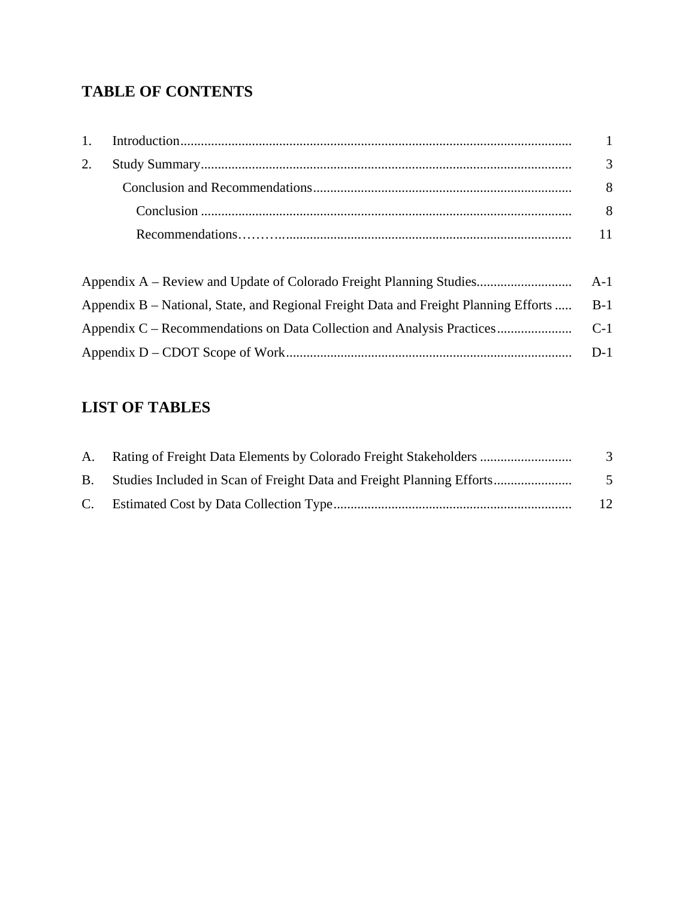## **TABLE OF CONTENTS**

| 1. |                                                                                      | $\overline{1}$ |
|----|--------------------------------------------------------------------------------------|----------------|
| 2. |                                                                                      | 3              |
|    |                                                                                      | 8              |
|    |                                                                                      | 8              |
|    |                                                                                      | 11             |
|    |                                                                                      |                |
|    |                                                                                      |                |
|    | Appendix B – National, State, and Regional Freight Data and Freight Planning Efforts | $B-1$          |
|    | Appendix C – Recommendations on Data Collection and Analysis Practices               | $C-1$          |
|    |                                                                                      | $D-1$          |

## **LIST OF TABLES**

| A. Rating of Freight Data Elements by Colorado Freight Stakeholders      | $\mathcal{R}$ |
|--------------------------------------------------------------------------|---------------|
| B. Studies Included in Scan of Freight Data and Freight Planning Efforts | $\sim$        |
|                                                                          | 12            |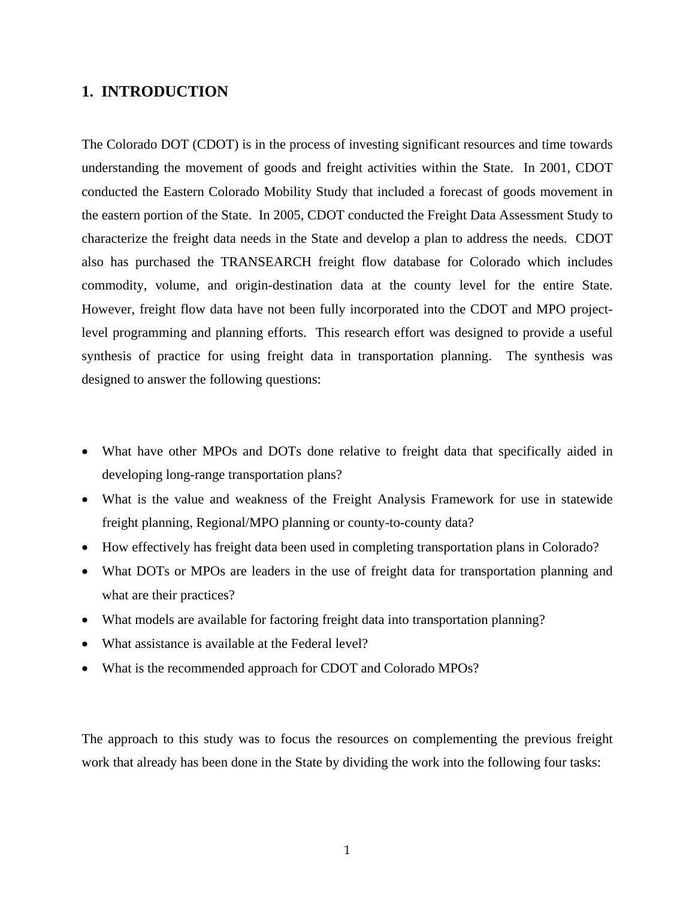### **1. INTRODUCTION**

The Colorado DOT (CDOT) is in the process of investing significant resources and time towards understanding the movement of goods and freight activities within the State. In 2001, CDOT conducted the Eastern Colorado Mobility Study that included a forecast of goods movement in the eastern portion of the State. In 2005, CDOT conducted the Freight Data Assessment Study to characterize the freight data needs in the State and develop a plan to address the needs. CDOT also has purchased the TRANSEARCH freight flow database for Colorado which includes commodity, volume, and origin-destination data at the county level for the entire State. However, freight flow data have not been fully incorporated into the CDOT and MPO projectlevel programming and planning efforts. This research effort was designed to provide a useful synthesis of practice for using freight data in transportation planning. The synthesis was designed to answer the following questions:

- What have other MPOs and DOTs done relative to freight data that specifically aided in developing long-range transportation plans?
- What is the value and weakness of the Freight Analysis Framework for use in statewide freight planning, Regional/MPO planning or county-to-county data?
- How effectively has freight data been used in completing transportation plans in Colorado?
- What DOTs or MPOs are leaders in the use of freight data for transportation planning and what are their practices?
- What models are available for factoring freight data into transportation planning?
- What assistance is available at the Federal level?
- What is the recommended approach for CDOT and Colorado MPOs?

The approach to this study was to focus the resources on complementing the previous freight work that already has been done in the State by dividing the work into the following four tasks: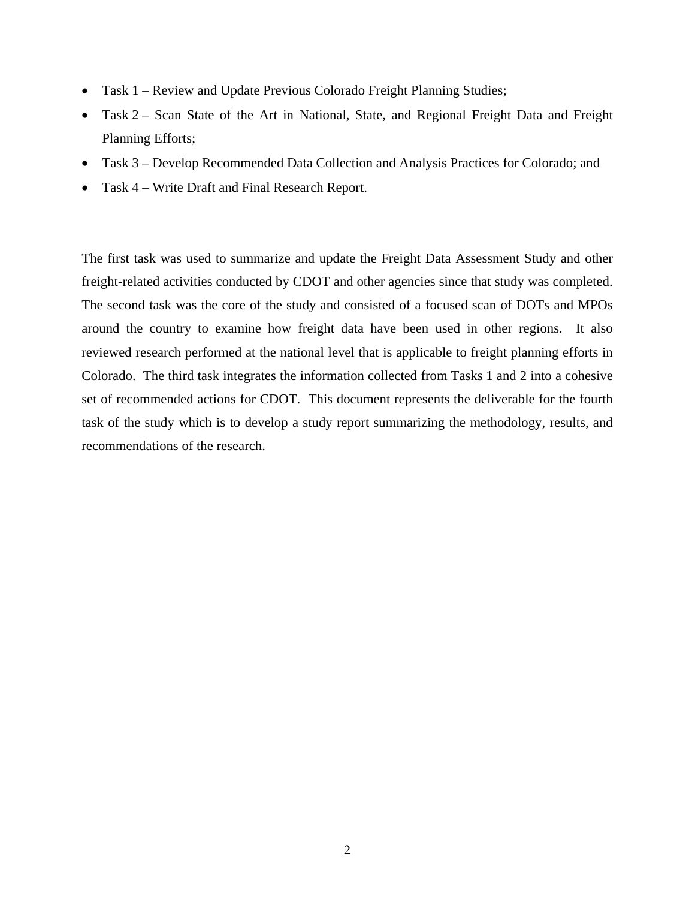- Task 1 Review and Update Previous Colorado Freight Planning Studies;
- Task 2 Scan State of the Art in National, State, and Regional Freight Data and Freight Planning Efforts;
- Task 3 Develop Recommended Data Collection and Analysis Practices for Colorado; and
- Task 4 Write Draft and Final Research Report.

The first task was used to summarize and update the Freight Data Assessment Study and other freight-related activities conducted by CDOT and other agencies since that study was completed. The second task was the core of the study and consisted of a focused scan of DOTs and MPOs around the country to examine how freight data have been used in other regions. It also reviewed research performed at the national level that is applicable to freight planning efforts in Colorado. The third task integrates the information collected from Tasks 1 and 2 into a cohesive set of recommended actions for CDOT. This document represents the deliverable for the fourth task of the study which is to develop a study report summarizing the methodology, results, and recommendations of the research.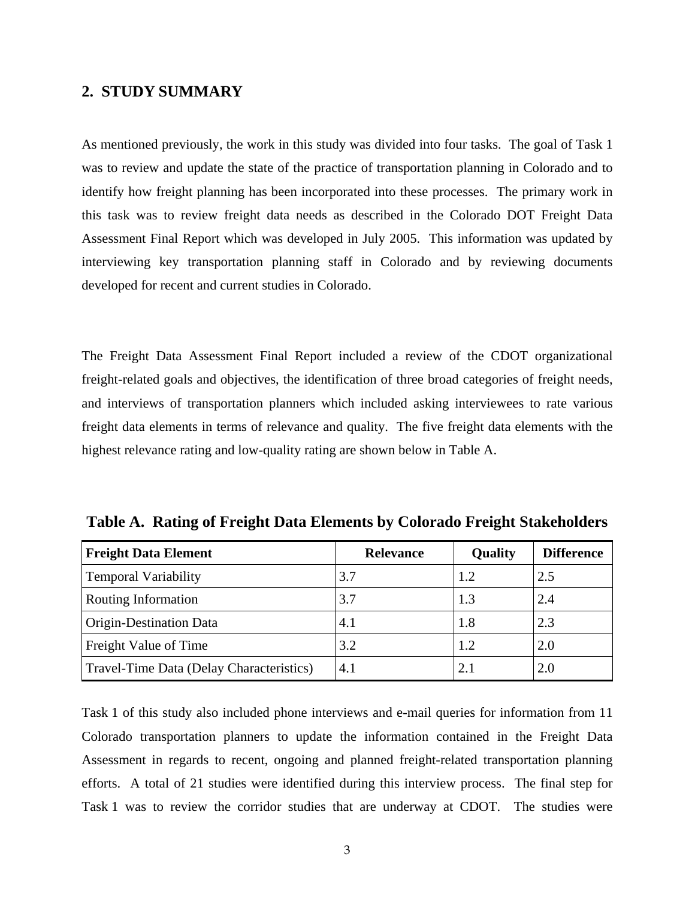#### **2. STUDY SUMMARY**

As mentioned previously, the work in this study was divided into four tasks. The goal of Task 1 was to review and update the state of the practice of transportation planning in Colorado and to identify how freight planning has been incorporated into these processes. The primary work in this task was to review freight data needs as described in the Colorado DOT Freight Data Assessment Final Report which was developed in July 2005. This information was updated by interviewing key transportation planning staff in Colorado and by reviewing documents developed for recent and current studies in Colorado.

The Freight Data Assessment Final Report included a review of the CDOT organizational freight-related goals and objectives, the identification of three broad categories of freight needs, and interviews of transportation planners which included asking interviewees to rate various freight data elements in terms of relevance and quality. The five freight data elements with the highest relevance rating and low-quality rating are shown below in Table A.

| <b>Freight Data Element</b>              | <b>Relevance</b> | <b>Quality</b> | <b>Difference</b> |
|------------------------------------------|------------------|----------------|-------------------|
| <b>Temporal Variability</b>              | 3.7              | 1.2            | 2.5               |
| Routing Information                      | 3.7              | 1.3            | 2.4               |
| Origin-Destination Data                  | 4.1              | 1.8            | 2.3               |
| Freight Value of Time                    | 3.2              | 1.2            | 2.0               |
| Travel-Time Data (Delay Characteristics) | 4.1              | 2.1            | 2.0               |

**Table A. Rating of Freight Data Elements by Colorado Freight Stakeholders** 

Task 1 of this study also included phone interviews and e-mail queries for information from 11 Colorado transportation planners to update the information contained in the Freight Data Assessment in regards to recent, ongoing and planned freight-related transportation planning efforts. A total of 21 studies were identified during this interview process. The final step for Task 1 was to review the corridor studies that are underway at CDOT. The studies were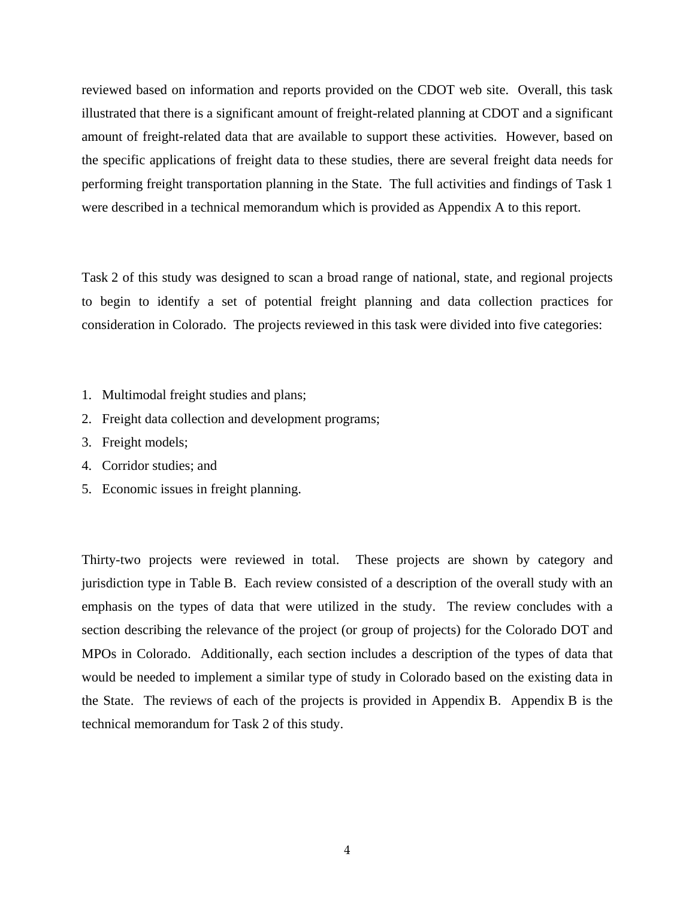reviewed based on information and reports provided on the CDOT web site. Overall, this task illustrated that there is a significant amount of freight-related planning at CDOT and a significant amount of freight-related data that are available to support these activities. However, based on the specific applications of freight data to these studies, there are several freight data needs for performing freight transportation planning in the State. The full activities and findings of Task 1 were described in a technical memorandum which is provided as Appendix A to this report.

Task 2 of this study was designed to scan a broad range of national, state, and regional projects to begin to identify a set of potential freight planning and data collection practices for consideration in Colorado. The projects reviewed in this task were divided into five categories:

- 1. Multimodal freight studies and plans;
- 2. Freight data collection and development programs;
- 3. Freight models;
- 4. Corridor studies; and
- 5. Economic issues in freight planning.

Thirty-two projects were reviewed in total. These projects are shown by category and jurisdiction type in Table B. Each review consisted of a description of the overall study with an emphasis on the types of data that were utilized in the study. The review concludes with a section describing the relevance of the project (or group of projects) for the Colorado DOT and MPOs in Colorado. Additionally, each section includes a description of the types of data that would be needed to implement a similar type of study in Colorado based on the existing data in the State. The reviews of each of the projects is provided in Appendix B. Appendix B is the technical memorandum for Task 2 of this study.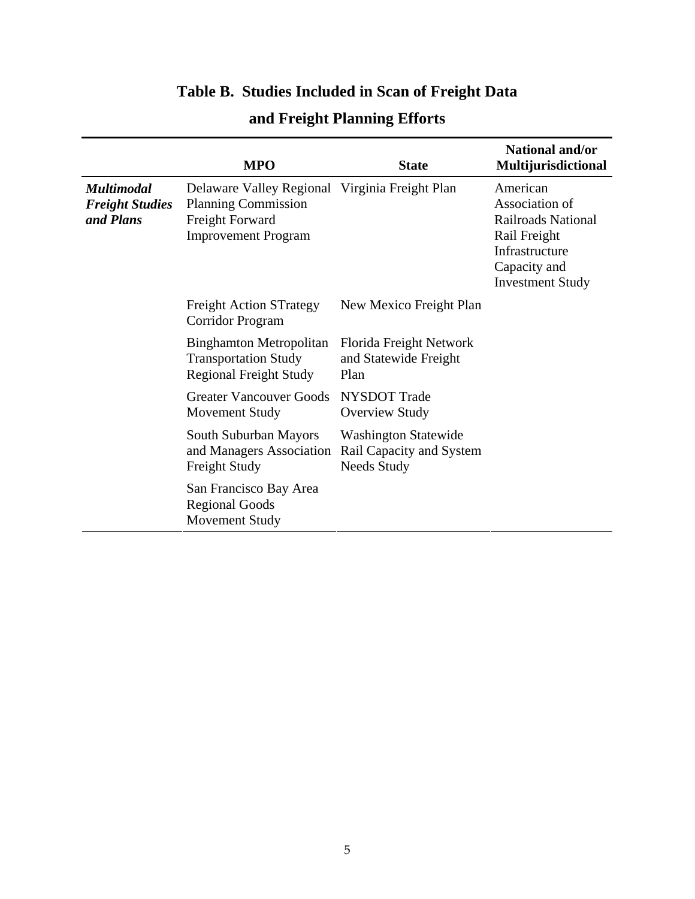# **Table B. Studies Included in Scan of Freight Data**

|                                                          | <b>MPO</b>                                                                                                                    | <b>State</b>                                                                  | National and/or<br>Multijurisdictional                                                                                               |
|----------------------------------------------------------|-------------------------------------------------------------------------------------------------------------------------------|-------------------------------------------------------------------------------|--------------------------------------------------------------------------------------------------------------------------------------|
| <b>Multimodal</b><br><b>Freight Studies</b><br>and Plans | Delaware Valley Regional Virginia Freight Plan<br><b>Planning Commission</b><br>Freight Forward<br><b>Improvement Program</b> |                                                                               | American<br>Association of<br><b>Railroads National</b><br>Rail Freight<br>Infrastructure<br>Capacity and<br><b>Investment Study</b> |
|                                                          | <b>Freight Action STrategy</b><br>Corridor Program                                                                            | New Mexico Freight Plan                                                       |                                                                                                                                      |
|                                                          | <b>Binghamton Metropolitan</b><br><b>Transportation Study</b><br><b>Regional Freight Study</b>                                | Florida Freight Network<br>and Statewide Freight<br>Plan                      |                                                                                                                                      |
|                                                          | <b>Greater Vancouver Goods</b><br><b>Movement Study</b>                                                                       | <b>NYSDOT</b> Trade<br><b>Overview Study</b>                                  |                                                                                                                                      |
|                                                          | South Suburban Mayors<br>and Managers Association<br><b>Freight Study</b>                                                     | <b>Washington Statewide</b><br>Rail Capacity and System<br><b>Needs Study</b> |                                                                                                                                      |
|                                                          | San Francisco Bay Area<br><b>Regional Goods</b><br>Movement Study                                                             |                                                                               |                                                                                                                                      |

# **and Freight Planning Efforts**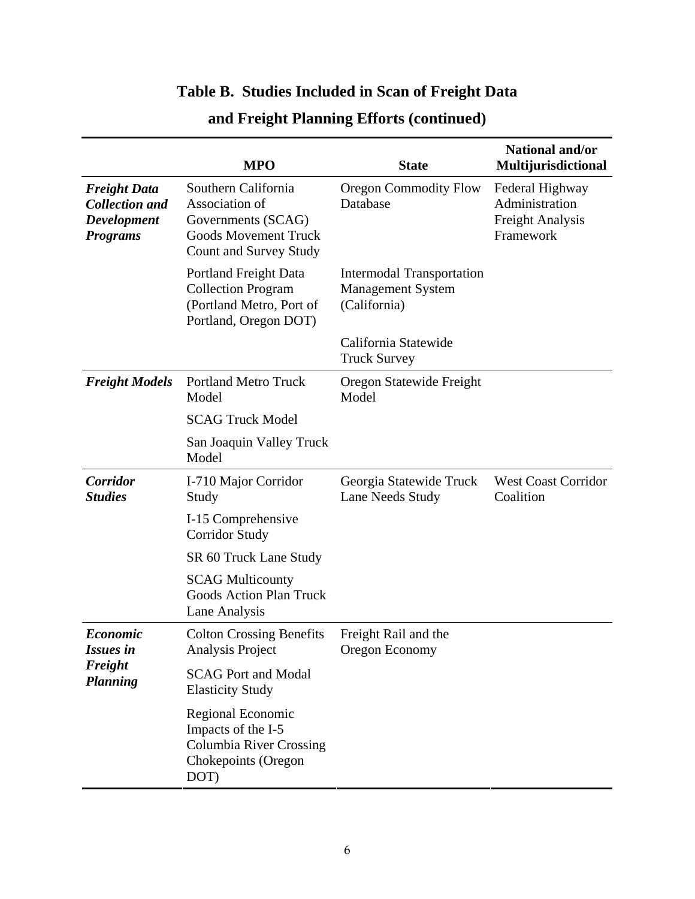# **Table B. Studies Included in Scan of Freight Data**

|                                                                                       | <b>MPO</b>                                                                                                                  | <b>State</b>                                                          | National and/or<br>Multijurisdictional                                    |
|---------------------------------------------------------------------------------------|-----------------------------------------------------------------------------------------------------------------------------|-----------------------------------------------------------------------|---------------------------------------------------------------------------|
| <b>Freight Data</b><br><b>Collection and</b><br><b>Development</b><br><b>Programs</b> | Southern California<br>Association of<br>Governments (SCAG)<br><b>Goods Movement Truck</b><br><b>Count and Survey Study</b> | <b>Oregon Commodity Flow</b><br>Database                              | Federal Highway<br>Administration<br><b>Freight Analysis</b><br>Framework |
|                                                                                       | Portland Freight Data<br><b>Collection Program</b><br>(Portland Metro, Port of<br>Portland, Oregon DOT)                     | Intermodal Transportation<br><b>Management System</b><br>(California) |                                                                           |
|                                                                                       |                                                                                                                             | California Statewide<br><b>Truck Survey</b>                           |                                                                           |
| <b>Freight Models</b>                                                                 | <b>Portland Metro Truck</b><br>Model                                                                                        | Oregon Statewide Freight<br>Model                                     |                                                                           |
|                                                                                       | <b>SCAG Truck Model</b>                                                                                                     |                                                                       |                                                                           |
|                                                                                       | San Joaquin Valley Truck<br>Model                                                                                           |                                                                       |                                                                           |
| Corridor<br><b>Studies</b>                                                            | I-710 Major Corridor<br>Study                                                                                               | Georgia Statewide Truck<br>Lane Needs Study                           | <b>West Coast Corridor</b><br>Coalition                                   |
|                                                                                       | I-15 Comprehensive<br><b>Corridor Study</b>                                                                                 |                                                                       |                                                                           |
|                                                                                       | SR 60 Truck Lane Study                                                                                                      |                                                                       |                                                                           |
|                                                                                       | <b>SCAG Multicounty</b><br><b>Goods Action Plan Truck</b><br>Lane Analysis                                                  |                                                                       |                                                                           |
| <b>Economic</b><br><b>Issues in</b><br>Freight<br><b>Planning</b>                     | <b>Colton Crossing Benefits</b><br>Analysis Project                                                                         | Freight Rail and the<br>Oregon Economy                                |                                                                           |
|                                                                                       | <b>SCAG Port and Modal</b><br><b>Elasticity Study</b>                                                                       |                                                                       |                                                                           |
|                                                                                       | Regional Economic<br>Impacts of the I-5<br><b>Columbia River Crossing</b><br>Chokepoints (Oregon<br>DOT)                    |                                                                       |                                                                           |

# **and Freight Planning Efforts (continued)**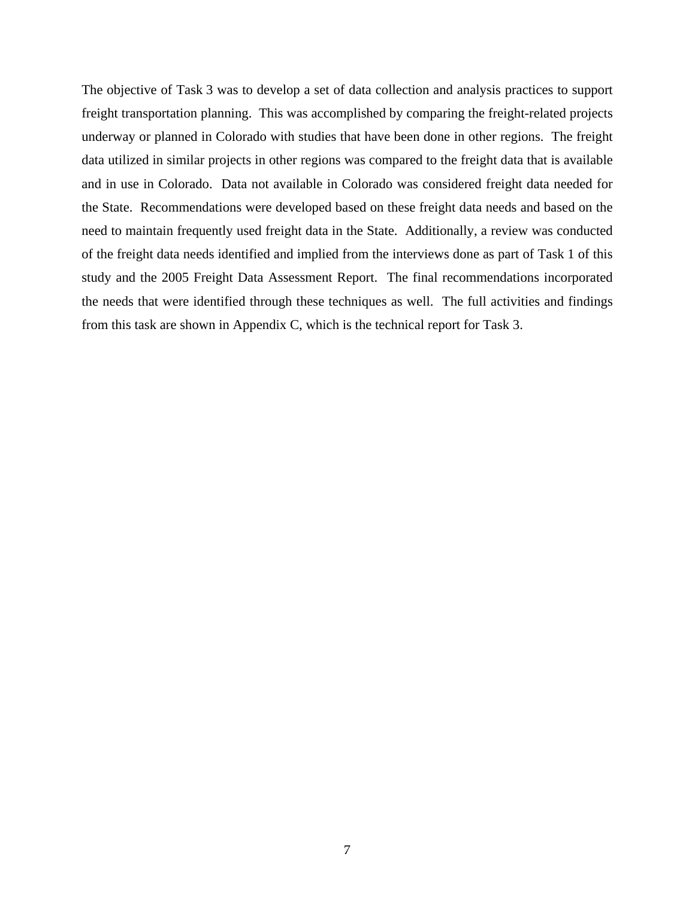The objective of Task 3 was to develop a set of data collection and analysis practices to support freight transportation planning. This was accomplished by comparing the freight-related projects underway or planned in Colorado with studies that have been done in other regions. The freight data utilized in similar projects in other regions was compared to the freight data that is available and in use in Colorado. Data not available in Colorado was considered freight data needed for the State. Recommendations were developed based on these freight data needs and based on the need to maintain frequently used freight data in the State. Additionally, a review was conducted of the freight data needs identified and implied from the interviews done as part of Task 1 of this study and the 2005 Freight Data Assessment Report. The final recommendations incorporated the needs that were identified through these techniques as well. The full activities and findings from this task are shown in Appendix C, which is the technical report for Task 3.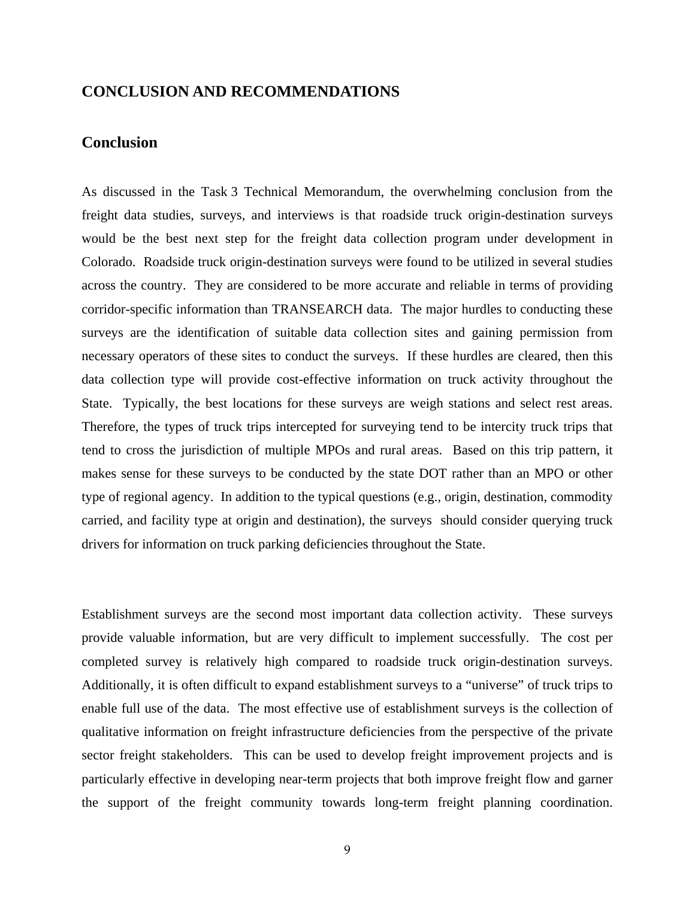### **CONCLUSION AND RECOMMENDATIONS**

#### **Conclusion**

As discussed in the Task 3 Technical Memorandum, the overwhelming conclusion from the freight data studies, surveys, and interviews is that roadside truck origin-destination surveys would be the best next step for the freight data collection program under development in Colorado. Roadside truck origin-destination surveys were found to be utilized in several studies across the country. They are considered to be more accurate and reliable in terms of providing corridor-specific information than TRANSEARCH data. The major hurdles to conducting these surveys are the identification of suitable data collection sites and gaining permission from necessary operators of these sites to conduct the surveys. If these hurdles are cleared, then this data collection type will provide cost-effective information on truck activity throughout the State. Typically, the best locations for these surveys are weigh stations and select rest areas. Therefore, the types of truck trips intercepted for surveying tend to be intercity truck trips that tend to cross the jurisdiction of multiple MPOs and rural areas. Based on this trip pattern, it makes sense for these surveys to be conducted by the state DOT rather than an MPO or other type of regional agency. In addition to the typical questions (e.g., origin, destination, commodity carried, and facility type at origin and destination), the surveys should consider querying truck drivers for information on truck parking deficiencies throughout the State.

Establishment surveys are the second most important data collection activity. These surveys provide valuable information, but are very difficult to implement successfully. The cost per completed survey is relatively high compared to roadside truck origin-destination surveys. Additionally, it is often difficult to expand establishment surveys to a "universe" of truck trips to enable full use of the data. The most effective use of establishment surveys is the collection of qualitative information on freight infrastructure deficiencies from the perspective of the private sector freight stakeholders. This can be used to develop freight improvement projects and is particularly effective in developing near-term projects that both improve freight flow and garner the support of the freight community towards long-term freight planning coordination.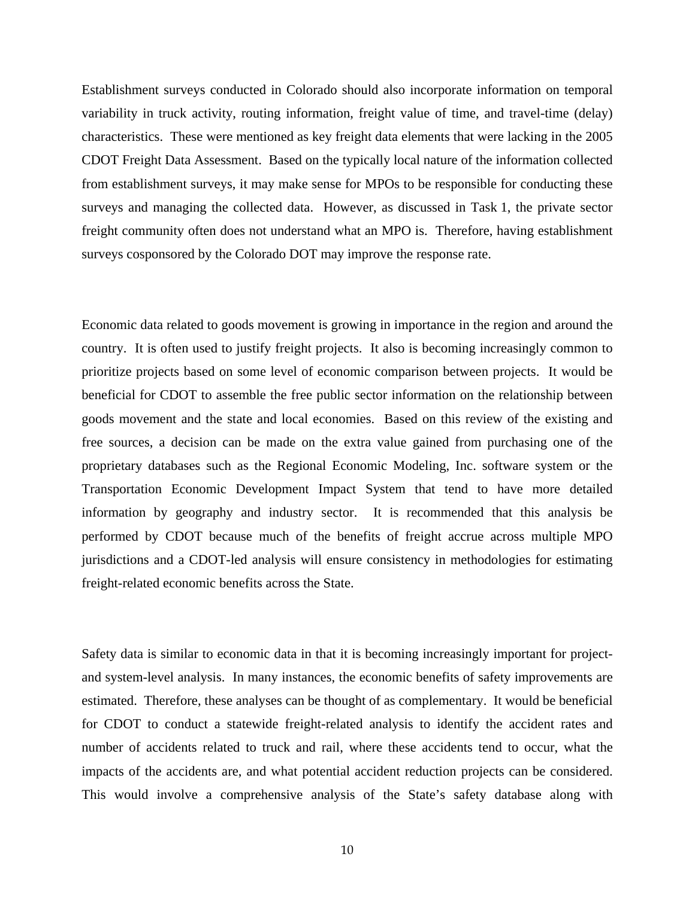Establishment surveys conducted in Colorado should also incorporate information on temporal variability in truck activity, routing information, freight value of time, and travel-time (delay) characteristics. These were mentioned as key freight data elements that were lacking in the 2005 CDOT Freight Data Assessment. Based on the typically local nature of the information collected from establishment surveys, it may make sense for MPOs to be responsible for conducting these surveys and managing the collected data. However, as discussed in Task 1, the private sector freight community often does not understand what an MPO is. Therefore, having establishment surveys cosponsored by the Colorado DOT may improve the response rate.

Economic data related to goods movement is growing in importance in the region and around the country. It is often used to justify freight projects. It also is becoming increasingly common to prioritize projects based on some level of economic comparison between projects. It would be beneficial for CDOT to assemble the free public sector information on the relationship between goods movement and the state and local economies. Based on this review of the existing and free sources, a decision can be made on the extra value gained from purchasing one of the proprietary databases such as the Regional Economic Modeling, Inc. software system or the Transportation Economic Development Impact System that tend to have more detailed information by geography and industry sector. It is recommended that this analysis be performed by CDOT because much of the benefits of freight accrue across multiple MPO jurisdictions and a CDOT-led analysis will ensure consistency in methodologies for estimating freight-related economic benefits across the State.

Safety data is similar to economic data in that it is becoming increasingly important for projectand system-level analysis. In many instances, the economic benefits of safety improvements are estimated. Therefore, these analyses can be thought of as complementary. It would be beneficial for CDOT to conduct a statewide freight-related analysis to identify the accident rates and number of accidents related to truck and rail, where these accidents tend to occur, what the impacts of the accidents are, and what potential accident reduction projects can be considered. This would involve a comprehensive analysis of the State's safety database along with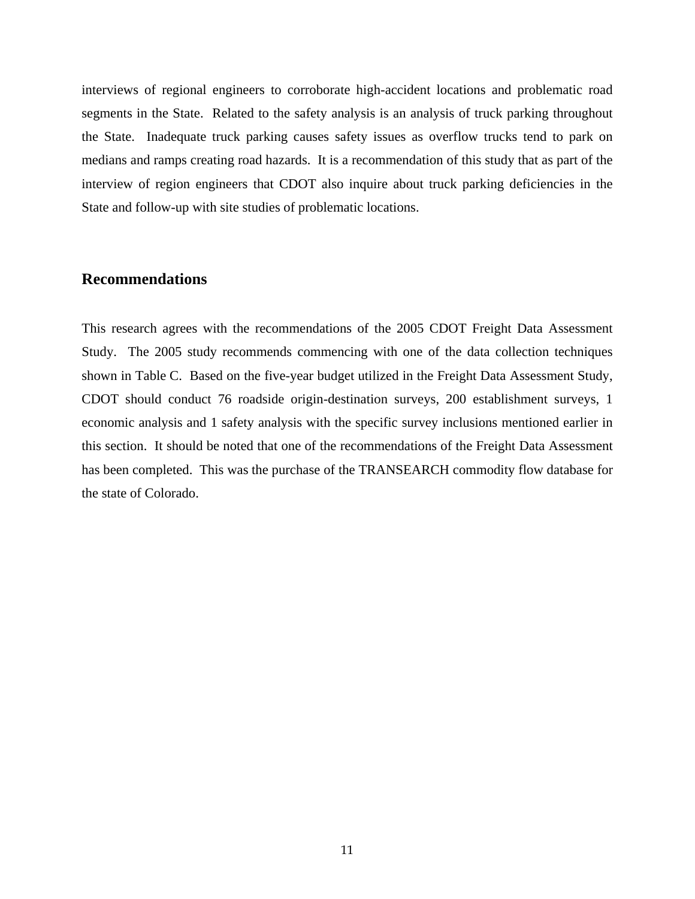interviews of regional engineers to corroborate high-accident locations and problematic road segments in the State. Related to the safety analysis is an analysis of truck parking throughout the State. Inadequate truck parking causes safety issues as overflow trucks tend to park on medians and ramps creating road hazards. It is a recommendation of this study that as part of the interview of region engineers that CDOT also inquire about truck parking deficiencies in the State and follow-up with site studies of problematic locations.

### **Recommendations**

This research agrees with the recommendations of the 2005 CDOT Freight Data Assessment Study. The 2005 study recommends commencing with one of the data collection techniques shown in Table C. Based on the five-year budget utilized in the Freight Data Assessment Study, CDOT should conduct 76 roadside origin-destination surveys, 200 establishment surveys, 1 economic analysis and 1 safety analysis with the specific survey inclusions mentioned earlier in this section. It should be noted that one of the recommendations of the Freight Data Assessment has been completed. This was the purchase of the TRANSEARCH commodity flow database for the state of Colorado.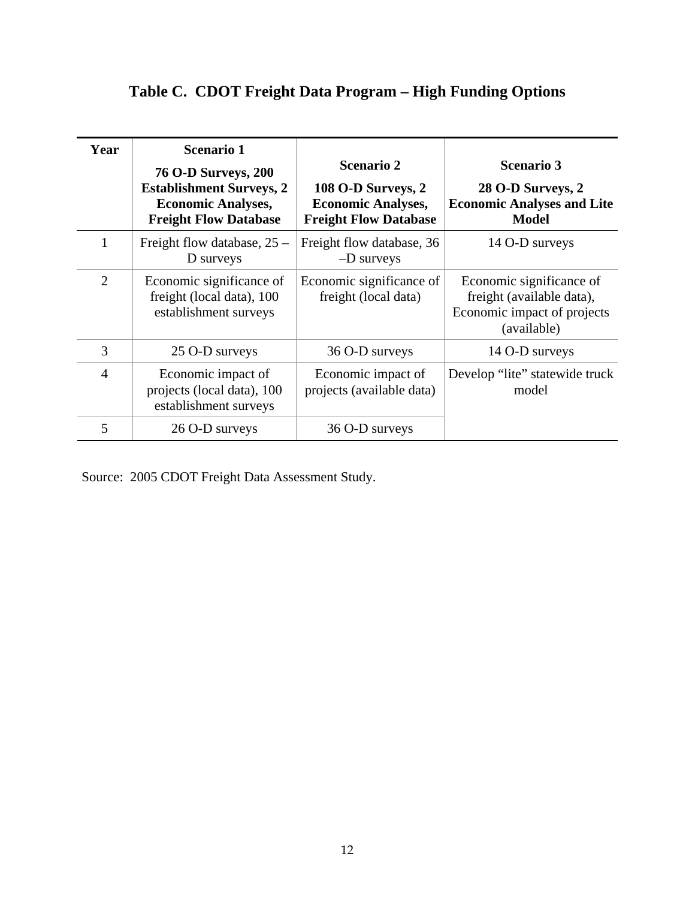# **Table C. CDOT Freight Data Program – High Funding Options**

| Year           | <b>Scenario 1</b><br><b>76 O-D Surveys, 200</b><br><b>Establishment Surveys, 2</b><br><b>Economic Analyses,</b><br><b>Freight Flow Database</b> | <b>Scenario 2</b><br>108 O-D Surveys, 2<br><b>Economic Analyses,</b><br><b>Freight Flow Database</b> | <b>Scenario 3</b><br>28 O-D Surveys, 2<br><b>Economic Analyses and Lite</b><br><b>Model</b>         |
|----------------|-------------------------------------------------------------------------------------------------------------------------------------------------|------------------------------------------------------------------------------------------------------|-----------------------------------------------------------------------------------------------------|
| 1              | Freight flow database, $25 -$<br>D surveys                                                                                                      | Freight flow database, 36<br>$-D$ surveys                                                            | 14 O-D surveys                                                                                      |
| $\overline{2}$ | Economic significance of<br>freight (local data), 100<br>establishment surveys                                                                  | Economic significance of<br>freight (local data)                                                     | Economic significance of<br>freight (available data),<br>Economic impact of projects<br>(available) |
| 3              | 25 O-D surveys                                                                                                                                  | 36 O-D surveys                                                                                       | 14 O-D surveys                                                                                      |
| $\overline{4}$ | Economic impact of<br>projects (local data), 100<br>establishment surveys                                                                       | Economic impact of<br>projects (available data)                                                      | Develop "lite" statewide truck<br>model                                                             |
| 5              | 26 O-D surveys                                                                                                                                  | 36 O-D surveys                                                                                       |                                                                                                     |

Source: 2005 CDOT Freight Data Assessment Study.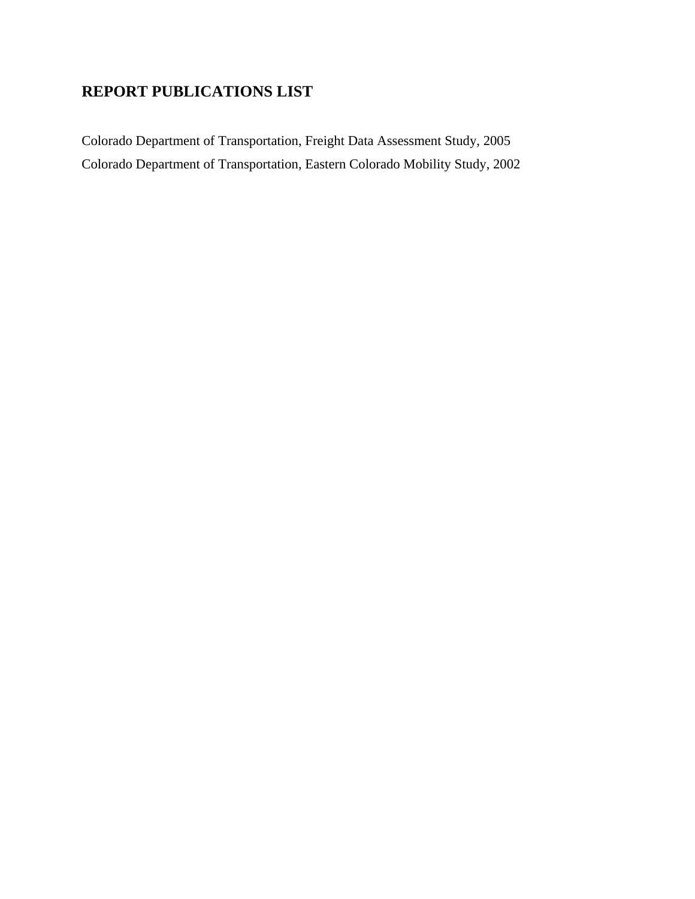## **REPORT PUBLICATIONS LIST**

Colorado Department of Transportation, Freight Data Assessment Study, 2005 Colorado Department of Transportation, Eastern Colorado Mobility Study, 2002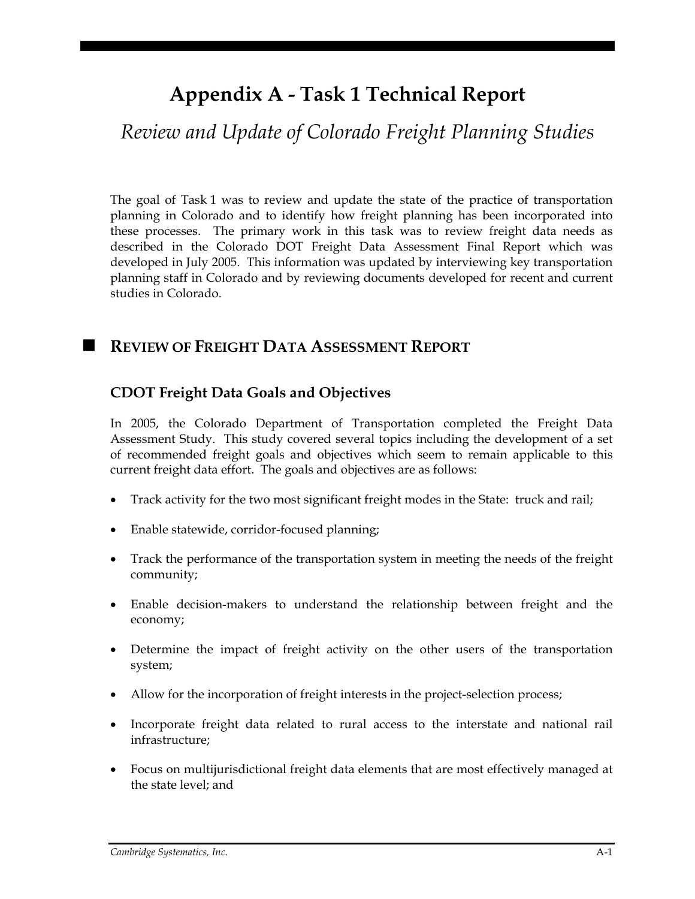# **Appendix A - Task 1 Technical Report**

# *Review and Update of Colorado Freight Planning Studies*

The goal of Task 1 was to review and update the state of the practice of transportation planning in Colorado and to identify how freight planning has been incorporated into these processes. The primary work in this task was to review freight data needs as described in the Colorado DOT Freight Data Assessment Final Report which was developed in July 2005. This information was updated by interviewing key transportation planning staff in Colorado and by reviewing documents developed for recent and current studies in Colorado.

## **REVIEW OF FREIGHT DATA ASSESSMENT REPORT**

## **CDOT Freight Data Goals and Objectives**

In 2005, the Colorado Department of Transportation completed the Freight Data Assessment Study. This study covered several topics including the development of a set of recommended freight goals and objectives which seem to remain applicable to this current freight data effort. The goals and objectives are as follows:

- Track activity for the two most significant freight modes in the State: truck and rail;
- Enable statewide, corridor-focused planning;
- Track the performance of the transportation system in meeting the needs of the freight community;
- Enable decision-makers to understand the relationship between freight and the economy;
- Determine the impact of freight activity on the other users of the transportation system;
- Allow for the incorporation of freight interests in the project-selection process;
- Incorporate freight data related to rural access to the interstate and national rail infrastructure;
- Focus on multijurisdictional freight data elements that are most effectively managed at the state level; and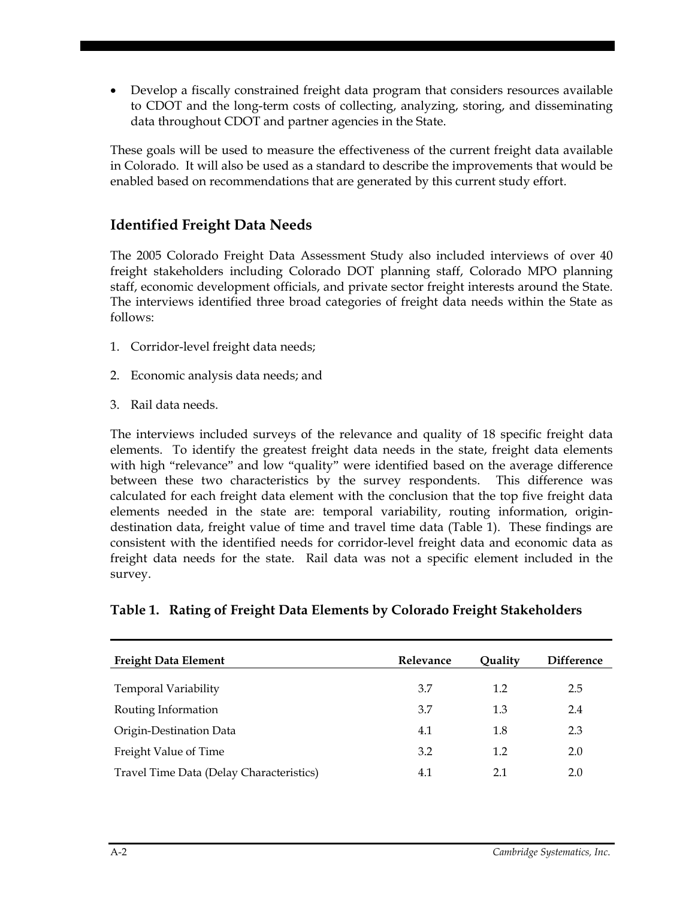• Develop a fiscally constrained freight data program that considers resources available to CDOT and the long-term costs of collecting, analyzing, storing, and disseminating data throughout CDOT and partner agencies in the State.

These goals will be used to measure the effectiveness of the current freight data available in Colorado. It will also be used as a standard to describe the improvements that would be enabled based on recommendations that are generated by this current study effort.

### **Identified Freight Data Needs**

The 2005 Colorado Freight Data Assessment Study also included interviews of over 40 freight stakeholders including Colorado DOT planning staff, Colorado MPO planning staff, economic development officials, and private sector freight interests around the State. The interviews identified three broad categories of freight data needs within the State as follows:

- 1. Corridor-level freight data needs;
- 2. Economic analysis data needs; and
- 3. Rail data needs.

The interviews included surveys of the relevance and quality of 18 specific freight data elements. To identify the greatest freight data needs in the state, freight data elements with high "relevance" and low "quality" were identified based on the average difference between these two characteristics by the survey respondents. This difference was calculated for each freight data element with the conclusion that the top five freight data elements needed in the state are: temporal variability, routing information, origindestination data, freight value of time and travel time data (Table 1). These findings are consistent with the identified needs for corridor-level freight data and economic data as freight data needs for the state. Rail data was not a specific element included in the survey.

### **Table 1. Rating of Freight Data Elements by Colorado Freight Stakeholders**

| <b>Freight Data Element</b>              | Relevance | Ouality | <b>Difference</b> |
|------------------------------------------|-----------|---------|-------------------|
| <b>Temporal Variability</b>              | 3.7       | 1.2     | 2.5               |
| Routing Information                      | 3.7       | 1.3     | 2.4               |
| Origin-Destination Data                  | 4.1       | 1.8     | 2.3               |
| Freight Value of Time                    | 3.2       | 1.2     | 2.0               |
| Travel Time Data (Delay Characteristics) | 4.1       | 2.1     | 2.0               |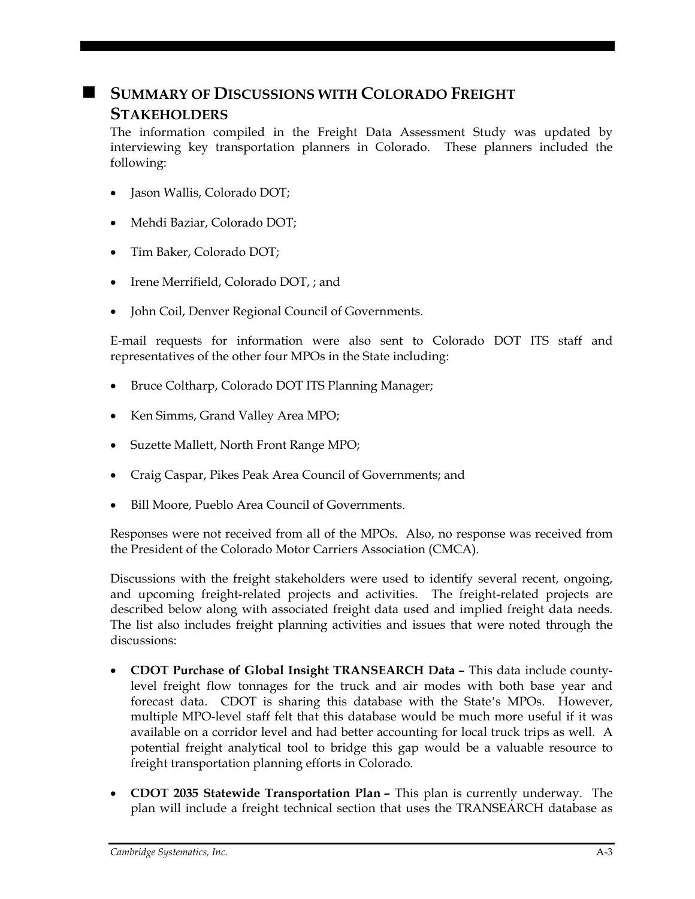# **SUMMARY OF DISCUSSIONS WITH COLORADO FREIGHT STAKEHOLDERS**

The information compiled in the Freight Data Assessment Study was updated by interviewing key transportation planners in Colorado. These planners included the following:

- Jason Wallis, Colorado DOT;
- Mehdi Baziar, Colorado DOT;
- Tim Baker, Colorado DOT;
- Irene Merrifield, Colorado DOT, ; and
- John Coil, Denver Regional Council of Governments.

E-mail requests for information were also sent to Colorado DOT ITS staff and representatives of the other four MPOs in the State including:

- Bruce Coltharp, Colorado DOT ITS Planning Manager;
- Ken Simms, Grand Valley Area MPO;
- Suzette Mallett, North Front Range MPO;
- Craig Caspar, Pikes Peak Area Council of Governments; and
- Bill Moore, Pueblo Area Council of Governments.

Responses were not received from all of the MPOs. Also, no response was received from the President of the Colorado Motor Carriers Association (CMCA).

Discussions with the freight stakeholders were used to identify several recent, ongoing, and upcoming freight-related projects and activities. The freight-related projects are described below along with associated freight data used and implied freight data needs. The list also includes freight planning activities and issues that were noted through the discussions:

- **CDOT Purchase of Global Insight TRANSEARCH Data –** This data include countylevel freight flow tonnages for the truck and air modes with both base year and forecast data. CDOT is sharing this database with the State's MPOs. However, multiple MPO-level staff felt that this database would be much more useful if it was available on a corridor level and had better accounting for local truck trips as well. A potential freight analytical tool to bridge this gap would be a valuable resource to freight transportation planning efforts in Colorado.
- **CDOT 2035 Statewide Transportation Plan –** This plan is currently underway. The plan will include a freight technical section that uses the TRANSEARCH database as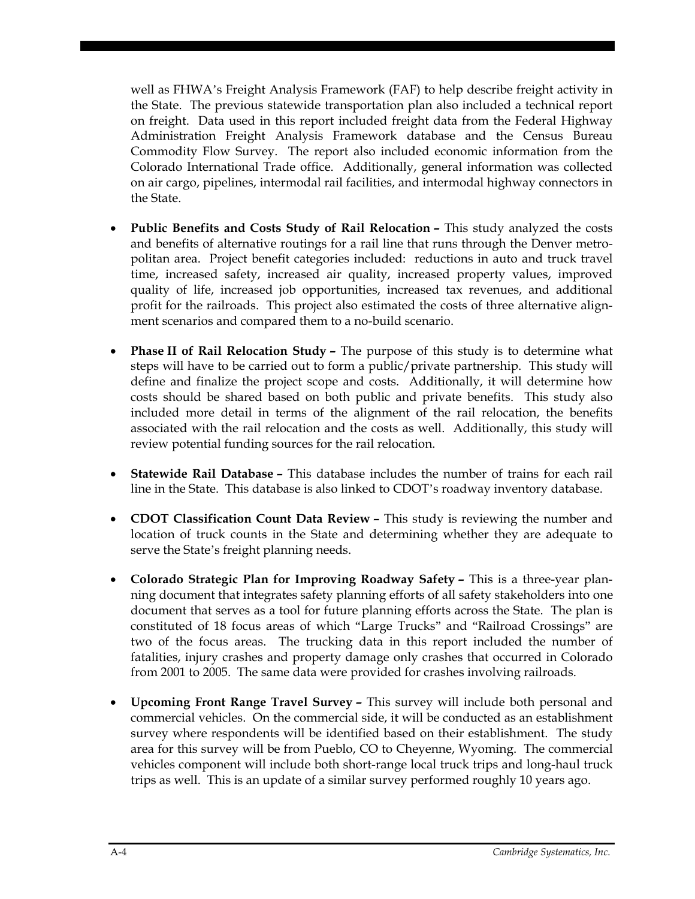well as FHWA's Freight Analysis Framework (FAF) to help describe freight activity in the State. The previous statewide transportation plan also included a technical report on freight. Data used in this report included freight data from the Federal Highway Administration Freight Analysis Framework database and the Census Bureau Commodity Flow Survey. The report also included economic information from the Colorado International Trade office. Additionally, general information was collected on air cargo, pipelines, intermodal rail facilities, and intermodal highway connectors in the State.

- **Public Benefits and Costs Study of Rail Relocation –** This study analyzed the costs and benefits of alternative routings for a rail line that runs through the Denver metropolitan area. Project benefit categories included: reductions in auto and truck travel time, increased safety, increased air quality, increased property values, improved quality of life, increased job opportunities, increased tax revenues, and additional profit for the railroads. This project also estimated the costs of three alternative alignment scenarios and compared them to a no-build scenario.
- **Phase II of Rail Relocation Study –** The purpose of this study is to determine what steps will have to be carried out to form a public/private partnership. This study will define and finalize the project scope and costs. Additionally, it will determine how costs should be shared based on both public and private benefits. This study also included more detail in terms of the alignment of the rail relocation, the benefits associated with the rail relocation and the costs as well. Additionally, this study will review potential funding sources for the rail relocation.
- **Statewide Rail Database –** This database includes the number of trains for each rail line in the State. This database is also linked to CDOT's roadway inventory database.
- **CDOT Classification Count Data Review –** This study is reviewing the number and location of truck counts in the State and determining whether they are adequate to serve the State's freight planning needs.
- **Colorado Strategic Plan for Improving Roadway Safety –** This is a three-year planning document that integrates safety planning efforts of all safety stakeholders into one document that serves as a tool for future planning efforts across the State. The plan is constituted of 18 focus areas of which "Large Trucks" and "Railroad Crossings" are two of the focus areas. The trucking data in this report included the number of fatalities, injury crashes and property damage only crashes that occurred in Colorado from 2001 to 2005. The same data were provided for crashes involving railroads.
- **Upcoming Front Range Travel Survey –** This survey will include both personal and commercial vehicles. On the commercial side, it will be conducted as an establishment survey where respondents will be identified based on their establishment. The study area for this survey will be from Pueblo, CO to Cheyenne, Wyoming. The commercial vehicles component will include both short-range local truck trips and long-haul truck trips as well. This is an update of a similar survey performed roughly 10 years ago.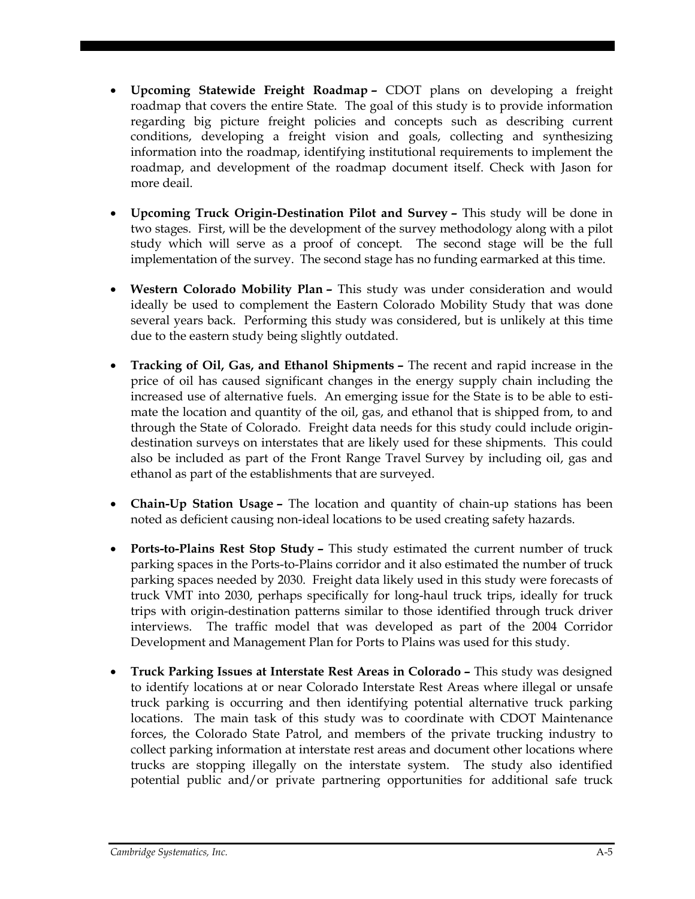- **Upcoming Statewide Freight Roadmap –** CDOT plans on developing a freight roadmap that covers the entire State. The goal of this study is to provide information regarding big picture freight policies and concepts such as describing current conditions, developing a freight vision and goals, collecting and synthesizing information into the roadmap, identifying institutional requirements to implement the roadmap, and development of the roadmap document itself. Check with Jason for more deail.
- **Upcoming Truck Origin-Destination Pilot and Survey –** This study will be done in two stages. First, will be the development of the survey methodology along with a pilot study which will serve as a proof of concept. The second stage will be the full implementation of the survey. The second stage has no funding earmarked at this time.
- **Western Colorado Mobility Plan –** This study was under consideration and would ideally be used to complement the Eastern Colorado Mobility Study that was done several years back. Performing this study was considered, but is unlikely at this time due to the eastern study being slightly outdated.
- **Tracking of Oil, Gas, and Ethanol Shipments –** The recent and rapid increase in the price of oil has caused significant changes in the energy supply chain including the increased use of alternative fuels. An emerging issue for the State is to be able to estimate the location and quantity of the oil, gas, and ethanol that is shipped from, to and through the State of Colorado. Freight data needs for this study could include origindestination surveys on interstates that are likely used for these shipments. This could also be included as part of the Front Range Travel Survey by including oil, gas and ethanol as part of the establishments that are surveyed.
- **Chain-Up Station Usage –** The location and quantity of chain-up stations has been noted as deficient causing non-ideal locations to be used creating safety hazards.
- **Ports-to-Plains Rest Stop Study –** This study estimated the current number of truck parking spaces in the Ports-to-Plains corridor and it also estimated the number of truck parking spaces needed by 2030. Freight data likely used in this study were forecasts of truck VMT into 2030, perhaps specifically for long-haul truck trips, ideally for truck trips with origin-destination patterns similar to those identified through truck driver interviews. The traffic model that was developed as part of the 2004 Corridor Development and Management Plan for Ports to Plains was used for this study.
- **Truck Parking Issues at Interstate Rest Areas in Colorado –** This study was designed to identify locations at or near Colorado Interstate Rest Areas where illegal or unsafe truck parking is occurring and then identifying potential alternative truck parking locations. The main task of this study was to coordinate with CDOT Maintenance forces, the Colorado State Patrol, and members of the private trucking industry to collect parking information at interstate rest areas and document other locations where trucks are stopping illegally on the interstate system. The study also identified potential public and/or private partnering opportunities for additional safe truck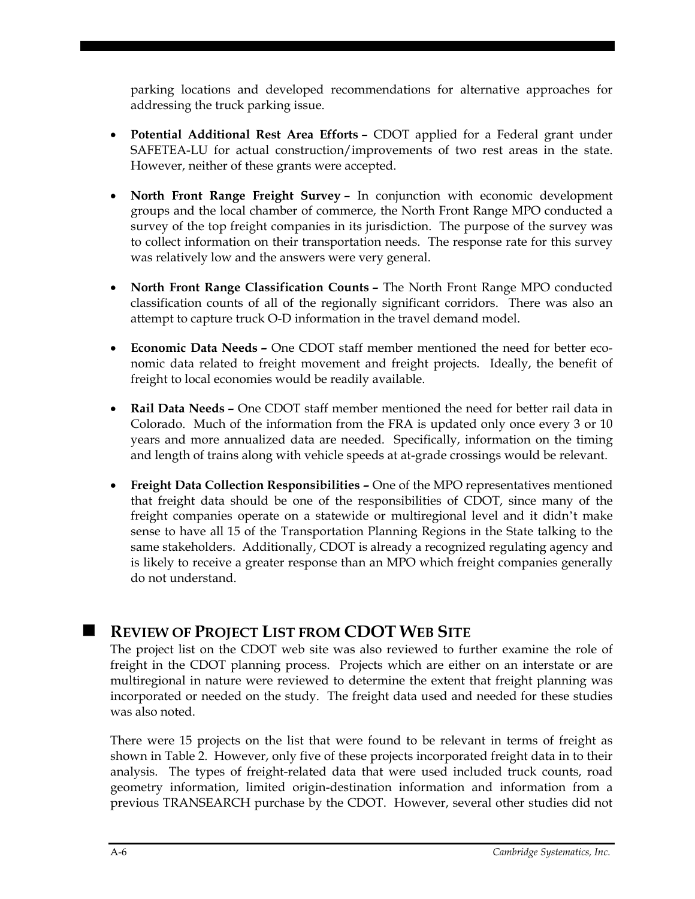parking locations and developed recommendations for alternative approaches for addressing the truck parking issue.

- **Potential Additional Rest Area Efforts –** CDOT applied for a Federal grant under SAFETEA-LU for actual construction/improvements of two rest areas in the state. However, neither of these grants were accepted.
- **North Front Range Freight Survey –** In conjunction with economic development groups and the local chamber of commerce, the North Front Range MPO conducted a survey of the top freight companies in its jurisdiction. The purpose of the survey was to collect information on their transportation needs. The response rate for this survey was relatively low and the answers were very general.
- **North Front Range Classification Counts –** The North Front Range MPO conducted classification counts of all of the regionally significant corridors. There was also an attempt to capture truck O-D information in the travel demand model.
- **Economic Data Needs –** One CDOT staff member mentioned the need for better economic data related to freight movement and freight projects. Ideally, the benefit of freight to local economies would be readily available.
- **Rail Data Needs –** One CDOT staff member mentioned the need for better rail data in Colorado. Much of the information from the FRA is updated only once every 3 or 10 years and more annualized data are needed. Specifically, information on the timing and length of trains along with vehicle speeds at at-grade crossings would be relevant.
- **Freight Data Collection Responsibilities –** One of the MPO representatives mentioned that freight data should be one of the responsibilities of CDOT, since many of the freight companies operate on a statewide or multiregional level and it didn't make sense to have all 15 of the Transportation Planning Regions in the State talking to the same stakeholders. Additionally, CDOT is already a recognized regulating agency and is likely to receive a greater response than an MPO which freight companies generally do not understand.

## **REVIEW OF PROJECT LIST FROM CDOT WEB SITE**

The project list on the CDOT web site was also reviewed to further examine the role of freight in the CDOT planning process. Projects which are either on an interstate or are multiregional in nature were reviewed to determine the extent that freight planning was incorporated or needed on the study. The freight data used and needed for these studies was also noted.

There were 15 projects on the list that were found to be relevant in terms of freight as shown in Table 2. However, only five of these projects incorporated freight data in to their analysis. The types of freight-related data that were used included truck counts, road geometry information, limited origin-destination information and information from a previous TRANSEARCH purchase by the CDOT. However, several other studies did not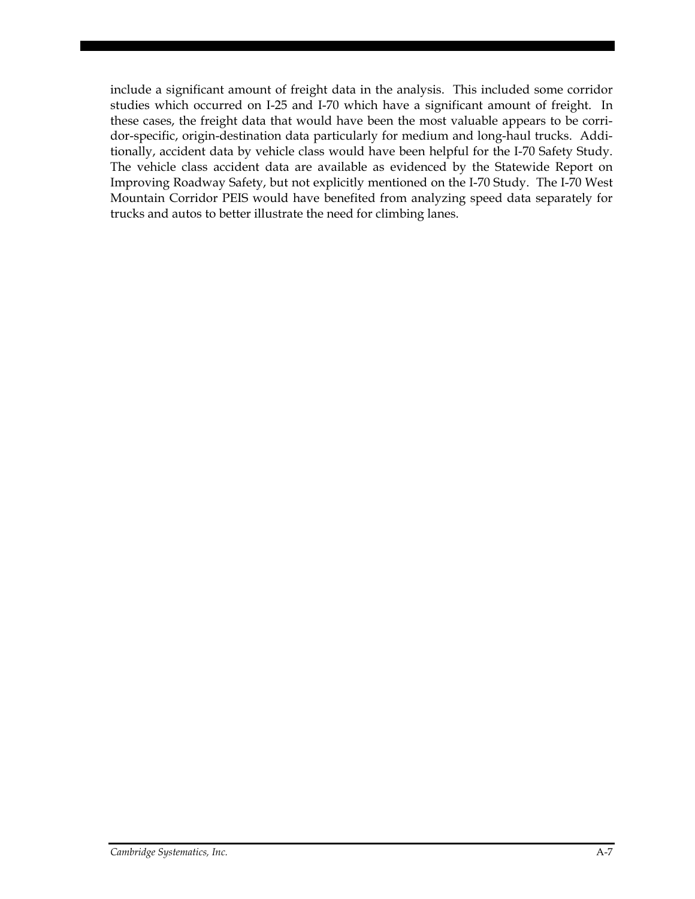include a significant amount of freight data in the analysis. This included some corridor studies which occurred on I-25 and I-70 which have a significant amount of freight. In these cases, the freight data that would have been the most valuable appears to be corridor-specific, origin-destination data particularly for medium and long-haul trucks. Additionally, accident data by vehicle class would have been helpful for the I-70 Safety Study. The vehicle class accident data are available as evidenced by the Statewide Report on Improving Roadway Safety, but not explicitly mentioned on the I-70 Study. The I-70 West Mountain Corridor PEIS would have benefited from analyzing speed data separately for trucks and autos to better illustrate the need for climbing lanes.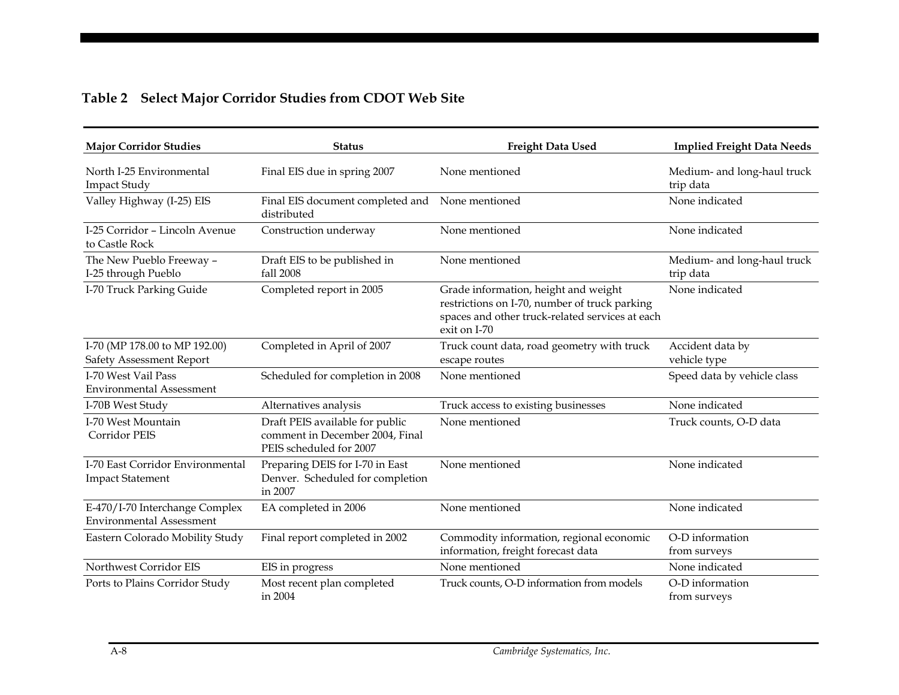|  |  | Table 2 Select Major Corridor Studies from CDOT Web Site |
|--|--|----------------------------------------------------------|
|  |  |                                                          |

| <b>Major Corridor Studies</b>                                     | <b>Status</b>                                                                                 | <b>Freight Data Used</b>                                                                                                                                 | <b>Implied Freight Data Needs</b>        |
|-------------------------------------------------------------------|-----------------------------------------------------------------------------------------------|----------------------------------------------------------------------------------------------------------------------------------------------------------|------------------------------------------|
| North I-25 Environmental<br><b>Impact Study</b>                   | Final EIS due in spring 2007                                                                  | None mentioned                                                                                                                                           | Medium- and long-haul truck<br>trip data |
| Valley Highway (I-25) EIS                                         | Final EIS document completed and None mentioned<br>distributed                                |                                                                                                                                                          | None indicated                           |
| I-25 Corridor - Lincoln Avenue<br>to Castle Rock                  | Construction underway                                                                         | None mentioned                                                                                                                                           | None indicated                           |
| The New Pueblo Freeway -<br>I-25 through Pueblo                   | Draft EIS to be published in<br>fall 2008                                                     | None mentioned                                                                                                                                           | Medium- and long-haul truck<br>trip data |
| I-70 Truck Parking Guide                                          | Completed report in 2005                                                                      | Grade information, height and weight<br>restrictions on I-70, number of truck parking<br>spaces and other truck-related services at each<br>exit on I-70 | None indicated                           |
| I-70 (MP 178.00 to MP 192.00)<br>Safety Assessment Report         | Completed in April of 2007                                                                    | Truck count data, road geometry with truck<br>escape routes                                                                                              | Accident data by<br>vehicle type         |
| I-70 West Vail Pass<br><b>Environmental Assessment</b>            | Scheduled for completion in 2008                                                              | None mentioned                                                                                                                                           | Speed data by vehicle class              |
| I-70B West Study                                                  | Alternatives analysis                                                                         | Truck access to existing businesses                                                                                                                      | None indicated                           |
| I-70 West Mountain<br><b>Corridor PEIS</b>                        | Draft PEIS available for public<br>comment in December 2004, Final<br>PEIS scheduled for 2007 | None mentioned                                                                                                                                           | Truck counts, O-D data                   |
| I-70 East Corridor Environmental<br><b>Impact Statement</b>       | Preparing DEIS for I-70 in East<br>Denver. Scheduled for completion<br>in 2007                | None mentioned                                                                                                                                           | None indicated                           |
| E-470/I-70 Interchange Complex<br><b>Environmental Assessment</b> | EA completed in 2006                                                                          | None mentioned                                                                                                                                           | None indicated                           |
| Eastern Colorado Mobility Study                                   | Final report completed in 2002                                                                | Commodity information, regional economic<br>information, freight forecast data                                                                           | O-D information<br>from surveys          |
| Northwest Corridor EIS                                            | EIS in progress                                                                               | None mentioned                                                                                                                                           | None indicated                           |
| Ports to Plains Corridor Study                                    | Most recent plan completed<br>in 2004                                                         | Truck counts, O-D information from models                                                                                                                | O-D information<br>from surveys          |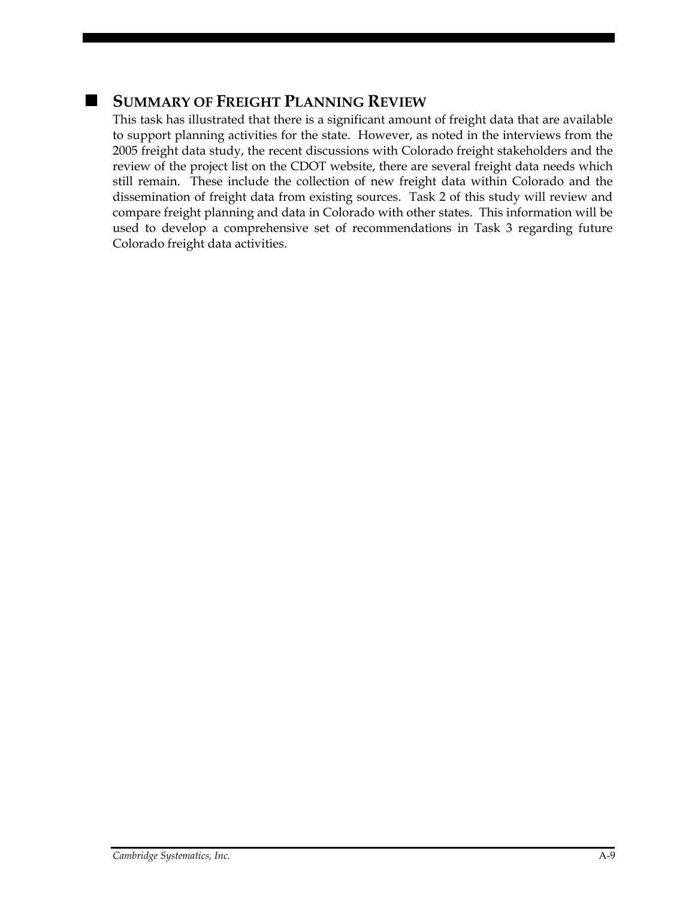## **SUMMARY OF FREIGHT PLANNING REVIEW**

This task has illustrated that there is a significant amount of freight data that are available to support planning activities for the state. However, as noted in the interviews from the 2005 freight data study, the recent discussions with Colorado freight stakeholders and the review of the project list on the CDOT website, there are several freight data needs which still remain. These include the collection of new freight data within Colorado and the dissemination of freight data from existing sources. Task 2 of this study will review and compare freight planning and data in Colorado with other states. This information will be used to develop a comprehensive set of recommendations in Task 3 regarding future Colorado freight data activities.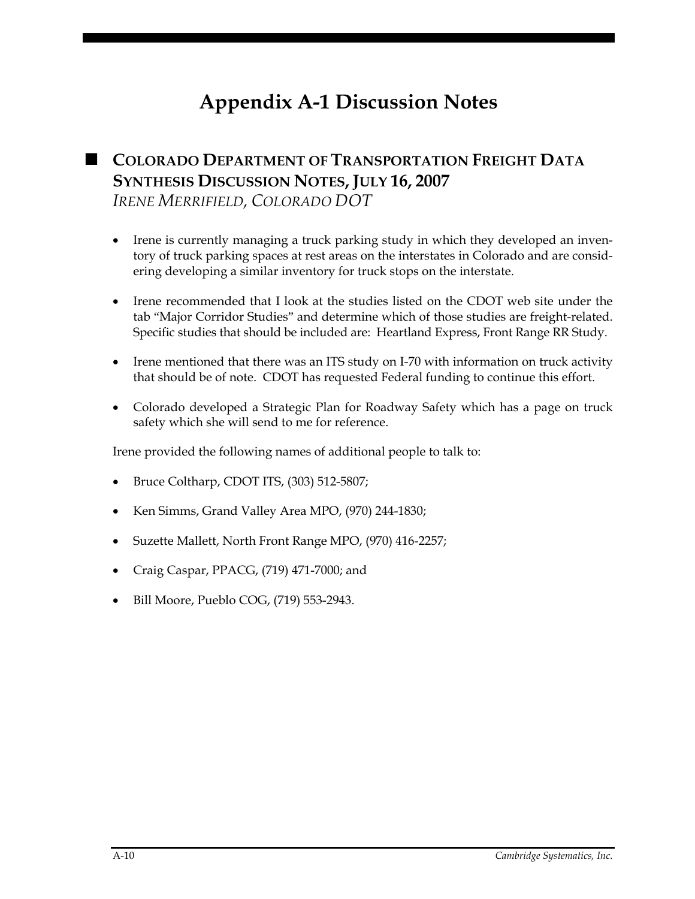# **Appendix A-1 Discussion Notes**

## **COLORADO DEPARTMENT OF TRANSPORTATION FREIGHT DATA SYNTHESIS DISCUSSION NOTES, JULY 16, 2007**  *IRENE MERRIFIELD, COLORADO DOT*

- Irene is currently managing a truck parking study in which they developed an inventory of truck parking spaces at rest areas on the interstates in Colorado and are considering developing a similar inventory for truck stops on the interstate.
- Irene recommended that I look at the studies listed on the CDOT web site under the tab "Major Corridor Studies" and determine which of those studies are freight-related. Specific studies that should be included are: Heartland Express, Front Range RR Study.
- Irene mentioned that there was an ITS study on I-70 with information on truck activity that should be of note. CDOT has requested Federal funding to continue this effort.
- Colorado developed a Strategic Plan for Roadway Safety which has a page on truck safety which she will send to me for reference.

Irene provided the following names of additional people to talk to:

- Bruce Coltharp, CDOT ITS, (303) 512-5807;
- Ken Simms, Grand Valley Area MPO, (970) 244-1830;
- Suzette Mallett, North Front Range MPO, (970) 416-2257;
- Craig Caspar, PPACG, (719) 471-7000; and
- Bill Moore, Pueblo COG, (719) 553-2943.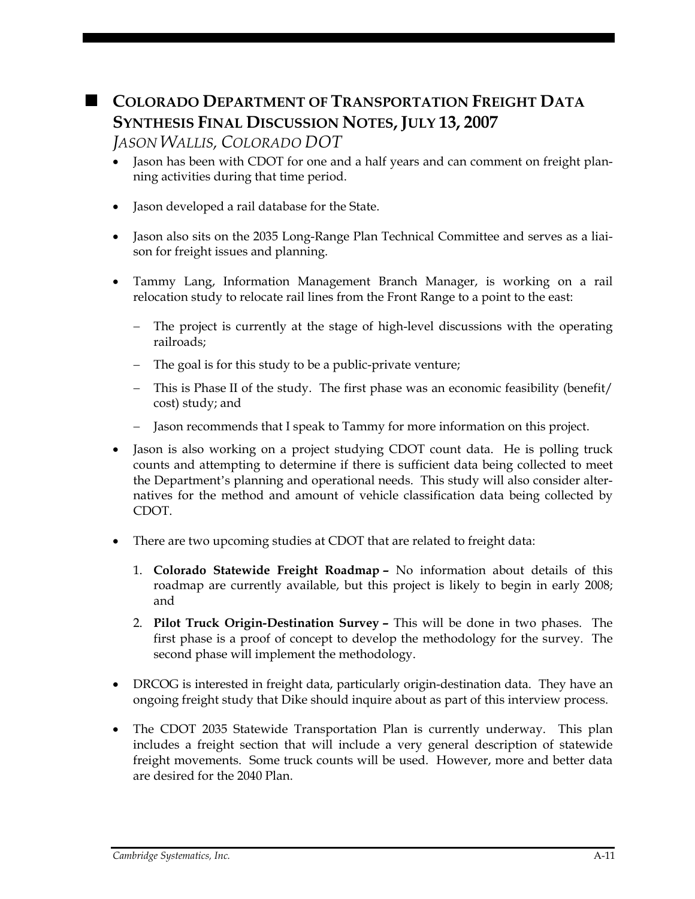## **COLORADO DEPARTMENT OF TRANSPORTATION FREIGHT DATA SYNTHESIS FINAL DISCUSSION NOTES, JULY 13, 2007**

### *JASON WALLIS, COLORADO DOT*

- Jason has been with CDOT for one and a half years and can comment on freight planning activities during that time period.
- Jason developed a rail database for the State.
- Jason also sits on the 2035 Long-Range Plan Technical Committee and serves as a liaison for freight issues and planning.
- Tammy Lang, Information Management Branch Manager, is working on a rail relocation study to relocate rail lines from the Front Range to a point to the east:
	- The project is currently at the stage of high-level discussions with the operating railroads;
	- − The goal is for this study to be a public-private venture;
	- − This is Phase II of the study. The first phase was an economic feasibility (benefit/ cost) study; and
	- − Jason recommends that I speak to Tammy for more information on this project.
- Jason is also working on a project studying CDOT count data. He is polling truck counts and attempting to determine if there is sufficient data being collected to meet the Department's planning and operational needs. This study will also consider alternatives for the method and amount of vehicle classification data being collected by CDOT.
- There are two upcoming studies at CDOT that are related to freight data:
	- 1. **Colorado Statewide Freight Roadmap –** No information about details of this roadmap are currently available, but this project is likely to begin in early 2008; and
	- 2. **Pilot Truck Origin-Destination Survey –** This will be done in two phases. The first phase is a proof of concept to develop the methodology for the survey. The second phase will implement the methodology.
- DRCOG is interested in freight data, particularly origin-destination data. They have an ongoing freight study that Dike should inquire about as part of this interview process.
- The CDOT 2035 Statewide Transportation Plan is currently underway. This plan includes a freight section that will include a very general description of statewide freight movements. Some truck counts will be used. However, more and better data are desired for the 2040 Plan.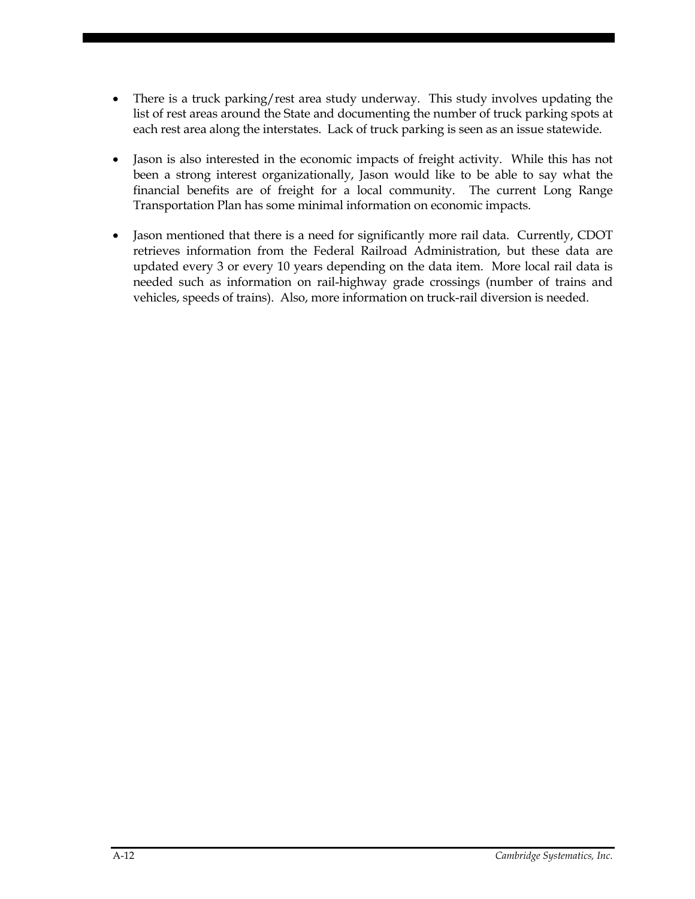- There is a truck parking/rest area study underway. This study involves updating the list of rest areas around the State and documenting the number of truck parking spots at each rest area along the interstates. Lack of truck parking is seen as an issue statewide.
- Jason is also interested in the economic impacts of freight activity. While this has not been a strong interest organizationally, Jason would like to be able to say what the financial benefits are of freight for a local community. The current Long Range Transportation Plan has some minimal information on economic impacts.
- Jason mentioned that there is a need for significantly more rail data. Currently, CDOT retrieves information from the Federal Railroad Administration, but these data are updated every 3 or every 10 years depending on the data item. More local rail data is needed such as information on rail-highway grade crossings (number of trains and vehicles, speeds of trains). Also, more information on truck-rail diversion is needed.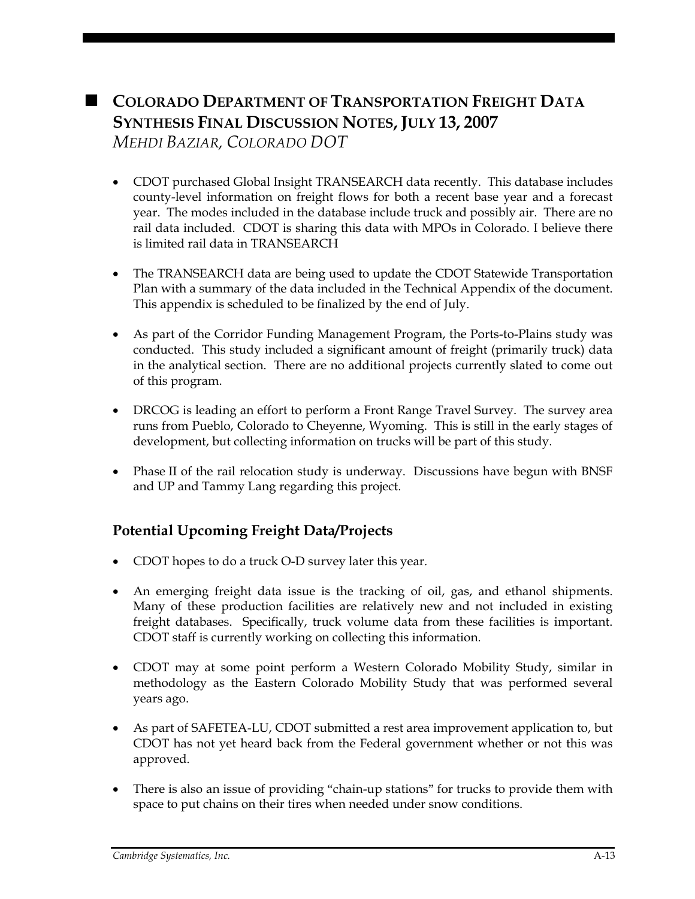# **COLORADO DEPARTMENT OF TRANSPORTATION FREIGHT DATA SYNTHESIS FINAL DISCUSSION NOTES, JULY 13, 2007**

*MEHDI BAZIAR, COLORADO DOT* 

- CDOT purchased Global Insight TRANSEARCH data recently. This database includes county-level information on freight flows for both a recent base year and a forecast year. The modes included in the database include truck and possibly air. There are no rail data included. CDOT is sharing this data with MPOs in Colorado. I believe there is limited rail data in TRANSEARCH
- The TRANSEARCH data are being used to update the CDOT Statewide Transportation Plan with a summary of the data included in the Technical Appendix of the document. This appendix is scheduled to be finalized by the end of July.
- As part of the Corridor Funding Management Program, the Ports-to-Plains study was conducted. This study included a significant amount of freight (primarily truck) data in the analytical section. There are no additional projects currently slated to come out of this program.
- DRCOG is leading an effort to perform a Front Range Travel Survey. The survey area runs from Pueblo, Colorado to Cheyenne, Wyoming. This is still in the early stages of development, but collecting information on trucks will be part of this study.
- Phase II of the rail relocation study is underway. Discussions have begun with BNSF and UP and Tammy Lang regarding this project.

## **Potential Upcoming Freight Data/Projects**

- CDOT hopes to do a truck O-D survey later this year.
- An emerging freight data issue is the tracking of oil, gas, and ethanol shipments. Many of these production facilities are relatively new and not included in existing freight databases. Specifically, truck volume data from these facilities is important. CDOT staff is currently working on collecting this information.
- CDOT may at some point perform a Western Colorado Mobility Study, similar in methodology as the Eastern Colorado Mobility Study that was performed several years ago.
- As part of SAFETEA-LU, CDOT submitted a rest area improvement application to, but CDOT has not yet heard back from the Federal government whether or not this was approved.
- There is also an issue of providing "chain-up stations" for trucks to provide them with space to put chains on their tires when needed under snow conditions.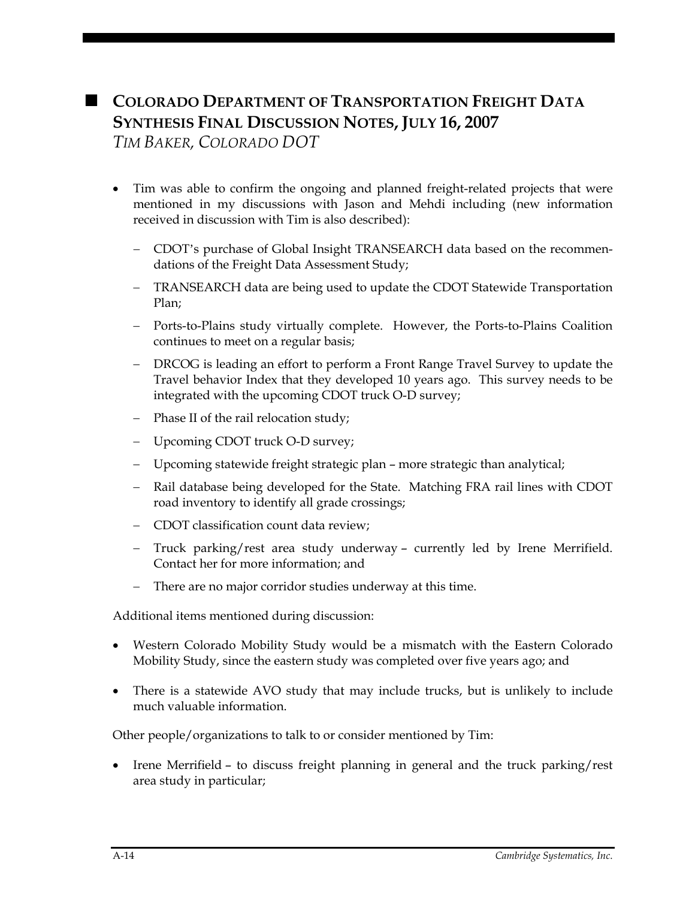## **COLORADO DEPARTMENT OF TRANSPORTATION FREIGHT DATA SYNTHESIS FINAL DISCUSSION NOTES, JULY 16, 2007**

*TIM BAKER, COLORADO DOT* 

- Tim was able to confirm the ongoing and planned freight-related projects that were mentioned in my discussions with Jason and Mehdi including (new information received in discussion with Tim is also described):
	- − CDOT's purchase of Global Insight TRANSEARCH data based on the recommendations of the Freight Data Assessment Study;
	- − TRANSEARCH data are being used to update the CDOT Statewide Transportation Plan;
	- − Ports-to-Plains study virtually complete. However, the Ports-to-Plains Coalition continues to meet on a regular basis;
	- − DRCOG is leading an effort to perform a Front Range Travel Survey to update the Travel behavior Index that they developed 10 years ago. This survey needs to be integrated with the upcoming CDOT truck O-D survey;
	- − Phase II of the rail relocation study;
	- − Upcoming CDOT truck O-D survey;
	- Upcoming statewide freight strategic plan more strategic than analytical;
	- − Rail database being developed for the State. Matching FRA rail lines with CDOT road inventory to identify all grade crossings;
	- − CDOT classification count data review;
	- − Truck parking/rest area study underway currently led by Irene Merrifield. Contact her for more information; and
	- There are no major corridor studies underway at this time.

Additional items mentioned during discussion:

- Western Colorado Mobility Study would be a mismatch with the Eastern Colorado Mobility Study, since the eastern study was completed over five years ago; and
- There is a statewide AVO study that may include trucks, but is unlikely to include much valuable information.

Other people/organizations to talk to or consider mentioned by Tim:

• Irene Merrifield – to discuss freight planning in general and the truck parking/rest area study in particular;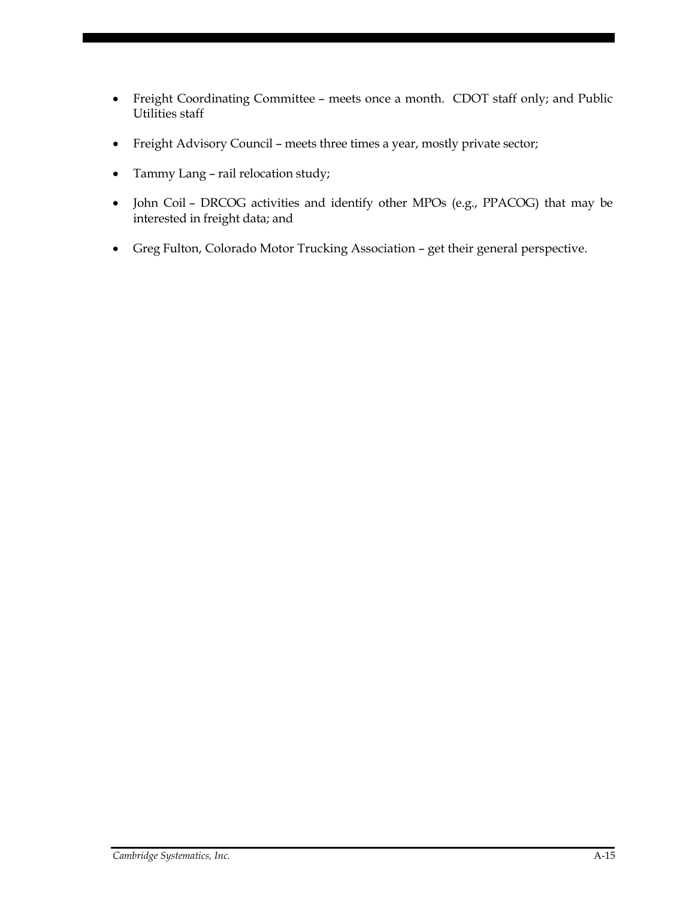- Freight Coordinating Committee meets once a month. CDOT staff only; and Public Utilities staff
- Freight Advisory Council meets three times a year, mostly private sector;
- Tammy Lang rail relocation study;
- John Coil DRCOG activities and identify other MPOs (e.g., PPACOG) that may be interested in freight data; and
- Greg Fulton, Colorado Motor Trucking Association get their general perspective.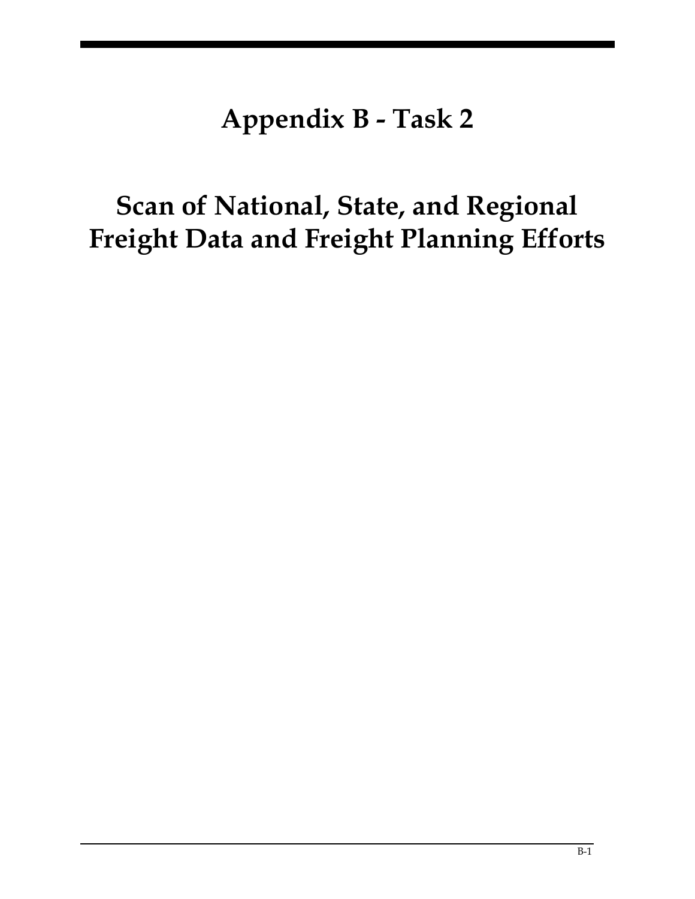# **Appendix B - Task 2**

# **Scan of National, State, and Regional Freight Data and Freight Planning Efforts**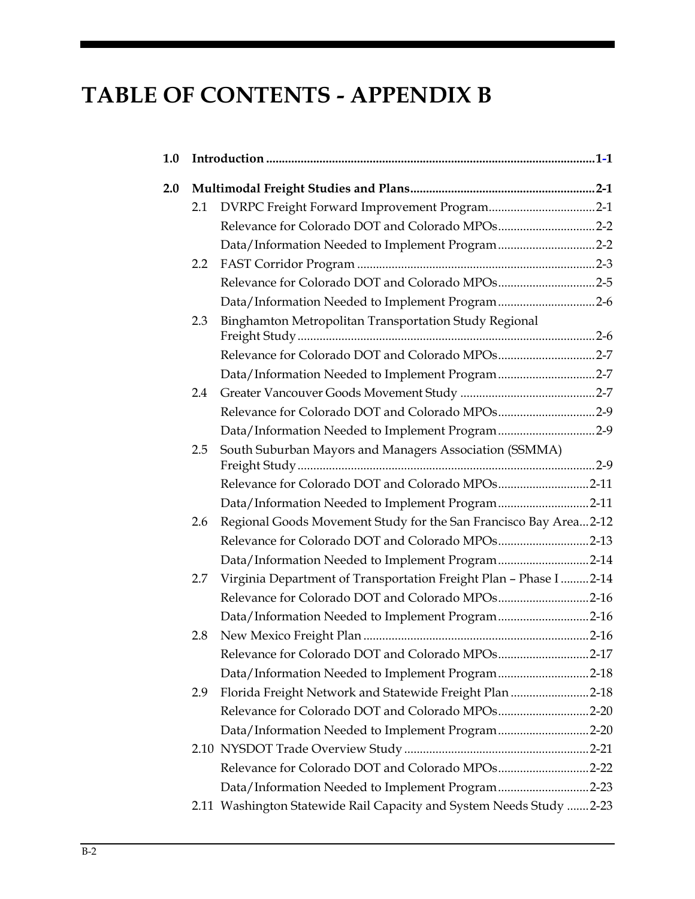## **TABLE OF CONTENTS - APPENDIX B**

| 1.0 |     |                                                                      |  |
|-----|-----|----------------------------------------------------------------------|--|
| 2.0 |     |                                                                      |  |
|     | 2.1 |                                                                      |  |
|     |     | Relevance for Colorado DOT and Colorado MPOs2-2                      |  |
|     |     | Data/Information Needed to Implement Program2-2                      |  |
|     | 2.2 |                                                                      |  |
|     |     | Relevance for Colorado DOT and Colorado MPOs2-5                      |  |
|     |     | Data/Information Needed to Implement Program2-6                      |  |
|     | 2.3 | Binghamton Metropolitan Transportation Study Regional                |  |
|     |     |                                                                      |  |
|     |     | Relevance for Colorado DOT and Colorado MPOs2-7                      |  |
|     |     | Data/Information Needed to Implement Program2-7                      |  |
|     | 2.4 |                                                                      |  |
|     |     | Relevance for Colorado DOT and Colorado MPOs2-9                      |  |
|     |     | Data/Information Needed to Implement Program2-9                      |  |
|     | 2.5 | South Suburban Mayors and Managers Association (SSMMA)               |  |
|     |     | Relevance for Colorado DOT and Colorado MPOs2-11                     |  |
|     |     | Data/Information Needed to Implement Program2-11                     |  |
|     | 2.6 | Regional Goods Movement Study for the San Francisco Bay Area2-12     |  |
|     |     | Relevance for Colorado DOT and Colorado MPOs2-13                     |  |
|     |     | Data/Information Needed to Implement Program2-14                     |  |
|     | 2.7 | Virginia Department of Transportation Freight Plan - Phase I  2-14   |  |
|     |     | Relevance for Colorado DOT and Colorado MPOs2-16                     |  |
|     |     | Data/Information Needed to Implement Program2-16                     |  |
|     | 2.8 |                                                                      |  |
|     |     | Relevance for Colorado DOT and Colorado MPOs2-17                     |  |
|     |     | Data/Information Needed to Implement Program2-18                     |  |
|     | 2.9 | Florida Freight Network and Statewide Freight Plan 2-18              |  |
|     |     | Relevance for Colorado DOT and Colorado MPOs2-20                     |  |
|     |     | Data/Information Needed to Implement Program2-20                     |  |
|     |     |                                                                      |  |
|     |     | Relevance for Colorado DOT and Colorado MPOs2-22                     |  |
|     |     | Data/Information Needed to Implement Program2-23                     |  |
|     |     | 2.11 Washington Statewide Rail Capacity and System Needs Study  2-23 |  |
|     |     |                                                                      |  |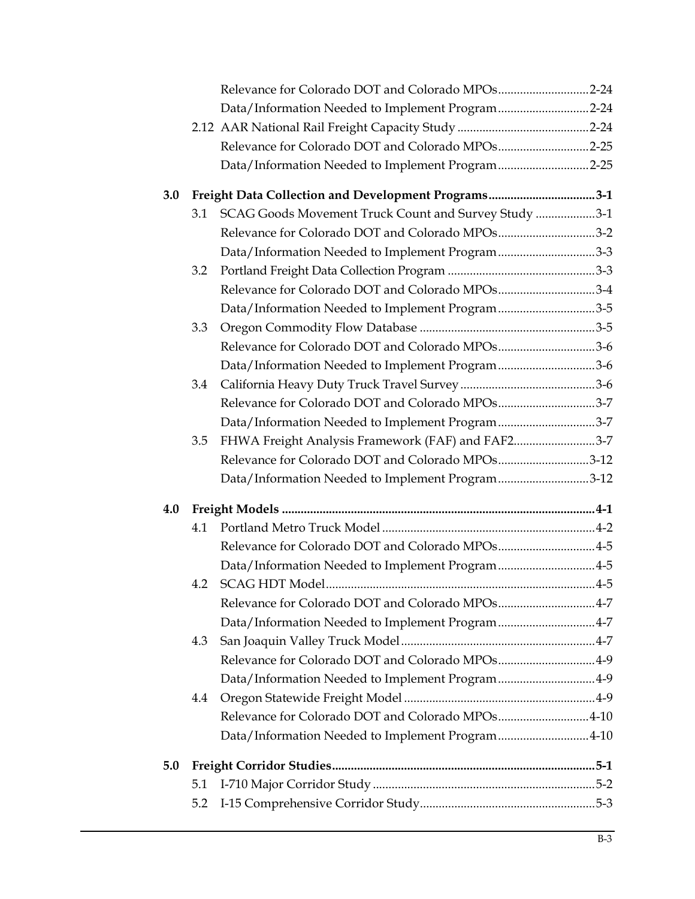|     |     | Relevance for Colorado DOT and Colorado MPOs2-24     |  |
|-----|-----|------------------------------------------------------|--|
|     |     | Data/Information Needed to Implement Program2-24     |  |
|     |     |                                                      |  |
|     |     | Relevance for Colorado DOT and Colorado MPOs2-25     |  |
|     |     | Data/Information Needed to Implement Program2-25     |  |
| 3.0 |     | Freight Data Collection and Development Programs3-1  |  |
|     | 3.1 | SCAG Goods Movement Truck Count and Survey Study 3-1 |  |
|     |     | Relevance for Colorado DOT and Colorado MPOs3-2      |  |
|     |     | Data/Information Needed to Implement Program3-3      |  |
|     | 3.2 |                                                      |  |
|     |     | Relevance for Colorado DOT and Colorado MPOs3-4      |  |
|     |     | Data/Information Needed to Implement Program3-5      |  |
|     | 3.3 |                                                      |  |
|     |     | Relevance for Colorado DOT and Colorado MPOs3-6      |  |
|     |     | Data/Information Needed to Implement Program3-6      |  |
|     | 3.4 |                                                      |  |
|     |     | Relevance for Colorado DOT and Colorado MPOs3-7      |  |
|     |     | Data/Information Needed to Implement Program3-7      |  |
|     | 3.5 | FHWA Freight Analysis Framework (FAF) and FAF23-7    |  |
|     |     | Relevance for Colorado DOT and Colorado MPOs3-12     |  |
|     |     | Data/Information Needed to Implement Program3-12     |  |
| 4.0 |     |                                                      |  |
|     | 4.1 |                                                      |  |
|     |     | Relevance for Colorado DOT and Colorado MPOs4-5      |  |
|     |     | Data/Information Needed to Implement Program4-5      |  |
|     |     |                                                      |  |
|     |     | Relevance for Colorado DOT and Colorado MPOs4-7      |  |
|     |     | Data/Information Needed to Implement Program4-7      |  |
|     | 4.3 |                                                      |  |
|     |     | Relevance for Colorado DOT and Colorado MPOs4-9      |  |
|     |     | Data/Information Needed to Implement Program4-9      |  |
|     | 4.4 |                                                      |  |
|     |     | Relevance for Colorado DOT and Colorado MPOs4-10     |  |
|     |     | Data/Information Needed to Implement Program4-10     |  |
| 5.0 |     |                                                      |  |
|     | 5.1 |                                                      |  |
|     | 5.2 |                                                      |  |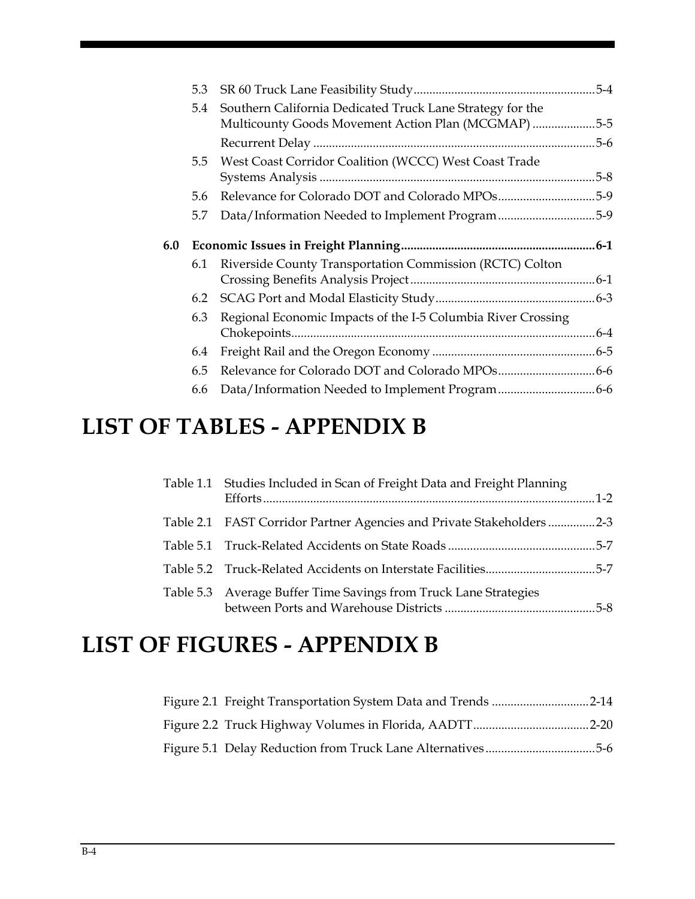|     | 5.3           |                                                                                                              | $5-4$    |
|-----|---------------|--------------------------------------------------------------------------------------------------------------|----------|
|     | 5.4           | Southern California Dedicated Truck Lane Strategy for the<br>Multicounty Goods Movement Action Plan (MCGMAP) | $.5 - 5$ |
|     |               |                                                                                                              | $5-6$    |
|     | $5.5^{\circ}$ | West Coast Corridor Coalition (WCCC) West Coast Trade                                                        | $5 - 8$  |
|     | 5.6           |                                                                                                              | $.5-9$   |
|     | 5.7           | Data/Information Needed to Implement Program5-9                                                              |          |
|     |               |                                                                                                              |          |
| 6.0 |               |                                                                                                              | $6-1$    |
|     | 6.1           | Riverside County Transportation Commission (RCTC) Colton                                                     |          |
|     | 6.2           |                                                                                                              |          |
|     | 6.3           | Regional Economic Impacts of the I-5 Columbia River Crossing                                                 | $6 - 4$  |
|     | 6.4           |                                                                                                              |          |
|     | 6.5           |                                                                                                              |          |
|     | 6.6           |                                                                                                              |          |

## **LIST OF TABLES - APPENDIX B**

| Table 1.1 Studies Included in Scan of Freight Data and Freight Planning |  |
|-------------------------------------------------------------------------|--|
| Table 2.1 FAST Corridor Partner Agencies and Private Stakeholders 2-3   |  |
|                                                                         |  |
| Table 5.2 Truck-Related Accidents on Interstate Facilities5-7           |  |
| Table 5.3 Average Buffer Time Savings from Truck Lane Strategies        |  |

## **LIST OF FIGURES - APPENDIX B**

| Figure 2.1 Freight Transportation System Data and Trends 2-14 |  |
|---------------------------------------------------------------|--|
|                                                               |  |
| Figure 5.1 Delay Reduction from Truck Lane Alternatives5-6    |  |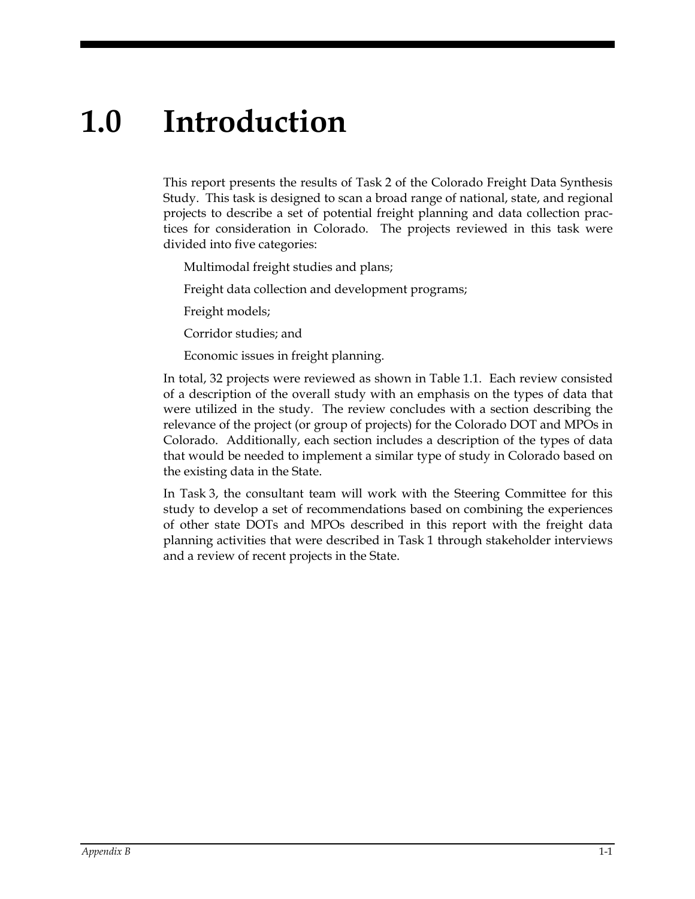# **1.0 Introduction**

This report presents the results of Task 2 of the Colorado Freight Data Synthesis Study. This task is designed to scan a broad range of national, state, and regional projects to describe a set of potential freight planning and data collection practices for consideration in Colorado. The projects reviewed in this task were divided into five categories:

- Multimodal freight studies and plans;
- Freight data collection and development programs;
- Freight models;
- Corridor studies; and
- Economic issues in freight planning.

In total, 32 projects were reviewed as shown in Table 1.1. Each review consisted of a description of the overall study with an emphasis on the types of data that were utilized in the study. The review concludes with a section describing the relevance of the project (or group of projects) for the Colorado DOT and MPOs in Colorado. Additionally, each section includes a description of the types of data that would be needed to implement a similar type of study in Colorado based on the existing data in the State.

In Task 3, the consultant team will work with the Steering Committee for this study to develop a set of recommendations based on combining the experiences of other state DOTs and MPOs described in this report with the freight data planning activities that were described in Task 1 through stakeholder interviews and a review of recent projects in the State.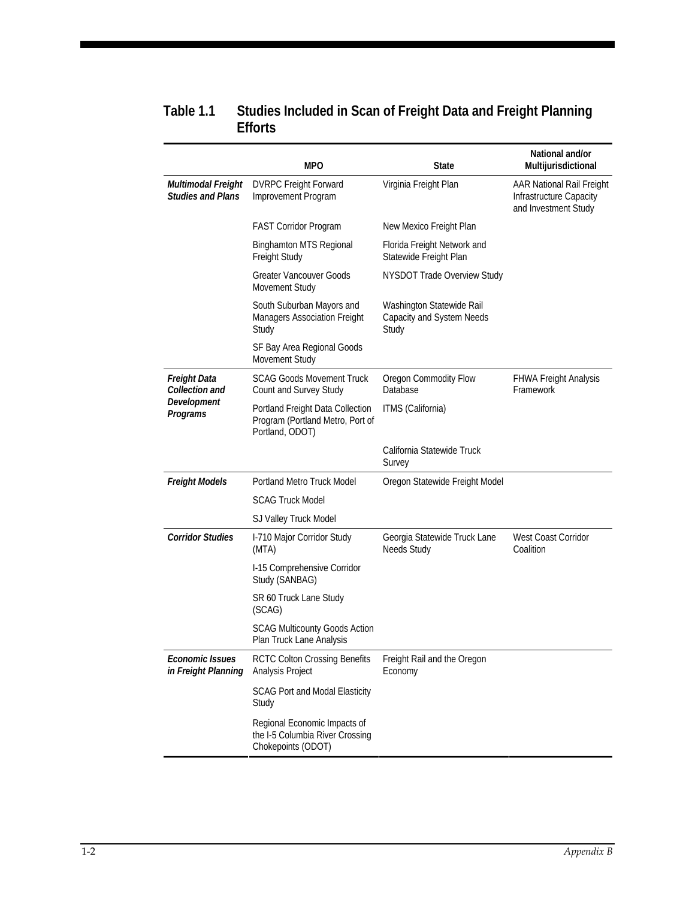#### **Table 1.1 Studies Included in Scan of Freight Data and Freight Planning Efforts**

|                                                | <b>MPO</b>                                                                              | State                                                           | National and/or<br>Multijurisdictional                                       |
|------------------------------------------------|-----------------------------------------------------------------------------------------|-----------------------------------------------------------------|------------------------------------------------------------------------------|
| Multimodal Freight<br><b>Studies and Plans</b> | <b>DVRPC Freight Forward</b><br>Improvement Program                                     | Virginia Freight Plan                                           | AAR National Rail Freight<br>Infrastructure Capacity<br>and Investment Study |
|                                                | <b>FAST Corridor Program</b>                                                            | New Mexico Freight Plan                                         |                                                                              |
|                                                | <b>Binghamton MTS Regional</b><br>Freight Study                                         | Florida Freight Network and<br>Statewide Freight Plan           |                                                                              |
|                                                | <b>Greater Vancouver Goods</b><br>Movement Study                                        | NYSDOT Trade Overview Study                                     |                                                                              |
|                                                | South Suburban Mayors and<br>Managers Association Freight<br>Study                      | Washington Statewide Rail<br>Capacity and System Needs<br>Study |                                                                              |
|                                                | SF Bay Area Regional Goods<br>Movement Study                                            |                                                                 |                                                                              |
| Freight Data<br>Collection and                 | <b>SCAG Goods Movement Truck</b><br>Count and Survey Study                              | Oregon Commodity Flow<br>Database                               | <b>FHWA Freight Analysis</b><br>Framework                                    |
| Development<br>Programs                        | Portland Freight Data Collection<br>Program (Portland Metro, Port of<br>Portland, ODOT) | ITMS (California)                                               |                                                                              |
|                                                |                                                                                         | California Statewide Truck<br>Survey                            |                                                                              |
| <b>Freight Models</b>                          | Portland Metro Truck Model                                                              | Oregon Statewide Freight Model                                  |                                                                              |
|                                                | <b>SCAG Truck Model</b>                                                                 |                                                                 |                                                                              |
|                                                | SJ Valley Truck Model                                                                   |                                                                 |                                                                              |
| <b>Corridor Studies</b>                        | I-710 Major Corridor Study<br>(MTA)                                                     | Georgia Statewide Truck Lane<br><b>Needs Study</b>              | West Coast Corridor<br>Coalition                                             |
|                                                | I-15 Comprehensive Corridor<br>Study (SANBAG)                                           |                                                                 |                                                                              |
|                                                | SR 60 Truck Lane Study<br>(SCAG)                                                        |                                                                 |                                                                              |
|                                                | <b>SCAG Multicounty Goods Action</b><br>Plan Truck Lane Analysis                        |                                                                 |                                                                              |
| <b>Economic Issues</b><br>in Freight Planning  | <b>RCTC Colton Crossing Benefits</b><br>Analysis Project                                | Freight Rail and the Oregon<br>Economy                          |                                                                              |
|                                                | <b>SCAG Port and Modal Elasticity</b><br>Study                                          |                                                                 |                                                                              |
|                                                | Regional Economic Impacts of<br>the I-5 Columbia River Crossing<br>Chokepoints (ODOT)   |                                                                 |                                                                              |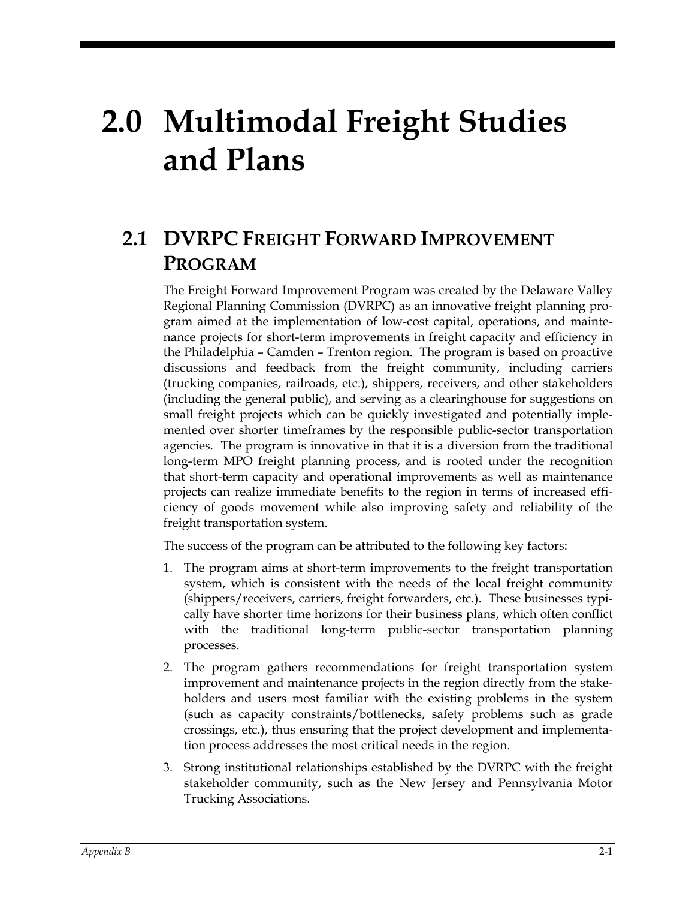# **2.0 Multimodal Freight Studies and Plans**

## **2.1 DVRPC FREIGHT FORWARD IMPROVEMENT PROGRAM**

The Freight Forward Improvement Program was created by the Delaware Valley Regional Planning Commission (DVRPC) as an innovative freight planning program aimed at the implementation of low-cost capital, operations, and maintenance projects for short-term improvements in freight capacity and efficiency in the Philadelphia – Camden – Trenton region. The program is based on proactive discussions and feedback from the freight community, including carriers (trucking companies, railroads, etc.), shippers, receivers, and other stakeholders (including the general public), and serving as a clearinghouse for suggestions on small freight projects which can be quickly investigated and potentially implemented over shorter timeframes by the responsible public-sector transportation agencies. The program is innovative in that it is a diversion from the traditional long-term MPO freight planning process, and is rooted under the recognition that short-term capacity and operational improvements as well as maintenance projects can realize immediate benefits to the region in terms of increased efficiency of goods movement while also improving safety and reliability of the freight transportation system.

The success of the program can be attributed to the following key factors:

- 1. The program aims at short-term improvements to the freight transportation system, which is consistent with the needs of the local freight community (shippers/receivers, carriers, freight forwarders, etc.). These businesses typically have shorter time horizons for their business plans, which often conflict with the traditional long-term public-sector transportation planning processes.
- 2. The program gathers recommendations for freight transportation system improvement and maintenance projects in the region directly from the stakeholders and users most familiar with the existing problems in the system (such as capacity constraints/bottlenecks, safety problems such as grade crossings, etc.), thus ensuring that the project development and implementation process addresses the most critical needs in the region.
- 3. Strong institutional relationships established by the DVRPC with the freight stakeholder community, such as the New Jersey and Pennsylvania Motor Trucking Associations.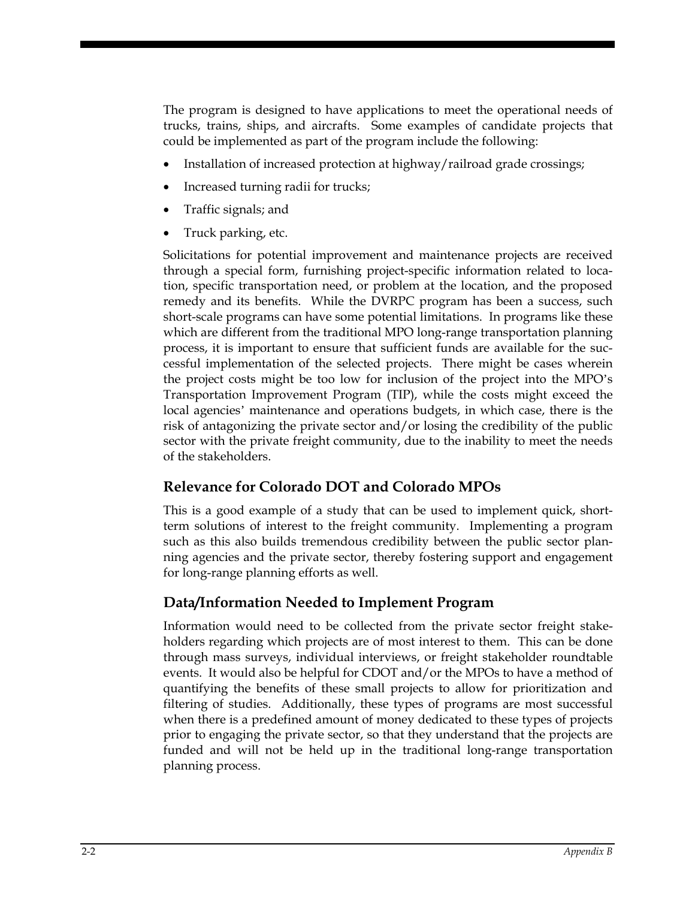The program is designed to have applications to meet the operational needs of trucks, trains, ships, and aircrafts. Some examples of candidate projects that could be implemented as part of the program include the following:

- Installation of increased protection at highway/railroad grade crossings;
- Increased turning radii for trucks;
- Traffic signals; and
- Truck parking, etc.

Solicitations for potential improvement and maintenance projects are received through a special form, furnishing project-specific information related to location, specific transportation need, or problem at the location, and the proposed remedy and its benefits. While the DVRPC program has been a success, such short-scale programs can have some potential limitations. In programs like these which are different from the traditional MPO long-range transportation planning process, it is important to ensure that sufficient funds are available for the successful implementation of the selected projects. There might be cases wherein the project costs might be too low for inclusion of the project into the MPO's Transportation Improvement Program (TIP), while the costs might exceed the local agencies' maintenance and operations budgets, in which case, there is the risk of antagonizing the private sector and/or losing the credibility of the public sector with the private freight community, due to the inability to meet the needs of the stakeholders.

#### **Relevance for Colorado DOT and Colorado MPOs**

This is a good example of a study that can be used to implement quick, shortterm solutions of interest to the freight community. Implementing a program such as this also builds tremendous credibility between the public sector planning agencies and the private sector, thereby fostering support and engagement for long-range planning efforts as well.

#### **Data/Information Needed to Implement Program**

Information would need to be collected from the private sector freight stakeholders regarding which projects are of most interest to them. This can be done through mass surveys, individual interviews, or freight stakeholder roundtable events. It would also be helpful for CDOT and/or the MPOs to have a method of quantifying the benefits of these small projects to allow for prioritization and filtering of studies. Additionally, these types of programs are most successful when there is a predefined amount of money dedicated to these types of projects prior to engaging the private sector, so that they understand that the projects are funded and will not be held up in the traditional long-range transportation planning process.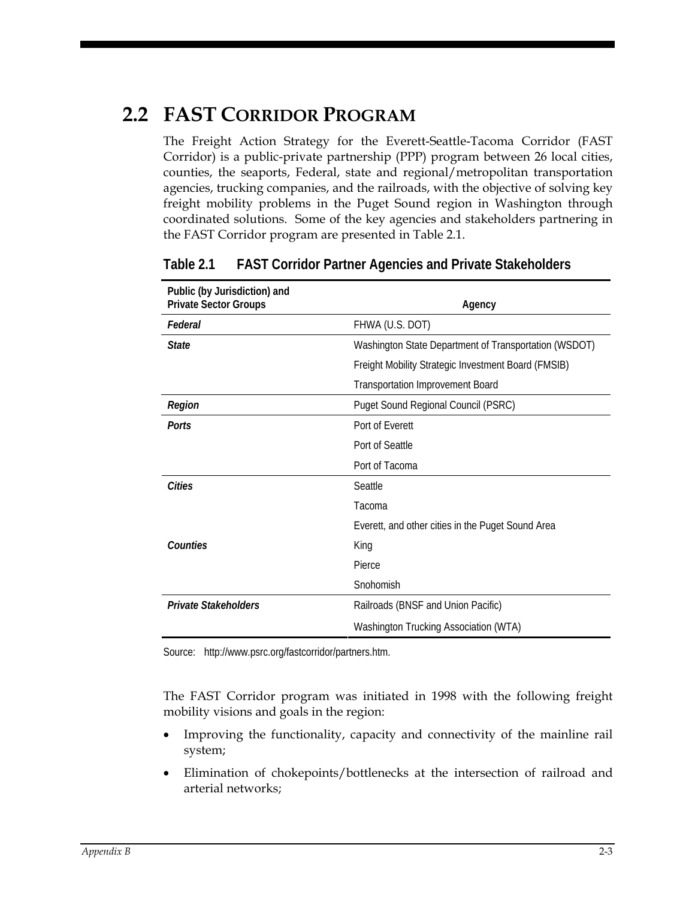## **2.2 FAST CORRIDOR PROGRAM**

The Freight Action Strategy for the Everett-Seattle-Tacoma Corridor (FAST Corridor) is a public-private partnership (PPP) program between 26 local cities, counties, the seaports, Federal, state and regional/metropolitan transportation agencies, trucking companies, and the railroads, with the objective of solving key freight mobility problems in the Puget Sound region in Washington through coordinated solutions. Some of the key agencies and stakeholders partnering in the FAST Corridor program are presented in Table 2.1.

| Public (by Jurisdiction) and<br><b>Private Sector Groups</b> | Agency                                                |
|--------------------------------------------------------------|-------------------------------------------------------|
| Federal                                                      | FHWA (U.S. DOT)                                       |
| <b>State</b>                                                 | Washington State Department of Transportation (WSDOT) |
|                                                              | Freight Mobility Strategic Investment Board (FMSIB)   |
|                                                              | <b>Transportation Improvement Board</b>               |
| Region                                                       | Puget Sound Regional Council (PSRC)                   |
| Ports                                                        | Port of Everett                                       |
|                                                              | Port of Seattle                                       |
|                                                              | Port of Tacoma                                        |
| Cities                                                       | Seattle                                               |
|                                                              | Tacoma                                                |
|                                                              | Everett, and other cities in the Puget Sound Area     |
| Counties                                                     | King                                                  |
|                                                              | Pierce                                                |
|                                                              | Snohomish                                             |
| <b>Private Stakeholders</b>                                  | Railroads (BNSF and Union Pacific)                    |
|                                                              | Washington Trucking Association (WTA)                 |

#### **Table 2.1 FAST Corridor Partner Agencies and Private Stakeholders**

Source: http://www.psrc.org/fastcorridor/partners.htm.

The FAST Corridor program was initiated in 1998 with the following freight mobility visions and goals in the region:

- Improving the functionality, capacity and connectivity of the mainline rail system;
- Elimination of chokepoints/bottlenecks at the intersection of railroad and arterial networks;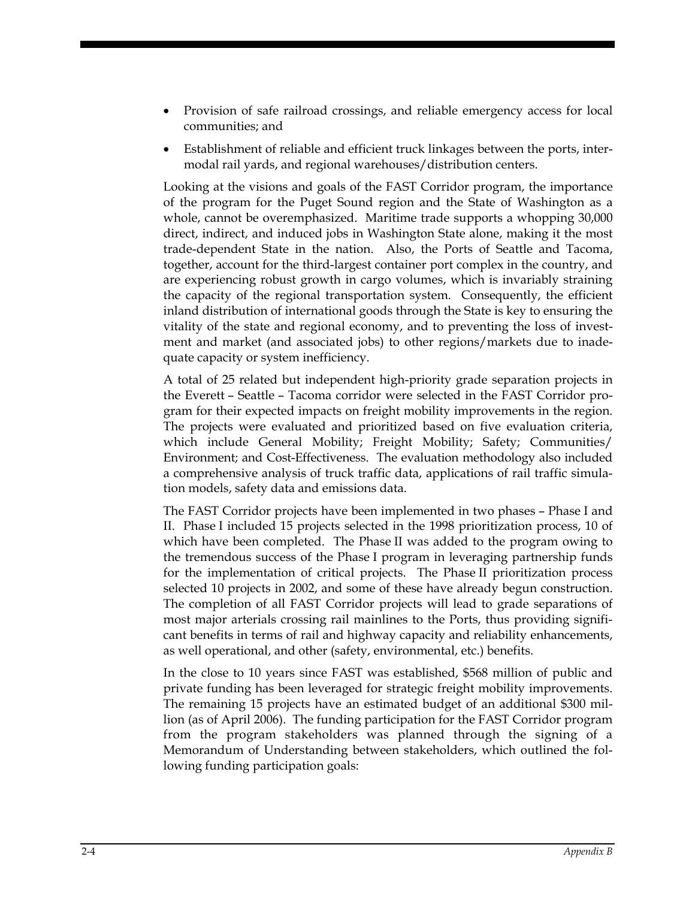- Provision of safe railroad crossings, and reliable emergency access for local communities; and
- Establishment of reliable and efficient truck linkages between the ports, intermodal rail yards, and regional warehouses/distribution centers.

Looking at the visions and goals of the FAST Corridor program, the importance of the program for the Puget Sound region and the State of Washington as a whole, cannot be overemphasized. Maritime trade supports a whopping 30,000 direct, indirect, and induced jobs in Washington State alone, making it the most trade-dependent State in the nation. Also, the Ports of Seattle and Tacoma, together, account for the third-largest container port complex in the country, and are experiencing robust growth in cargo volumes, which is invariably straining the capacity of the regional transportation system. Consequently, the efficient inland distribution of international goods through the State is key to ensuring the vitality of the state and regional economy, and to preventing the loss of investment and market (and associated jobs) to other regions/markets due to inadequate capacity or system inefficiency.

A total of 25 related but independent high-priority grade separation projects in the Everett – Seattle – Tacoma corridor were selected in the FAST Corridor program for their expected impacts on freight mobility improvements in the region. The projects were evaluated and prioritized based on five evaluation criteria, which include General Mobility; Freight Mobility; Safety; Communities/ Environment; and Cost-Effectiveness. The evaluation methodology also included a comprehensive analysis of truck traffic data, applications of rail traffic simulation models, safety data and emissions data.

The FAST Corridor projects have been implemented in two phases – Phase I and II. Phase I included 15 projects selected in the 1998 prioritization process, 10 of which have been completed. The Phase II was added to the program owing to the tremendous success of the Phase I program in leveraging partnership funds for the implementation of critical projects. The Phase II prioritization process selected 10 projects in 2002, and some of these have already begun construction. The completion of all FAST Corridor projects will lead to grade separations of most major arterials crossing rail mainlines to the Ports, thus providing significant benefits in terms of rail and highway capacity and reliability enhancements, as well operational, and other (safety, environmental, etc.) benefits.

In the close to 10 years since FAST was established, \$568 million of public and private funding has been leveraged for strategic freight mobility improvements. The remaining 15 projects have an estimated budget of an additional \$300 million (as of April 2006). The funding participation for the FAST Corridor program from the program stakeholders was planned through the signing of a Memorandum of Understanding between stakeholders, which outlined the following funding participation goals: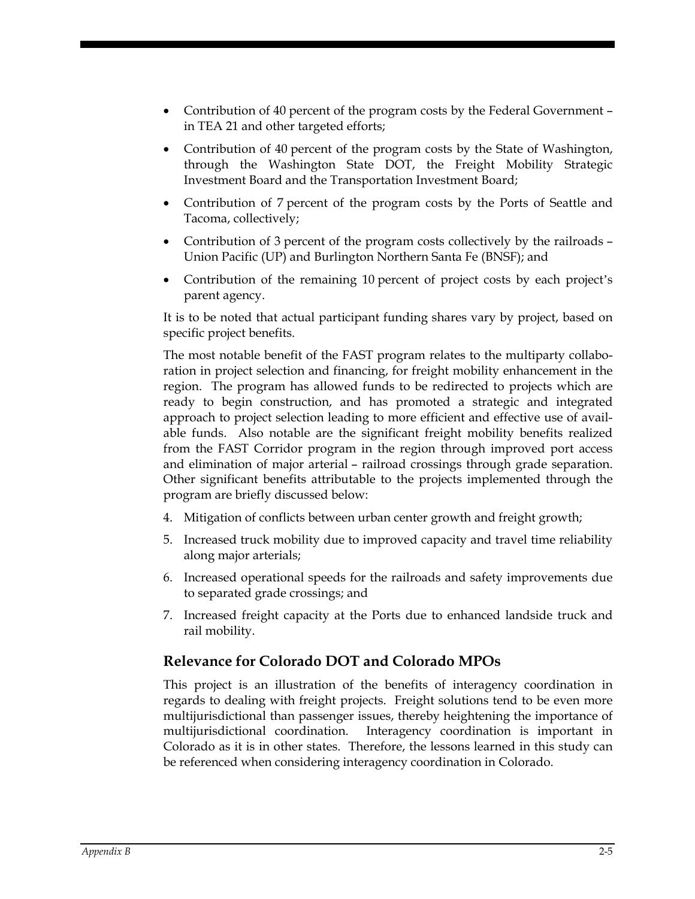- Contribution of 40 percent of the program costs by the Federal Government in TEA 21 and other targeted efforts;
- Contribution of 40 percent of the program costs by the State of Washington, through the Washington State DOT, the Freight Mobility Strategic Investment Board and the Transportation Investment Board;
- Contribution of 7 percent of the program costs by the Ports of Seattle and Tacoma, collectively;
- Contribution of 3 percent of the program costs collectively by the railroads Union Pacific (UP) and Burlington Northern Santa Fe (BNSF); and
- Contribution of the remaining 10 percent of project costs by each project's parent agency.

It is to be noted that actual participant funding shares vary by project, based on specific project benefits.

The most notable benefit of the FAST program relates to the multiparty collaboration in project selection and financing, for freight mobility enhancement in the region. The program has allowed funds to be redirected to projects which are ready to begin construction, and has promoted a strategic and integrated approach to project selection leading to more efficient and effective use of available funds. Also notable are the significant freight mobility benefits realized from the FAST Corridor program in the region through improved port access and elimination of major arterial – railroad crossings through grade separation. Other significant benefits attributable to the projects implemented through the program are briefly discussed below:

- 4. Mitigation of conflicts between urban center growth and freight growth;
- 5. Increased truck mobility due to improved capacity and travel time reliability along major arterials;
- 6. Increased operational speeds for the railroads and safety improvements due to separated grade crossings; and
- 7. Increased freight capacity at the Ports due to enhanced landside truck and rail mobility.

#### **Relevance for Colorado DOT and Colorado MPOs**

This project is an illustration of the benefits of interagency coordination in regards to dealing with freight projects. Freight solutions tend to be even more multijurisdictional than passenger issues, thereby heightening the importance of multijurisdictional coordination. Interagency coordination is important in Colorado as it is in other states. Therefore, the lessons learned in this study can be referenced when considering interagency coordination in Colorado.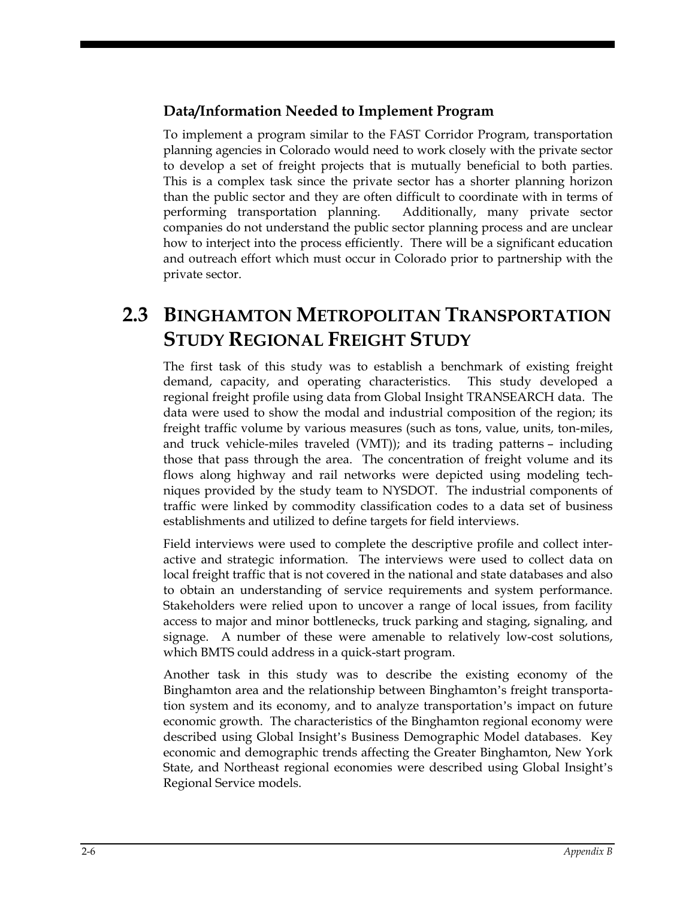#### **Data/Information Needed to Implement Program**

To implement a program similar to the FAST Corridor Program, transportation planning agencies in Colorado would need to work closely with the private sector to develop a set of freight projects that is mutually beneficial to both parties. This is a complex task since the private sector has a shorter planning horizon than the public sector and they are often difficult to coordinate with in terms of performing transportation planning. Additionally, many private sector companies do not understand the public sector planning process and are unclear how to interject into the process efficiently. There will be a significant education and outreach effort which must occur in Colorado prior to partnership with the private sector.

## **2.3 BINGHAMTON METROPOLITAN TRANSPORTATION STUDY REGIONAL FREIGHT STUDY**

The first task of this study was to establish a benchmark of existing freight demand, capacity, and operating characteristics. This study developed a regional freight profile using data from Global Insight TRANSEARCH data. The data were used to show the modal and industrial composition of the region; its freight traffic volume by various measures (such as tons, value, units, ton-miles, and truck vehicle-miles traveled (VMT)); and its trading patterns – including those that pass through the area. The concentration of freight volume and its flows along highway and rail networks were depicted using modeling techniques provided by the study team to NYSDOT. The industrial components of traffic were linked by commodity classification codes to a data set of business establishments and utilized to define targets for field interviews.

Field interviews were used to complete the descriptive profile and collect interactive and strategic information. The interviews were used to collect data on local freight traffic that is not covered in the national and state databases and also to obtain an understanding of service requirements and system performance. Stakeholders were relied upon to uncover a range of local issues, from facility access to major and minor bottlenecks, truck parking and staging, signaling, and signage. A number of these were amenable to relatively low-cost solutions, which BMTS could address in a quick-start program.

Another task in this study was to describe the existing economy of the Binghamton area and the relationship between Binghamton's freight transportation system and its economy, and to analyze transportation's impact on future economic growth. The characteristics of the Binghamton regional economy were described using Global Insight's Business Demographic Model databases. Key economic and demographic trends affecting the Greater Binghamton, New York State, and Northeast regional economies were described using Global Insight's Regional Service models.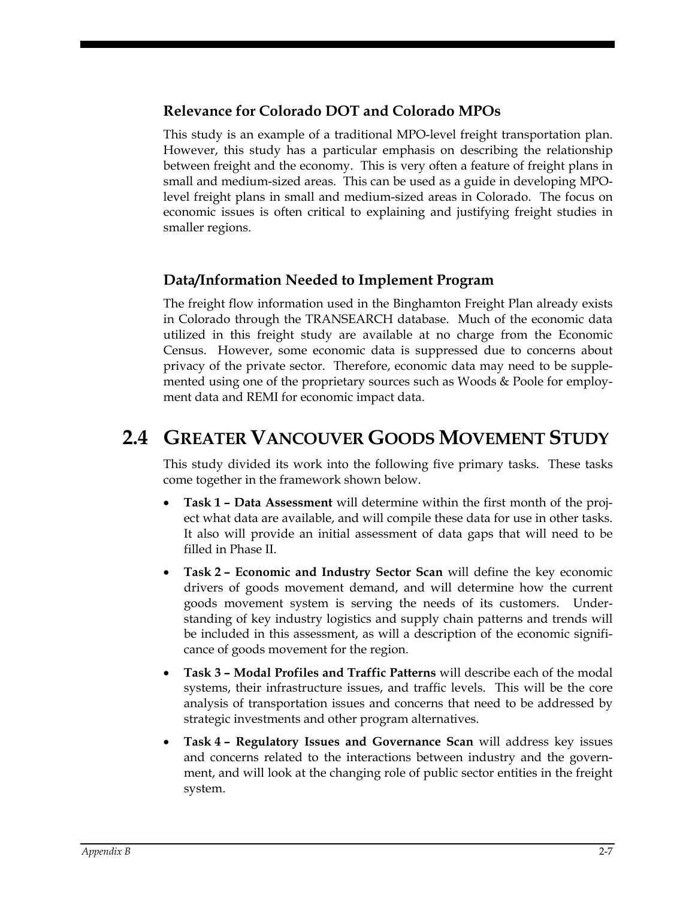#### **Relevance for Colorado DOT and Colorado MPOs**

This study is an example of a traditional MPO-level freight transportation plan. However, this study has a particular emphasis on describing the relationship between freight and the economy. This is very often a feature of freight plans in small and medium-sized areas. This can be used as a guide in developing MPOlevel freight plans in small and medium-sized areas in Colorado. The focus on economic issues is often critical to explaining and justifying freight studies in smaller regions.

#### **Data/Information Needed to Implement Program**

The freight flow information used in the Binghamton Freight Plan already exists in Colorado through the TRANSEARCH database. Much of the economic data utilized in this freight study are available at no charge from the Economic Census. However, some economic data is suppressed due to concerns about privacy of the private sector. Therefore, economic data may need to be supplemented using one of the proprietary sources such as Woods & Poole for employment data and REMI for economic impact data.

## **2.4 GREATER VANCOUVER GOODS MOVEMENT STUDY**

This study divided its work into the following five primary tasks. These tasks come together in the framework shown below.

- **Task 1 Data Assessment** will determine within the first month of the project what data are available, and will compile these data for use in other tasks. It also will provide an initial assessment of data gaps that will need to be filled in Phase II.
- **Task 2 Economic and Industry Sector Scan** will define the key economic drivers of goods movement demand, and will determine how the current goods movement system is serving the needs of its customers. Understanding of key industry logistics and supply chain patterns and trends will be included in this assessment, as will a description of the economic significance of goods movement for the region.
- **Task 3 Modal Profiles and Traffic Patterns** will describe each of the modal systems, their infrastructure issues, and traffic levels. This will be the core analysis of transportation issues and concerns that need to be addressed by strategic investments and other program alternatives.
- **Task 4 Regulatory Issues and Governance Scan** will address key issues and concerns related to the interactions between industry and the government, and will look at the changing role of public sector entities in the freight system.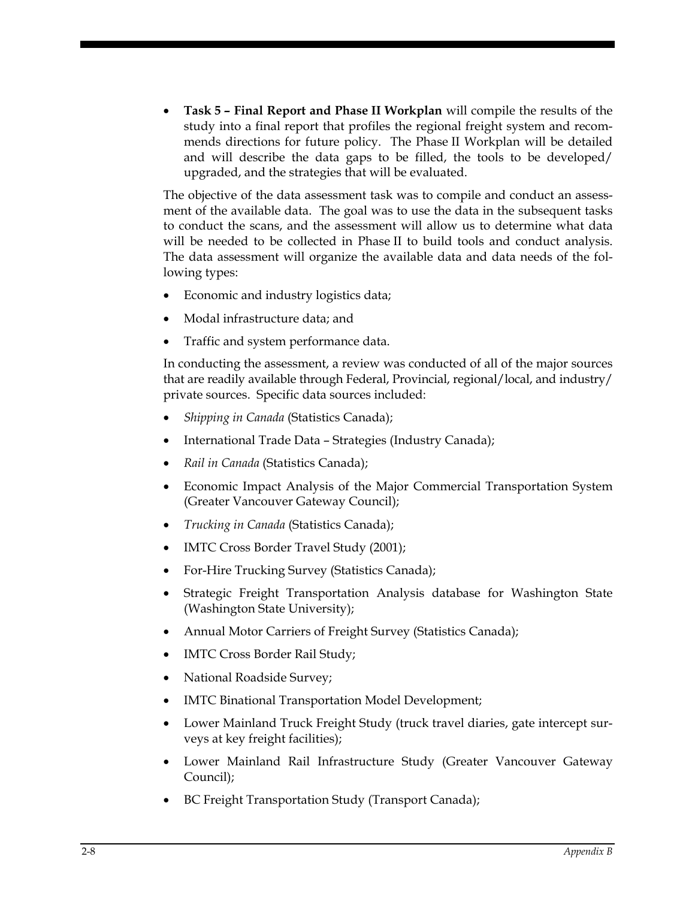• **Task 5 – Final Report and Phase II Workplan** will compile the results of the study into a final report that profiles the regional freight system and recommends directions for future policy. The Phase II Workplan will be detailed and will describe the data gaps to be filled, the tools to be developed/ upgraded, and the strategies that will be evaluated.

The objective of the data assessment task was to compile and conduct an assessment of the available data. The goal was to use the data in the subsequent tasks to conduct the scans, and the assessment will allow us to determine what data will be needed to be collected in Phase II to build tools and conduct analysis. The data assessment will organize the available data and data needs of the following types:

- Economic and industry logistics data;
- Modal infrastructure data; and
- Traffic and system performance data.

In conducting the assessment, a review was conducted of all of the major sources that are readily available through Federal, Provincial, regional/local, and industry/ private sources. Specific data sources included:

- *Shipping in Canada* (Statistics Canada);
- International Trade Data Strategies (Industry Canada);
- *Rail in Canada* (Statistics Canada);
- Economic Impact Analysis of the Major Commercial Transportation System (Greater Vancouver Gateway Council);
- *Trucking in Canada* (Statistics Canada);
- IMTC Cross Border Travel Study (2001);
- For-Hire Trucking Survey (Statistics Canada);
- Strategic Freight Transportation Analysis database for Washington State (Washington State University);
- Annual Motor Carriers of Freight Survey (Statistics Canada);
- IMTC Cross Border Rail Study;
- National Roadside Survey;
- IMTC Binational Transportation Model Development;
- Lower Mainland Truck Freight Study (truck travel diaries, gate intercept surveys at key freight facilities);
- Lower Mainland Rail Infrastructure Study (Greater Vancouver Gateway Council);
- BC Freight Transportation Study (Transport Canada);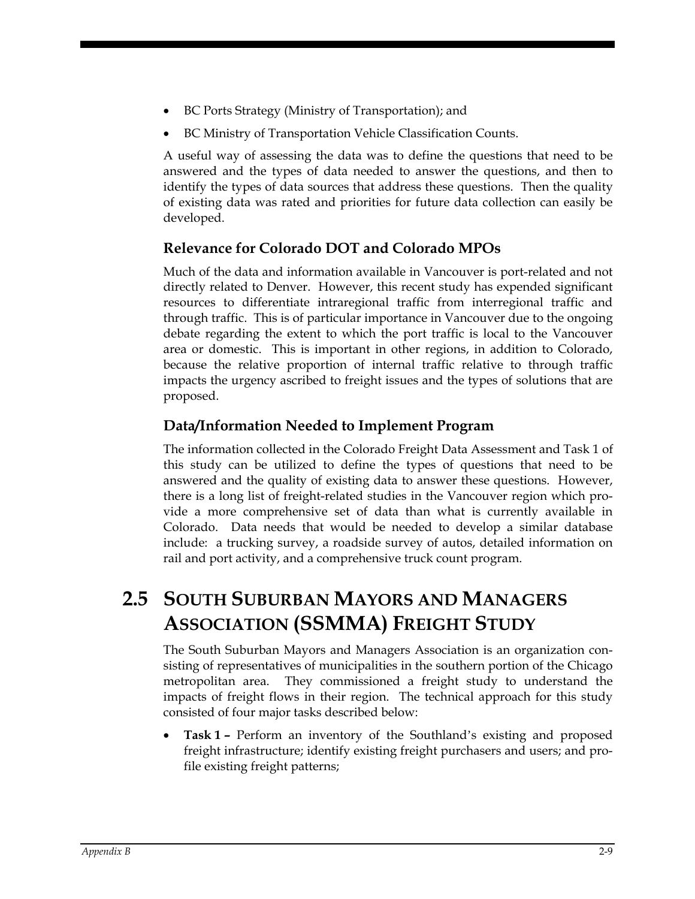- BC Ports Strategy (Ministry of Transportation); and
- BC Ministry of Transportation Vehicle Classification Counts.

A useful way of assessing the data was to define the questions that need to be answered and the types of data needed to answer the questions, and then to identify the types of data sources that address these questions. Then the quality of existing data was rated and priorities for future data collection can easily be developed.

#### **Relevance for Colorado DOT and Colorado MPOs**

Much of the data and information available in Vancouver is port-related and not directly related to Denver. However, this recent study has expended significant resources to differentiate intraregional traffic from interregional traffic and through traffic. This is of particular importance in Vancouver due to the ongoing debate regarding the extent to which the port traffic is local to the Vancouver area or domestic. This is important in other regions, in addition to Colorado, because the relative proportion of internal traffic relative to through traffic impacts the urgency ascribed to freight issues and the types of solutions that are proposed.

#### **Data/Information Needed to Implement Program**

The information collected in the Colorado Freight Data Assessment and Task 1 of this study can be utilized to define the types of questions that need to be answered and the quality of existing data to answer these questions. However, there is a long list of freight-related studies in the Vancouver region which provide a more comprehensive set of data than what is currently available in Colorado. Data needs that would be needed to develop a similar database include: a trucking survey, a roadside survey of autos, detailed information on rail and port activity, and a comprehensive truck count program.

## **2.5 SOUTH SUBURBAN MAYORS AND MANAGERS ASSOCIATION (SSMMA) FREIGHT STUDY**

The South Suburban Mayors and Managers Association is an organization consisting of representatives of municipalities in the southern portion of the Chicago metropolitan area. They commissioned a freight study to understand the impacts of freight flows in their region. The technical approach for this study consisted of four major tasks described below:

• **Task 1 –** Perform an inventory of the Southland's existing and proposed freight infrastructure; identify existing freight purchasers and users; and profile existing freight patterns;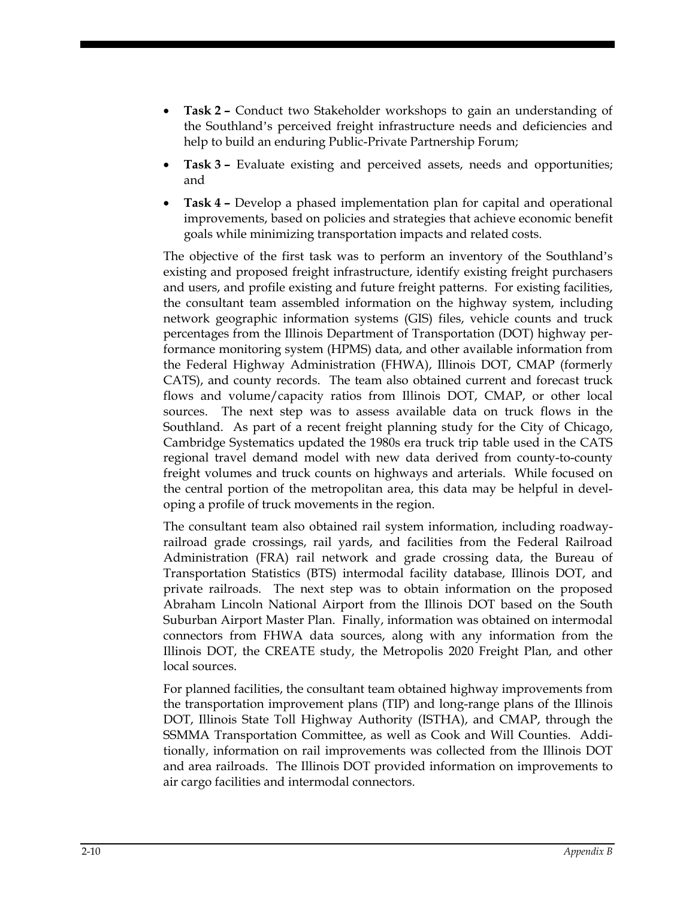- **Task 2** Conduct two Stakeholder workshops to gain an understanding of the Southland's perceived freight infrastructure needs and deficiencies and help to build an enduring Public-Private Partnership Forum;
- **Task 3** Evaluate existing and perceived assets, needs and opportunities; and
- **Task 4** Develop a phased implementation plan for capital and operational improvements, based on policies and strategies that achieve economic benefit goals while minimizing transportation impacts and related costs.

The objective of the first task was to perform an inventory of the Southland's existing and proposed freight infrastructure, identify existing freight purchasers and users, and profile existing and future freight patterns. For existing facilities, the consultant team assembled information on the highway system, including network geographic information systems (GIS) files, vehicle counts and truck percentages from the Illinois Department of Transportation (DOT) highway performance monitoring system (HPMS) data, and other available information from the Federal Highway Administration (FHWA), Illinois DOT, CMAP (formerly CATS), and county records. The team also obtained current and forecast truck flows and volume/capacity ratios from Illinois DOT, CMAP, or other local sources. The next step was to assess available data on truck flows in the Southland. As part of a recent freight planning study for the City of Chicago, Cambridge Systematics updated the 1980s era truck trip table used in the CATS regional travel demand model with new data derived from county-to-county freight volumes and truck counts on highways and arterials. While focused on the central portion of the metropolitan area, this data may be helpful in developing a profile of truck movements in the region.

The consultant team also obtained rail system information, including roadwayrailroad grade crossings, rail yards, and facilities from the Federal Railroad Administration (FRA) rail network and grade crossing data, the Bureau of Transportation Statistics (BTS) intermodal facility database, Illinois DOT, and private railroads. The next step was to obtain information on the proposed Abraham Lincoln National Airport from the Illinois DOT based on the South Suburban Airport Master Plan. Finally, information was obtained on intermodal connectors from FHWA data sources, along with any information from the Illinois DOT, the CREATE study, the Metropolis 2020 Freight Plan, and other local sources.

For planned facilities, the consultant team obtained highway improvements from the transportation improvement plans (TIP) and long-range plans of the Illinois DOT, Illinois State Toll Highway Authority (ISTHA), and CMAP, through the SSMMA Transportation Committee, as well as Cook and Will Counties. Additionally, information on rail improvements was collected from the Illinois DOT and area railroads. The Illinois DOT provided information on improvements to air cargo facilities and intermodal connectors.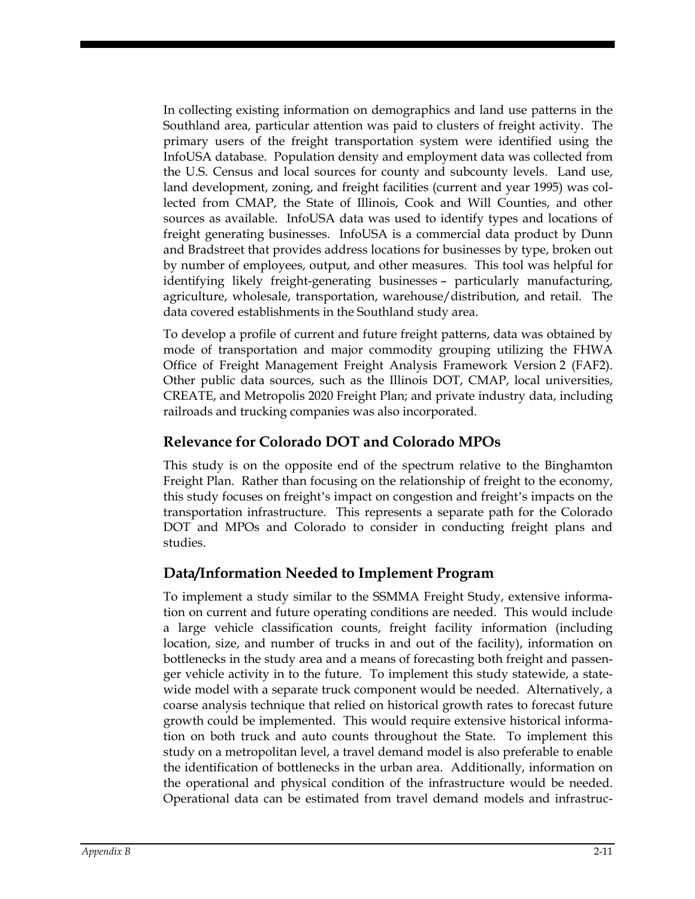In collecting existing information on demographics and land use patterns in the Southland area, particular attention was paid to clusters of freight activity. The primary users of the freight transportation system were identified using the InfoUSA database. Population density and employment data was collected from the U.S. Census and local sources for county and subcounty levels. Land use, land development, zoning, and freight facilities (current and year 1995) was collected from CMAP, the State of Illinois, Cook and Will Counties, and other sources as available. InfoUSA data was used to identify types and locations of freight generating businesses. InfoUSA is a commercial data product by Dunn and Bradstreet that provides address locations for businesses by type, broken out by number of employees, output, and other measures. This tool was helpful for identifying likely freight-generating businesses – particularly manufacturing, agriculture, wholesale, transportation, warehouse/distribution, and retail. The data covered establishments in the Southland study area.

To develop a profile of current and future freight patterns, data was obtained by mode of transportation and major commodity grouping utilizing the FHWA Office of Freight Management Freight Analysis Framework Version 2 (FAF2). Other public data sources, such as the Illinois DOT, CMAP, local universities, CREATE, and Metropolis 2020 Freight Plan; and private industry data, including railroads and trucking companies was also incorporated.

#### **Relevance for Colorado DOT and Colorado MPOs**

This study is on the opposite end of the spectrum relative to the Binghamton Freight Plan. Rather than focusing on the relationship of freight to the economy, this study focuses on freight's impact on congestion and freight's impacts on the transportation infrastructure. This represents a separate path for the Colorado DOT and MPOs and Colorado to consider in conducting freight plans and studies.

#### **Data/Information Needed to Implement Program**

To implement a study similar to the SSMMA Freight Study, extensive information on current and future operating conditions are needed. This would include a large vehicle classification counts, freight facility information (including location, size, and number of trucks in and out of the facility), information on bottlenecks in the study area and a means of forecasting both freight and passenger vehicle activity in to the future. To implement this study statewide, a statewide model with a separate truck component would be needed. Alternatively, a coarse analysis technique that relied on historical growth rates to forecast future growth could be implemented. This would require extensive historical information on both truck and auto counts throughout the State. To implement this study on a metropolitan level, a travel demand model is also preferable to enable the identification of bottlenecks in the urban area. Additionally, information on the operational and physical condition of the infrastructure would be needed. Operational data can be estimated from travel demand models and infrastruc-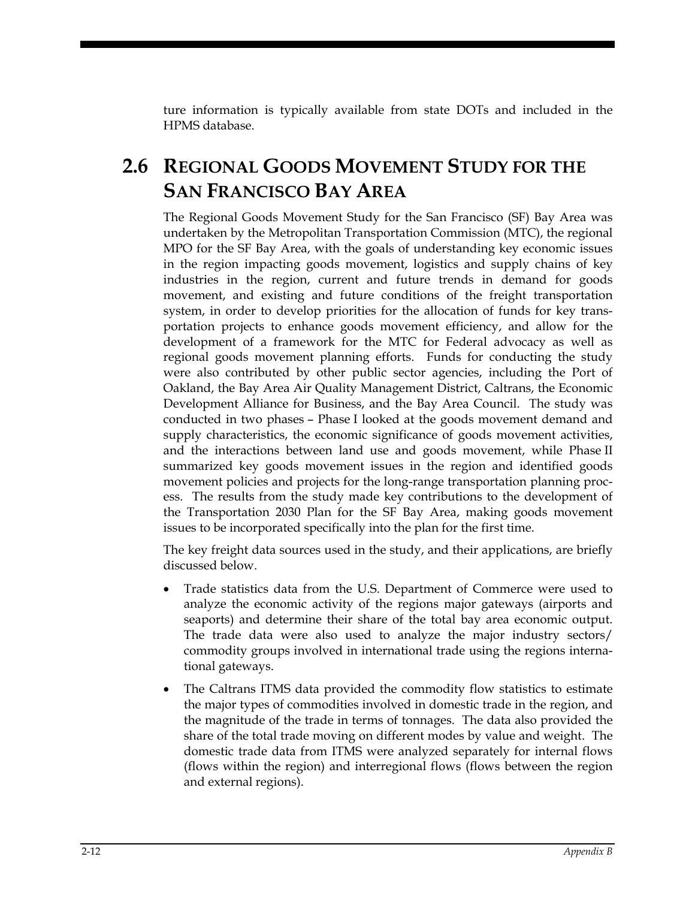ture information is typically available from state DOTs and included in the HPMS database.

## **2.6 REGIONAL GOODS MOVEMENT STUDY FOR THE SAN FRANCISCO BAY AREA**

The Regional Goods Movement Study for the San Francisco (SF) Bay Area was undertaken by the Metropolitan Transportation Commission (MTC), the regional MPO for the SF Bay Area, with the goals of understanding key economic issues in the region impacting goods movement, logistics and supply chains of key industries in the region, current and future trends in demand for goods movement, and existing and future conditions of the freight transportation system, in order to develop priorities for the allocation of funds for key transportation projects to enhance goods movement efficiency, and allow for the development of a framework for the MTC for Federal advocacy as well as regional goods movement planning efforts. Funds for conducting the study were also contributed by other public sector agencies, including the Port of Oakland, the Bay Area Air Quality Management District, Caltrans, the Economic Development Alliance for Business, and the Bay Area Council. The study was conducted in two phases – Phase I looked at the goods movement demand and supply characteristics, the economic significance of goods movement activities, and the interactions between land use and goods movement, while Phase II summarized key goods movement issues in the region and identified goods movement policies and projects for the long-range transportation planning process. The results from the study made key contributions to the development of the Transportation 2030 Plan for the SF Bay Area, making goods movement issues to be incorporated specifically into the plan for the first time.

The key freight data sources used in the study, and their applications, are briefly discussed below.

- Trade statistics data from the U.S. Department of Commerce were used to analyze the economic activity of the regions major gateways (airports and seaports) and determine their share of the total bay area economic output. The trade data were also used to analyze the major industry sectors/ commodity groups involved in international trade using the regions international gateways.
- The Caltrans ITMS data provided the commodity flow statistics to estimate the major types of commodities involved in domestic trade in the region, and the magnitude of the trade in terms of tonnages. The data also provided the share of the total trade moving on different modes by value and weight. The domestic trade data from ITMS were analyzed separately for internal flows (flows within the region) and interregional flows (flows between the region and external regions).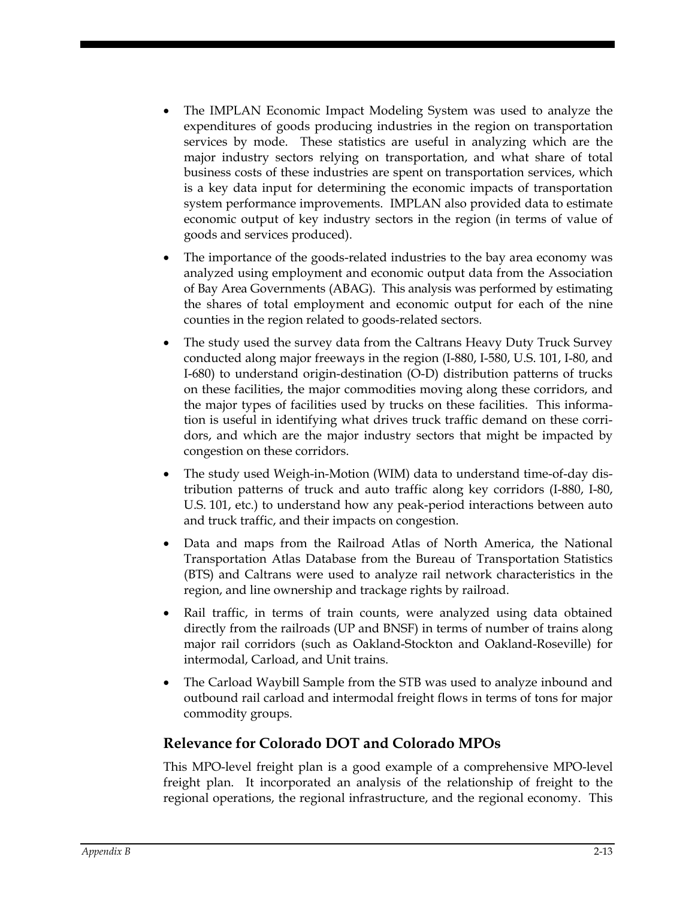- The IMPLAN Economic Impact Modeling System was used to analyze the expenditures of goods producing industries in the region on transportation services by mode. These statistics are useful in analyzing which are the major industry sectors relying on transportation, and what share of total business costs of these industries are spent on transportation services, which is a key data input for determining the economic impacts of transportation system performance improvements. IMPLAN also provided data to estimate economic output of key industry sectors in the region (in terms of value of goods and services produced).
- The importance of the goods-related industries to the bay area economy was analyzed using employment and economic output data from the Association of Bay Area Governments (ABAG). This analysis was performed by estimating the shares of total employment and economic output for each of the nine counties in the region related to goods-related sectors.
- The study used the survey data from the Caltrans Heavy Duty Truck Survey conducted along major freeways in the region (I-880, I-580, U.S. 101, I-80, and I-680) to understand origin-destination (O-D) distribution patterns of trucks on these facilities, the major commodities moving along these corridors, and the major types of facilities used by trucks on these facilities. This information is useful in identifying what drives truck traffic demand on these corridors, and which are the major industry sectors that might be impacted by congestion on these corridors.
- The study used Weigh-in-Motion (WIM) data to understand time-of-day distribution patterns of truck and auto traffic along key corridors (I-880, I-80, U.S. 101, etc.) to understand how any peak-period interactions between auto and truck traffic, and their impacts on congestion.
- Data and maps from the Railroad Atlas of North America, the National Transportation Atlas Database from the Bureau of Transportation Statistics (BTS) and Caltrans were used to analyze rail network characteristics in the region, and line ownership and trackage rights by railroad.
- Rail traffic, in terms of train counts, were analyzed using data obtained directly from the railroads (UP and BNSF) in terms of number of trains along major rail corridors (such as Oakland-Stockton and Oakland-Roseville) for intermodal, Carload, and Unit trains.
- The Carload Waybill Sample from the STB was used to analyze inbound and outbound rail carload and intermodal freight flows in terms of tons for major commodity groups.

#### **Relevance for Colorado DOT and Colorado MPOs**

This MPO-level freight plan is a good example of a comprehensive MPO-level freight plan. It incorporated an analysis of the relationship of freight to the regional operations, the regional infrastructure, and the regional economy. This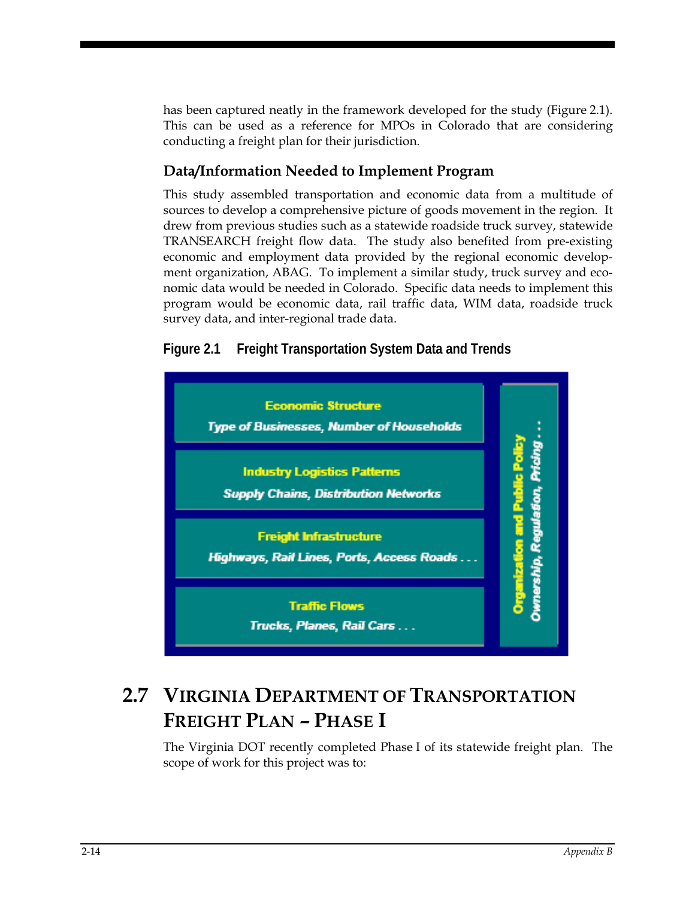has been captured neatly in the framework developed for the study (Figure 2.1). This can be used as a reference for MPOs in Colorado that are considering conducting a freight plan for their jurisdiction.

#### **Data/Information Needed to Implement Program**

This study assembled transportation and economic data from a multitude of sources to develop a comprehensive picture of goods movement in the region. It drew from previous studies such as a statewide roadside truck survey, statewide TRANSEARCH freight flow data. The study also benefited from pre-existing economic and employment data provided by the regional economic development organization, ABAG. To implement a similar study, truck survey and economic data would be needed in Colorado. Specific data needs to implement this program would be economic data, rail traffic data, WIM data, roadside truck survey data, and inter-regional trade data.





## **2.7 VIRGINIA DEPARTMENT OF TRANSPORTATION FREIGHT PLAN – PHASE I**

The Virginia DOT recently completed Phase I of its statewide freight plan. The scope of work for this project was to: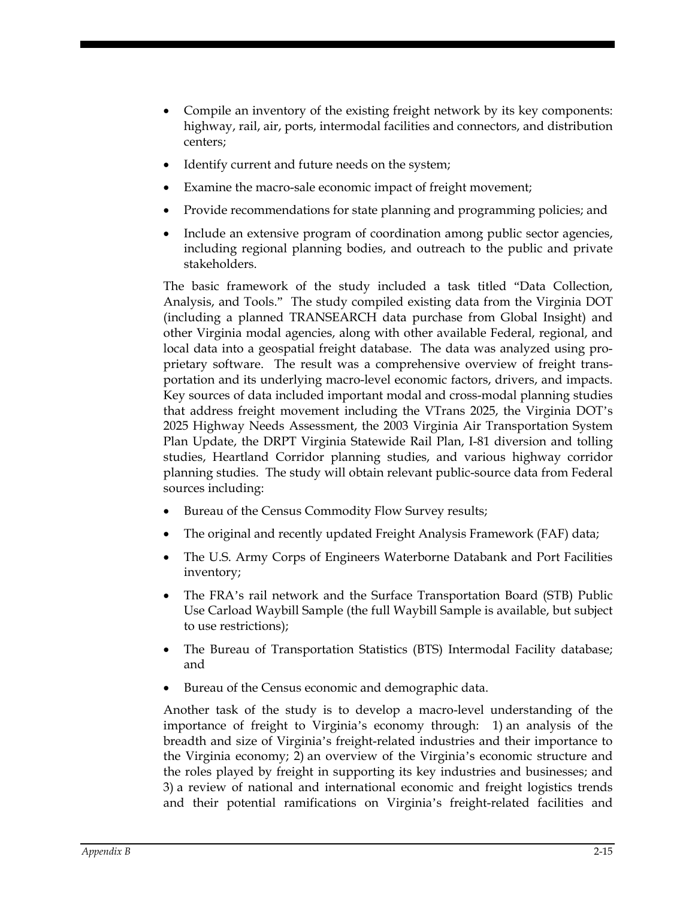- Compile an inventory of the existing freight network by its key components: highway, rail, air, ports, intermodal facilities and connectors, and distribution centers;
- Identify current and future needs on the system;
- Examine the macro-sale economic impact of freight movement;
- Provide recommendations for state planning and programming policies; and
- Include an extensive program of coordination among public sector agencies, including regional planning bodies, and outreach to the public and private stakeholders.

The basic framework of the study included a task titled "Data Collection, Analysis, and Tools." The study compiled existing data from the Virginia DOT (including a planned TRANSEARCH data purchase from Global Insight) and other Virginia modal agencies, along with other available Federal, regional, and local data into a geospatial freight database. The data was analyzed using proprietary software. The result was a comprehensive overview of freight transportation and its underlying macro-level economic factors, drivers, and impacts. Key sources of data included important modal and cross-modal planning studies that address freight movement including the VTrans 2025, the Virginia DOT's 2025 Highway Needs Assessment, the 2003 Virginia Air Transportation System Plan Update, the DRPT Virginia Statewide Rail Plan, I-81 diversion and tolling studies, Heartland Corridor planning studies, and various highway corridor planning studies. The study will obtain relevant public-source data from Federal sources including:

- Bureau of the Census Commodity Flow Survey results;
- The original and recently updated Freight Analysis Framework (FAF) data;
- The U.S. Army Corps of Engineers Waterborne Databank and Port Facilities inventory;
- The FRA's rail network and the Surface Transportation Board (STB) Public Use Carload Waybill Sample (the full Waybill Sample is available, but subject to use restrictions);
- The Bureau of Transportation Statistics (BTS) Intermodal Facility database; and
- Bureau of the Census economic and demographic data.

Another task of the study is to develop a macro-level understanding of the importance of freight to Virginia's economy through: 1) an analysis of the breadth and size of Virginia's freight-related industries and their importance to the Virginia economy; 2) an overview of the Virginia's economic structure and the roles played by freight in supporting its key industries and businesses; and 3) a review of national and international economic and freight logistics trends and their potential ramifications on Virginia's freight-related facilities and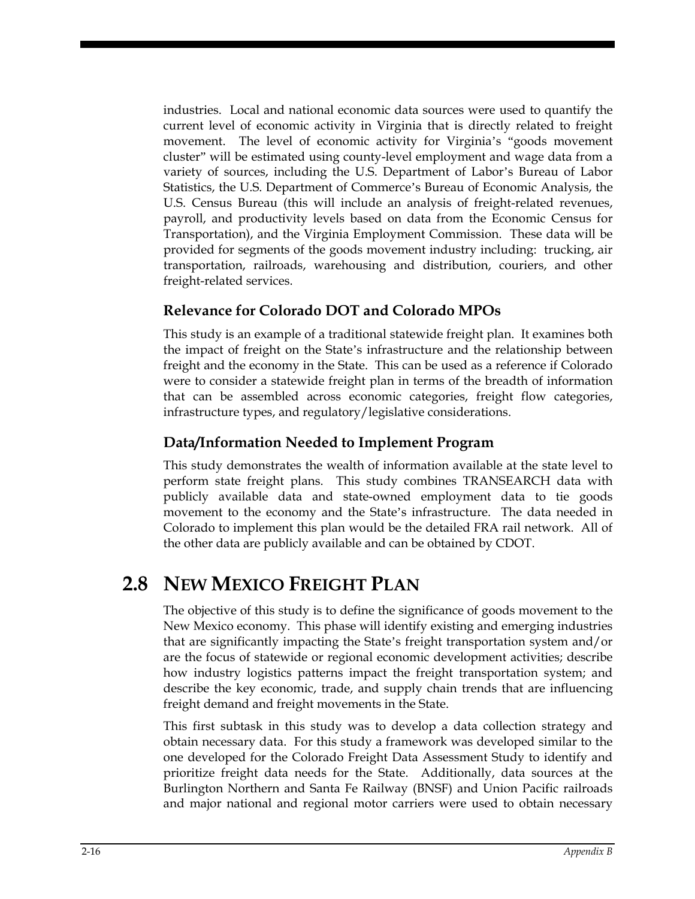industries. Local and national economic data sources were used to quantify the current level of economic activity in Virginia that is directly related to freight movement. The level of economic activity for Virginia's "goods movement cluster" will be estimated using county-level employment and wage data from a variety of sources, including the U.S. Department of Labor's Bureau of Labor Statistics, the U.S. Department of Commerce's Bureau of Economic Analysis, the U.S. Census Bureau (this will include an analysis of freight-related revenues, payroll, and productivity levels based on data from the Economic Census for Transportation), and the Virginia Employment Commission. These data will be provided for segments of the goods movement industry including: trucking, air transportation, railroads, warehousing and distribution, couriers, and other freight-related services.

#### **Relevance for Colorado DOT and Colorado MPOs**

This study is an example of a traditional statewide freight plan. It examines both the impact of freight on the State's infrastructure and the relationship between freight and the economy in the State. This can be used as a reference if Colorado were to consider a statewide freight plan in terms of the breadth of information that can be assembled across economic categories, freight flow categories, infrastructure types, and regulatory/legislative considerations.

#### **Data/Information Needed to Implement Program**

This study demonstrates the wealth of information available at the state level to perform state freight plans. This study combines TRANSEARCH data with publicly available data and state-owned employment data to tie goods movement to the economy and the State's infrastructure. The data needed in Colorado to implement this plan would be the detailed FRA rail network. All of the other data are publicly available and can be obtained by CDOT.

## **2.8 NEW MEXICO FREIGHT PLAN**

The objective of this study is to define the significance of goods movement to the New Mexico economy. This phase will identify existing and emerging industries that are significantly impacting the State's freight transportation system and/or are the focus of statewide or regional economic development activities; describe how industry logistics patterns impact the freight transportation system; and describe the key economic, trade, and supply chain trends that are influencing freight demand and freight movements in the State.

This first subtask in this study was to develop a data collection strategy and obtain necessary data. For this study a framework was developed similar to the one developed for the Colorado Freight Data Assessment Study to identify and prioritize freight data needs for the State. Additionally, data sources at the Burlington Northern and Santa Fe Railway (BNSF) and Union Pacific railroads and major national and regional motor carriers were used to obtain necessary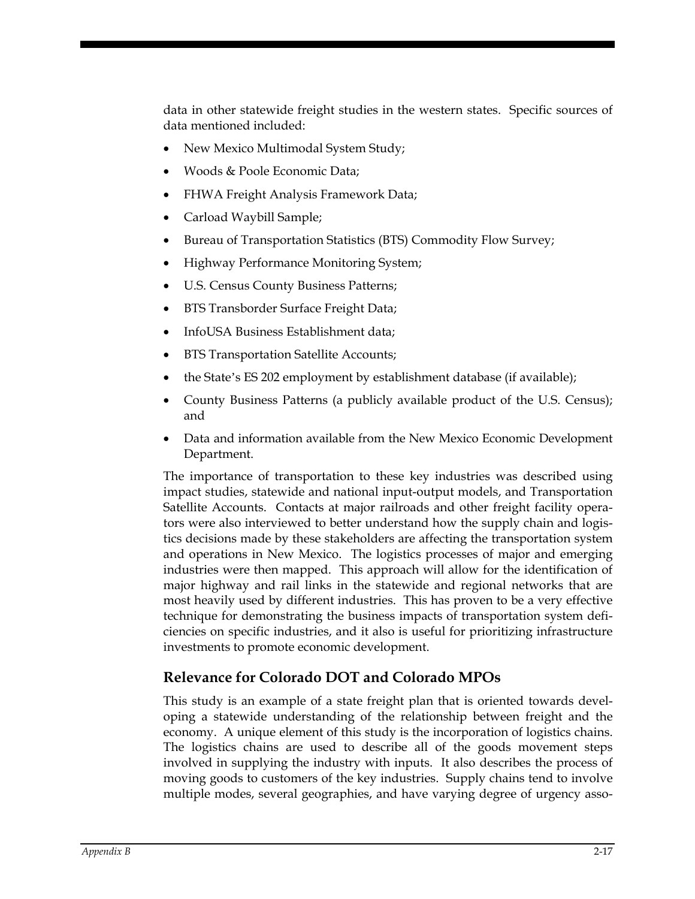data in other statewide freight studies in the western states. Specific sources of data mentioned included:

- New Mexico Multimodal System Study;
- Woods & Poole Economic Data;
- FHWA Freight Analysis Framework Data;
- Carload Waybill Sample;
- Bureau of Transportation Statistics (BTS) Commodity Flow Survey;
- Highway Performance Monitoring System;
- U.S. Census County Business Patterns;
- BTS Transborder Surface Freight Data;
- InfoUSA Business Establishment data;
- BTS Transportation Satellite Accounts;
- the State's ES 202 employment by establishment database (if available);
- County Business Patterns (a publicly available product of the U.S. Census); and
- Data and information available from the New Mexico Economic Development Department.

The importance of transportation to these key industries was described using impact studies, statewide and national input-output models, and Transportation Satellite Accounts. Contacts at major railroads and other freight facility operators were also interviewed to better understand how the supply chain and logistics decisions made by these stakeholders are affecting the transportation system and operations in New Mexico. The logistics processes of major and emerging industries were then mapped. This approach will allow for the identification of major highway and rail links in the statewide and regional networks that are most heavily used by different industries. This has proven to be a very effective technique for demonstrating the business impacts of transportation system deficiencies on specific industries, and it also is useful for prioritizing infrastructure investments to promote economic development.

#### **Relevance for Colorado DOT and Colorado MPOs**

This study is an example of a state freight plan that is oriented towards developing a statewide understanding of the relationship between freight and the economy. A unique element of this study is the incorporation of logistics chains. The logistics chains are used to describe all of the goods movement steps involved in supplying the industry with inputs. It also describes the process of moving goods to customers of the key industries. Supply chains tend to involve multiple modes, several geographies, and have varying degree of urgency asso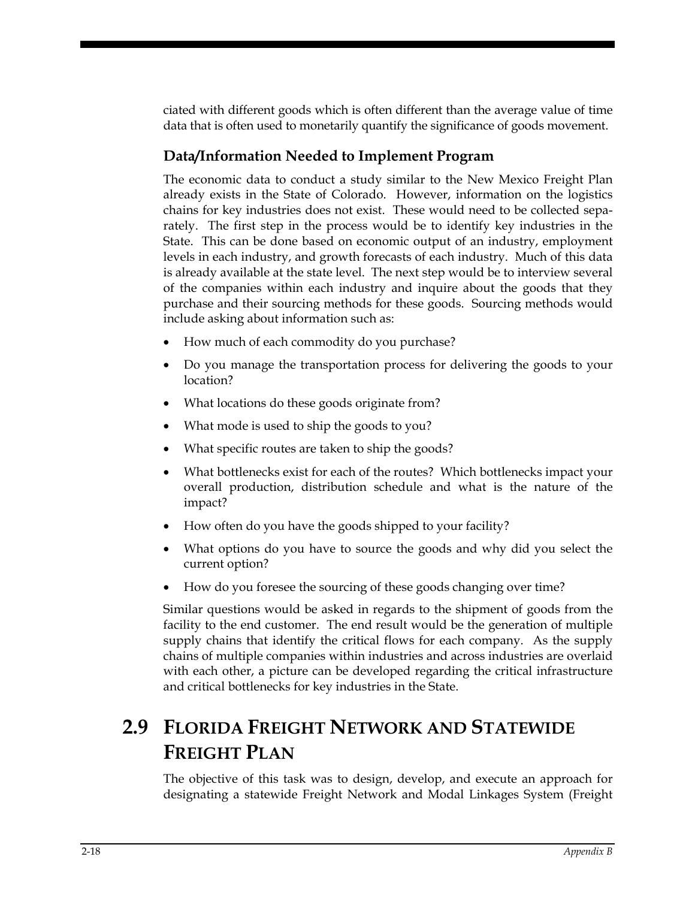ciated with different goods which is often different than the average value of time data that is often used to monetarily quantify the significance of goods movement.

#### **Data/Information Needed to Implement Program**

The economic data to conduct a study similar to the New Mexico Freight Plan already exists in the State of Colorado. However, information on the logistics chains for key industries does not exist. These would need to be collected separately. The first step in the process would be to identify key industries in the State. This can be done based on economic output of an industry, employment levels in each industry, and growth forecasts of each industry. Much of this data is already available at the state level. The next step would be to interview several of the companies within each industry and inquire about the goods that they purchase and their sourcing methods for these goods. Sourcing methods would include asking about information such as:

- How much of each commodity do you purchase?
- Do you manage the transportation process for delivering the goods to your location?
- What locations do these goods originate from?
- What mode is used to ship the goods to you?
- What specific routes are taken to ship the goods?
- What bottlenecks exist for each of the routes? Which bottlenecks impact your overall production, distribution schedule and what is the nature of the impact?
- How often do you have the goods shipped to your facility?
- What options do you have to source the goods and why did you select the current option?
- How do you foresee the sourcing of these goods changing over time?

Similar questions would be asked in regards to the shipment of goods from the facility to the end customer. The end result would be the generation of multiple supply chains that identify the critical flows for each company. As the supply chains of multiple companies within industries and across industries are overlaid with each other, a picture can be developed regarding the critical infrastructure and critical bottlenecks for key industries in the State.

## **2.9 FLORIDA FREIGHT NETWORK AND STATEWIDE FREIGHT PLAN**

The objective of this task was to design, develop, and execute an approach for designating a statewide Freight Network and Modal Linkages System (Freight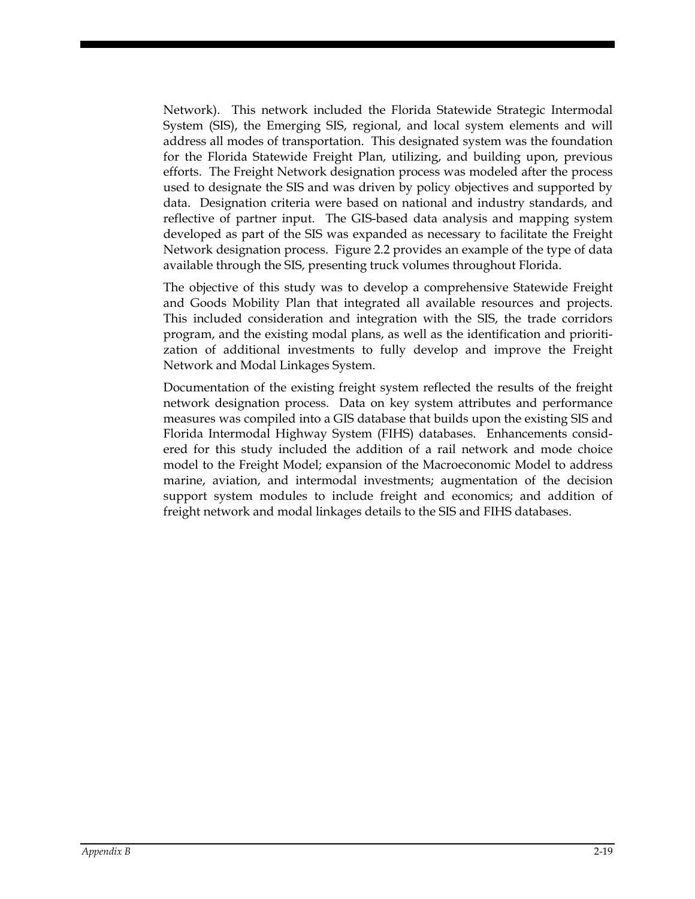Network). This network included the Florida Statewide Strategic Intermodal System (SIS), the Emerging SIS, regional, and local system elements and will address all modes of transportation. This designated system was the foundation for the Florida Statewide Freight Plan, utilizing, and building upon, previous efforts. The Freight Network designation process was modeled after the process used to designate the SIS and was driven by policy objectives and supported by data. Designation criteria were based on national and industry standards, and reflective of partner input. The GIS-based data analysis and mapping system developed as part of the SIS was expanded as necessary to facilitate the Freight Network designation process. Figure 2.2 provides an example of the type of data available through the SIS, presenting truck volumes throughout Florida.

The objective of this study was to develop a comprehensive Statewide Freight and Goods Mobility Plan that integrated all available resources and projects. This included consideration and integration with the SIS, the trade corridors program, and the existing modal plans, as well as the identification and prioritization of additional investments to fully develop and improve the Freight Network and Modal Linkages System.

Documentation of the existing freight system reflected the results of the freight network designation process. Data on key system attributes and performance measures was compiled into a GIS database that builds upon the existing SIS and Florida Intermodal Highway System (FIHS) databases. Enhancements considered for this study included the addition of a rail network and mode choice model to the Freight Model; expansion of the Macroeconomic Model to address marine, aviation, and intermodal investments; augmentation of the decision support system modules to include freight and economics; and addition of freight network and modal linkages details to the SIS and FIHS databases.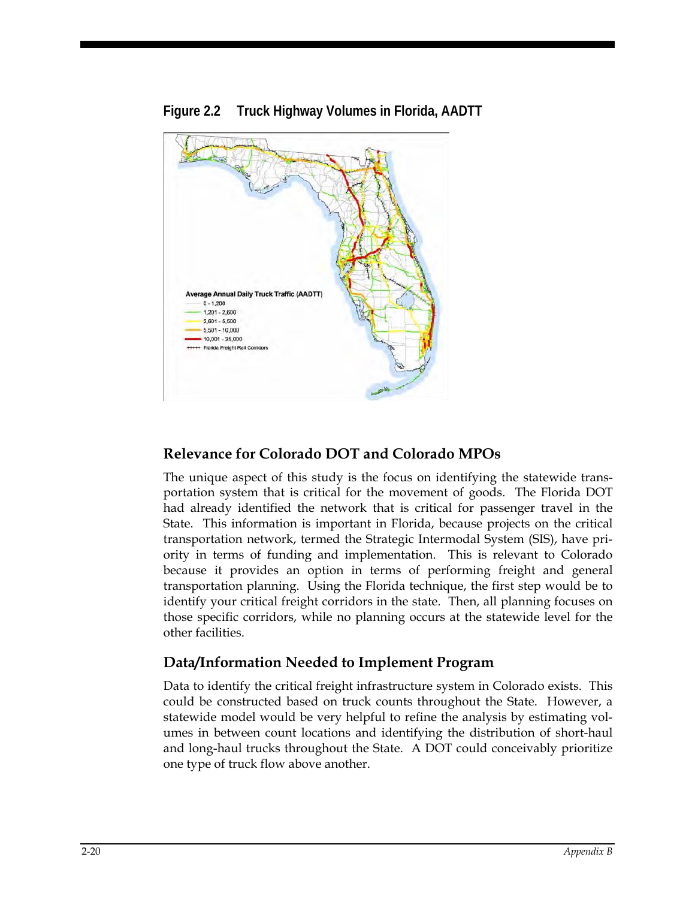

#### **Figure 2.2 Truck Highway Volumes in Florida, AADTT**

#### **Relevance for Colorado DOT and Colorado MPOs**

The unique aspect of this study is the focus on identifying the statewide transportation system that is critical for the movement of goods. The Florida DOT had already identified the network that is critical for passenger travel in the State. This information is important in Florida, because projects on the critical transportation network, termed the Strategic Intermodal System (SIS), have priority in terms of funding and implementation. This is relevant to Colorado because it provides an option in terms of performing freight and general transportation planning. Using the Florida technique, the first step would be to identify your critical freight corridors in the state. Then, all planning focuses on those specific corridors, while no planning occurs at the statewide level for the other facilities.

#### **Data/Information Needed to Implement Program**

Data to identify the critical freight infrastructure system in Colorado exists. This could be constructed based on truck counts throughout the State. However, a statewide model would be very helpful to refine the analysis by estimating volumes in between count locations and identifying the distribution of short-haul and long-haul trucks throughout the State. A DOT could conceivably prioritize one type of truck flow above another.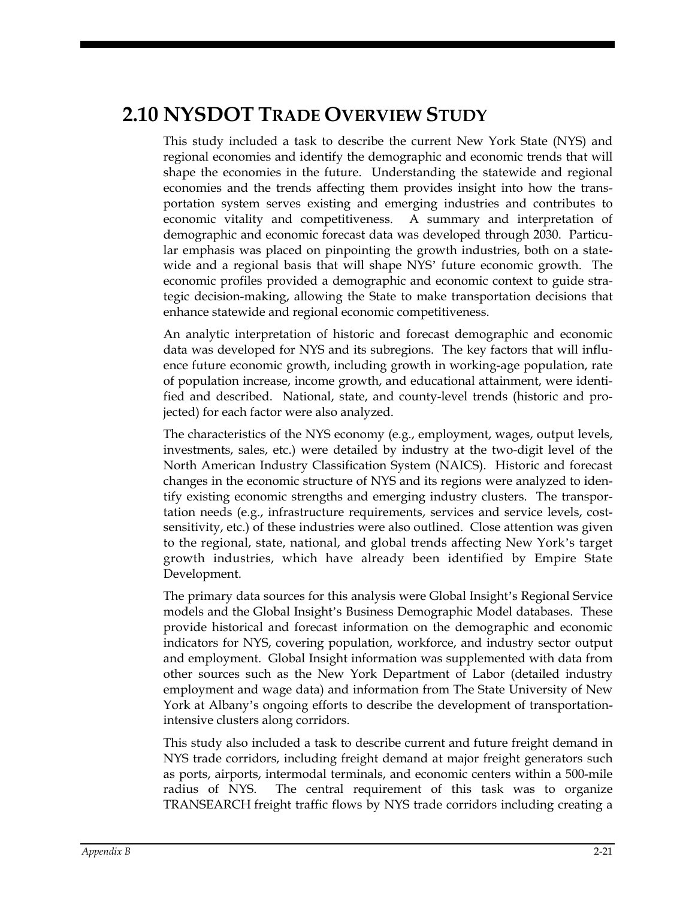### **2.10 NYSDOT TRADE OVERVIEW STUDY**

This study included a task to describe the current New York State (NYS) and regional economies and identify the demographic and economic trends that will shape the economies in the future. Understanding the statewide and regional economies and the trends affecting them provides insight into how the transportation system serves existing and emerging industries and contributes to economic vitality and competitiveness. A summary and interpretation of demographic and economic forecast data was developed through 2030. Particular emphasis was placed on pinpointing the growth industries, both on a statewide and a regional basis that will shape NYS' future economic growth. The economic profiles provided a demographic and economic context to guide strategic decision-making, allowing the State to make transportation decisions that enhance statewide and regional economic competitiveness.

An analytic interpretation of historic and forecast demographic and economic data was developed for NYS and its subregions. The key factors that will influence future economic growth, including growth in working-age population, rate of population increase, income growth, and educational attainment, were identified and described. National, state, and county-level trends (historic and projected) for each factor were also analyzed.

The characteristics of the NYS economy (e.g., employment, wages, output levels, investments, sales, etc.) were detailed by industry at the two-digit level of the North American Industry Classification System (NAICS). Historic and forecast changes in the economic structure of NYS and its regions were analyzed to identify existing economic strengths and emerging industry clusters. The transportation needs (e.g., infrastructure requirements, services and service levels, costsensitivity, etc.) of these industries were also outlined. Close attention was given to the regional, state, national, and global trends affecting New York's target growth industries, which have already been identified by Empire State Development.

The primary data sources for this analysis were Global Insight's Regional Service models and the Global Insight's Business Demographic Model databases. These provide historical and forecast information on the demographic and economic indicators for NYS, covering population, workforce, and industry sector output and employment. Global Insight information was supplemented with data from other sources such as the New York Department of Labor (detailed industry employment and wage data) and information from The State University of New York at Albany's ongoing efforts to describe the development of transportationintensive clusters along corridors.

This study also included a task to describe current and future freight demand in NYS trade corridors, including freight demand at major freight generators such as ports, airports, intermodal terminals, and economic centers within a 500-mile radius of NYS. The central requirement of this task was to organize TRANSEARCH freight traffic flows by NYS trade corridors including creating a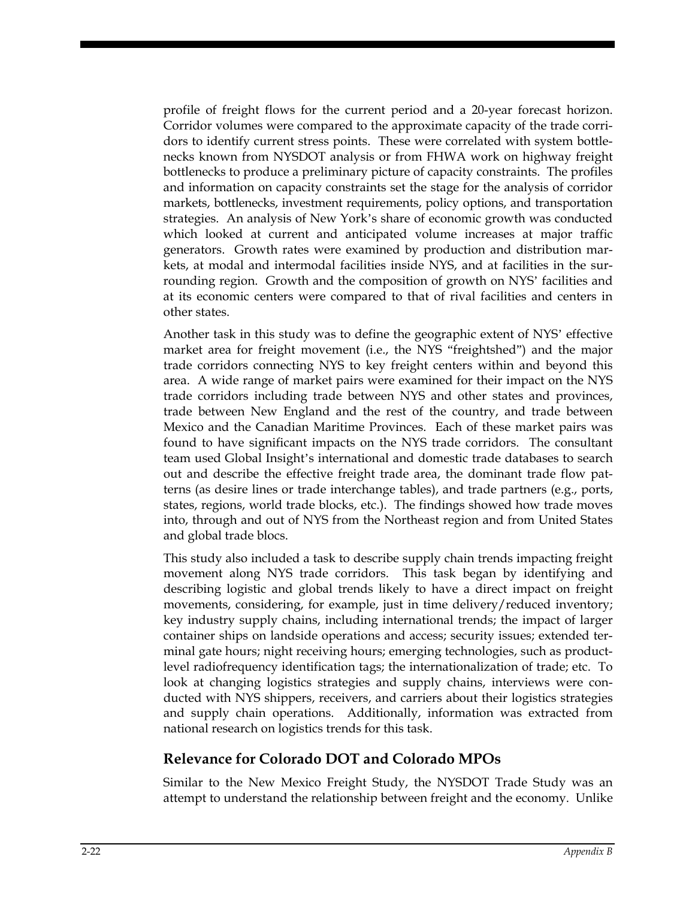profile of freight flows for the current period and a 20-year forecast horizon. Corridor volumes were compared to the approximate capacity of the trade corridors to identify current stress points. These were correlated with system bottlenecks known from NYSDOT analysis or from FHWA work on highway freight bottlenecks to produce a preliminary picture of capacity constraints. The profiles and information on capacity constraints set the stage for the analysis of corridor markets, bottlenecks, investment requirements, policy options, and transportation strategies. An analysis of New York's share of economic growth was conducted which looked at current and anticipated volume increases at major traffic generators. Growth rates were examined by production and distribution markets, at modal and intermodal facilities inside NYS, and at facilities in the surrounding region. Growth and the composition of growth on NYS' facilities and at its economic centers were compared to that of rival facilities and centers in other states.

Another task in this study was to define the geographic extent of NYS' effective market area for freight movement (i.e., the NYS "freightshed") and the major trade corridors connecting NYS to key freight centers within and beyond this area. A wide range of market pairs were examined for their impact on the NYS trade corridors including trade between NYS and other states and provinces, trade between New England and the rest of the country, and trade between Mexico and the Canadian Maritime Provinces. Each of these market pairs was found to have significant impacts on the NYS trade corridors. The consultant team used Global Insight's international and domestic trade databases to search out and describe the effective freight trade area, the dominant trade flow patterns (as desire lines or trade interchange tables), and trade partners (e.g., ports, states, regions, world trade blocks, etc.). The findings showed how trade moves into, through and out of NYS from the Northeast region and from United States and global trade blocs.

This study also included a task to describe supply chain trends impacting freight movement along NYS trade corridors. This task began by identifying and describing logistic and global trends likely to have a direct impact on freight movements, considering, for example, just in time delivery/reduced inventory; key industry supply chains, including international trends; the impact of larger container ships on landside operations and access; security issues; extended terminal gate hours; night receiving hours; emerging technologies, such as productlevel radiofrequency identification tags; the internationalization of trade; etc. To look at changing logistics strategies and supply chains, interviews were conducted with NYS shippers, receivers, and carriers about their logistics strategies and supply chain operations. Additionally, information was extracted from national research on logistics trends for this task.

#### **Relevance for Colorado DOT and Colorado MPOs**

Similar to the New Mexico Freight Study, the NYSDOT Trade Study was an attempt to understand the relationship between freight and the economy. Unlike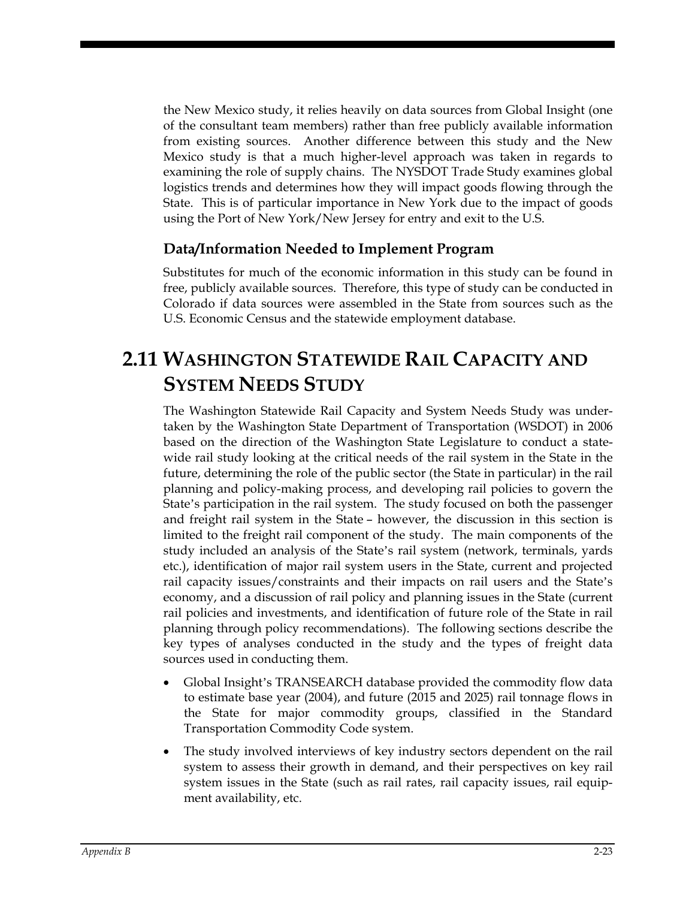the New Mexico study, it relies heavily on data sources from Global Insight (one of the consultant team members) rather than free publicly available information from existing sources. Another difference between this study and the New Mexico study is that a much higher-level approach was taken in regards to examining the role of supply chains. The NYSDOT Trade Study examines global logistics trends and determines how they will impact goods flowing through the State. This is of particular importance in New York due to the impact of goods using the Port of New York/New Jersey for entry and exit to the U.S.

#### **Data/Information Needed to Implement Program**

Substitutes for much of the economic information in this study can be found in free, publicly available sources. Therefore, this type of study can be conducted in Colorado if data sources were assembled in the State from sources such as the U.S. Economic Census and the statewide employment database.

## **2.11 WASHINGTON STATEWIDE RAIL CAPACITY AND SYSTEM NEEDS STUDY**

The Washington Statewide Rail Capacity and System Needs Study was undertaken by the Washington State Department of Transportation (WSDOT) in 2006 based on the direction of the Washington State Legislature to conduct a statewide rail study looking at the critical needs of the rail system in the State in the future, determining the role of the public sector (the State in particular) in the rail planning and policy-making process, and developing rail policies to govern the State's participation in the rail system. The study focused on both the passenger and freight rail system in the State – however, the discussion in this section is limited to the freight rail component of the study. The main components of the study included an analysis of the State's rail system (network, terminals, yards etc.), identification of major rail system users in the State, current and projected rail capacity issues/constraints and their impacts on rail users and the State's economy, and a discussion of rail policy and planning issues in the State (current rail policies and investments, and identification of future role of the State in rail planning through policy recommendations). The following sections describe the key types of analyses conducted in the study and the types of freight data sources used in conducting them.

- Global Insight's TRANSEARCH database provided the commodity flow data to estimate base year (2004), and future (2015 and 2025) rail tonnage flows in the State for major commodity groups, classified in the Standard Transportation Commodity Code system.
- The study involved interviews of key industry sectors dependent on the rail system to assess their growth in demand, and their perspectives on key rail system issues in the State (such as rail rates, rail capacity issues, rail equipment availability, etc.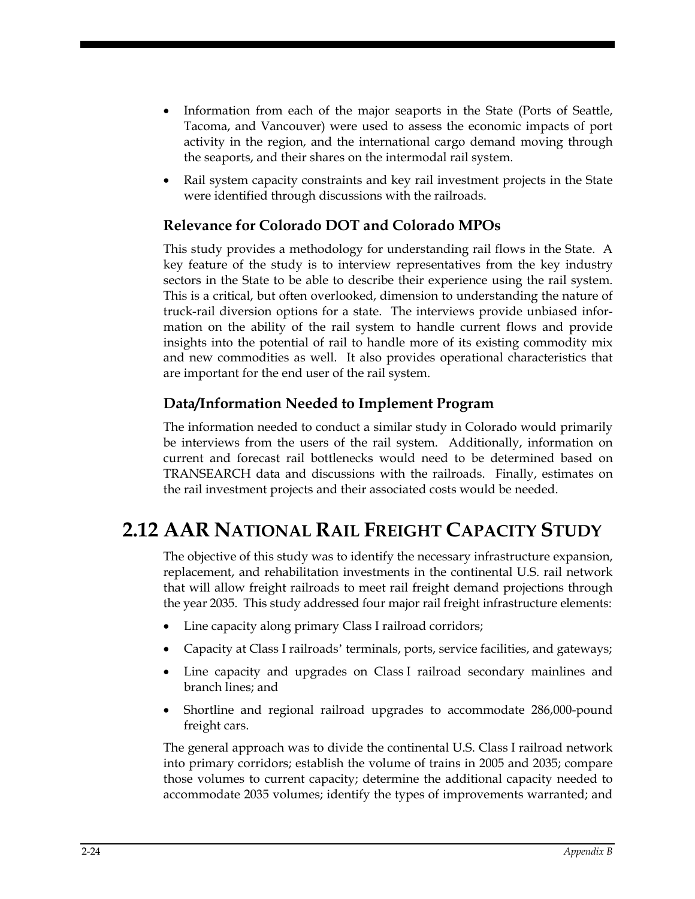- Information from each of the major seaports in the State (Ports of Seattle, Tacoma, and Vancouver) were used to assess the economic impacts of port activity in the region, and the international cargo demand moving through the seaports, and their shares on the intermodal rail system.
- Rail system capacity constraints and key rail investment projects in the State were identified through discussions with the railroads.

#### **Relevance for Colorado DOT and Colorado MPOs**

This study provides a methodology for understanding rail flows in the State. A key feature of the study is to interview representatives from the key industry sectors in the State to be able to describe their experience using the rail system. This is a critical, but often overlooked, dimension to understanding the nature of truck-rail diversion options for a state. The interviews provide unbiased information on the ability of the rail system to handle current flows and provide insights into the potential of rail to handle more of its existing commodity mix and new commodities as well. It also provides operational characteristics that are important for the end user of the rail system.

#### **Data/Information Needed to Implement Program**

The information needed to conduct a similar study in Colorado would primarily be interviews from the users of the rail system. Additionally, information on current and forecast rail bottlenecks would need to be determined based on TRANSEARCH data and discussions with the railroads. Finally, estimates on the rail investment projects and their associated costs would be needed.

## **2.12 AAR NATIONAL RAIL FREIGHT CAPACITY STUDY**

The objective of this study was to identify the necessary infrastructure expansion, replacement, and rehabilitation investments in the continental U.S. rail network that will allow freight railroads to meet rail freight demand projections through the year 2035. This study addressed four major rail freight infrastructure elements:

- Line capacity along primary Class I railroad corridors;
- Capacity at Class I railroads' terminals, ports, service facilities, and gateways;
- Line capacity and upgrades on Class I railroad secondary mainlines and branch lines; and
- Shortline and regional railroad upgrades to accommodate 286,000-pound freight cars.

The general approach was to divide the continental U.S. Class I railroad network into primary corridors; establish the volume of trains in 2005 and 2035; compare those volumes to current capacity; determine the additional capacity needed to accommodate 2035 volumes; identify the types of improvements warranted; and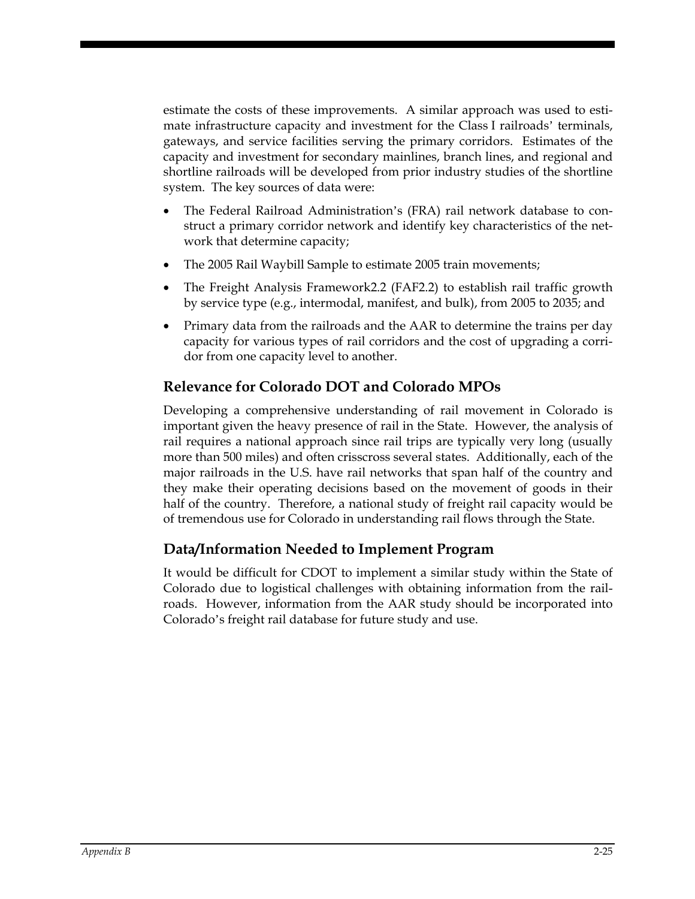estimate the costs of these improvements. A similar approach was used to estimate infrastructure capacity and investment for the Class I railroads' terminals, gateways, and service facilities serving the primary corridors. Estimates of the capacity and investment for secondary mainlines, branch lines, and regional and shortline railroads will be developed from prior industry studies of the shortline system. The key sources of data were:

- The Federal Railroad Administration's (FRA) rail network database to construct a primary corridor network and identify key characteristics of the network that determine capacity;
- The 2005 Rail Waybill Sample to estimate 2005 train movements;
- The Freight Analysis Framework2.2 (FAF2.2) to establish rail traffic growth by service type (e.g., intermodal, manifest, and bulk), from 2005 to 2035; and
- Primary data from the railroads and the AAR to determine the trains per day capacity for various types of rail corridors and the cost of upgrading a corridor from one capacity level to another.

#### **Relevance for Colorado DOT and Colorado MPOs**

Developing a comprehensive understanding of rail movement in Colorado is important given the heavy presence of rail in the State. However, the analysis of rail requires a national approach since rail trips are typically very long (usually more than 500 miles) and often crisscross several states. Additionally, each of the major railroads in the U.S. have rail networks that span half of the country and they make their operating decisions based on the movement of goods in their half of the country. Therefore, a national study of freight rail capacity would be of tremendous use for Colorado in understanding rail flows through the State.

#### **Data/Information Needed to Implement Program**

It would be difficult for CDOT to implement a similar study within the State of Colorado due to logistical challenges with obtaining information from the railroads. However, information from the AAR study should be incorporated into Colorado's freight rail database for future study and use.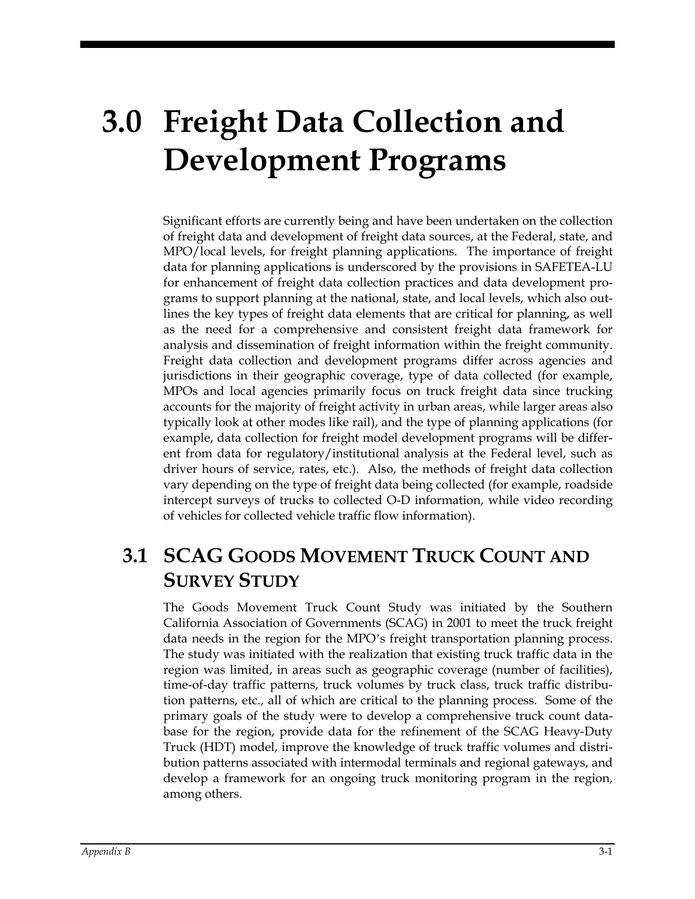# **3.0 Freight Data Collection and Development Programs**

Significant efforts are currently being and have been undertaken on the collection of freight data and development of freight data sources, at the Federal, state, and MPO/local levels, for freight planning applications. The importance of freight data for planning applications is underscored by the provisions in SAFETEA-LU for enhancement of freight data collection practices and data development programs to support planning at the national, state, and local levels, which also outlines the key types of freight data elements that are critical for planning, as well as the need for a comprehensive and consistent freight data framework for analysis and dissemination of freight information within the freight community. Freight data collection and development programs differ across agencies and jurisdictions in their geographic coverage, type of data collected (for example, MPOs and local agencies primarily focus on truck freight data since trucking accounts for the majority of freight activity in urban areas, while larger areas also typically look at other modes like rail), and the type of planning applications (for example, data collection for freight model development programs will be different from data for regulatory/institutional analysis at the Federal level, such as driver hours of service, rates, etc.). Also, the methods of freight data collection vary depending on the type of freight data being collected (for example, roadside intercept surveys of trucks to collected O-D information, while video recording of vehicles for collected vehicle traffic flow information).

## **3.1 SCAG GOODS MOVEMENT TRUCK COUNT AND SURVEY STUDY**

The Goods Movement Truck Count Study was initiated by the Southern California Association of Governments (SCAG) in 2001 to meet the truck freight data needs in the region for the MPO's freight transportation planning process. The study was initiated with the realization that existing truck traffic data in the region was limited, in areas such as geographic coverage (number of facilities), time-of-day traffic patterns, truck volumes by truck class, truck traffic distribution patterns, etc., all of which are critical to the planning process. Some of the primary goals of the study were to develop a comprehensive truck count database for the region, provide data for the refinement of the SCAG Heavy-Duty Truck (HDT) model, improve the knowledge of truck traffic volumes and distribution patterns associated with intermodal terminals and regional gateways, and develop a framework for an ongoing truck monitoring program in the region, among others.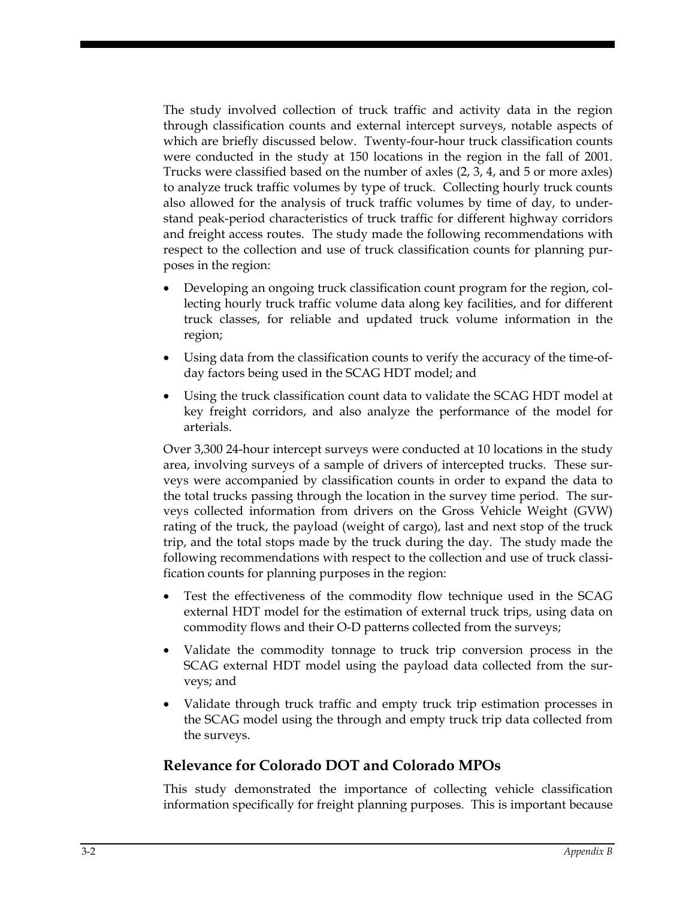The study involved collection of truck traffic and activity data in the region through classification counts and external intercept surveys, notable aspects of which are briefly discussed below. Twenty-four-hour truck classification counts were conducted in the study at 150 locations in the region in the fall of 2001. Trucks were classified based on the number of axles (2, 3, 4, and 5 or more axles) to analyze truck traffic volumes by type of truck. Collecting hourly truck counts also allowed for the analysis of truck traffic volumes by time of day, to understand peak-period characteristics of truck traffic for different highway corridors and freight access routes. The study made the following recommendations with respect to the collection and use of truck classification counts for planning purposes in the region:

- Developing an ongoing truck classification count program for the region, collecting hourly truck traffic volume data along key facilities, and for different truck classes, for reliable and updated truck volume information in the region;
- Using data from the classification counts to verify the accuracy of the time-ofday factors being used in the SCAG HDT model; and
- Using the truck classification count data to validate the SCAG HDT model at key freight corridors, and also analyze the performance of the model for arterials.

Over 3,300 24-hour intercept surveys were conducted at 10 locations in the study area, involving surveys of a sample of drivers of intercepted trucks. These surveys were accompanied by classification counts in order to expand the data to the total trucks passing through the location in the survey time period. The surveys collected information from drivers on the Gross Vehicle Weight (GVW) rating of the truck, the payload (weight of cargo), last and next stop of the truck trip, and the total stops made by the truck during the day. The study made the following recommendations with respect to the collection and use of truck classification counts for planning purposes in the region:

- Test the effectiveness of the commodity flow technique used in the SCAG external HDT model for the estimation of external truck trips, using data on commodity flows and their O-D patterns collected from the surveys;
- Validate the commodity tonnage to truck trip conversion process in the SCAG external HDT model using the payload data collected from the surveys; and
- Validate through truck traffic and empty truck trip estimation processes in the SCAG model using the through and empty truck trip data collected from the surveys.

#### **Relevance for Colorado DOT and Colorado MPOs**

This study demonstrated the importance of collecting vehicle classification information specifically for freight planning purposes. This is important because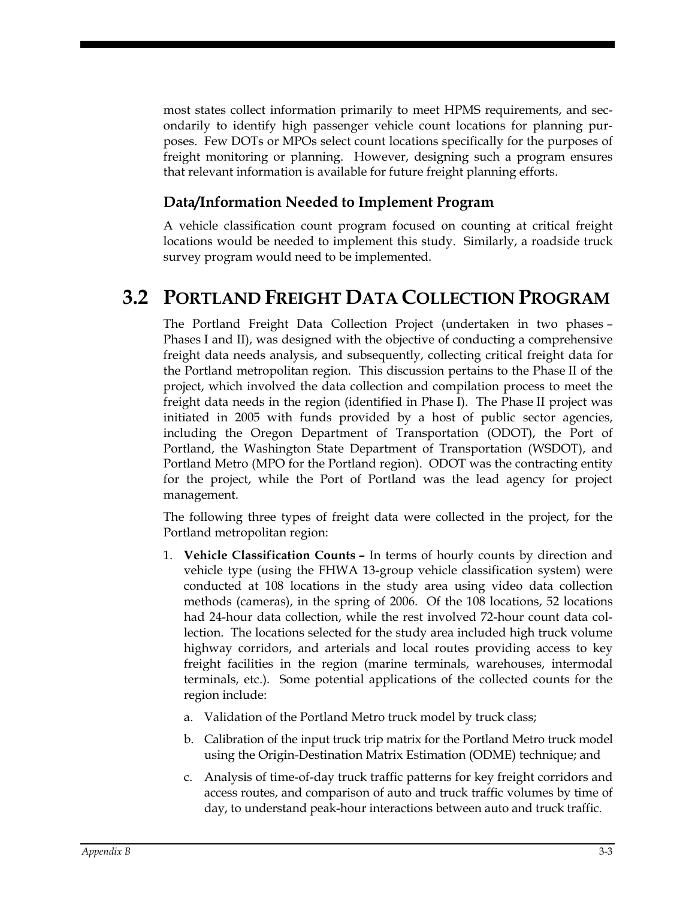most states collect information primarily to meet HPMS requirements, and secondarily to identify high passenger vehicle count locations for planning purposes. Few DOTs or MPOs select count locations specifically for the purposes of freight monitoring or planning. However, designing such a program ensures that relevant information is available for future freight planning efforts.

#### **Data/Information Needed to Implement Program**

A vehicle classification count program focused on counting at critical freight locations would be needed to implement this study. Similarly, a roadside truck survey program would need to be implemented.

### **3.2 PORTLAND FREIGHT DATA COLLECTION PROGRAM**

The Portland Freight Data Collection Project (undertaken in two phases – Phases I and II), was designed with the objective of conducting a comprehensive freight data needs analysis, and subsequently, collecting critical freight data for the Portland metropolitan region. This discussion pertains to the Phase II of the project, which involved the data collection and compilation process to meet the freight data needs in the region (identified in Phase I). The Phase II project was initiated in 2005 with funds provided by a host of public sector agencies, including the Oregon Department of Transportation (ODOT), the Port of Portland, the Washington State Department of Transportation (WSDOT), and Portland Metro (MPO for the Portland region). ODOT was the contracting entity for the project, while the Port of Portland was the lead agency for project management.

The following three types of freight data were collected in the project, for the Portland metropolitan region:

- 1. **Vehicle Classification Counts –** In terms of hourly counts by direction and vehicle type (using the FHWA 13-group vehicle classification system) were conducted at 108 locations in the study area using video data collection methods (cameras), in the spring of 2006. Of the 108 locations, 52 locations had 24-hour data collection, while the rest involved 72-hour count data collection. The locations selected for the study area included high truck volume highway corridors, and arterials and local routes providing access to key freight facilities in the region (marine terminals, warehouses, intermodal terminals, etc.). Some potential applications of the collected counts for the region include:
	- a. Validation of the Portland Metro truck model by truck class;
	- b. Calibration of the input truck trip matrix for the Portland Metro truck model using the Origin-Destination Matrix Estimation (ODME) technique; and
	- c. Analysis of time-of-day truck traffic patterns for key freight corridors and access routes, and comparison of auto and truck traffic volumes by time of day, to understand peak-hour interactions between auto and truck traffic.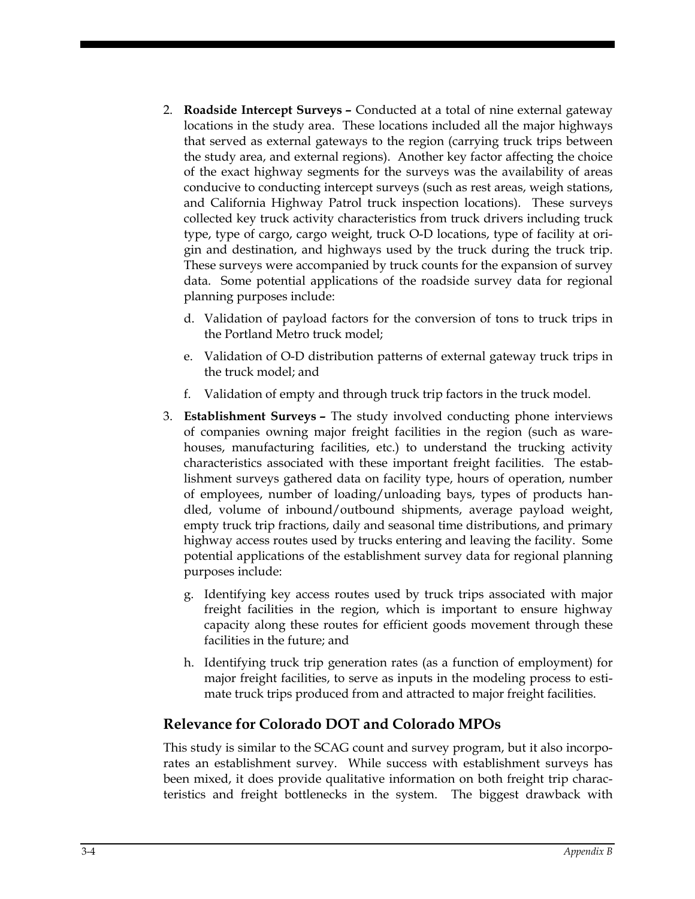- 2. **Roadside Intercept Surveys –** Conducted at a total of nine external gateway locations in the study area. These locations included all the major highways that served as external gateways to the region (carrying truck trips between the study area, and external regions). Another key factor affecting the choice of the exact highway segments for the surveys was the availability of areas conducive to conducting intercept surveys (such as rest areas, weigh stations, and California Highway Patrol truck inspection locations). These surveys collected key truck activity characteristics from truck drivers including truck type, type of cargo, cargo weight, truck O-D locations, type of facility at origin and destination, and highways used by the truck during the truck trip. These surveys were accompanied by truck counts for the expansion of survey data. Some potential applications of the roadside survey data for regional planning purposes include:
	- d. Validation of payload factors for the conversion of tons to truck trips in the Portland Metro truck model;
	- e. Validation of O-D distribution patterns of external gateway truck trips in the truck model; and
	- f. Validation of empty and through truck trip factors in the truck model.
- 3. **Establishment Surveys –** The study involved conducting phone interviews of companies owning major freight facilities in the region (such as warehouses, manufacturing facilities, etc.) to understand the trucking activity characteristics associated with these important freight facilities. The establishment surveys gathered data on facility type, hours of operation, number of employees, number of loading/unloading bays, types of products handled, volume of inbound/outbound shipments, average payload weight, empty truck trip fractions, daily and seasonal time distributions, and primary highway access routes used by trucks entering and leaving the facility. Some potential applications of the establishment survey data for regional planning purposes include:
	- g. Identifying key access routes used by truck trips associated with major freight facilities in the region, which is important to ensure highway capacity along these routes for efficient goods movement through these facilities in the future; and
	- h. Identifying truck trip generation rates (as a function of employment) for major freight facilities, to serve as inputs in the modeling process to estimate truck trips produced from and attracted to major freight facilities.

#### **Relevance for Colorado DOT and Colorado MPOs**

This study is similar to the SCAG count and survey program, but it also incorporates an establishment survey. While success with establishment surveys has been mixed, it does provide qualitative information on both freight trip characteristics and freight bottlenecks in the system. The biggest drawback with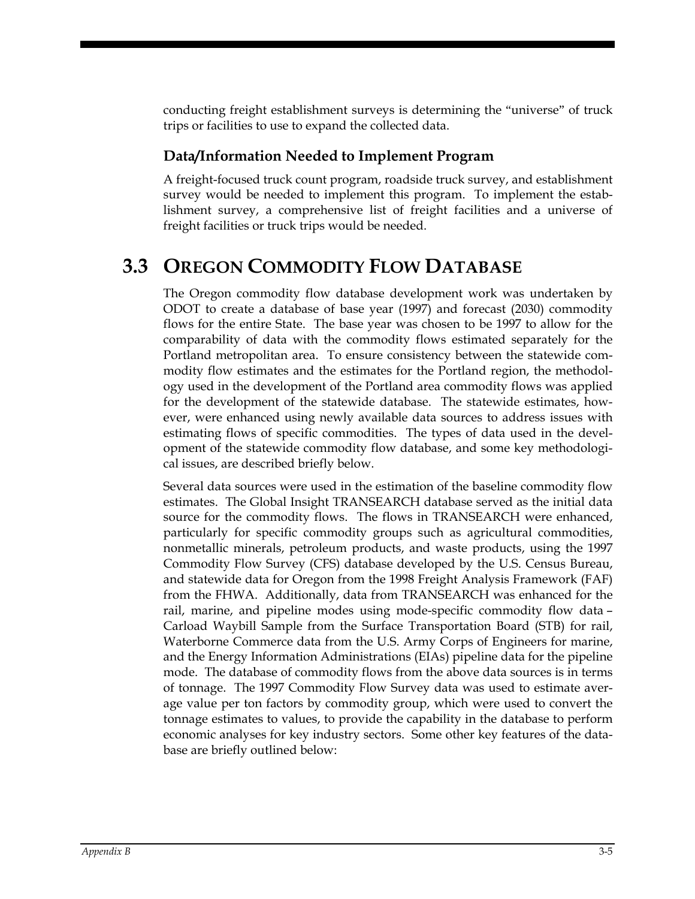conducting freight establishment surveys is determining the "universe" of truck trips or facilities to use to expand the collected data.

#### **Data/Information Needed to Implement Program**

A freight-focused truck count program, roadside truck survey, and establishment survey would be needed to implement this program. To implement the establishment survey, a comprehensive list of freight facilities and a universe of freight facilities or truck trips would be needed.

# **3.3 OREGON COMMODITY FLOW DATABASE**

The Oregon commodity flow database development work was undertaken by ODOT to create a database of base year (1997) and forecast (2030) commodity flows for the entire State. The base year was chosen to be 1997 to allow for the comparability of data with the commodity flows estimated separately for the Portland metropolitan area. To ensure consistency between the statewide commodity flow estimates and the estimates for the Portland region, the methodology used in the development of the Portland area commodity flows was applied for the development of the statewide database. The statewide estimates, however, were enhanced using newly available data sources to address issues with estimating flows of specific commodities. The types of data used in the development of the statewide commodity flow database, and some key methodological issues, are described briefly below.

Several data sources were used in the estimation of the baseline commodity flow estimates. The Global Insight TRANSEARCH database served as the initial data source for the commodity flows. The flows in TRANSEARCH were enhanced, particularly for specific commodity groups such as agricultural commodities, nonmetallic minerals, petroleum products, and waste products, using the 1997 Commodity Flow Survey (CFS) database developed by the U.S. Census Bureau, and statewide data for Oregon from the 1998 Freight Analysis Framework (FAF) from the FHWA. Additionally, data from TRANSEARCH was enhanced for the rail, marine, and pipeline modes using mode-specific commodity flow data – Carload Waybill Sample from the Surface Transportation Board (STB) for rail, Waterborne Commerce data from the U.S. Army Corps of Engineers for marine, and the Energy Information Administrations (EIAs) pipeline data for the pipeline mode. The database of commodity flows from the above data sources is in terms of tonnage. The 1997 Commodity Flow Survey data was used to estimate average value per ton factors by commodity group, which were used to convert the tonnage estimates to values, to provide the capability in the database to perform economic analyses for key industry sectors. Some other key features of the database are briefly outlined below: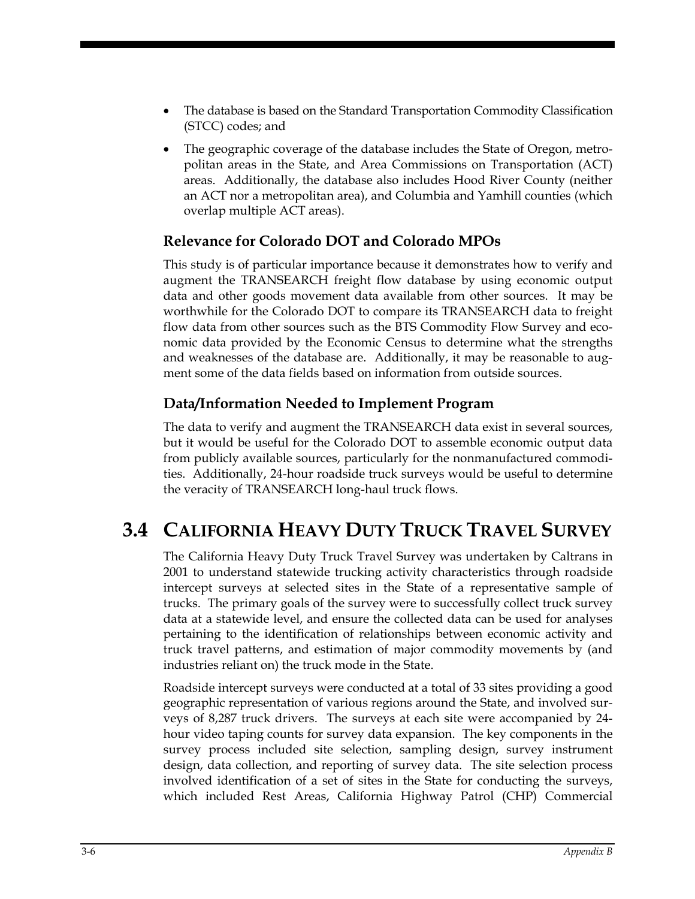- The database is based on the Standard Transportation Commodity Classification (STCC) codes; and
- The geographic coverage of the database includes the State of Oregon, metropolitan areas in the State, and Area Commissions on Transportation (ACT) areas. Additionally, the database also includes Hood River County (neither an ACT nor a metropolitan area), and Columbia and Yamhill counties (which overlap multiple ACT areas).

#### **Relevance for Colorado DOT and Colorado MPOs**

This study is of particular importance because it demonstrates how to verify and augment the TRANSEARCH freight flow database by using economic output data and other goods movement data available from other sources. It may be worthwhile for the Colorado DOT to compare its TRANSEARCH data to freight flow data from other sources such as the BTS Commodity Flow Survey and economic data provided by the Economic Census to determine what the strengths and weaknesses of the database are. Additionally, it may be reasonable to augment some of the data fields based on information from outside sources.

#### **Data/Information Needed to Implement Program**

The data to verify and augment the TRANSEARCH data exist in several sources, but it would be useful for the Colorado DOT to assemble economic output data from publicly available sources, particularly for the nonmanufactured commodities. Additionally, 24-hour roadside truck surveys would be useful to determine the veracity of TRANSEARCH long-haul truck flows.

# **3.4 CALIFORNIA HEAVY DUTY TRUCK TRAVEL SURVEY**

The California Heavy Duty Truck Travel Survey was undertaken by Caltrans in 2001 to understand statewide trucking activity characteristics through roadside intercept surveys at selected sites in the State of a representative sample of trucks. The primary goals of the survey were to successfully collect truck survey data at a statewide level, and ensure the collected data can be used for analyses pertaining to the identification of relationships between economic activity and truck travel patterns, and estimation of major commodity movements by (and industries reliant on) the truck mode in the State.

Roadside intercept surveys were conducted at a total of 33 sites providing a good geographic representation of various regions around the State, and involved surveys of 8,287 truck drivers. The surveys at each site were accompanied by 24 hour video taping counts for survey data expansion. The key components in the survey process included site selection, sampling design, survey instrument design, data collection, and reporting of survey data. The site selection process involved identification of a set of sites in the State for conducting the surveys, which included Rest Areas, California Highway Patrol (CHP) Commercial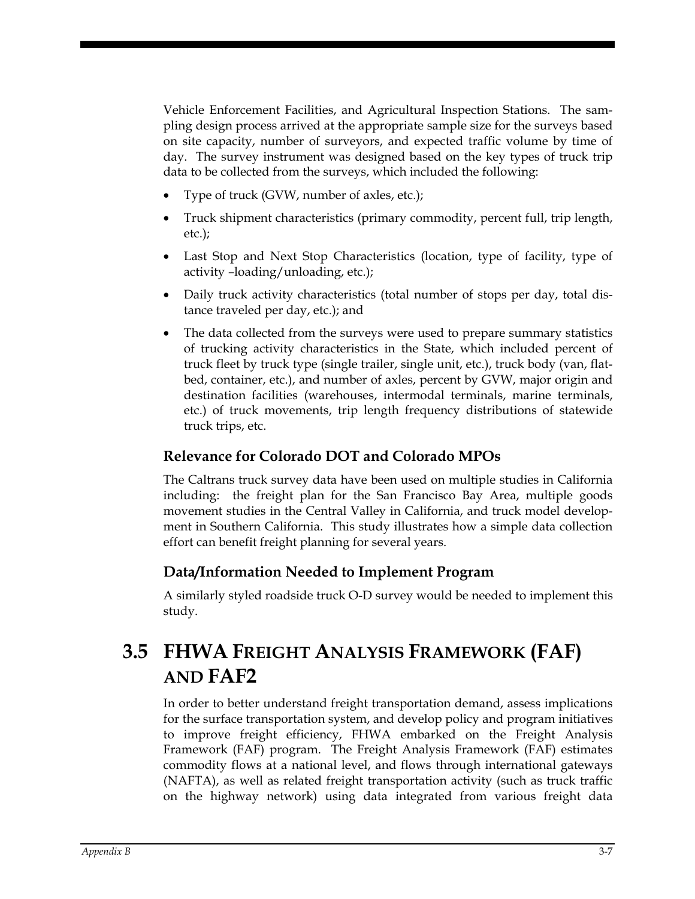Vehicle Enforcement Facilities, and Agricultural Inspection Stations. The sampling design process arrived at the appropriate sample size for the surveys based on site capacity, number of surveyors, and expected traffic volume by time of day. The survey instrument was designed based on the key types of truck trip data to be collected from the surveys, which included the following:

- Type of truck (GVW, number of axles, etc.);
- Truck shipment characteristics (primary commodity, percent full, trip length, etc.);
- Last Stop and Next Stop Characteristics (location, type of facility, type of activity –loading/unloading, etc.);
- Daily truck activity characteristics (total number of stops per day, total distance traveled per day, etc.); and
- The data collected from the surveys were used to prepare summary statistics of trucking activity characteristics in the State, which included percent of truck fleet by truck type (single trailer, single unit, etc.), truck body (van, flatbed, container, etc.), and number of axles, percent by GVW, major origin and destination facilities (warehouses, intermodal terminals, marine terminals, etc.) of truck movements, trip length frequency distributions of statewide truck trips, etc.

#### **Relevance for Colorado DOT and Colorado MPOs**

The Caltrans truck survey data have been used on multiple studies in California including: the freight plan for the San Francisco Bay Area, multiple goods movement studies in the Central Valley in California, and truck model development in Southern California. This study illustrates how a simple data collection effort can benefit freight planning for several years.

#### **Data/Information Needed to Implement Program**

A similarly styled roadside truck O-D survey would be needed to implement this study.

# **3.5 FHWA FREIGHT ANALYSIS FRAMEWORK (FAF) AND FAF2**

In order to better understand freight transportation demand, assess implications for the surface transportation system, and develop policy and program initiatives to improve freight efficiency, FHWA embarked on the Freight Analysis Framework (FAF) program. The Freight Analysis Framework (FAF) estimates commodity flows at a national level, and flows through international gateways (NAFTA), as well as related freight transportation activity (such as truck traffic on the highway network) using data integrated from various freight data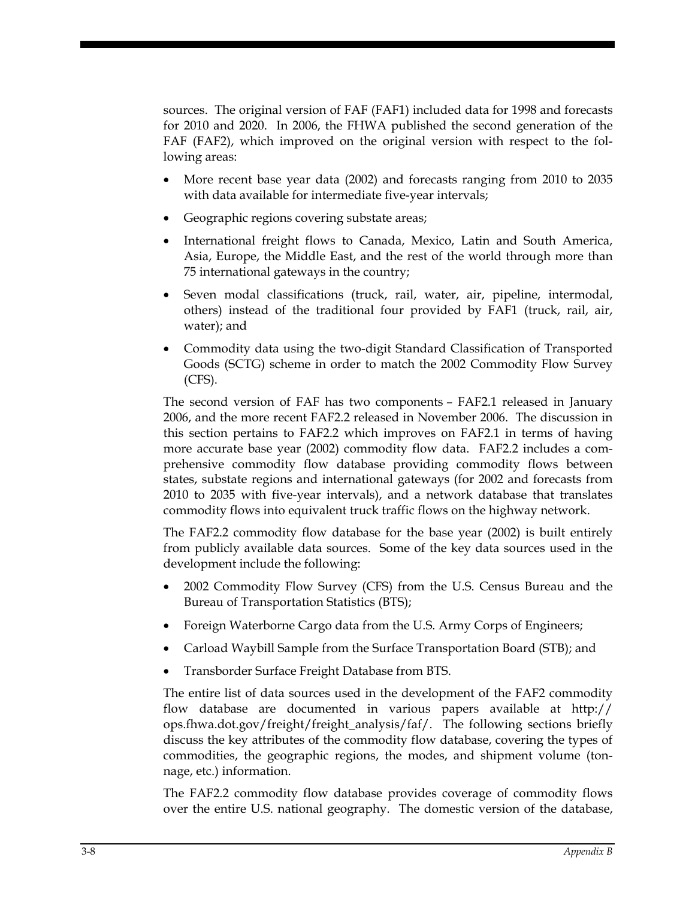sources. The original version of FAF (FAF1) included data for 1998 and forecasts for 2010 and 2020. In 2006, the FHWA published the second generation of the FAF (FAF2), which improved on the original version with respect to the following areas:

- More recent base year data (2002) and forecasts ranging from 2010 to 2035 with data available for intermediate five-year intervals;
- Geographic regions covering substate areas;
- International freight flows to Canada, Mexico, Latin and South America, Asia, Europe, the Middle East, and the rest of the world through more than 75 international gateways in the country;
- Seven modal classifications (truck, rail, water, air, pipeline, intermodal, others) instead of the traditional four provided by FAF1 (truck, rail, air, water); and
- Commodity data using the two-digit Standard Classification of Transported Goods (SCTG) scheme in order to match the 2002 Commodity Flow Survey (CFS).

The second version of FAF has two components – FAF2.1 released in January 2006, and the more recent FAF2.2 released in November 2006. The discussion in this section pertains to FAF2.2 which improves on FAF2.1 in terms of having more accurate base year (2002) commodity flow data. FAF2.2 includes a comprehensive commodity flow database providing commodity flows between states, substate regions and international gateways (for 2002 and forecasts from 2010 to 2035 with five-year intervals), and a network database that translates commodity flows into equivalent truck traffic flows on the highway network.

The FAF2.2 commodity flow database for the base year (2002) is built entirely from publicly available data sources. Some of the key data sources used in the development include the following:

- 2002 Commodity Flow Survey (CFS) from the U.S. Census Bureau and the Bureau of Transportation Statistics (BTS);
- Foreign Waterborne Cargo data from the U.S. Army Corps of Engineers;
- Carload Waybill Sample from the Surface Transportation Board (STB); and
- Transborder Surface Freight Database from BTS.

The entire list of data sources used in the development of the FAF2 commodity flow database are documented in various papers available at http:// ops.fhwa.dot.gov/freight/freight\_analysis/faf/. The following sections briefly discuss the key attributes of the commodity flow database, covering the types of commodities, the geographic regions, the modes, and shipment volume (tonnage, etc.) information.

The FAF2.2 commodity flow database provides coverage of commodity flows over the entire U.S. national geography. The domestic version of the database,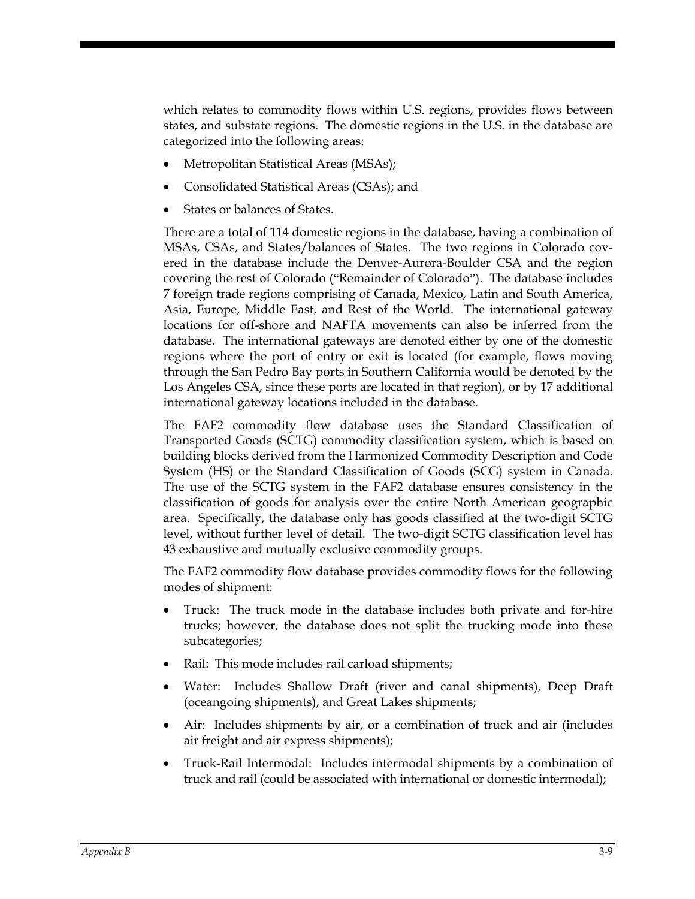which relates to commodity flows within U.S. regions, provides flows between states, and substate regions. The domestic regions in the U.S. in the database are categorized into the following areas:

- Metropolitan Statistical Areas (MSAs);
- Consolidated Statistical Areas (CSAs); and
- States or balances of States.

There are a total of 114 domestic regions in the database, having a combination of MSAs, CSAs, and States/balances of States. The two regions in Colorado covered in the database include the Denver-Aurora-Boulder CSA and the region covering the rest of Colorado ("Remainder of Colorado"). The database includes 7 foreign trade regions comprising of Canada, Mexico, Latin and South America, Asia, Europe, Middle East, and Rest of the World. The international gateway locations for off-shore and NAFTA movements can also be inferred from the database. The international gateways are denoted either by one of the domestic regions where the port of entry or exit is located (for example, flows moving through the San Pedro Bay ports in Southern California would be denoted by the Los Angeles CSA, since these ports are located in that region), or by 17 additional international gateway locations included in the database.

The FAF2 commodity flow database uses the Standard Classification of Transported Goods (SCTG) commodity classification system, which is based on building blocks derived from the Harmonized Commodity Description and Code System (HS) or the Standard Classification of Goods (SCG) system in Canada. The use of the SCTG system in the FAF2 database ensures consistency in the classification of goods for analysis over the entire North American geographic area. Specifically, the database only has goods classified at the two-digit SCTG level, without further level of detail. The two-digit SCTG classification level has 43 exhaustive and mutually exclusive commodity groups.

The FAF2 commodity flow database provides commodity flows for the following modes of shipment:

- Truck: The truck mode in the database includes both private and for-hire trucks; however, the database does not split the trucking mode into these subcategories;
- Rail: This mode includes rail carload shipments;
- Water: Includes Shallow Draft (river and canal shipments), Deep Draft (oceangoing shipments), and Great Lakes shipments;
- Air: Includes shipments by air, or a combination of truck and air (includes air freight and air express shipments);
- Truck-Rail Intermodal: Includes intermodal shipments by a combination of truck and rail (could be associated with international or domestic intermodal);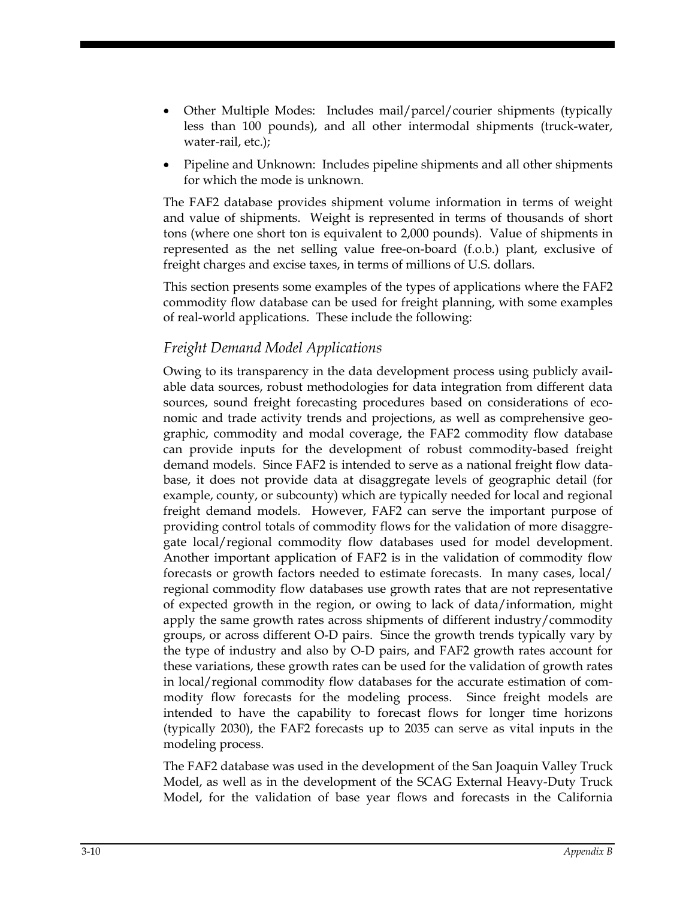- Other Multiple Modes: Includes mail/parcel/courier shipments (typically less than 100 pounds), and all other intermodal shipments (truck-water, water-rail, etc.);
- Pipeline and Unknown: Includes pipeline shipments and all other shipments for which the mode is unknown.

The FAF2 database provides shipment volume information in terms of weight and value of shipments. Weight is represented in terms of thousands of short tons (where one short ton is equivalent to 2,000 pounds). Value of shipments in represented as the net selling value free-on-board (f.o.b.) plant, exclusive of freight charges and excise taxes, in terms of millions of U.S. dollars.

This section presents some examples of the types of applications where the FAF2 commodity flow database can be used for freight planning, with some examples of real-world applications. These include the following:

#### *Freight Demand Model Applications*

Owing to its transparency in the data development process using publicly available data sources, robust methodologies for data integration from different data sources, sound freight forecasting procedures based on considerations of economic and trade activity trends and projections, as well as comprehensive geographic, commodity and modal coverage, the FAF2 commodity flow database can provide inputs for the development of robust commodity-based freight demand models. Since FAF2 is intended to serve as a national freight flow database, it does not provide data at disaggregate levels of geographic detail (for example, county, or subcounty) which are typically needed for local and regional freight demand models. However, FAF2 can serve the important purpose of providing control totals of commodity flows for the validation of more disaggregate local/regional commodity flow databases used for model development. Another important application of FAF2 is in the validation of commodity flow forecasts or growth factors needed to estimate forecasts. In many cases, local/ regional commodity flow databases use growth rates that are not representative of expected growth in the region, or owing to lack of data/information, might apply the same growth rates across shipments of different industry/commodity groups, or across different O-D pairs. Since the growth trends typically vary by the type of industry and also by O-D pairs, and FAF2 growth rates account for these variations, these growth rates can be used for the validation of growth rates in local/regional commodity flow databases for the accurate estimation of commodity flow forecasts for the modeling process. Since freight models are intended to have the capability to forecast flows for longer time horizons (typically 2030), the FAF2 forecasts up to 2035 can serve as vital inputs in the modeling process.

The FAF2 database was used in the development of the San Joaquin Valley Truck Model, as well as in the development of the SCAG External Heavy-Duty Truck Model, for the validation of base year flows and forecasts in the California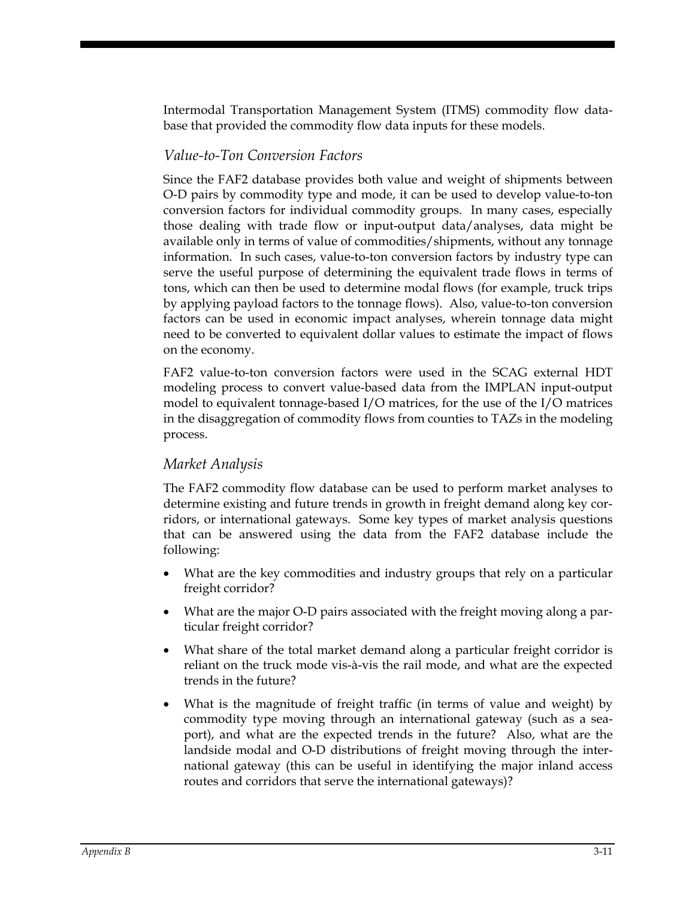Intermodal Transportation Management System (ITMS) commodity flow database that provided the commodity flow data inputs for these models.

#### *Value-to-Ton Conversion Factors*

Since the FAF2 database provides both value and weight of shipments between O-D pairs by commodity type and mode, it can be used to develop value-to-ton conversion factors for individual commodity groups. In many cases, especially those dealing with trade flow or input-output data/analyses, data might be available only in terms of value of commodities/shipments, without any tonnage information. In such cases, value-to-ton conversion factors by industry type can serve the useful purpose of determining the equivalent trade flows in terms of tons, which can then be used to determine modal flows (for example, truck trips by applying payload factors to the tonnage flows). Also, value-to-ton conversion factors can be used in economic impact analyses, wherein tonnage data might need to be converted to equivalent dollar values to estimate the impact of flows on the economy.

FAF2 value-to-ton conversion factors were used in the SCAG external HDT modeling process to convert value-based data from the IMPLAN input-output model to equivalent tonnage-based I/O matrices, for the use of the I/O matrices in the disaggregation of commodity flows from counties to TAZs in the modeling process.

#### *Market Analysis*

The FAF2 commodity flow database can be used to perform market analyses to determine existing and future trends in growth in freight demand along key corridors, or international gateways. Some key types of market analysis questions that can be answered using the data from the FAF2 database include the following:

- What are the key commodities and industry groups that rely on a particular freight corridor?
- What are the major O-D pairs associated with the freight moving along a particular freight corridor?
- What share of the total market demand along a particular freight corridor is reliant on the truck mode vis-à-vis the rail mode, and what are the expected trends in the future?
- What is the magnitude of freight traffic (in terms of value and weight) by commodity type moving through an international gateway (such as a seaport), and what are the expected trends in the future? Also, what are the landside modal and O-D distributions of freight moving through the international gateway (this can be useful in identifying the major inland access routes and corridors that serve the international gateways)?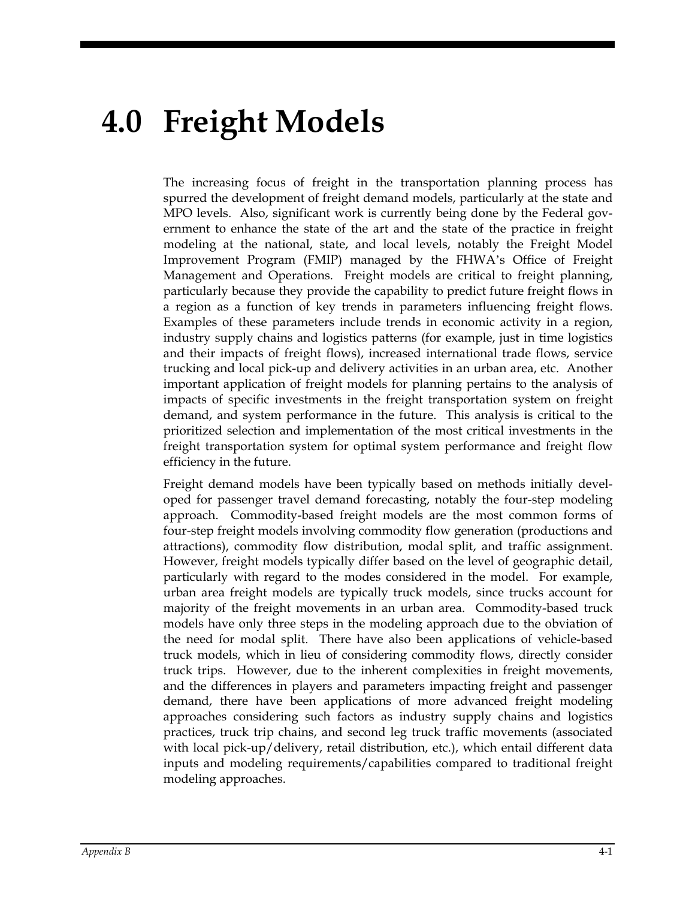# **4.0 Freight Models**

The increasing focus of freight in the transportation planning process has spurred the development of freight demand models, particularly at the state and MPO levels. Also, significant work is currently being done by the Federal government to enhance the state of the art and the state of the practice in freight modeling at the national, state, and local levels, notably the Freight Model Improvement Program (FMIP) managed by the FHWA's Office of Freight Management and Operations. Freight models are critical to freight planning, particularly because they provide the capability to predict future freight flows in a region as a function of key trends in parameters influencing freight flows. Examples of these parameters include trends in economic activity in a region, industry supply chains and logistics patterns (for example, just in time logistics and their impacts of freight flows), increased international trade flows, service trucking and local pick-up and delivery activities in an urban area, etc. Another important application of freight models for planning pertains to the analysis of impacts of specific investments in the freight transportation system on freight demand, and system performance in the future. This analysis is critical to the prioritized selection and implementation of the most critical investments in the freight transportation system for optimal system performance and freight flow efficiency in the future.

Freight demand models have been typically based on methods initially developed for passenger travel demand forecasting, notably the four-step modeling approach. Commodity-based freight models are the most common forms of four-step freight models involving commodity flow generation (productions and attractions), commodity flow distribution, modal split, and traffic assignment. However, freight models typically differ based on the level of geographic detail, particularly with regard to the modes considered in the model. For example, urban area freight models are typically truck models, since trucks account for majority of the freight movements in an urban area. Commodity-based truck models have only three steps in the modeling approach due to the obviation of the need for modal split. There have also been applications of vehicle-based truck models, which in lieu of considering commodity flows, directly consider truck trips. However, due to the inherent complexities in freight movements, and the differences in players and parameters impacting freight and passenger demand, there have been applications of more advanced freight modeling approaches considering such factors as industry supply chains and logistics practices, truck trip chains, and second leg truck traffic movements (associated with local pick-up/delivery, retail distribution, etc.), which entail different data inputs and modeling requirements/capabilities compared to traditional freight modeling approaches.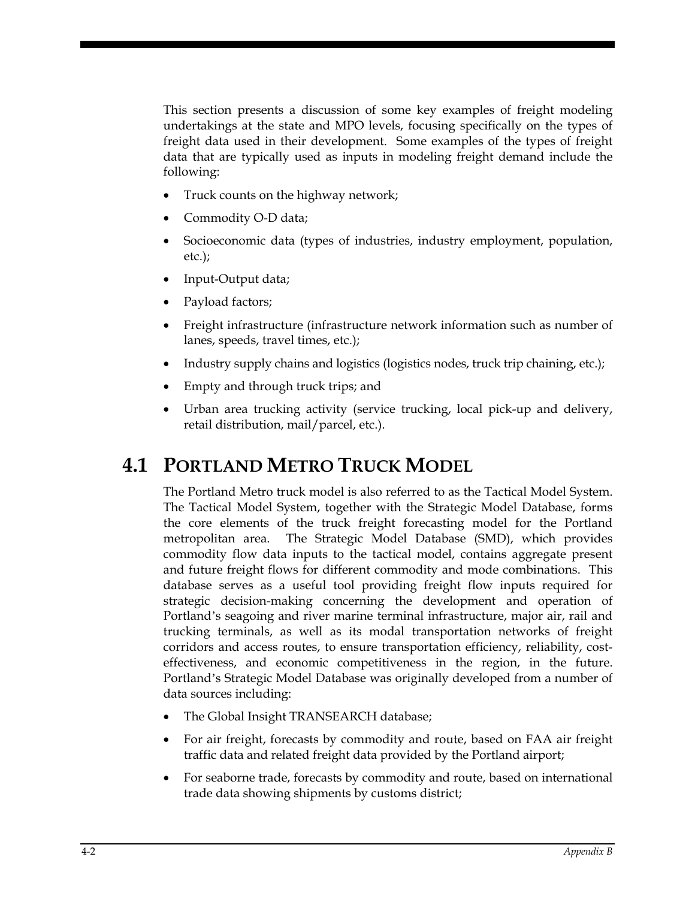This section presents a discussion of some key examples of freight modeling undertakings at the state and MPO levels, focusing specifically on the types of freight data used in their development. Some examples of the types of freight data that are typically used as inputs in modeling freight demand include the following:

- Truck counts on the highway network;
- Commodity O-D data;
- Socioeconomic data (types of industries, industry employment, population, etc.);
- Input-Output data;
- Payload factors;
- Freight infrastructure (infrastructure network information such as number of lanes, speeds, travel times, etc.);
- Industry supply chains and logistics (logistics nodes, truck trip chaining, etc.);
- Empty and through truck trips; and
- Urban area trucking activity (service trucking, local pick-up and delivery, retail distribution, mail/parcel, etc.).

# **4.1 PORTLAND METRO TRUCK MODEL**

The Portland Metro truck model is also referred to as the Tactical Model System. The Tactical Model System, together with the Strategic Model Database, forms the core elements of the truck freight forecasting model for the Portland metropolitan area. The Strategic Model Database (SMD), which provides commodity flow data inputs to the tactical model, contains aggregate present and future freight flows for different commodity and mode combinations. This database serves as a useful tool providing freight flow inputs required for strategic decision-making concerning the development and operation of Portland's seagoing and river marine terminal infrastructure, major air, rail and trucking terminals, as well as its modal transportation networks of freight corridors and access routes, to ensure transportation efficiency, reliability, costeffectiveness, and economic competitiveness in the region, in the future. Portland's Strategic Model Database was originally developed from a number of data sources including:

- The Global Insight TRANSEARCH database;
- For air freight, forecasts by commodity and route, based on FAA air freight traffic data and related freight data provided by the Portland airport;
- For seaborne trade, forecasts by commodity and route, based on international trade data showing shipments by customs district;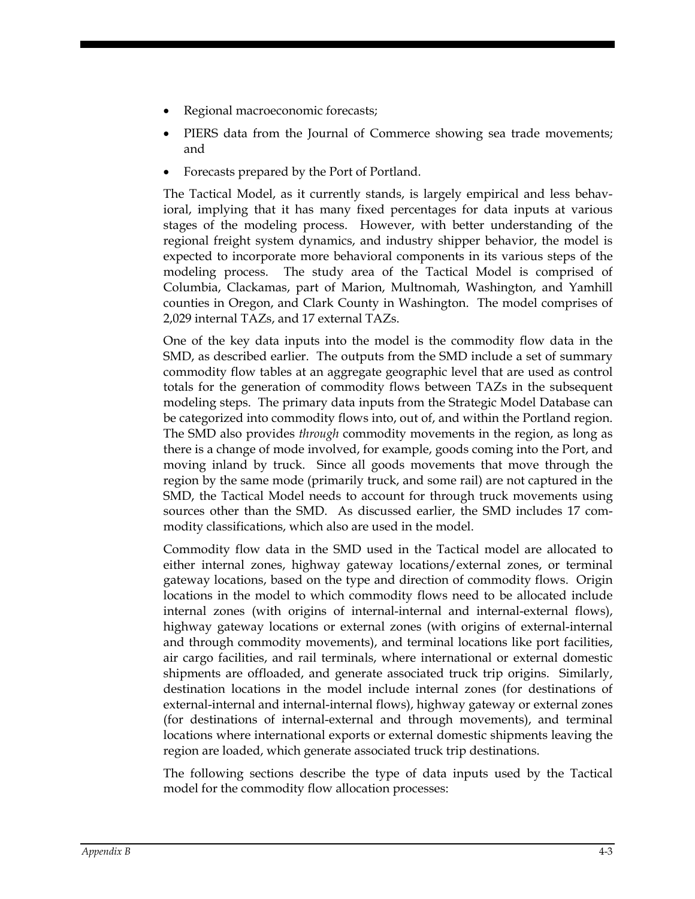- Regional macroeconomic forecasts;
- PIERS data from the Journal of Commerce showing sea trade movements; and
- Forecasts prepared by the Port of Portland.

The Tactical Model, as it currently stands, is largely empirical and less behavioral, implying that it has many fixed percentages for data inputs at various stages of the modeling process. However, with better understanding of the regional freight system dynamics, and industry shipper behavior, the model is expected to incorporate more behavioral components in its various steps of the modeling process. The study area of the Tactical Model is comprised of Columbia, Clackamas, part of Marion, Multnomah, Washington, and Yamhill counties in Oregon, and Clark County in Washington. The model comprises of 2,029 internal TAZs, and 17 external TAZs.

One of the key data inputs into the model is the commodity flow data in the SMD, as described earlier. The outputs from the SMD include a set of summary commodity flow tables at an aggregate geographic level that are used as control totals for the generation of commodity flows between TAZs in the subsequent modeling steps. The primary data inputs from the Strategic Model Database can be categorized into commodity flows into, out of, and within the Portland region. The SMD also provides *through* commodity movements in the region, as long as there is a change of mode involved, for example, goods coming into the Port, and moving inland by truck. Since all goods movements that move through the region by the same mode (primarily truck, and some rail) are not captured in the SMD, the Tactical Model needs to account for through truck movements using sources other than the SMD. As discussed earlier, the SMD includes 17 commodity classifications, which also are used in the model.

Commodity flow data in the SMD used in the Tactical model are allocated to either internal zones, highway gateway locations/external zones, or terminal gateway locations, based on the type and direction of commodity flows. Origin locations in the model to which commodity flows need to be allocated include internal zones (with origins of internal-internal and internal-external flows), highway gateway locations or external zones (with origins of external-internal and through commodity movements), and terminal locations like port facilities, air cargo facilities, and rail terminals, where international or external domestic shipments are offloaded, and generate associated truck trip origins. Similarly, destination locations in the model include internal zones (for destinations of external-internal and internal-internal flows), highway gateway or external zones (for destinations of internal-external and through movements), and terminal locations where international exports or external domestic shipments leaving the region are loaded, which generate associated truck trip destinations.

The following sections describe the type of data inputs used by the Tactical model for the commodity flow allocation processes: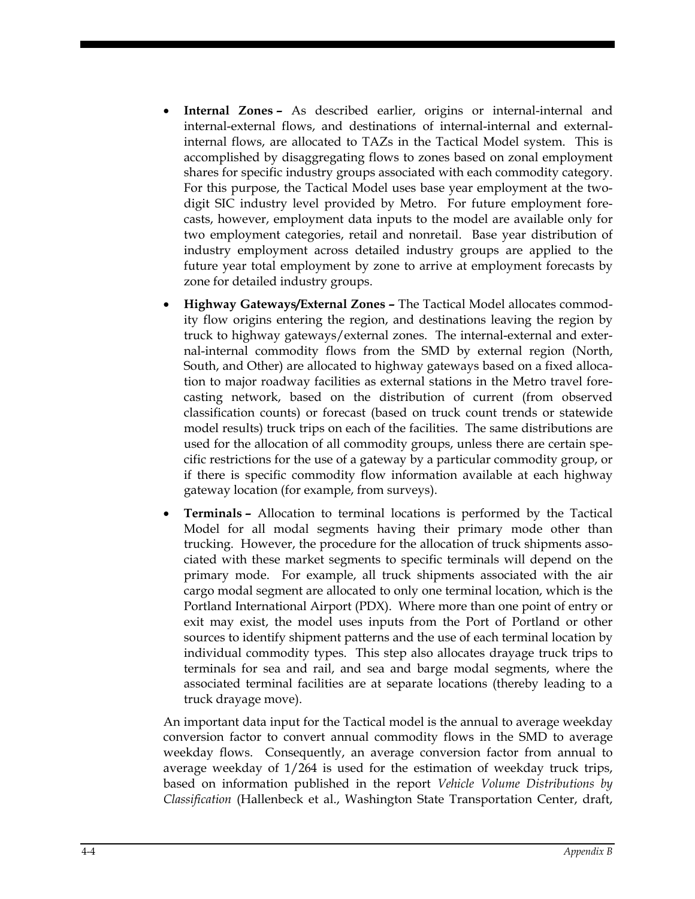- **Internal Zones** As described earlier, origins or internal-internal and internal-external flows, and destinations of internal-internal and externalinternal flows, are allocated to TAZs in the Tactical Model system. This is accomplished by disaggregating flows to zones based on zonal employment shares for specific industry groups associated with each commodity category. For this purpose, the Tactical Model uses base year employment at the twodigit SIC industry level provided by Metro. For future employment forecasts, however, employment data inputs to the model are available only for two employment categories, retail and nonretail. Base year distribution of industry employment across detailed industry groups are applied to the future year total employment by zone to arrive at employment forecasts by zone for detailed industry groups.
- **Highway Gateways/External Zones** The Tactical Model allocates commodity flow origins entering the region, and destinations leaving the region by truck to highway gateways/external zones. The internal-external and external-internal commodity flows from the SMD by external region (North, South, and Other) are allocated to highway gateways based on a fixed allocation to major roadway facilities as external stations in the Metro travel forecasting network, based on the distribution of current (from observed classification counts) or forecast (based on truck count trends or statewide model results) truck trips on each of the facilities. The same distributions are used for the allocation of all commodity groups, unless there are certain specific restrictions for the use of a gateway by a particular commodity group, or if there is specific commodity flow information available at each highway gateway location (for example, from surveys).
- **Terminals** Allocation to terminal locations is performed by the Tactical Model for all modal segments having their primary mode other than trucking. However, the procedure for the allocation of truck shipments associated with these market segments to specific terminals will depend on the primary mode. For example, all truck shipments associated with the air cargo modal segment are allocated to only one terminal location, which is the Portland International Airport (PDX). Where more than one point of entry or exit may exist, the model uses inputs from the Port of Portland or other sources to identify shipment patterns and the use of each terminal location by individual commodity types. This step also allocates drayage truck trips to terminals for sea and rail, and sea and barge modal segments, where the associated terminal facilities are at separate locations (thereby leading to a truck drayage move).

An important data input for the Tactical model is the annual to average weekday conversion factor to convert annual commodity flows in the SMD to average weekday flows. Consequently, an average conversion factor from annual to average weekday of 1/264 is used for the estimation of weekday truck trips, based on information published in the report *Vehicle Volume Distributions by Classification* (Hallenbeck et al., Washington State Transportation Center, draft,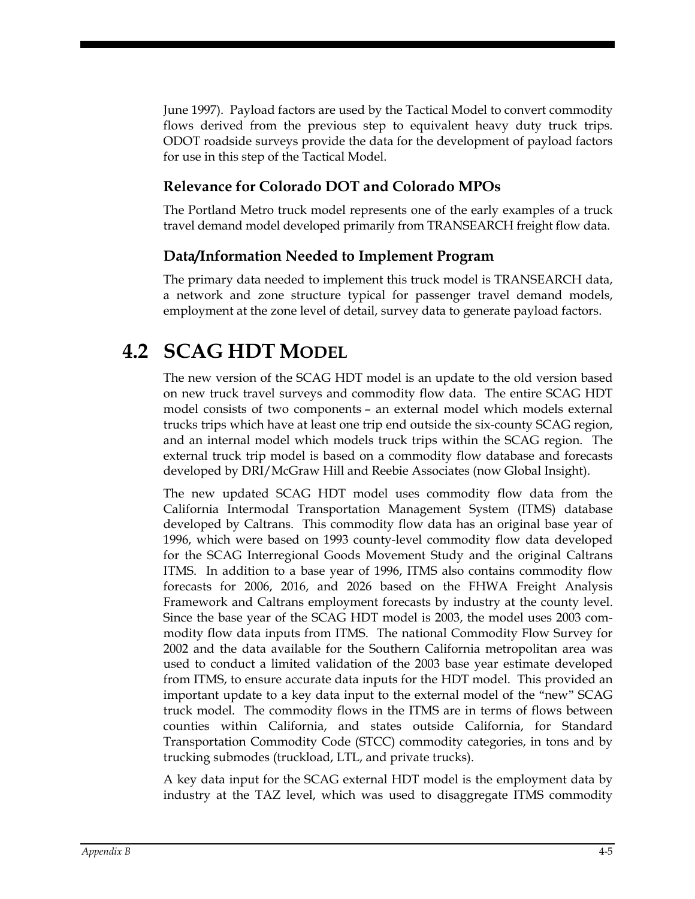June 1997). Payload factors are used by the Tactical Model to convert commodity flows derived from the previous step to equivalent heavy duty truck trips. ODOT roadside surveys provide the data for the development of payload factors for use in this step of the Tactical Model.

#### **Relevance for Colorado DOT and Colorado MPOs**

The Portland Metro truck model represents one of the early examples of a truck travel demand model developed primarily from TRANSEARCH freight flow data.

#### **Data/Information Needed to Implement Program**

The primary data needed to implement this truck model is TRANSEARCH data, a network and zone structure typical for passenger travel demand models, employment at the zone level of detail, survey data to generate payload factors.

# **4.2 SCAG HDT MODEL**

The new version of the SCAG HDT model is an update to the old version based on new truck travel surveys and commodity flow data. The entire SCAG HDT model consists of two components – an external model which models external trucks trips which have at least one trip end outside the six-county SCAG region, and an internal model which models truck trips within the SCAG region. The external truck trip model is based on a commodity flow database and forecasts developed by DRI/McGraw Hill and Reebie Associates (now Global Insight).

The new updated SCAG HDT model uses commodity flow data from the California Intermodal Transportation Management System (ITMS) database developed by Caltrans. This commodity flow data has an original base year of 1996, which were based on 1993 county-level commodity flow data developed for the SCAG Interregional Goods Movement Study and the original Caltrans ITMS. In addition to a base year of 1996, ITMS also contains commodity flow forecasts for 2006, 2016, and 2026 based on the FHWA Freight Analysis Framework and Caltrans employment forecasts by industry at the county level. Since the base year of the SCAG HDT model is 2003, the model uses 2003 commodity flow data inputs from ITMS. The national Commodity Flow Survey for 2002 and the data available for the Southern California metropolitan area was used to conduct a limited validation of the 2003 base year estimate developed from ITMS, to ensure accurate data inputs for the HDT model. This provided an important update to a key data input to the external model of the "new" SCAG truck model. The commodity flows in the ITMS are in terms of flows between counties within California, and states outside California, for Standard Transportation Commodity Code (STCC) commodity categories, in tons and by trucking submodes (truckload, LTL, and private trucks).

A key data input for the SCAG external HDT model is the employment data by industry at the TAZ level, which was used to disaggregate ITMS commodity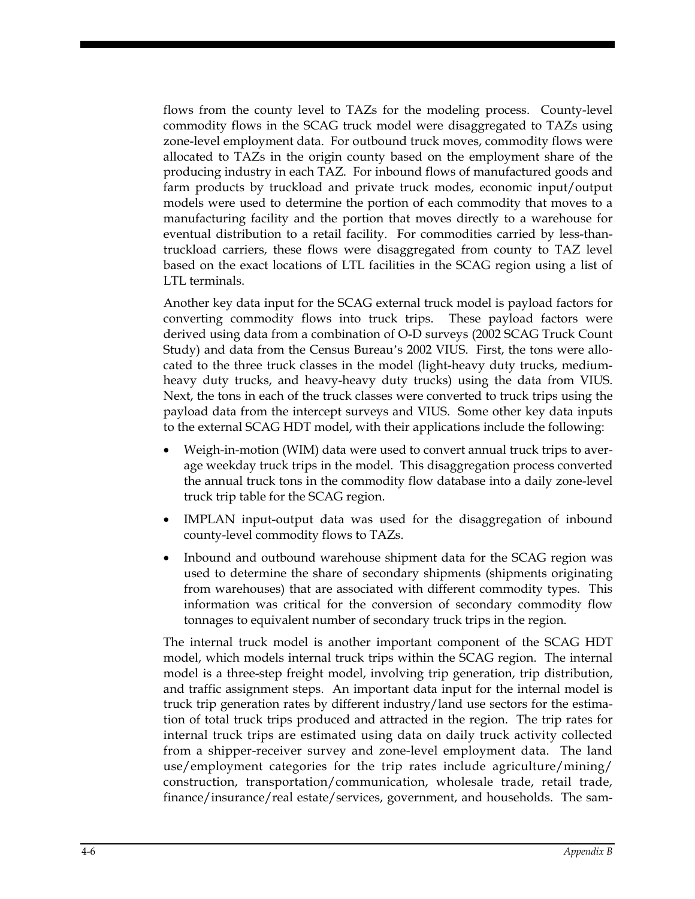flows from the county level to TAZs for the modeling process. County-level commodity flows in the SCAG truck model were disaggregated to TAZs using zone-level employment data. For outbound truck moves, commodity flows were allocated to TAZs in the origin county based on the employment share of the producing industry in each TAZ. For inbound flows of manufactured goods and farm products by truckload and private truck modes, economic input/output models were used to determine the portion of each commodity that moves to a manufacturing facility and the portion that moves directly to a warehouse for eventual distribution to a retail facility. For commodities carried by less-thantruckload carriers, these flows were disaggregated from county to TAZ level based on the exact locations of LTL facilities in the SCAG region using a list of LTL terminals.

Another key data input for the SCAG external truck model is payload factors for converting commodity flows into truck trips. These payload factors were derived using data from a combination of O-D surveys (2002 SCAG Truck Count Study) and data from the Census Bureau's 2002 VIUS. First, the tons were allocated to the three truck classes in the model (light-heavy duty trucks, mediumheavy duty trucks, and heavy-heavy duty trucks) using the data from VIUS. Next, the tons in each of the truck classes were converted to truck trips using the payload data from the intercept surveys and VIUS. Some other key data inputs to the external SCAG HDT model, with their applications include the following:

- Weigh-in-motion (WIM) data were used to convert annual truck trips to average weekday truck trips in the model. This disaggregation process converted the annual truck tons in the commodity flow database into a daily zone-level truck trip table for the SCAG region.
- IMPLAN input-output data was used for the disaggregation of inbound county-level commodity flows to TAZs.
- Inbound and outbound warehouse shipment data for the SCAG region was used to determine the share of secondary shipments (shipments originating from warehouses) that are associated with different commodity types. This information was critical for the conversion of secondary commodity flow tonnages to equivalent number of secondary truck trips in the region.

The internal truck model is another important component of the SCAG HDT model, which models internal truck trips within the SCAG region. The internal model is a three-step freight model, involving trip generation, trip distribution, and traffic assignment steps. An important data input for the internal model is truck trip generation rates by different industry/land use sectors for the estimation of total truck trips produced and attracted in the region. The trip rates for internal truck trips are estimated using data on daily truck activity collected from a shipper-receiver survey and zone-level employment data. The land use/employment categories for the trip rates include agriculture/mining/ construction, transportation/communication, wholesale trade, retail trade, finance/insurance/real estate/services, government, and households. The sam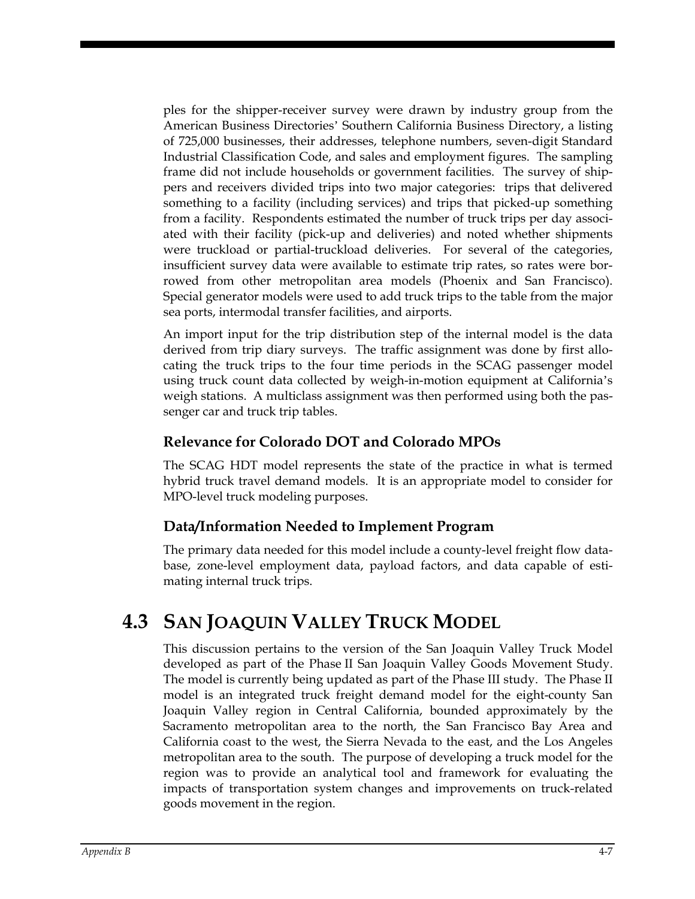ples for the shipper-receiver survey were drawn by industry group from the American Business Directories' Southern California Business Directory, a listing of 725,000 businesses, their addresses, telephone numbers, seven-digit Standard Industrial Classification Code, and sales and employment figures. The sampling frame did not include households or government facilities. The survey of shippers and receivers divided trips into two major categories: trips that delivered something to a facility (including services) and trips that picked-up something from a facility. Respondents estimated the number of truck trips per day associated with their facility (pick-up and deliveries) and noted whether shipments were truckload or partial-truckload deliveries. For several of the categories, insufficient survey data were available to estimate trip rates, so rates were borrowed from other metropolitan area models (Phoenix and San Francisco). Special generator models were used to add truck trips to the table from the major sea ports, intermodal transfer facilities, and airports.

An import input for the trip distribution step of the internal model is the data derived from trip diary surveys. The traffic assignment was done by first allocating the truck trips to the four time periods in the SCAG passenger model using truck count data collected by weigh-in-motion equipment at California's weigh stations. A multiclass assignment was then performed using both the passenger car and truck trip tables.

#### **Relevance for Colorado DOT and Colorado MPOs**

The SCAG HDT model represents the state of the practice in what is termed hybrid truck travel demand models. It is an appropriate model to consider for MPO-level truck modeling purposes.

#### **Data/Information Needed to Implement Program**

The primary data needed for this model include a county-level freight flow database, zone-level employment data, payload factors, and data capable of estimating internal truck trips.

# **4.3 SAN JOAQUIN VALLEY TRUCK MODEL**

This discussion pertains to the version of the San Joaquin Valley Truck Model developed as part of the Phase II San Joaquin Valley Goods Movement Study. The model is currently being updated as part of the Phase III study. The Phase II model is an integrated truck freight demand model for the eight-county San Joaquin Valley region in Central California, bounded approximately by the Sacramento metropolitan area to the north, the San Francisco Bay Area and California coast to the west, the Sierra Nevada to the east, and the Los Angeles metropolitan area to the south. The purpose of developing a truck model for the region was to provide an analytical tool and framework for evaluating the impacts of transportation system changes and improvements on truck-related goods movement in the region.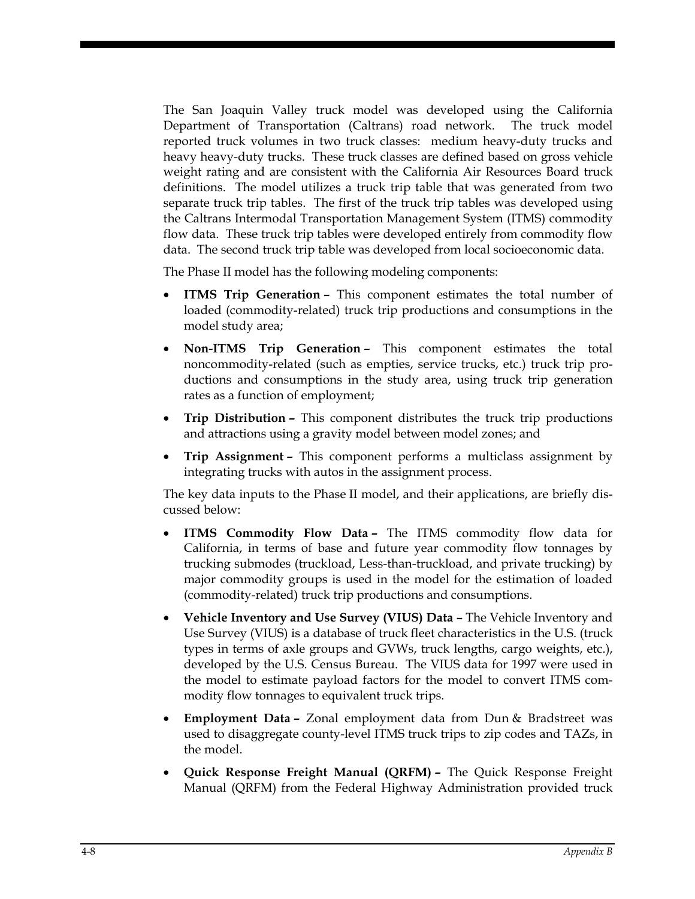The San Joaquin Valley truck model was developed using the California Department of Transportation (Caltrans) road network. The truck model reported truck volumes in two truck classes: medium heavy-duty trucks and heavy heavy-duty trucks. These truck classes are defined based on gross vehicle weight rating and are consistent with the California Air Resources Board truck definitions. The model utilizes a truck trip table that was generated from two separate truck trip tables. The first of the truck trip tables was developed using the Caltrans Intermodal Transportation Management System (ITMS) commodity flow data. These truck trip tables were developed entirely from commodity flow data. The second truck trip table was developed from local socioeconomic data.

The Phase II model has the following modeling components:

- **ITMS Trip Generation –** This component estimates the total number of loaded (commodity-related) truck trip productions and consumptions in the model study area;
- **Non-ITMS Trip Generation –** This component estimates the total noncommodity-related (such as empties, service trucks, etc.) truck trip productions and consumptions in the study area, using truck trip generation rates as a function of employment;
- **Trip Distribution –** This component distributes the truck trip productions and attractions using a gravity model between model zones; and
- **Trip Assignment –** This component performs a multiclass assignment by integrating trucks with autos in the assignment process.

The key data inputs to the Phase II model, and their applications, are briefly discussed below:

- **ITMS Commodity Flow Data** The ITMS commodity flow data for California, in terms of base and future year commodity flow tonnages by trucking submodes (truckload, Less-than-truckload, and private trucking) by major commodity groups is used in the model for the estimation of loaded (commodity-related) truck trip productions and consumptions.
- **Vehicle Inventory and Use Survey (VIUS) Data** The Vehicle Inventory and Use Survey (VIUS) is a database of truck fleet characteristics in the U.S. (truck types in terms of axle groups and GVWs, truck lengths, cargo weights, etc.), developed by the U.S. Census Bureau. The VIUS data for 1997 were used in the model to estimate payload factors for the model to convert ITMS commodity flow tonnages to equivalent truck trips.
- **Employment Data** Zonal employment data from Dun & Bradstreet was used to disaggregate county-level ITMS truck trips to zip codes and TAZs, in the model.
- **Quick Response Freight Manual (QRFM)** The Quick Response Freight Manual (QRFM) from the Federal Highway Administration provided truck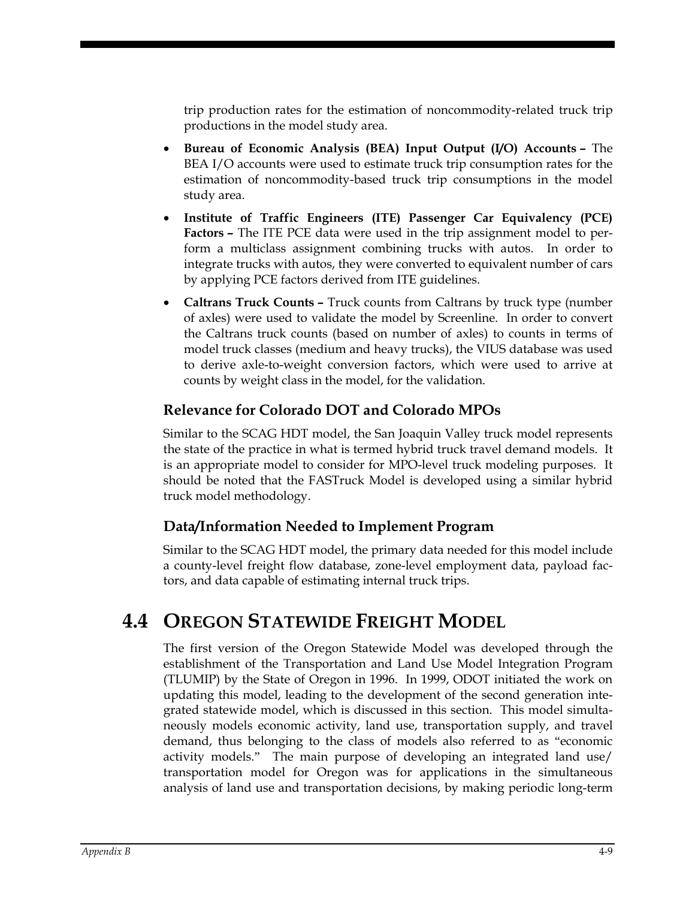trip production rates for the estimation of noncommodity-related truck trip productions in the model study area.

- **Bureau of Economic Analysis (BEA) Input Output (I/O) Accounts** The BEA I/O accounts were used to estimate truck trip consumption rates for the estimation of noncommodity-based truck trip consumptions in the model study area.
- **Institute of Traffic Engineers (ITE) Passenger Car Equivalency (PCE) Factors –** The ITE PCE data were used in the trip assignment model to perform a multiclass assignment combining trucks with autos. In order to integrate trucks with autos, they were converted to equivalent number of cars by applying PCE factors derived from ITE guidelines.
- **Caltrans Truck Counts** Truck counts from Caltrans by truck type (number of axles) were used to validate the model by Screenline. In order to convert the Caltrans truck counts (based on number of axles) to counts in terms of model truck classes (medium and heavy trucks), the VIUS database was used to derive axle-to-weight conversion factors, which were used to arrive at counts by weight class in the model, for the validation.

#### **Relevance for Colorado DOT and Colorado MPOs**

Similar to the SCAG HDT model, the San Joaquin Valley truck model represents the state of the practice in what is termed hybrid truck travel demand models. It is an appropriate model to consider for MPO-level truck modeling purposes. It should be noted that the FASTruck Model is developed using a similar hybrid truck model methodology.

#### **Data/Information Needed to Implement Program**

Similar to the SCAG HDT model, the primary data needed for this model include a county-level freight flow database, zone-level employment data, payload factors, and data capable of estimating internal truck trips.

# **4.4 OREGON STATEWIDE FREIGHT MODEL**

The first version of the Oregon Statewide Model was developed through the establishment of the Transportation and Land Use Model Integration Program (TLUMIP) by the State of Oregon in 1996. In 1999, ODOT initiated the work on updating this model, leading to the development of the second generation integrated statewide model, which is discussed in this section. This model simultaneously models economic activity, land use, transportation supply, and travel demand, thus belonging to the class of models also referred to as "economic activity models." The main purpose of developing an integrated land use/ transportation model for Oregon was for applications in the simultaneous analysis of land use and transportation decisions, by making periodic long-term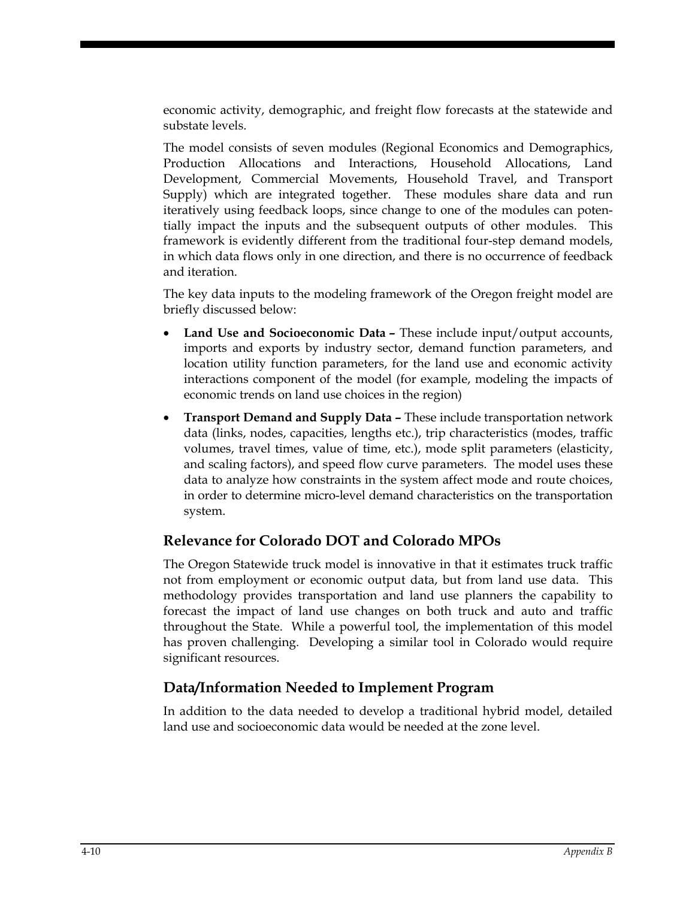economic activity, demographic, and freight flow forecasts at the statewide and substate levels.

The model consists of seven modules (Regional Economics and Demographics, Production Allocations and Interactions, Household Allocations, Land Development, Commercial Movements, Household Travel, and Transport Supply) which are integrated together. These modules share data and run iteratively using feedback loops, since change to one of the modules can potentially impact the inputs and the subsequent outputs of other modules. This framework is evidently different from the traditional four-step demand models, in which data flows only in one direction, and there is no occurrence of feedback and iteration.

The key data inputs to the modeling framework of the Oregon freight model are briefly discussed below:

- **Land Use and Socioeconomic Data –** These include input/output accounts, imports and exports by industry sector, demand function parameters, and location utility function parameters, for the land use and economic activity interactions component of the model (for example, modeling the impacts of economic trends on land use choices in the region)
- **Transport Demand and Supply Data –** These include transportation network data (links, nodes, capacities, lengths etc.), trip characteristics (modes, traffic volumes, travel times, value of time, etc.), mode split parameters (elasticity, and scaling factors), and speed flow curve parameters. The model uses these data to analyze how constraints in the system affect mode and route choices, in order to determine micro-level demand characteristics on the transportation system.

#### **Relevance for Colorado DOT and Colorado MPOs**

The Oregon Statewide truck model is innovative in that it estimates truck traffic not from employment or economic output data, but from land use data. This methodology provides transportation and land use planners the capability to forecast the impact of land use changes on both truck and auto and traffic throughout the State. While a powerful tool, the implementation of this model has proven challenging. Developing a similar tool in Colorado would require significant resources.

#### **Data/Information Needed to Implement Program**

In addition to the data needed to develop a traditional hybrid model, detailed land use and socioeconomic data would be needed at the zone level.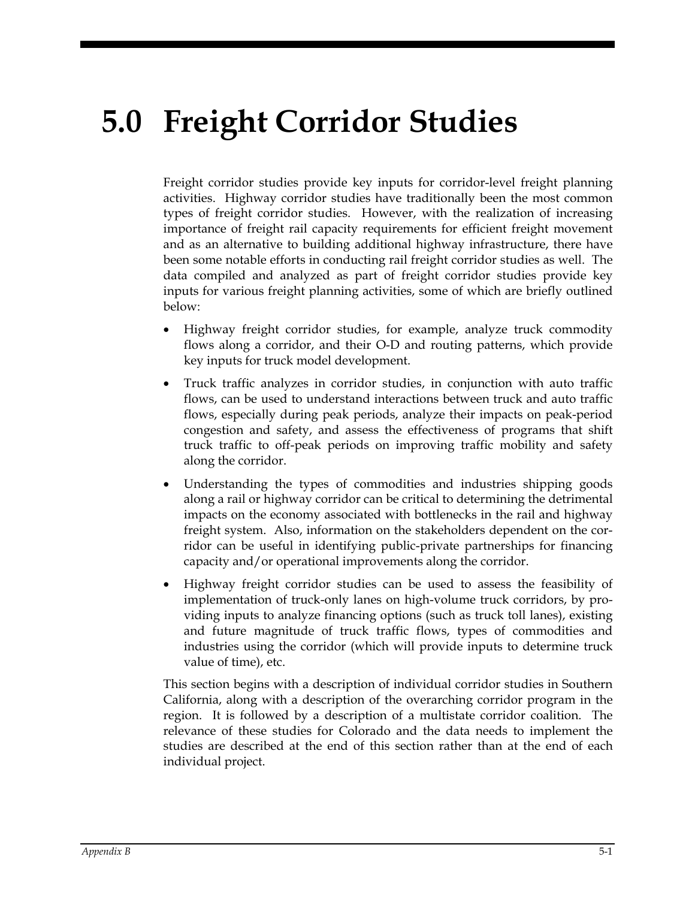# **5.0 Freight Corridor Studies**

Freight corridor studies provide key inputs for corridor-level freight planning activities. Highway corridor studies have traditionally been the most common types of freight corridor studies. However, with the realization of increasing importance of freight rail capacity requirements for efficient freight movement and as an alternative to building additional highway infrastructure, there have been some notable efforts in conducting rail freight corridor studies as well. The data compiled and analyzed as part of freight corridor studies provide key inputs for various freight planning activities, some of which are briefly outlined below:

- Highway freight corridor studies, for example, analyze truck commodity flows along a corridor, and their O-D and routing patterns, which provide key inputs for truck model development.
- Truck traffic analyzes in corridor studies, in conjunction with auto traffic flows, can be used to understand interactions between truck and auto traffic flows, especially during peak periods, analyze their impacts on peak-period congestion and safety, and assess the effectiveness of programs that shift truck traffic to off-peak periods on improving traffic mobility and safety along the corridor.
- Understanding the types of commodities and industries shipping goods along a rail or highway corridor can be critical to determining the detrimental impacts on the economy associated with bottlenecks in the rail and highway freight system. Also, information on the stakeholders dependent on the corridor can be useful in identifying public-private partnerships for financing capacity and/or operational improvements along the corridor.
- Highway freight corridor studies can be used to assess the feasibility of implementation of truck-only lanes on high-volume truck corridors, by providing inputs to analyze financing options (such as truck toll lanes), existing and future magnitude of truck traffic flows, types of commodities and industries using the corridor (which will provide inputs to determine truck value of time), etc.

This section begins with a description of individual corridor studies in Southern California, along with a description of the overarching corridor program in the region. It is followed by a description of a multistate corridor coalition. The relevance of these studies for Colorado and the data needs to implement the studies are described at the end of this section rather than at the end of each individual project.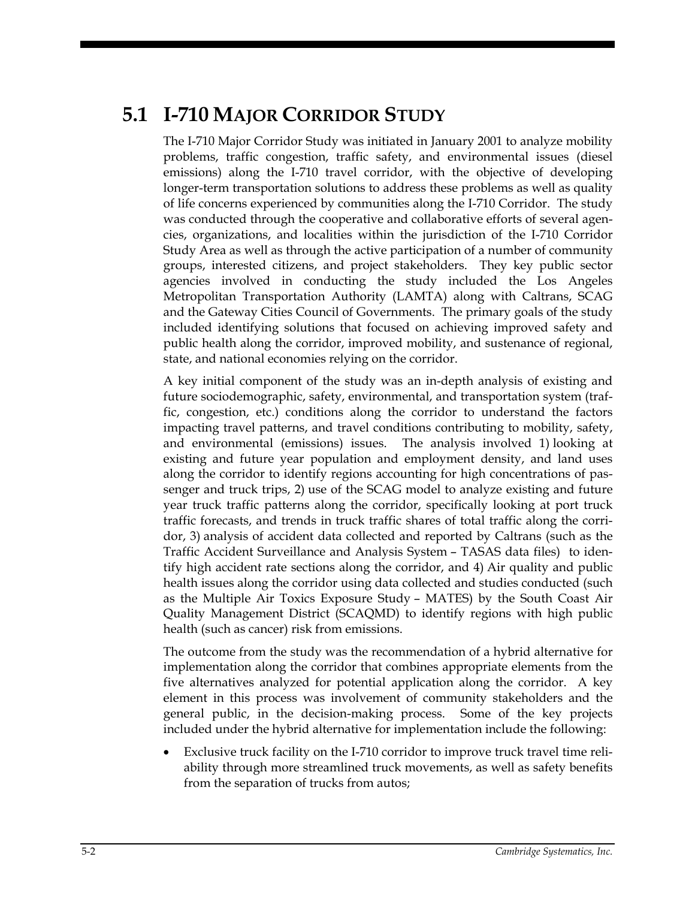# **5.1 I-710 MAJOR CORRIDOR STUDY**

The I-710 Major Corridor Study was initiated in January 2001 to analyze mobility problems, traffic congestion, traffic safety, and environmental issues (diesel emissions) along the I-710 travel corridor, with the objective of developing longer-term transportation solutions to address these problems as well as quality of life concerns experienced by communities along the I-710 Corridor. The study was conducted through the cooperative and collaborative efforts of several agencies, organizations, and localities within the jurisdiction of the I-710 Corridor Study Area as well as through the active participation of a number of community groups, interested citizens, and project stakeholders. They key public sector agencies involved in conducting the study included the Los Angeles Metropolitan Transportation Authority (LAMTA) along with Caltrans, SCAG and the Gateway Cities Council of Governments. The primary goals of the study included identifying solutions that focused on achieving improved safety and public health along the corridor, improved mobility, and sustenance of regional, state, and national economies relying on the corridor.

A key initial component of the study was an in-depth analysis of existing and future sociodemographic, safety, environmental, and transportation system (traffic, congestion, etc.) conditions along the corridor to understand the factors impacting travel patterns, and travel conditions contributing to mobility, safety, and environmental (emissions) issues. The analysis involved 1) looking at existing and future year population and employment density, and land uses along the corridor to identify regions accounting for high concentrations of passenger and truck trips, 2) use of the SCAG model to analyze existing and future year truck traffic patterns along the corridor, specifically looking at port truck traffic forecasts, and trends in truck traffic shares of total traffic along the corridor, 3) analysis of accident data collected and reported by Caltrans (such as the Traffic Accident Surveillance and Analysis System – TASAS data files) to identify high accident rate sections along the corridor, and 4) Air quality and public health issues along the corridor using data collected and studies conducted (such as the Multiple Air Toxics Exposure Study – MATES) by the South Coast Air Quality Management District (SCAQMD) to identify regions with high public health (such as cancer) risk from emissions.

The outcome from the study was the recommendation of a hybrid alternative for implementation along the corridor that combines appropriate elements from the five alternatives analyzed for potential application along the corridor. A key element in this process was involvement of community stakeholders and the general public, in the decision-making process. Some of the key projects included under the hybrid alternative for implementation include the following:

Exclusive truck facility on the I-710 corridor to improve truck travel time reliability through more streamlined truck movements, as well as safety benefits from the separation of trucks from autos;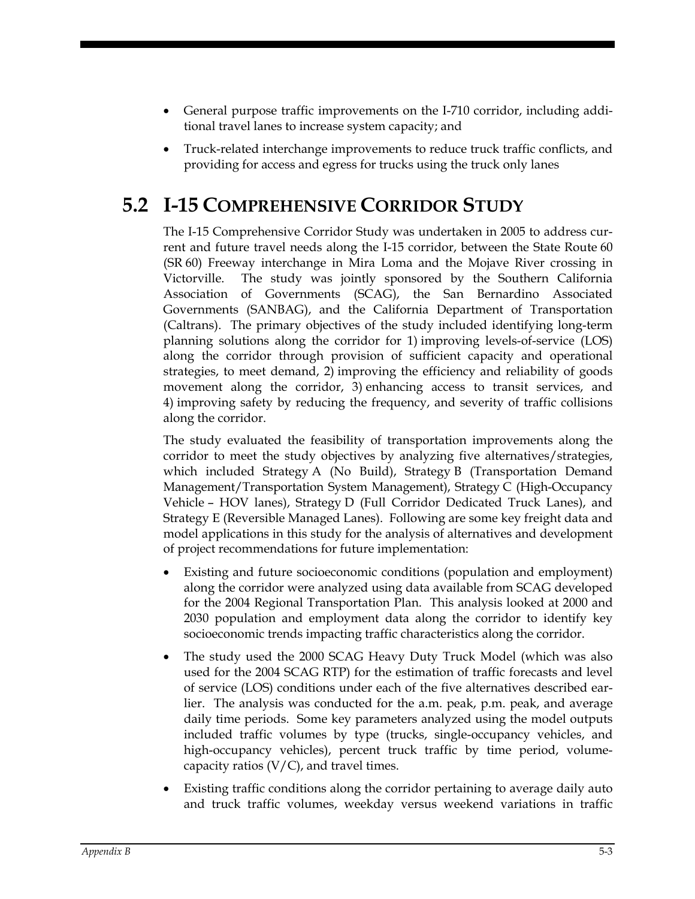- General purpose traffic improvements on the I-710 corridor, including additional travel lanes to increase system capacity; and
- Truck-related interchange improvements to reduce truck traffic conflicts, and providing for access and egress for trucks using the truck only lanes

# **5.2 I-15 COMPREHENSIVE CORRIDOR STUDY**

The I-15 Comprehensive Corridor Study was undertaken in 2005 to address current and future travel needs along the I-15 corridor, between the State Route 60 (SR 60) Freeway interchange in Mira Loma and the Mojave River crossing in Victorville. The study was jointly sponsored by the Southern California Association of Governments (SCAG), the San Bernardino Associated Governments (SANBAG), and the California Department of Transportation (Caltrans). The primary objectives of the study included identifying long-term planning solutions along the corridor for 1) improving levels-of-service (LOS) along the corridor through provision of sufficient capacity and operational strategies, to meet demand, 2) improving the efficiency and reliability of goods movement along the corridor, 3) enhancing access to transit services, and 4) improving safety by reducing the frequency, and severity of traffic collisions along the corridor.

The study evaluated the feasibility of transportation improvements along the corridor to meet the study objectives by analyzing five alternatives/strategies, which included Strategy A (No Build), Strategy B (Transportation Demand Management/Transportation System Management), Strategy C (High-Occupancy Vehicle – HOV lanes), Strategy D (Full Corridor Dedicated Truck Lanes), and Strategy E (Reversible Managed Lanes). Following are some key freight data and model applications in this study for the analysis of alternatives and development of project recommendations for future implementation:

- Existing and future socioeconomic conditions (population and employment) along the corridor were analyzed using data available from SCAG developed for the 2004 Regional Transportation Plan. This analysis looked at 2000 and 2030 population and employment data along the corridor to identify key socioeconomic trends impacting traffic characteristics along the corridor.
- The study used the 2000 SCAG Heavy Duty Truck Model (which was also used for the 2004 SCAG RTP) for the estimation of traffic forecasts and level of service (LOS) conditions under each of the five alternatives described earlier. The analysis was conducted for the a.m. peak, p.m. peak, and average daily time periods. Some key parameters analyzed using the model outputs included traffic volumes by type (trucks, single-occupancy vehicles, and high-occupancy vehicles), percent truck traffic by time period, volumecapacity ratios  $(V/C)$ , and travel times.
- Existing traffic conditions along the corridor pertaining to average daily auto and truck traffic volumes, weekday versus weekend variations in traffic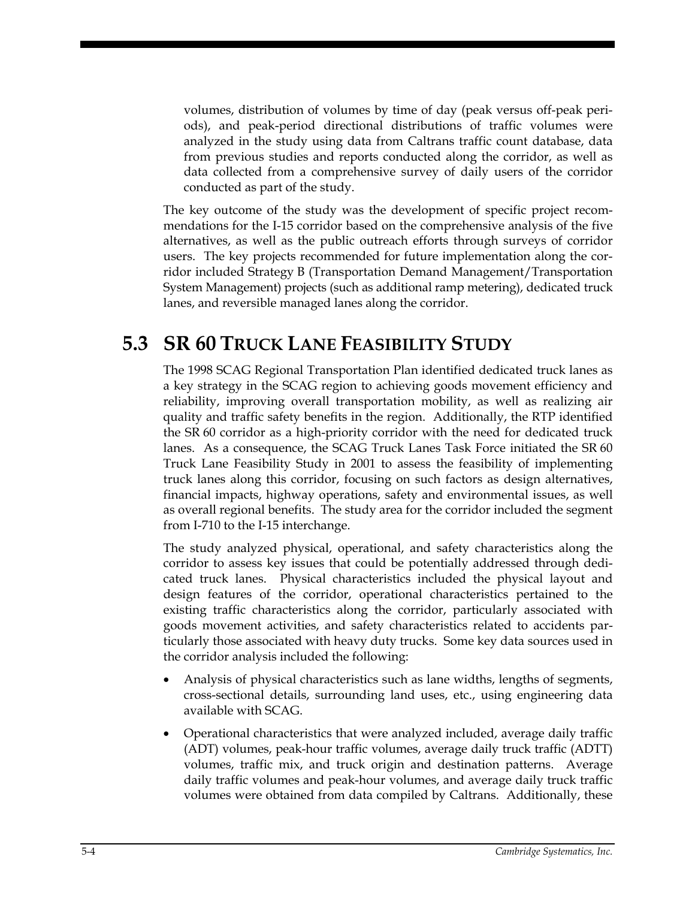volumes, distribution of volumes by time of day (peak versus off-peak periods), and peak-period directional distributions of traffic volumes were analyzed in the study using data from Caltrans traffic count database, data from previous studies and reports conducted along the corridor, as well as data collected from a comprehensive survey of daily users of the corridor conducted as part of the study.

The key outcome of the study was the development of specific project recommendations for the I-15 corridor based on the comprehensive analysis of the five alternatives, as well as the public outreach efforts through surveys of corridor users. The key projects recommended for future implementation along the corridor included Strategy B (Transportation Demand Management/Transportation System Management) projects (such as additional ramp metering), dedicated truck lanes, and reversible managed lanes along the corridor.

## **5.3 SR 60 TRUCK LANE FEASIBILITY STUDY**

The 1998 SCAG Regional Transportation Plan identified dedicated truck lanes as a key strategy in the SCAG region to achieving goods movement efficiency and reliability, improving overall transportation mobility, as well as realizing air quality and traffic safety benefits in the region. Additionally, the RTP identified the SR 60 corridor as a high-priority corridor with the need for dedicated truck lanes. As a consequence, the SCAG Truck Lanes Task Force initiated the SR 60 Truck Lane Feasibility Study in 2001 to assess the feasibility of implementing truck lanes along this corridor, focusing on such factors as design alternatives, financial impacts, highway operations, safety and environmental issues, as well as overall regional benefits. The study area for the corridor included the segment from I-710 to the I-15 interchange.

The study analyzed physical, operational, and safety characteristics along the corridor to assess key issues that could be potentially addressed through dedicated truck lanes. Physical characteristics included the physical layout and design features of the corridor, operational characteristics pertained to the existing traffic characteristics along the corridor, particularly associated with goods movement activities, and safety characteristics related to accidents particularly those associated with heavy duty trucks. Some key data sources used in the corridor analysis included the following:

- Analysis of physical characteristics such as lane widths, lengths of segments, cross-sectional details, surrounding land uses, etc., using engineering data available with SCAG.
- Operational characteristics that were analyzed included, average daily traffic (ADT) volumes, peak-hour traffic volumes, average daily truck traffic (ADTT) volumes, traffic mix, and truck origin and destination patterns. Average daily traffic volumes and peak-hour volumes, and average daily truck traffic volumes were obtained from data compiled by Caltrans. Additionally, these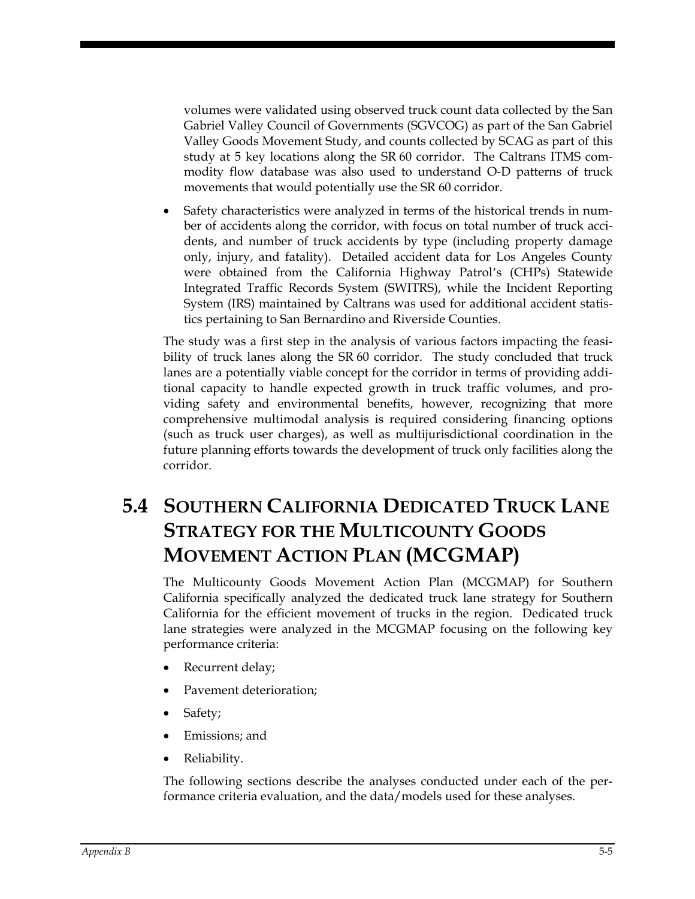volumes were validated using observed truck count data collected by the San Gabriel Valley Council of Governments (SGVCOG) as part of the San Gabriel Valley Goods Movement Study, and counts collected by SCAG as part of this study at 5 key locations along the SR 60 corridor. The Caltrans ITMS commodity flow database was also used to understand O-D patterns of truck movements that would potentially use the SR 60 corridor.

• Safety characteristics were analyzed in terms of the historical trends in number of accidents along the corridor, with focus on total number of truck accidents, and number of truck accidents by type (including property damage only, injury, and fatality). Detailed accident data for Los Angeles County were obtained from the California Highway Patrol's (CHPs) Statewide Integrated Traffic Records System (SWITRS), while the Incident Reporting System (IRS) maintained by Caltrans was used for additional accident statistics pertaining to San Bernardino and Riverside Counties.

The study was a first step in the analysis of various factors impacting the feasibility of truck lanes along the SR 60 corridor. The study concluded that truck lanes are a potentially viable concept for the corridor in terms of providing additional capacity to handle expected growth in truck traffic volumes, and providing safety and environmental benefits, however, recognizing that more comprehensive multimodal analysis is required considering financing options (such as truck user charges), as well as multijurisdictional coordination in the future planning efforts towards the development of truck only facilities along the corridor.

# **5.4 SOUTHERN CALIFORNIA DEDICATED TRUCK LANE STRATEGY FOR THE MULTICOUNTY GOODS MOVEMENT ACTION PLAN (MCGMAP)**

The Multicounty Goods Movement Action Plan (MCGMAP) for Southern California specifically analyzed the dedicated truck lane strategy for Southern California for the efficient movement of trucks in the region. Dedicated truck lane strategies were analyzed in the MCGMAP focusing on the following key performance criteria:

- Recurrent delay;
- Pavement deterioration;
- Safety;
- Emissions; and
- Reliability.

The following sections describe the analyses conducted under each of the performance criteria evaluation, and the data/models used for these analyses.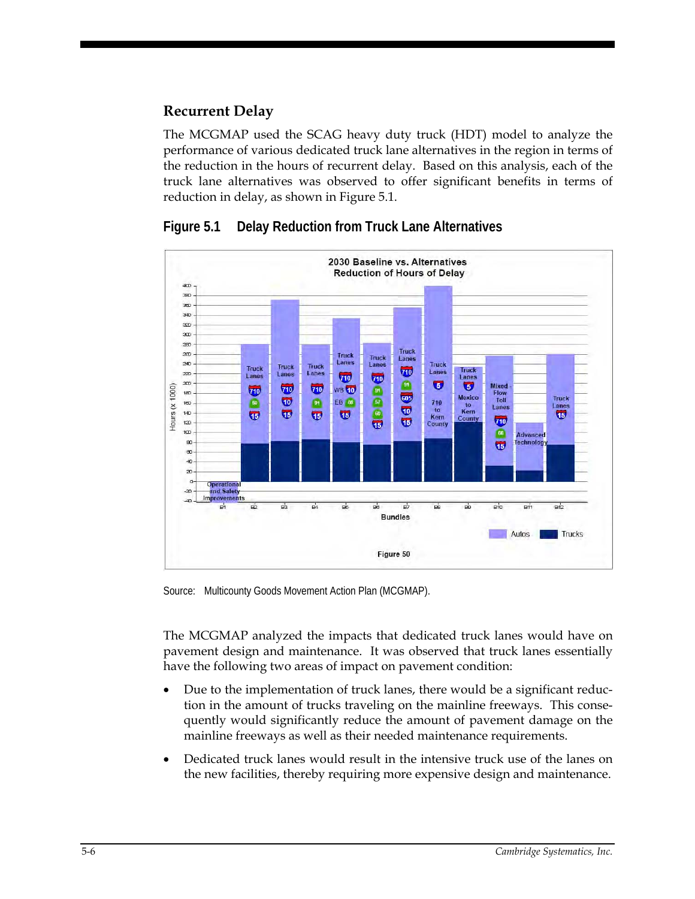### **Recurrent Delay**

The MCGMAP used the SCAG heavy duty truck (HDT) model to analyze the performance of various dedicated truck lane alternatives in the region in terms of the reduction in the hours of recurrent delay. Based on this analysis, each of the truck lane alternatives was observed to offer significant benefits in terms of reduction in delay, as shown in Figure 5.1.



**Figure 5.1 Delay Reduction from Truck Lane Alternatives** 

Source: Multicounty Goods Movement Action Plan (MCGMAP).

The MCGMAP analyzed the impacts that dedicated truck lanes would have on pavement design and maintenance. It was observed that truck lanes essentially have the following two areas of impact on pavement condition:

- Due to the implementation of truck lanes, there would be a significant reduction in the amount of trucks traveling on the mainline freeways. This consequently would significantly reduce the amount of pavement damage on the mainline freeways as well as their needed maintenance requirements.
- Dedicated truck lanes would result in the intensive truck use of the lanes on the new facilities, thereby requiring more expensive design and maintenance.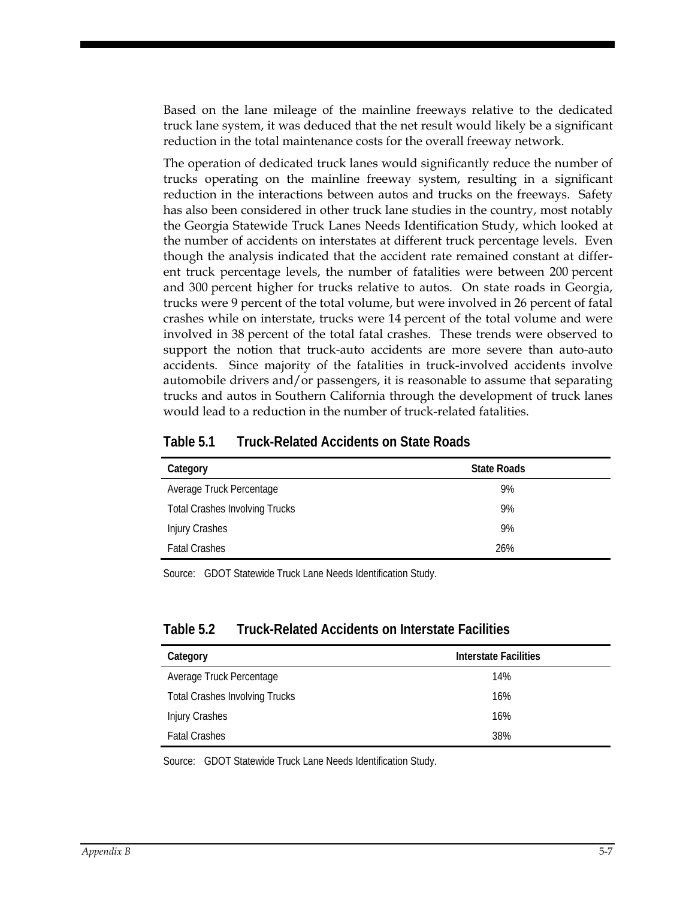Based on the lane mileage of the mainline freeways relative to the dedicated truck lane system, it was deduced that the net result would likely be a significant reduction in the total maintenance costs for the overall freeway network.

The operation of dedicated truck lanes would significantly reduce the number of trucks operating on the mainline freeway system, resulting in a significant reduction in the interactions between autos and trucks on the freeways. Safety has also been considered in other truck lane studies in the country, most notably the Georgia Statewide Truck Lanes Needs Identification Study, which looked at the number of accidents on interstates at different truck percentage levels. Even though the analysis indicated that the accident rate remained constant at different truck percentage levels, the number of fatalities were between 200 percent and 300 percent higher for trucks relative to autos. On state roads in Georgia, trucks were 9 percent of the total volume, but were involved in 26 percent of fatal crashes while on interstate, trucks were 14 percent of the total volume and were involved in 38 percent of the total fatal crashes. These trends were observed to support the notion that truck-auto accidents are more severe than auto-auto accidents. Since majority of the fatalities in truck-involved accidents involve automobile drivers and/or passengers, it is reasonable to assume that separating trucks and autos in Southern California through the development of truck lanes would lead to a reduction in the number of truck-related fatalities.

| Category                              | <b>State Roads</b> |
|---------------------------------------|--------------------|
| Average Truck Percentage              | 9%                 |
| <b>Total Crashes Involving Trucks</b> | 9%                 |
| <b>Injury Crashes</b>                 | 9%                 |
| <b>Fatal Crashes</b>                  | 26%                |

#### **Table 5.1 Truck-Related Accidents on State Roads**

Source: GDOT Statewide Truck Lane Needs Identification Study.

#### **Table 5.2 Truck-Related Accidents on Interstate Facilities**

| Category                              | Interstate Facilities |
|---------------------------------------|-----------------------|
| Average Truck Percentage              | 14%                   |
| <b>Total Crashes Involving Trucks</b> | 16%                   |
| <b>Injury Crashes</b>                 | 16%                   |
| <b>Fatal Crashes</b>                  | 38%                   |

Source: GDOT Statewide Truck Lane Needs Identification Study.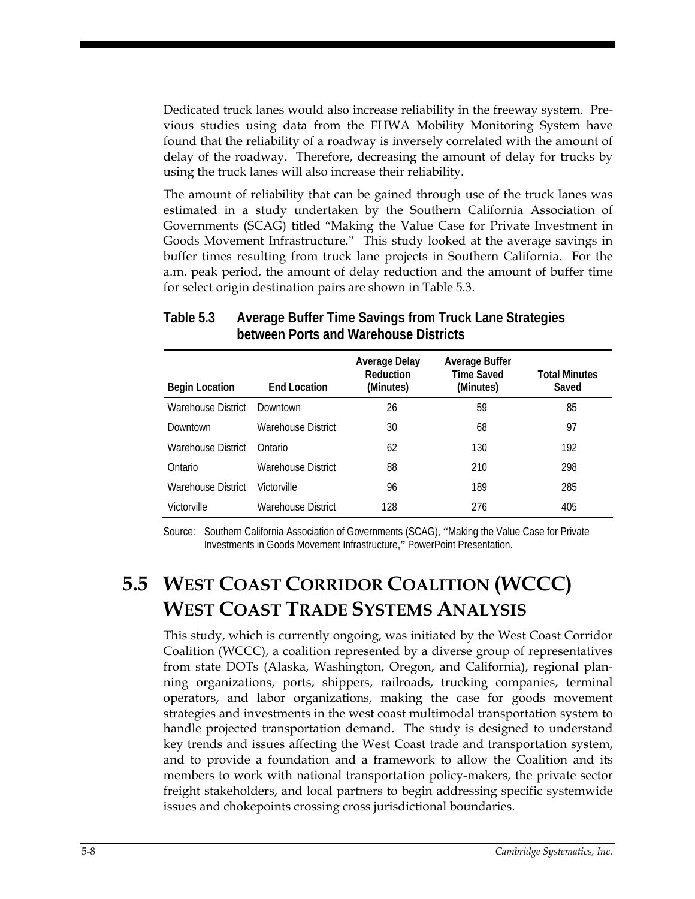Dedicated truck lanes would also increase reliability in the freeway system. Previous studies using data from the FHWA Mobility Monitoring System have found that the reliability of a roadway is inversely correlated with the amount of delay of the roadway. Therefore, decreasing the amount of delay for trucks by using the truck lanes will also increase their reliability.

The amount of reliability that can be gained through use of the truck lanes was estimated in a study undertaken by the Southern California Association of Governments (SCAG) titled "Making the Value Case for Private Investment in Goods Movement Infrastructure." This study looked at the average savings in buffer times resulting from truck lane projects in Southern California. For the a.m. peak period, the amount of delay reduction and the amount of buffer time for select origin destination pairs are shown in Table 5.3.

| <b>Begin Location</b> | <b>Fnd Location</b> | <b>Average Delay</b><br>Reduction<br>(Minutes) | Average Buffer<br><b>Time Saved</b><br>(Minutes) | <b>Total Minutes</b><br>Saved |
|-----------------------|---------------------|------------------------------------------------|--------------------------------------------------|-------------------------------|
| Warehouse District    | Downtown            | 26                                             | 59                                               | 85                            |
| Downtown              | Warehouse District  | 30                                             | 68                                               | 97                            |
| Warehouse District    | Ontario             | 62                                             | 130                                              | 192                           |
| Ontario               | Warehouse District  | 88                                             | 210                                              | 298                           |
| Warehouse District    | Victorville         | 96                                             | 189                                              | 285                           |
| Victorville           | Warehouse District  | 128                                            | 276                                              | 405                           |

#### **Table 5.3 Average Buffer Time Savings from Truck Lane Strategies between Ports and Warehouse Districts**

Source: Southern California Association of Governments (SCAG), "Making the Value Case for Private Investments in Goods Movement Infrastructure," PowerPoint Presentation.

# **5.5 WEST COAST CORRIDOR COALITION (WCCC) WEST COAST TRADE SYSTEMS ANALYSIS**

This study, which is currently ongoing, was initiated by the West Coast Corridor Coalition (WCCC), a coalition represented by a diverse group of representatives from state DOTs (Alaska, Washington, Oregon, and California), regional planning organizations, ports, shippers, railroads, trucking companies, terminal operators, and labor organizations, making the case for goods movement strategies and investments in the west coast multimodal transportation system to handle projected transportation demand. The study is designed to understand key trends and issues affecting the West Coast trade and transportation system, and to provide a foundation and a framework to allow the Coalition and its members to work with national transportation policy-makers, the private sector freight stakeholders, and local partners to begin addressing specific systemwide issues and chokepoints crossing cross jurisdictional boundaries.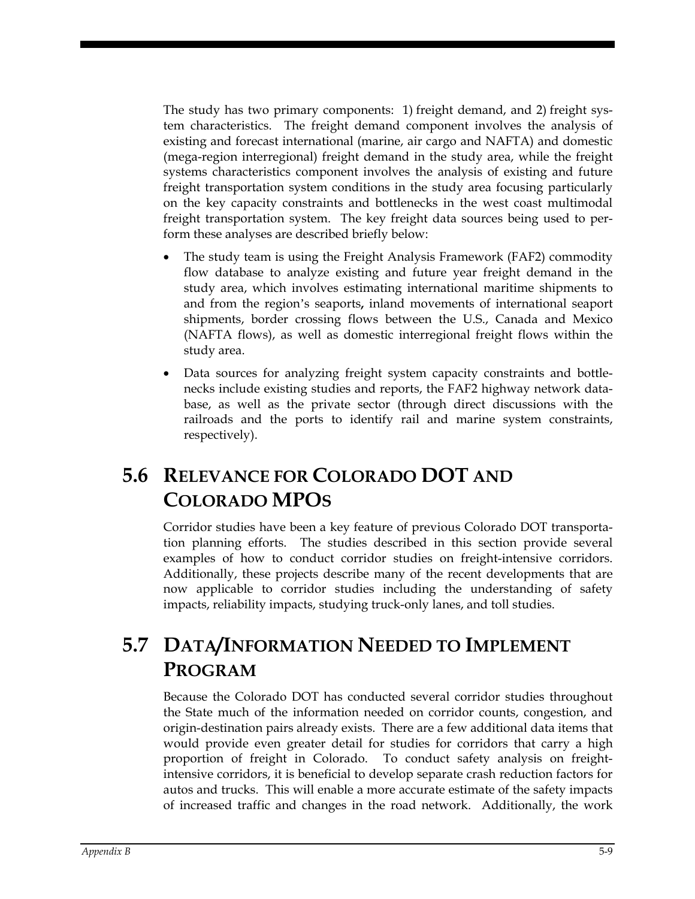The study has two primary components: 1) freight demand, and 2) freight system characteristics. The freight demand component involves the analysis of existing and forecast international (marine, air cargo and NAFTA) and domestic (mega-region interregional) freight demand in the study area, while the freight systems characteristics component involves the analysis of existing and future freight transportation system conditions in the study area focusing particularly on the key capacity constraints and bottlenecks in the west coast multimodal freight transportation system. The key freight data sources being used to perform these analyses are described briefly below:

- The study team is using the Freight Analysis Framework (FAF2) commodity flow database to analyze existing and future year freight demand in the study area, which involves estimating international maritime shipments to and from the region's seaports**,** inland movements of international seaport shipments, border crossing flows between the U.S., Canada and Mexico (NAFTA flows), as well as domestic interregional freight flows within the study area.
- Data sources for analyzing freight system capacity constraints and bottlenecks include existing studies and reports, the FAF2 highway network database, as well as the private sector (through direct discussions with the railroads and the ports to identify rail and marine system constraints, respectively).

# **5.6 RELEVANCE FOR COLORADO DOT AND COLORADO MPOS**

Corridor studies have been a key feature of previous Colorado DOT transportation planning efforts. The studies described in this section provide several examples of how to conduct corridor studies on freight-intensive corridors. Additionally, these projects describe many of the recent developments that are now applicable to corridor studies including the understanding of safety impacts, reliability impacts, studying truck-only lanes, and toll studies.

# **5.7 DATA/INFORMATION NEEDED TO IMPLEMENT PROGRAM**

Because the Colorado DOT has conducted several corridor studies throughout the State much of the information needed on corridor counts, congestion, and origin-destination pairs already exists. There are a few additional data items that would provide even greater detail for studies for corridors that carry a high proportion of freight in Colorado. To conduct safety analysis on freightintensive corridors, it is beneficial to develop separate crash reduction factors for autos and trucks. This will enable a more accurate estimate of the safety impacts of increased traffic and changes in the road network. Additionally, the work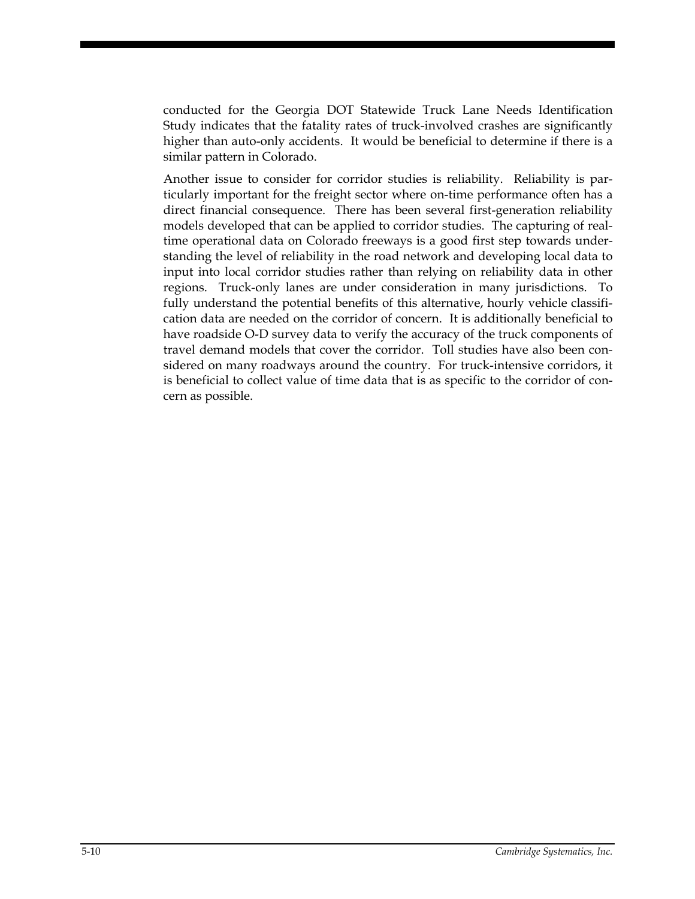conducted for the Georgia DOT Statewide Truck Lane Needs Identification Study indicates that the fatality rates of truck-involved crashes are significantly higher than auto-only accidents. It would be beneficial to determine if there is a similar pattern in Colorado.

Another issue to consider for corridor studies is reliability. Reliability is particularly important for the freight sector where on-time performance often has a direct financial consequence. There has been several first-generation reliability models developed that can be applied to corridor studies. The capturing of realtime operational data on Colorado freeways is a good first step towards understanding the level of reliability in the road network and developing local data to input into local corridor studies rather than relying on reliability data in other regions. Truck-only lanes are under consideration in many jurisdictions. To fully understand the potential benefits of this alternative, hourly vehicle classification data are needed on the corridor of concern. It is additionally beneficial to have roadside O-D survey data to verify the accuracy of the truck components of travel demand models that cover the corridor. Toll studies have also been considered on many roadways around the country. For truck-intensive corridors, it is beneficial to collect value of time data that is as specific to the corridor of concern as possible.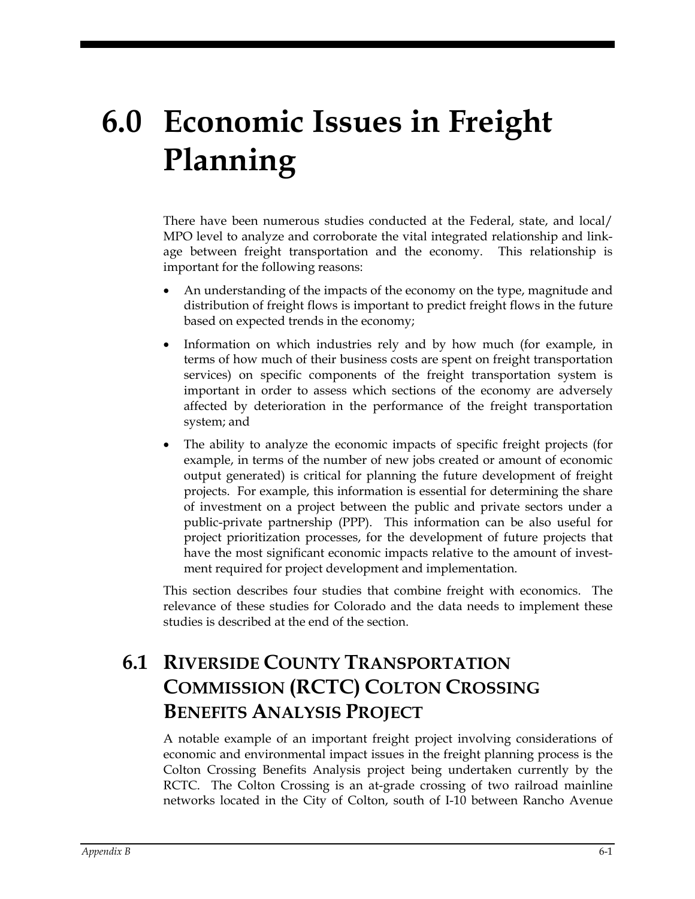# **6.0 Economic Issues in Freight Planning**

There have been numerous studies conducted at the Federal, state, and local/ MPO level to analyze and corroborate the vital integrated relationship and linkage between freight transportation and the economy. This relationship is important for the following reasons:

- An understanding of the impacts of the economy on the type, magnitude and distribution of freight flows is important to predict freight flows in the future based on expected trends in the economy;
- Information on which industries rely and by how much (for example, in terms of how much of their business costs are spent on freight transportation services) on specific components of the freight transportation system is important in order to assess which sections of the economy are adversely affected by deterioration in the performance of the freight transportation system; and
- The ability to analyze the economic impacts of specific freight projects (for example, in terms of the number of new jobs created or amount of economic output generated) is critical for planning the future development of freight projects. For example, this information is essential for determining the share of investment on a project between the public and private sectors under a public-private partnership (PPP). This information can be also useful for project prioritization processes, for the development of future projects that have the most significant economic impacts relative to the amount of investment required for project development and implementation.

This section describes four studies that combine freight with economics. The relevance of these studies for Colorado and the data needs to implement these studies is described at the end of the section.

# **6.1 RIVERSIDE COUNTY TRANSPORTATION COMMISSION (RCTC) COLTON CROSSING BENEFITS ANALYSIS PROJECT**

A notable example of an important freight project involving considerations of economic and environmental impact issues in the freight planning process is the Colton Crossing Benefits Analysis project being undertaken currently by the RCTC. The Colton Crossing is an at-grade crossing of two railroad mainline networks located in the City of Colton, south of I-10 between Rancho Avenue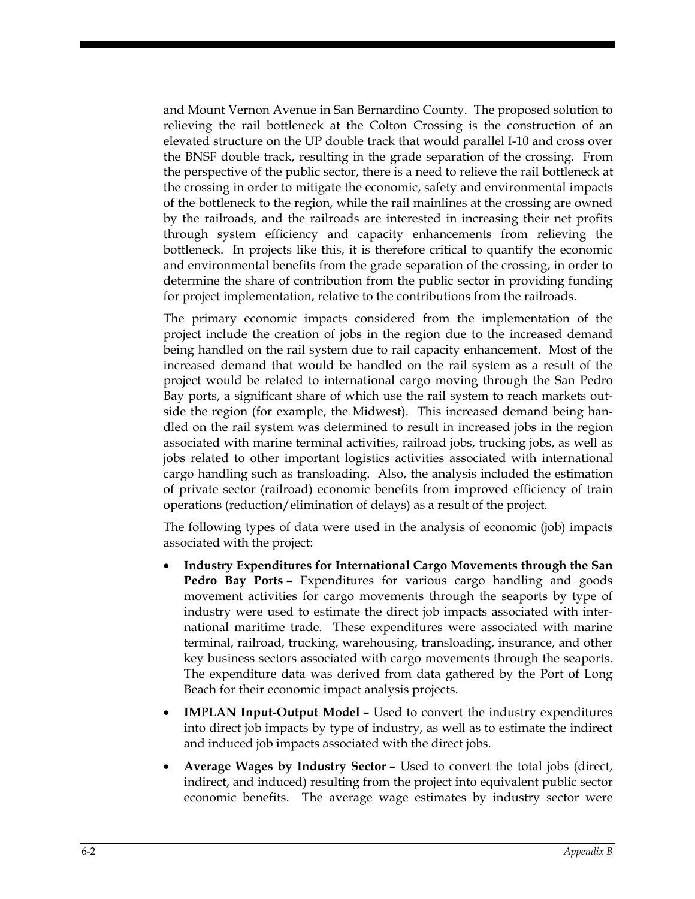and Mount Vernon Avenue in San Bernardino County. The proposed solution to relieving the rail bottleneck at the Colton Crossing is the construction of an elevated structure on the UP double track that would parallel I-10 and cross over the BNSF double track, resulting in the grade separation of the crossing. From the perspective of the public sector, there is a need to relieve the rail bottleneck at the crossing in order to mitigate the economic, safety and environmental impacts of the bottleneck to the region, while the rail mainlines at the crossing are owned by the railroads, and the railroads are interested in increasing their net profits through system efficiency and capacity enhancements from relieving the bottleneck. In projects like this, it is therefore critical to quantify the economic and environmental benefits from the grade separation of the crossing, in order to determine the share of contribution from the public sector in providing funding for project implementation, relative to the contributions from the railroads.

The primary economic impacts considered from the implementation of the project include the creation of jobs in the region due to the increased demand being handled on the rail system due to rail capacity enhancement. Most of the increased demand that would be handled on the rail system as a result of the project would be related to international cargo moving through the San Pedro Bay ports, a significant share of which use the rail system to reach markets outside the region (for example, the Midwest). This increased demand being handled on the rail system was determined to result in increased jobs in the region associated with marine terminal activities, railroad jobs, trucking jobs, as well as jobs related to other important logistics activities associated with international cargo handling such as transloading. Also, the analysis included the estimation of private sector (railroad) economic benefits from improved efficiency of train operations (reduction/elimination of delays) as a result of the project.

The following types of data were used in the analysis of economic (job) impacts associated with the project:

- **Industry Expenditures for International Cargo Movements through the San Pedro Bay Ports –** Expenditures for various cargo handling and goods movement activities for cargo movements through the seaports by type of industry were used to estimate the direct job impacts associated with international maritime trade. These expenditures were associated with marine terminal, railroad, trucking, warehousing, transloading, insurance, and other key business sectors associated with cargo movements through the seaports. The expenditure data was derived from data gathered by the Port of Long Beach for their economic impact analysis projects.
- **IMPLAN Input-Output Model** Used to convert the industry expenditures into direct job impacts by type of industry, as well as to estimate the indirect and induced job impacts associated with the direct jobs.
- **Average Wages by Industry Sector** Used to convert the total jobs (direct, indirect, and induced) resulting from the project into equivalent public sector economic benefits. The average wage estimates by industry sector were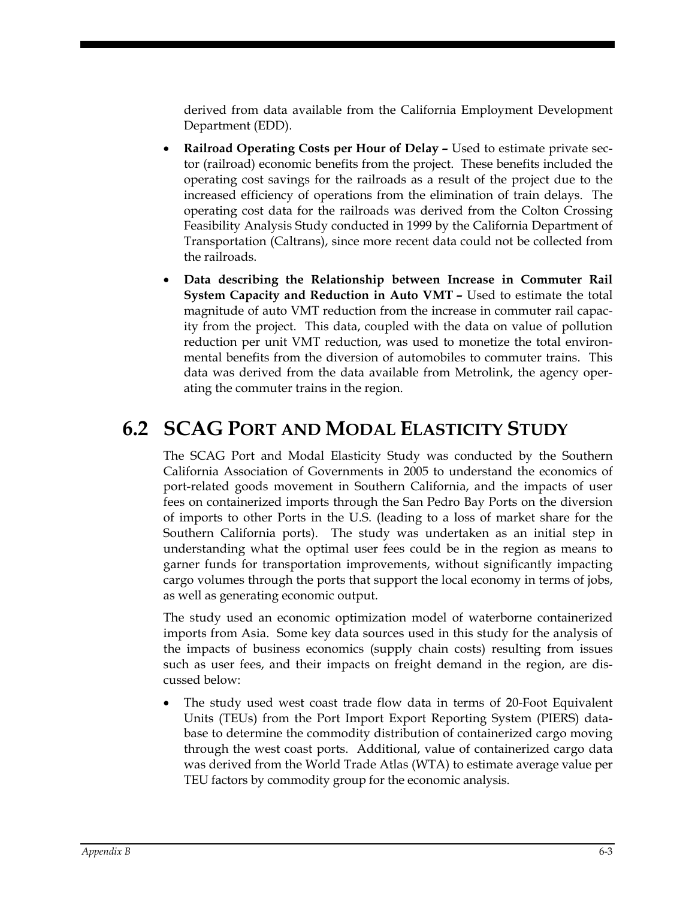derived from data available from the California Employment Development Department (EDD).

- **Railroad Operating Costs per Hour of Delay -** Used to estimate private sector (railroad) economic benefits from the project. These benefits included the operating cost savings for the railroads as a result of the project due to the increased efficiency of operations from the elimination of train delays. The operating cost data for the railroads was derived from the Colton Crossing Feasibility Analysis Study conducted in 1999 by the California Department of Transportation (Caltrans), since more recent data could not be collected from the railroads.
- **Data describing the Relationship between Increase in Commuter Rail System Capacity and Reduction in Auto VMT –** Used to estimate the total magnitude of auto VMT reduction from the increase in commuter rail capacity from the project. This data, coupled with the data on value of pollution reduction per unit VMT reduction, was used to monetize the total environmental benefits from the diversion of automobiles to commuter trains. This data was derived from the data available from Metrolink, the agency operating the commuter trains in the region.

## **6.2 SCAG PORT AND MODAL ELASTICITY STUDY**

The SCAG Port and Modal Elasticity Study was conducted by the Southern California Association of Governments in 2005 to understand the economics of port-related goods movement in Southern California, and the impacts of user fees on containerized imports through the San Pedro Bay Ports on the diversion of imports to other Ports in the U.S. (leading to a loss of market share for the Southern California ports). The study was undertaken as an initial step in understanding what the optimal user fees could be in the region as means to garner funds for transportation improvements, without significantly impacting cargo volumes through the ports that support the local economy in terms of jobs, as well as generating economic output.

The study used an economic optimization model of waterborne containerized imports from Asia. Some key data sources used in this study for the analysis of the impacts of business economics (supply chain costs) resulting from issues such as user fees, and their impacts on freight demand in the region, are discussed below:

• The study used west coast trade flow data in terms of 20-Foot Equivalent Units (TEUs) from the Port Import Export Reporting System (PIERS) database to determine the commodity distribution of containerized cargo moving through the west coast ports. Additional, value of containerized cargo data was derived from the World Trade Atlas (WTA) to estimate average value per TEU factors by commodity group for the economic analysis.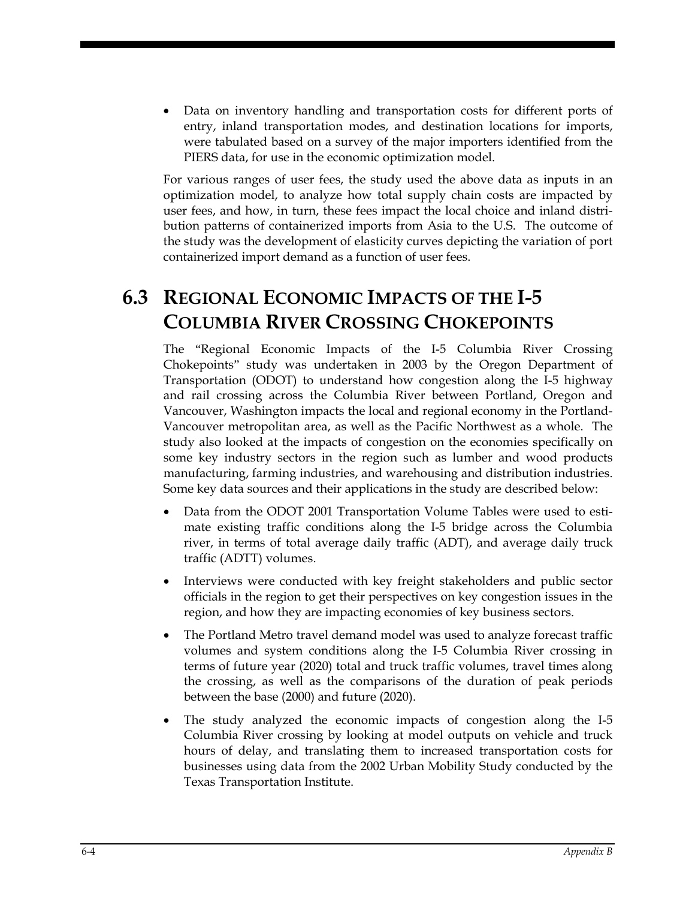• Data on inventory handling and transportation costs for different ports of entry, inland transportation modes, and destination locations for imports, were tabulated based on a survey of the major importers identified from the PIERS data, for use in the economic optimization model.

For various ranges of user fees, the study used the above data as inputs in an optimization model, to analyze how total supply chain costs are impacted by user fees, and how, in turn, these fees impact the local choice and inland distribution patterns of containerized imports from Asia to the U.S. The outcome of the study was the development of elasticity curves depicting the variation of port containerized import demand as a function of user fees.

# **6.3 REGIONAL ECONOMIC IMPACTS OF THE I-5 COLUMBIA RIVER CROSSING CHOKEPOINTS**

The "Regional Economic Impacts of the I-5 Columbia River Crossing Chokepoints" study was undertaken in 2003 by the Oregon Department of Transportation (ODOT) to understand how congestion along the I-5 highway and rail crossing across the Columbia River between Portland, Oregon and Vancouver, Washington impacts the local and regional economy in the Portland-Vancouver metropolitan area, as well as the Pacific Northwest as a whole. The study also looked at the impacts of congestion on the economies specifically on some key industry sectors in the region such as lumber and wood products manufacturing, farming industries, and warehousing and distribution industries. Some key data sources and their applications in the study are described below:

- Data from the ODOT 2001 Transportation Volume Tables were used to estimate existing traffic conditions along the I-5 bridge across the Columbia river, in terms of total average daily traffic (ADT), and average daily truck traffic (ADTT) volumes.
- Interviews were conducted with key freight stakeholders and public sector officials in the region to get their perspectives on key congestion issues in the region, and how they are impacting economies of key business sectors.
- The Portland Metro travel demand model was used to analyze forecast traffic volumes and system conditions along the I-5 Columbia River crossing in terms of future year (2020) total and truck traffic volumes, travel times along the crossing, as well as the comparisons of the duration of peak periods between the base (2000) and future (2020).
- The study analyzed the economic impacts of congestion along the I-5 Columbia River crossing by looking at model outputs on vehicle and truck hours of delay, and translating them to increased transportation costs for businesses using data from the 2002 Urban Mobility Study conducted by the Texas Transportation Institute.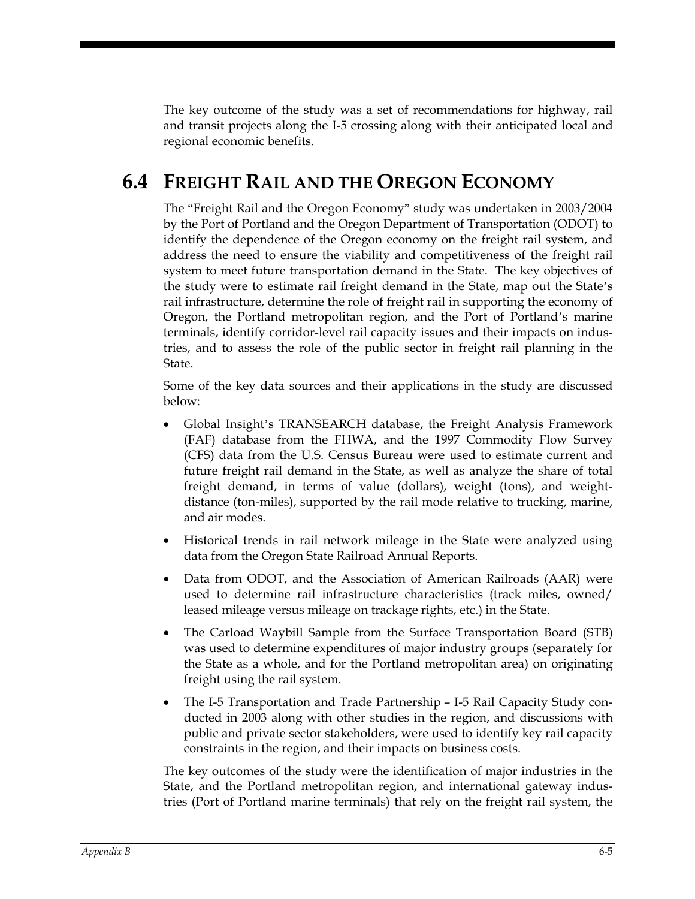The key outcome of the study was a set of recommendations for highway, rail and transit projects along the I-5 crossing along with their anticipated local and regional economic benefits.

## **6.4 FREIGHT RAIL AND THE OREGON ECONOMY**

The "Freight Rail and the Oregon Economy" study was undertaken in 2003/2004 by the Port of Portland and the Oregon Department of Transportation (ODOT) to identify the dependence of the Oregon economy on the freight rail system, and address the need to ensure the viability and competitiveness of the freight rail system to meet future transportation demand in the State. The key objectives of the study were to estimate rail freight demand in the State, map out the State's rail infrastructure, determine the role of freight rail in supporting the economy of Oregon, the Portland metropolitan region, and the Port of Portland's marine terminals, identify corridor-level rail capacity issues and their impacts on industries, and to assess the role of the public sector in freight rail planning in the State.

Some of the key data sources and their applications in the study are discussed below:

- Global Insight's TRANSEARCH database, the Freight Analysis Framework (FAF) database from the FHWA, and the 1997 Commodity Flow Survey (CFS) data from the U.S. Census Bureau were used to estimate current and future freight rail demand in the State, as well as analyze the share of total freight demand, in terms of value (dollars), weight (tons), and weightdistance (ton-miles), supported by the rail mode relative to trucking, marine, and air modes.
- Historical trends in rail network mileage in the State were analyzed using data from the Oregon State Railroad Annual Reports.
- Data from ODOT, and the Association of American Railroads (AAR) were used to determine rail infrastructure characteristics (track miles, owned/ leased mileage versus mileage on trackage rights, etc.) in the State.
- The Carload Waybill Sample from the Surface Transportation Board (STB) was used to determine expenditures of major industry groups (separately for the State as a whole, and for the Portland metropolitan area) on originating freight using the rail system.
- The I-5 Transportation and Trade Partnership I-5 Rail Capacity Study conducted in 2003 along with other studies in the region, and discussions with public and private sector stakeholders, were used to identify key rail capacity constraints in the region, and their impacts on business costs.

The key outcomes of the study were the identification of major industries in the State, and the Portland metropolitan region, and international gateway industries (Port of Portland marine terminals) that rely on the freight rail system, the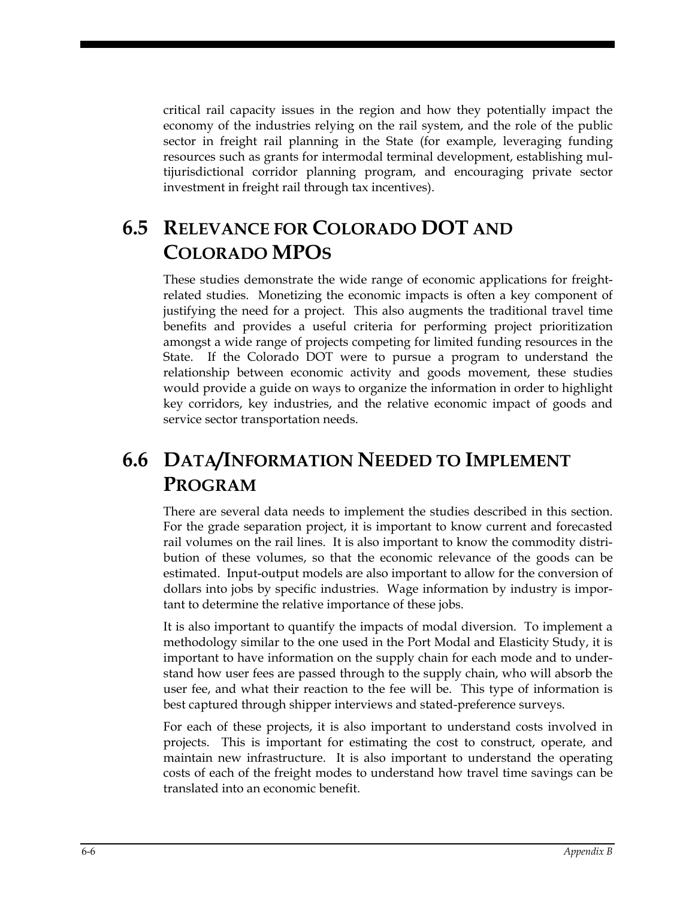critical rail capacity issues in the region and how they potentially impact the economy of the industries relying on the rail system, and the role of the public sector in freight rail planning in the State (for example, leveraging funding resources such as grants for intermodal terminal development, establishing multijurisdictional corridor planning program, and encouraging private sector investment in freight rail through tax incentives).

# **6.5 RELEVANCE FOR COLORADO DOT AND COLORADO MPOS**

These studies demonstrate the wide range of economic applications for freightrelated studies. Monetizing the economic impacts is often a key component of justifying the need for a project. This also augments the traditional travel time benefits and provides a useful criteria for performing project prioritization amongst a wide range of projects competing for limited funding resources in the State. If the Colorado DOT were to pursue a program to understand the relationship between economic activity and goods movement, these studies would provide a guide on ways to organize the information in order to highlight key corridors, key industries, and the relative economic impact of goods and service sector transportation needs.

# **6.6 DATA/INFORMATION NEEDED TO IMPLEMENT PROGRAM**

There are several data needs to implement the studies described in this section. For the grade separation project, it is important to know current and forecasted rail volumes on the rail lines. It is also important to know the commodity distribution of these volumes, so that the economic relevance of the goods can be estimated. Input-output models are also important to allow for the conversion of dollars into jobs by specific industries. Wage information by industry is important to determine the relative importance of these jobs.

It is also important to quantify the impacts of modal diversion. To implement a methodology similar to the one used in the Port Modal and Elasticity Study, it is important to have information on the supply chain for each mode and to understand how user fees are passed through to the supply chain, who will absorb the user fee, and what their reaction to the fee will be. This type of information is best captured through shipper interviews and stated-preference surveys.

For each of these projects, it is also important to understand costs involved in projects. This is important for estimating the cost to construct, operate, and maintain new infrastructure. It is also important to understand the operating costs of each of the freight modes to understand how travel time savings can be translated into an economic benefit.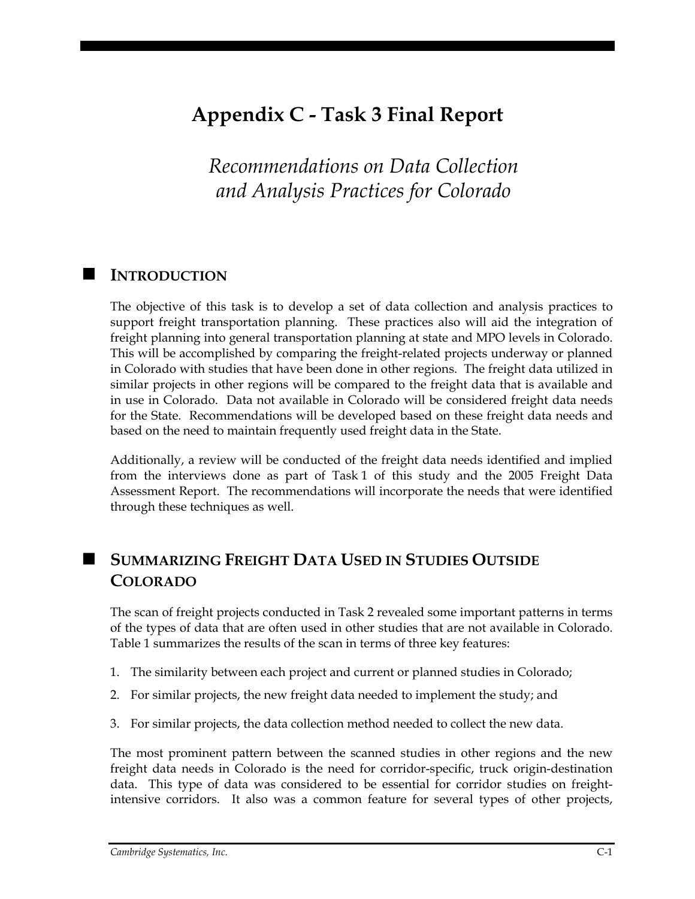# **Appendix C - Task 3 Final Report**

*Recommendations on Data Collection and Analysis Practices for Colorado*

### **INTRODUCTION**

The objective of this task is to develop a set of data collection and analysis practices to support freight transportation planning. These practices also will aid the integration of freight planning into general transportation planning at state and MPO levels in Colorado. This will be accomplished by comparing the freight-related projects underway or planned in Colorado with studies that have been done in other regions. The freight data utilized in similar projects in other regions will be compared to the freight data that is available and in use in Colorado. Data not available in Colorado will be considered freight data needs for the State. Recommendations will be developed based on these freight data needs and based on the need to maintain frequently used freight data in the State.

Additionally, a review will be conducted of the freight data needs identified and implied from the interviews done as part of Task 1 of this study and the 2005 Freight Data Assessment Report. The recommendations will incorporate the needs that were identified through these techniques as well.

### **SUMMARIZING FREIGHT DATA USED IN STUDIES OUTSIDE COLORADO**

The scan of freight projects conducted in Task 2 revealed some important patterns in terms of the types of data that are often used in other studies that are not available in Colorado. Table 1 summarizes the results of the scan in terms of three key features:

- 1. The similarity between each project and current or planned studies in Colorado;
- 2. For similar projects, the new freight data needed to implement the study; and
- 3. For similar projects, the data collection method needed to collect the new data.

The most prominent pattern between the scanned studies in other regions and the new freight data needs in Colorado is the need for corridor-specific, truck origin-destination data. This type of data was considered to be essential for corridor studies on freightintensive corridors. It also was a common feature for several types of other projects,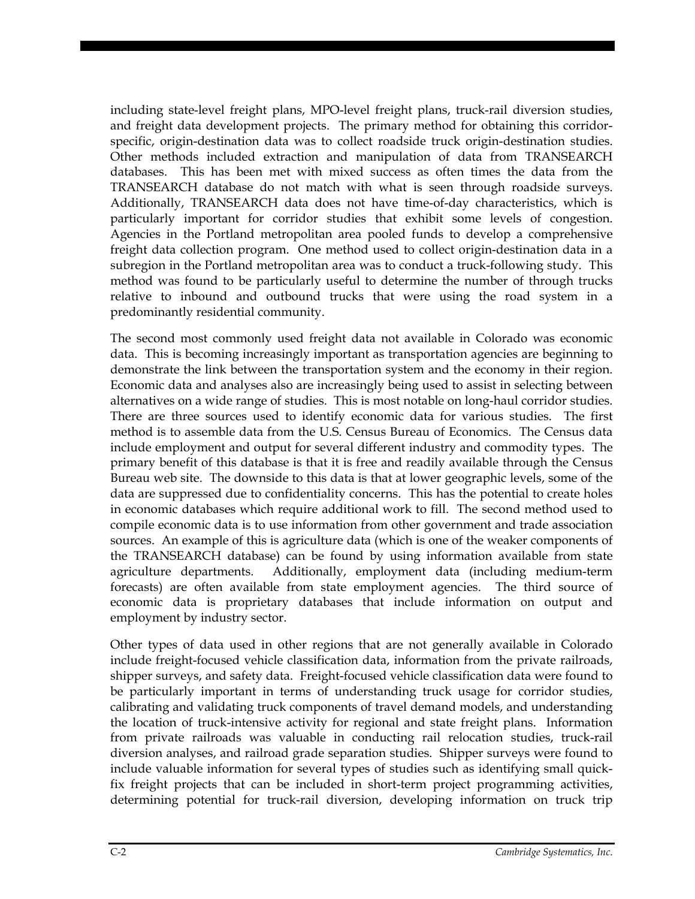including state-level freight plans, MPO-level freight plans, truck-rail diversion studies, and freight data development projects. The primary method for obtaining this corridorspecific, origin-destination data was to collect roadside truck origin-destination studies. Other methods included extraction and manipulation of data from TRANSEARCH databases. This has been met with mixed success as often times the data from the TRANSEARCH database do not match with what is seen through roadside surveys. Additionally, TRANSEARCH data does not have time-of-day characteristics, which is particularly important for corridor studies that exhibit some levels of congestion. Agencies in the Portland metropolitan area pooled funds to develop a comprehensive freight data collection program. One method used to collect origin-destination data in a subregion in the Portland metropolitan area was to conduct a truck-following study. This method was found to be particularly useful to determine the number of through trucks relative to inbound and outbound trucks that were using the road system in a predominantly residential community.

The second most commonly used freight data not available in Colorado was economic data. This is becoming increasingly important as transportation agencies are beginning to demonstrate the link between the transportation system and the economy in their region. Economic data and analyses also are increasingly being used to assist in selecting between alternatives on a wide range of studies. This is most notable on long-haul corridor studies. There are three sources used to identify economic data for various studies. The first method is to assemble data from the U.S. Census Bureau of Economics. The Census data include employment and output for several different industry and commodity types. The primary benefit of this database is that it is free and readily available through the Census Bureau web site. The downside to this data is that at lower geographic levels, some of the data are suppressed due to confidentiality concerns. This has the potential to create holes in economic databases which require additional work to fill. The second method used to compile economic data is to use information from other government and trade association sources. An example of this is agriculture data (which is one of the weaker components of the TRANSEARCH database) can be found by using information available from state agriculture departments. Additionally, employment data (including medium-term forecasts) are often available from state employment agencies. The third source of economic data is proprietary databases that include information on output and employment by industry sector.

Other types of data used in other regions that are not generally available in Colorado include freight-focused vehicle classification data, information from the private railroads, shipper surveys, and safety data. Freight-focused vehicle classification data were found to be particularly important in terms of understanding truck usage for corridor studies, calibrating and validating truck components of travel demand models, and understanding the location of truck-intensive activity for regional and state freight plans. Information from private railroads was valuable in conducting rail relocation studies, truck-rail diversion analyses, and railroad grade separation studies. Shipper surveys were found to include valuable information for several types of studies such as identifying small quickfix freight projects that can be included in short-term project programming activities, determining potential for truck-rail diversion, developing information on truck trip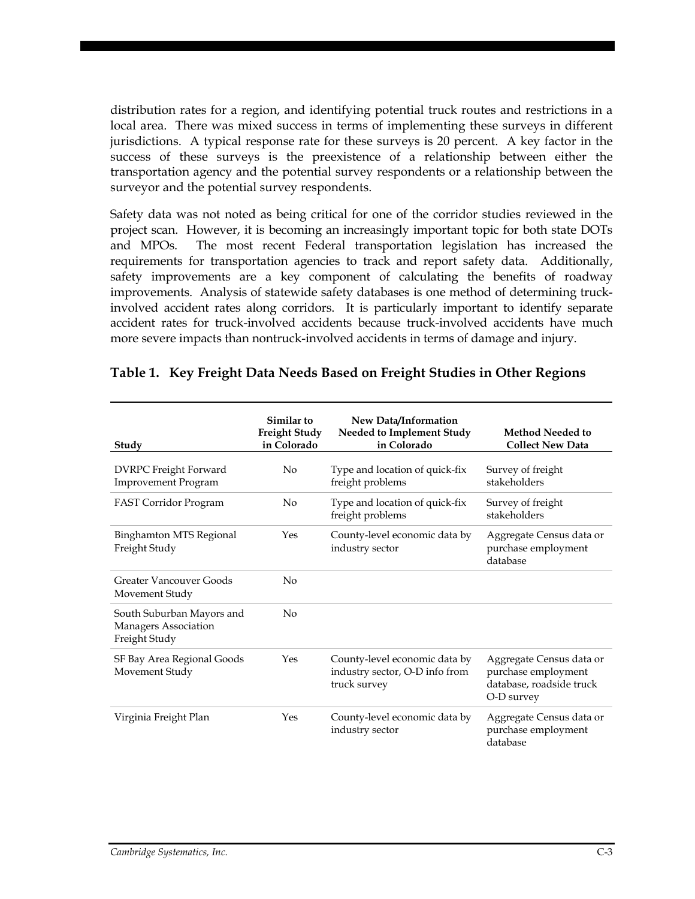distribution rates for a region, and identifying potential truck routes and restrictions in a local area. There was mixed success in terms of implementing these surveys in different jurisdictions. A typical response rate for these surveys is 20 percent. A key factor in the success of these surveys is the preexistence of a relationship between either the transportation agency and the potential survey respondents or a relationship between the surveyor and the potential survey respondents.

Safety data was not noted as being critical for one of the corridor studies reviewed in the project scan. However, it is becoming an increasingly important topic for both state DOTs and MPOs. The most recent Federal transportation legislation has increased the requirements for transportation agencies to track and report safety data. Additionally, safety improvements are a key component of calculating the benefits of roadway improvements. Analysis of statewide safety databases is one method of determining truckinvolved accident rates along corridors. It is particularly important to identify separate accident rates for truck-involved accidents because truck-involved accidents have much more severe impacts than nontruck-involved accidents in terms of damage and injury.

| Study                                                              | Similar to<br><b>Freight Study</b><br>in Colorado | New Data/Information<br>Needed to Implement Study<br>in Colorado                | <b>Method Needed to</b><br><b>Collect New Data</b>                                        |
|--------------------------------------------------------------------|---------------------------------------------------|---------------------------------------------------------------------------------|-------------------------------------------------------------------------------------------|
| <b>DVRPC</b> Freight Forward<br><b>Improvement Program</b>         | No                                                | Type and location of quick-fix<br>freight problems                              | Survey of freight<br>stakeholders                                                         |
| FAST Corridor Program                                              | No                                                | Type and location of quick-fix<br>freight problems                              | Survey of freight<br>stakeholders                                                         |
| <b>Binghamton MTS Regional</b><br>Freight Study                    | Yes                                               | County-level economic data by<br>industry sector                                | Aggregate Census data or<br>purchase employment<br>database                               |
| <b>Greater Vancouver Goods</b><br>Movement Study                   | $\overline{N}$                                    |                                                                                 |                                                                                           |
| South Suburban Mayors and<br>Managers Association<br>Freight Study | No                                                |                                                                                 |                                                                                           |
| SF Bay Area Regional Goods<br>Movement Study                       | Yes                                               | County-level economic data by<br>industry sector, O-D info from<br>truck survey | Aggregate Census data or<br>purchase employment<br>database, roadside truck<br>O-D survey |
| Virginia Freight Plan                                              | Yes                                               | County-level economic data by<br>industry sector                                | Aggregate Census data or<br>purchase employment<br>database                               |

#### **Table 1. Key Freight Data Needs Based on Freight Studies in Other Regions**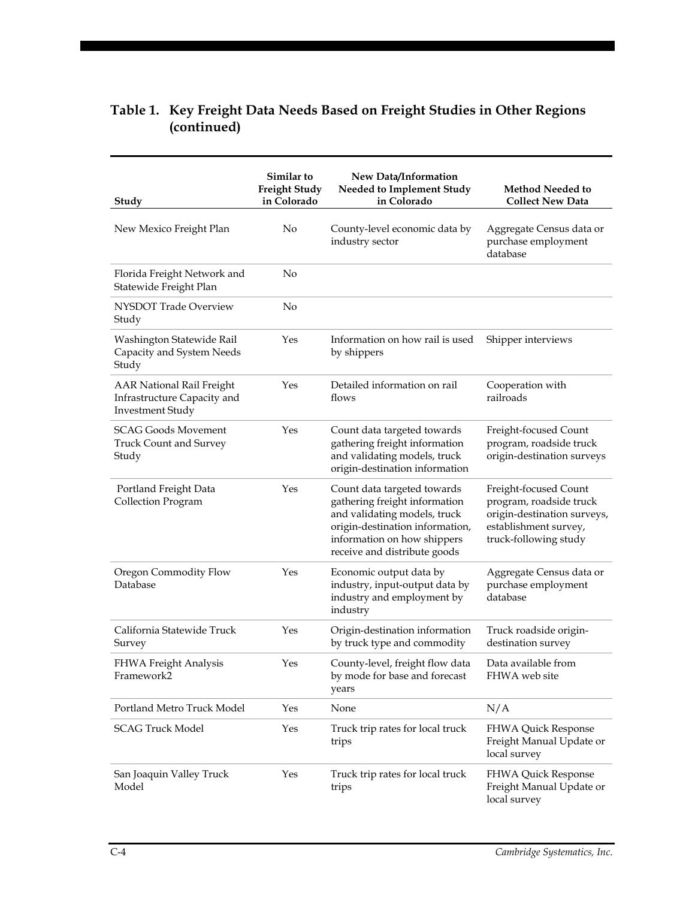| Study                                                                                      | Similar to<br><b>Freight Study</b><br>in Colorado | New Data/Information<br>Needed to Implement Study<br>in Colorado                                                                                                                               | <b>Method Needed to</b><br><b>Collect New Data</b>                                                                                |
|--------------------------------------------------------------------------------------------|---------------------------------------------------|------------------------------------------------------------------------------------------------------------------------------------------------------------------------------------------------|-----------------------------------------------------------------------------------------------------------------------------------|
| New Mexico Freight Plan                                                                    | No                                                | County-level economic data by<br>industry sector                                                                                                                                               | Aggregate Census data or<br>purchase employment<br>database                                                                       |
| Florida Freight Network and<br>Statewide Freight Plan                                      | No                                                |                                                                                                                                                                                                |                                                                                                                                   |
| NYSDOT Trade Overview<br>Study                                                             | No                                                |                                                                                                                                                                                                |                                                                                                                                   |
| Washington Statewide Rail<br>Capacity and System Needs<br>Study                            | Yes                                               | Information on how rail is used<br>by shippers                                                                                                                                                 | Shipper interviews                                                                                                                |
| <b>AAR National Rail Freight</b><br>Infrastructure Capacity and<br><b>Investment Study</b> | Yes                                               | Detailed information on rail<br>flows                                                                                                                                                          | Cooperation with<br>railroads                                                                                                     |
| <b>SCAG Goods Movement</b><br><b>Truck Count and Survey</b><br>Study                       | Yes                                               | Count data targeted towards<br>gathering freight information<br>and validating models, truck<br>origin-destination information                                                                 | Freight-focused Count<br>program, roadside truck<br>origin-destination surveys                                                    |
| Portland Freight Data<br><b>Collection Program</b>                                         | Yes                                               | Count data targeted towards<br>gathering freight information<br>and validating models, truck<br>origin-destination information,<br>information on how shippers<br>receive and distribute goods | Freight-focused Count<br>program, roadside truck<br>origin-destination surveys,<br>establishment survey,<br>truck-following study |
| Oregon Commodity Flow<br>Database                                                          | Yes                                               | Economic output data by<br>industry, input-output data by<br>industry and employment by<br>industry                                                                                            | Aggregate Census data or<br>purchase employment<br>database                                                                       |
| California Statewide Truck<br>Survey                                                       | Yes                                               | Origin-destination information<br>by truck type and commodity                                                                                                                                  | Truck roadside origin-<br>destination survey                                                                                      |
| <b>FHWA Freight Analysis</b><br>Framework2                                                 | Yes                                               | County-level, freight flow data<br>by mode for base and forecast<br>years                                                                                                                      | Data available from<br>FHWA web site                                                                                              |
| Portland Metro Truck Model                                                                 | Yes                                               | None                                                                                                                                                                                           | N/A                                                                                                                               |
| <b>SCAG Truck Model</b>                                                                    | Yes                                               | Truck trip rates for local truck<br>trips                                                                                                                                                      | FHWA Quick Response<br>Freight Manual Update or<br>local survey                                                                   |
| San Joaquin Valley Truck<br>Model                                                          | Yes                                               | Truck trip rates for local truck<br>trips                                                                                                                                                      | FHWA Quick Response<br>Freight Manual Update or<br>local survey                                                                   |

## **Table 1. Key Freight Data Needs Based on Freight Studies in Other Regions (continued)**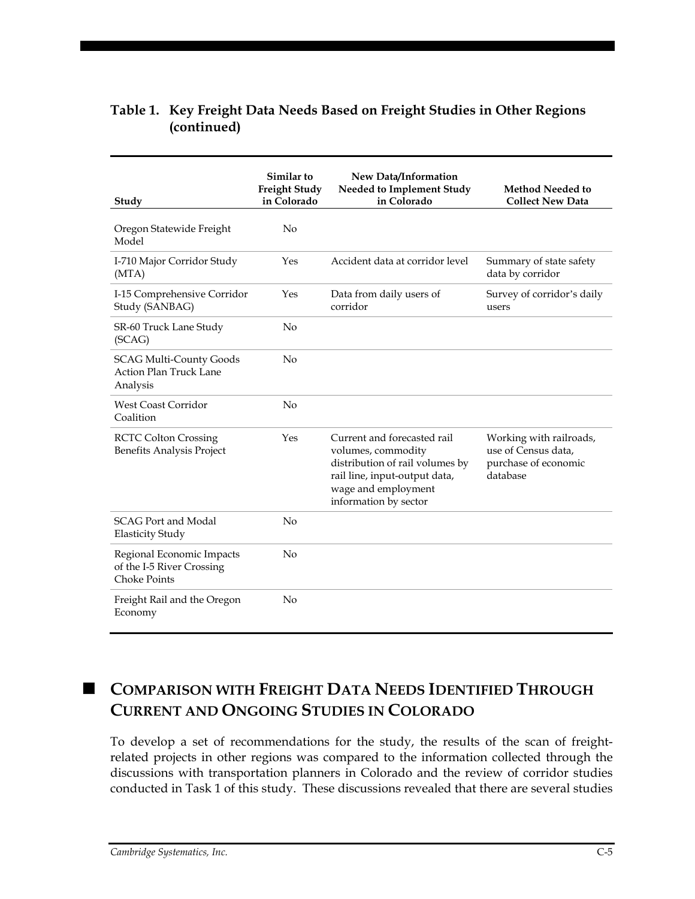| Study                                                                         | Similar to<br><b>Freight Study</b><br>in Colorado | New Data/Information<br>Needed to Implement Study<br>in Colorado                                                                                                      | Method Needed to<br><b>Collect New Data</b>                                        |
|-------------------------------------------------------------------------------|---------------------------------------------------|-----------------------------------------------------------------------------------------------------------------------------------------------------------------------|------------------------------------------------------------------------------------|
| Oregon Statewide Freight<br>Model                                             | No                                                |                                                                                                                                                                       |                                                                                    |
| I-710 Major Corridor Study<br>(MTA)                                           | Yes                                               | Accident data at corridor level                                                                                                                                       | Summary of state safety<br>data by corridor                                        |
| I-15 Comprehensive Corridor<br>Study (SANBAG)                                 | Yes                                               | Data from daily users of<br>corridor                                                                                                                                  | Survey of corridor's daily<br>users                                                |
| SR-60 Truck Lane Study<br>(SCAG)                                              | No                                                |                                                                                                                                                                       |                                                                                    |
| <b>SCAG Multi-County Goods</b><br><b>Action Plan Truck Lane</b><br>Analysis   | No                                                |                                                                                                                                                                       |                                                                                    |
| <b>West Coast Corridor</b><br>Coalition                                       | No                                                |                                                                                                                                                                       |                                                                                    |
| <b>RCTC Colton Crossing</b><br>Benefits Analysis Project                      | Yes                                               | Current and forecasted rail<br>volumes, commodity<br>distribution of rail volumes by<br>rail line, input-output data,<br>wage and employment<br>information by sector | Working with railroads,<br>use of Census data,<br>purchase of economic<br>database |
| <b>SCAG Port and Modal</b><br><b>Elasticity Study</b>                         | No                                                |                                                                                                                                                                       |                                                                                    |
| Regional Economic Impacts<br>of the I-5 River Crossing<br><b>Choke Points</b> | No                                                |                                                                                                                                                                       |                                                                                    |
| Freight Rail and the Oregon<br>Economy                                        | $\overline{N}$                                    |                                                                                                                                                                       |                                                                                    |

## **Table 1. Key Freight Data Needs Based on Freight Studies in Other Regions (continued)**

# **COMPARISON WITH FREIGHT DATA NEEDS IDENTIFIED THROUGH CURRENT AND ONGOING STUDIES IN COLORADO**

To develop a set of recommendations for the study, the results of the scan of freightrelated projects in other regions was compared to the information collected through the discussions with transportation planners in Colorado and the review of corridor studies conducted in Task 1 of this study. These discussions revealed that there are several studies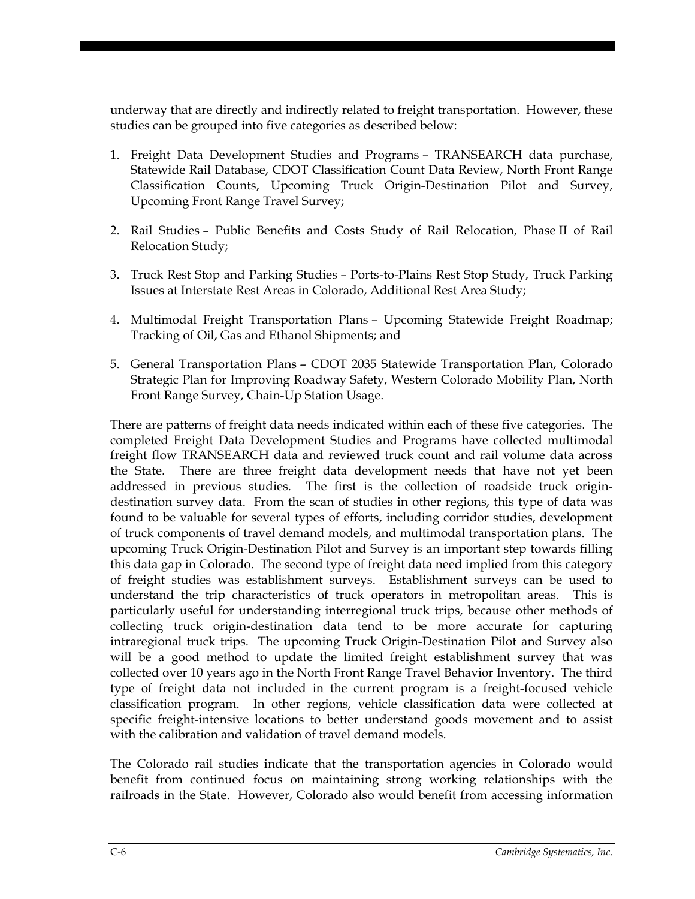underway that are directly and indirectly related to freight transportation. However, these studies can be grouped into five categories as described below:

- 1. Freight Data Development Studies and Programs TRANSEARCH data purchase, Statewide Rail Database, CDOT Classification Count Data Review, North Front Range Classification Counts, Upcoming Truck Origin-Destination Pilot and Survey, Upcoming Front Range Travel Survey;
- 2. Rail Studies Public Benefits and Costs Study of Rail Relocation, Phase II of Rail Relocation Study;
- 3. Truck Rest Stop and Parking Studies Ports-to-Plains Rest Stop Study, Truck Parking Issues at Interstate Rest Areas in Colorado, Additional Rest Area Study;
- 4. Multimodal Freight Transportation Plans Upcoming Statewide Freight Roadmap; Tracking of Oil, Gas and Ethanol Shipments; and
- 5. General Transportation Plans CDOT 2035 Statewide Transportation Plan, Colorado Strategic Plan for Improving Roadway Safety, Western Colorado Mobility Plan, North Front Range Survey, Chain-Up Station Usage.

There are patterns of freight data needs indicated within each of these five categories. The completed Freight Data Development Studies and Programs have collected multimodal freight flow TRANSEARCH data and reviewed truck count and rail volume data across the State. There are three freight data development needs that have not yet been addressed in previous studies. The first is the collection of roadside truck origindestination survey data. From the scan of studies in other regions, this type of data was found to be valuable for several types of efforts, including corridor studies, development of truck components of travel demand models, and multimodal transportation plans. The upcoming Truck Origin-Destination Pilot and Survey is an important step towards filling this data gap in Colorado. The second type of freight data need implied from this category of freight studies was establishment surveys. Establishment surveys can be used to understand the trip characteristics of truck operators in metropolitan areas. This is particularly useful for understanding interregional truck trips, because other methods of collecting truck origin-destination data tend to be more accurate for capturing intraregional truck trips. The upcoming Truck Origin-Destination Pilot and Survey also will be a good method to update the limited freight establishment survey that was collected over 10 years ago in the North Front Range Travel Behavior Inventory. The third type of freight data not included in the current program is a freight-focused vehicle classification program. In other regions, vehicle classification data were collected at specific freight-intensive locations to better understand goods movement and to assist with the calibration and validation of travel demand models.

The Colorado rail studies indicate that the transportation agencies in Colorado would benefit from continued focus on maintaining strong working relationships with the railroads in the State. However, Colorado also would benefit from accessing information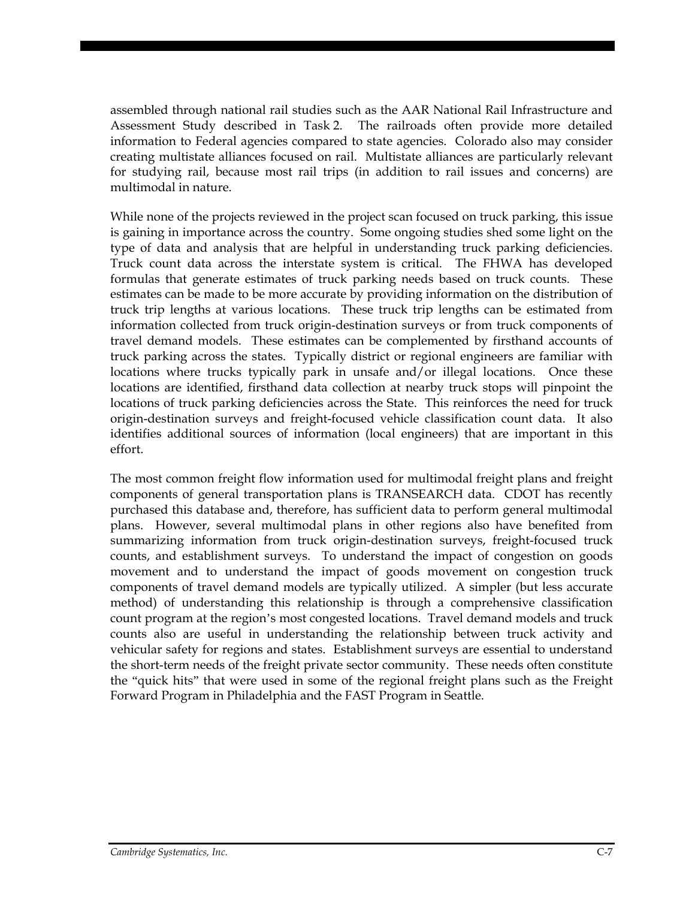assembled through national rail studies such as the AAR National Rail Infrastructure and Assessment Study described in Task 2. The railroads often provide more detailed information to Federal agencies compared to state agencies. Colorado also may consider creating multistate alliances focused on rail. Multistate alliances are particularly relevant for studying rail, because most rail trips (in addition to rail issues and concerns) are multimodal in nature.

While none of the projects reviewed in the project scan focused on truck parking, this issue is gaining in importance across the country. Some ongoing studies shed some light on the type of data and analysis that are helpful in understanding truck parking deficiencies. Truck count data across the interstate system is critical. The FHWA has developed formulas that generate estimates of truck parking needs based on truck counts. These estimates can be made to be more accurate by providing information on the distribution of truck trip lengths at various locations. These truck trip lengths can be estimated from information collected from truck origin-destination surveys or from truck components of travel demand models. These estimates can be complemented by firsthand accounts of truck parking across the states. Typically district or regional engineers are familiar with locations where trucks typically park in unsafe and/or illegal locations. Once these locations are identified, firsthand data collection at nearby truck stops will pinpoint the locations of truck parking deficiencies across the State. This reinforces the need for truck origin-destination surveys and freight-focused vehicle classification count data. It also identifies additional sources of information (local engineers) that are important in this effort.

The most common freight flow information used for multimodal freight plans and freight components of general transportation plans is TRANSEARCH data. CDOT has recently purchased this database and, therefore, has sufficient data to perform general multimodal plans. However, several multimodal plans in other regions also have benefited from summarizing information from truck origin-destination surveys, freight-focused truck counts, and establishment surveys. To understand the impact of congestion on goods movement and to understand the impact of goods movement on congestion truck components of travel demand models are typically utilized. A simpler (but less accurate method) of understanding this relationship is through a comprehensive classification count program at the region's most congested locations. Travel demand models and truck counts also are useful in understanding the relationship between truck activity and vehicular safety for regions and states. Establishment surveys are essential to understand the short-term needs of the freight private sector community. These needs often constitute the "quick hits" that were used in some of the regional freight plans such as the Freight Forward Program in Philadelphia and the FAST Program in Seattle.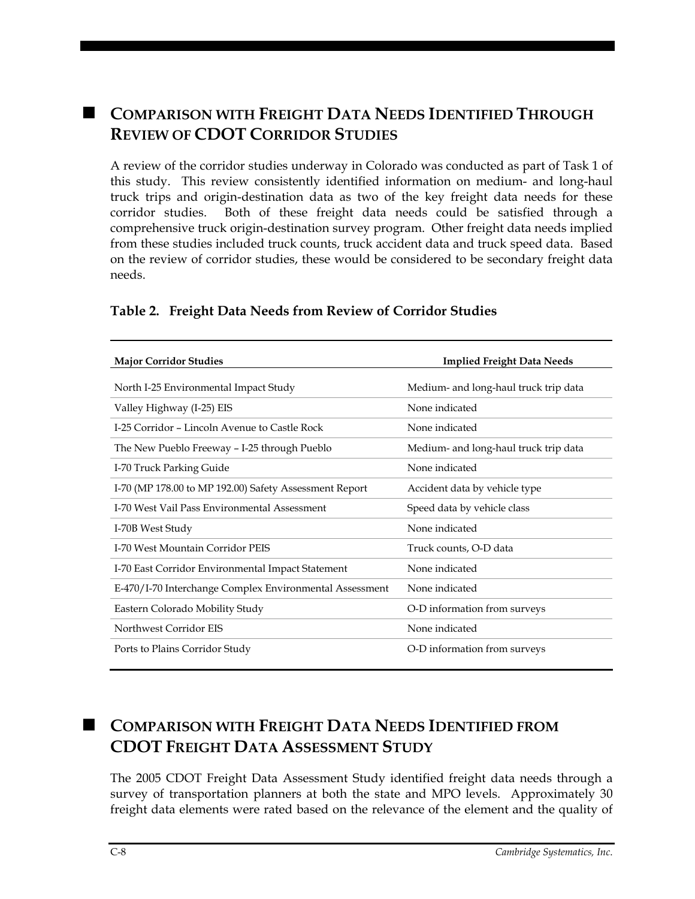# **COMPARISON WITH FREIGHT DATA NEEDS IDENTIFIED THROUGH REVIEW OF CDOT CORRIDOR STUDIES**

A review of the corridor studies underway in Colorado was conducted as part of Task 1 of this study. This review consistently identified information on medium- and long-haul truck trips and origin-destination data as two of the key freight data needs for these corridor studies. Both of these freight data needs could be satisfied through a comprehensive truck origin-destination survey program. Other freight data needs implied from these studies included truck counts, truck accident data and truck speed data. Based on the review of corridor studies, these would be considered to be secondary freight data needs.

| <b>Major Corridor Studies</b>                           | <b>Implied Freight Data Needs</b>     |
|---------------------------------------------------------|---------------------------------------|
| North I-25 Environmental Impact Study                   | Medium- and long-haul truck trip data |
| Valley Highway (I-25) EIS                               | None indicated                        |
| I-25 Corridor - Lincoln Avenue to Castle Rock           | None indicated                        |
| The New Pueblo Freeway - I-25 through Pueblo            | Medium- and long-haul truck trip data |
| I-70 Truck Parking Guide                                | None indicated                        |
| I-70 (MP 178.00 to MP 192.00) Safety Assessment Report  | Accident data by vehicle type         |
| L-70 West Vail Pass Environmental Assessment            | Speed data by vehicle class           |
| I-70B West Study                                        | None indicated                        |
| <b>I-70 West Mountain Corridor PEIS</b>                 | Truck counts, O-D data                |
| I-70 East Corridor Environmental Impact Statement       | None indicated                        |
| E-470/I-70 Interchange Complex Environmental Assessment | None indicated                        |
| Eastern Colorado Mobility Study                         | O-D information from surveys          |
| Northwest Corridor EIS                                  | None indicated                        |
| Ports to Plains Corridor Study                          | O-D information from surveys          |

## **Table 2. Freight Data Needs from Review of Corridor Studies**

# **COMPARISON WITH FREIGHT DATA NEEDS IDENTIFIED FROM CDOT FREIGHT DATA ASSESSMENT STUDY**

The 2005 CDOT Freight Data Assessment Study identified freight data needs through a survey of transportation planners at both the state and MPO levels. Approximately 30 freight data elements were rated based on the relevance of the element and the quality of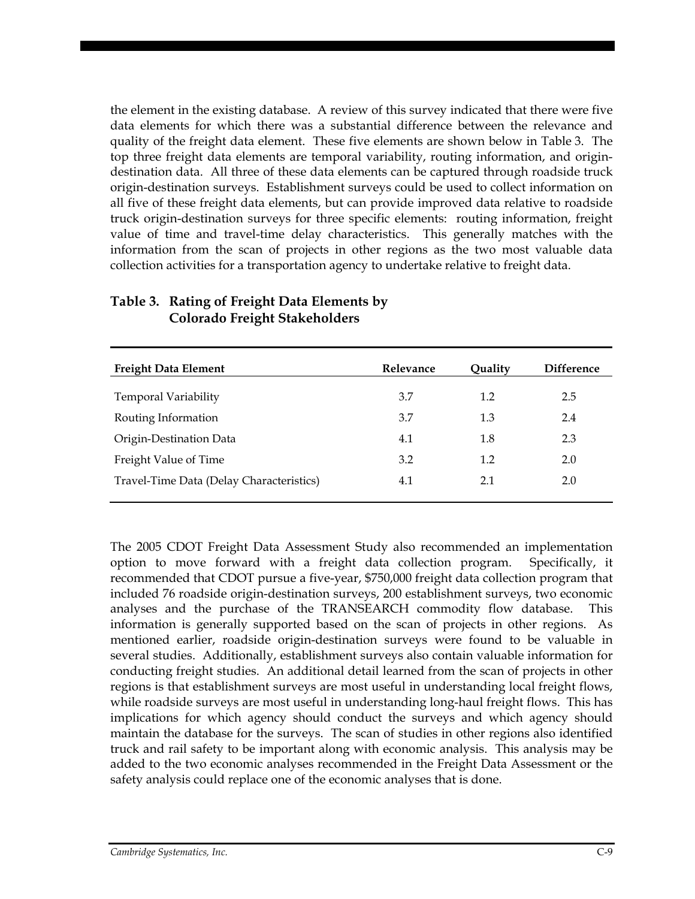the element in the existing database. A review of this survey indicated that there were five data elements for which there was a substantial difference between the relevance and quality of the freight data element. These five elements are shown below in Table 3. The top three freight data elements are temporal variability, routing information, and origindestination data. All three of these data elements can be captured through roadside truck origin-destination surveys. Establishment surveys could be used to collect information on all five of these freight data elements, but can provide improved data relative to roadside truck origin-destination surveys for three specific elements: routing information, freight value of time and travel-time delay characteristics. This generally matches with the information from the scan of projects in other regions as the two most valuable data collection activities for a transportation agency to undertake relative to freight data.

| <b>Freight Data Element</b>              | Relevance | Ouality | <b>Difference</b> |
|------------------------------------------|-----------|---------|-------------------|
| <b>Temporal Variability</b>              | 3.7       | 1.2     | 2.5               |
| Routing Information                      | 3.7       | 1.3     | 2.4               |
| Origin-Destination Data                  | 4.1       | 1.8     | 2.3               |
| Freight Value of Time                    | 3.2       | 1.2     | 2.0               |
| Travel-Time Data (Delay Characteristics) | 4.1       | 2.1     | 2.0               |

## **Table 3. Rating of Freight Data Elements by Colorado Freight Stakeholders**

The 2005 CDOT Freight Data Assessment Study also recommended an implementation option to move forward with a freight data collection program. Specifically, it recommended that CDOT pursue a five-year, \$750,000 freight data collection program that included 76 roadside origin-destination surveys, 200 establishment surveys, two economic analyses and the purchase of the TRANSEARCH commodity flow database. This information is generally supported based on the scan of projects in other regions. As mentioned earlier, roadside origin-destination surveys were found to be valuable in several studies. Additionally, establishment surveys also contain valuable information for conducting freight studies. An additional detail learned from the scan of projects in other regions is that establishment surveys are most useful in understanding local freight flows, while roadside surveys are most useful in understanding long-haul freight flows. This has implications for which agency should conduct the surveys and which agency should maintain the database for the surveys. The scan of studies in other regions also identified truck and rail safety to be important along with economic analysis. This analysis may be added to the two economic analyses recommended in the Freight Data Assessment or the safety analysis could replace one of the economic analyses that is done.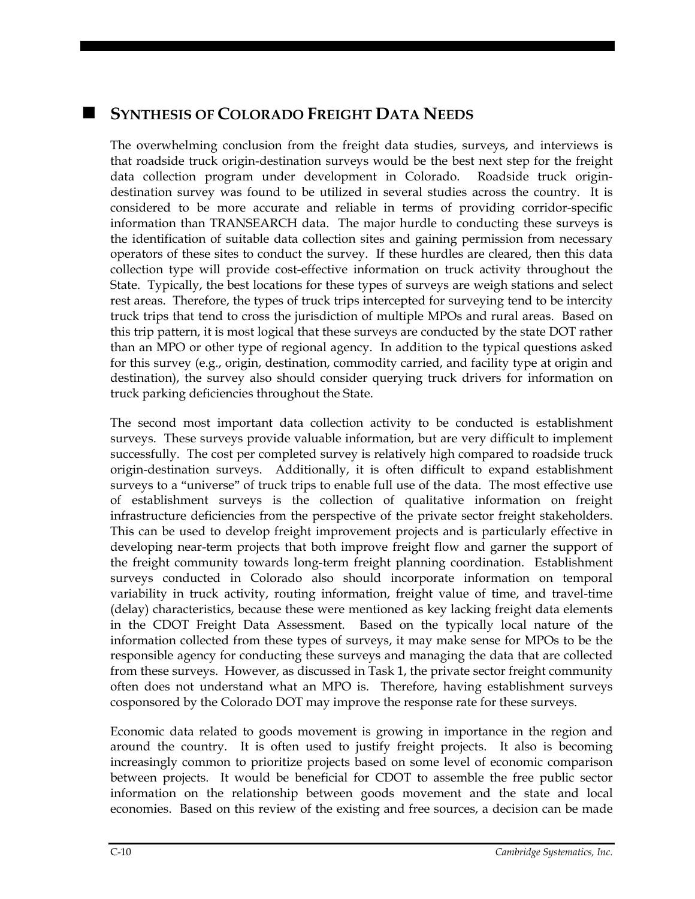## **SYNTHESIS OF COLORADO FREIGHT DATA NEEDS**

The overwhelming conclusion from the freight data studies, surveys, and interviews is that roadside truck origin-destination surveys would be the best next step for the freight data collection program under development in Colorado. Roadside truck origindestination survey was found to be utilized in several studies across the country. It is considered to be more accurate and reliable in terms of providing corridor-specific information than TRANSEARCH data. The major hurdle to conducting these surveys is the identification of suitable data collection sites and gaining permission from necessary operators of these sites to conduct the survey. If these hurdles are cleared, then this data collection type will provide cost-effective information on truck activity throughout the State. Typically, the best locations for these types of surveys are weigh stations and select rest areas. Therefore, the types of truck trips intercepted for surveying tend to be intercity truck trips that tend to cross the jurisdiction of multiple MPOs and rural areas. Based on this trip pattern, it is most logical that these surveys are conducted by the state DOT rather than an MPO or other type of regional agency. In addition to the typical questions asked for this survey (e.g., origin, destination, commodity carried, and facility type at origin and destination), the survey also should consider querying truck drivers for information on truck parking deficiencies throughout the State.

The second most important data collection activity to be conducted is establishment surveys. These surveys provide valuable information, but are very difficult to implement successfully. The cost per completed survey is relatively high compared to roadside truck origin-destination surveys. Additionally, it is often difficult to expand establishment surveys to a "universe" of truck trips to enable full use of the data. The most effective use of establishment surveys is the collection of qualitative information on freight infrastructure deficiencies from the perspective of the private sector freight stakeholders. This can be used to develop freight improvement projects and is particularly effective in developing near-term projects that both improve freight flow and garner the support of the freight community towards long-term freight planning coordination. Establishment surveys conducted in Colorado also should incorporate information on temporal variability in truck activity, routing information, freight value of time, and travel-time (delay) characteristics, because these were mentioned as key lacking freight data elements in the CDOT Freight Data Assessment. Based on the typically local nature of the information collected from these types of surveys, it may make sense for MPOs to be the responsible agency for conducting these surveys and managing the data that are collected from these surveys. However, as discussed in Task 1, the private sector freight community often does not understand what an MPO is. Therefore, having establishment surveys cosponsored by the Colorado DOT may improve the response rate for these surveys.

Economic data related to goods movement is growing in importance in the region and around the country. It is often used to justify freight projects. It also is becoming increasingly common to prioritize projects based on some level of economic comparison between projects. It would be beneficial for CDOT to assemble the free public sector information on the relationship between goods movement and the state and local economies. Based on this review of the existing and free sources, a decision can be made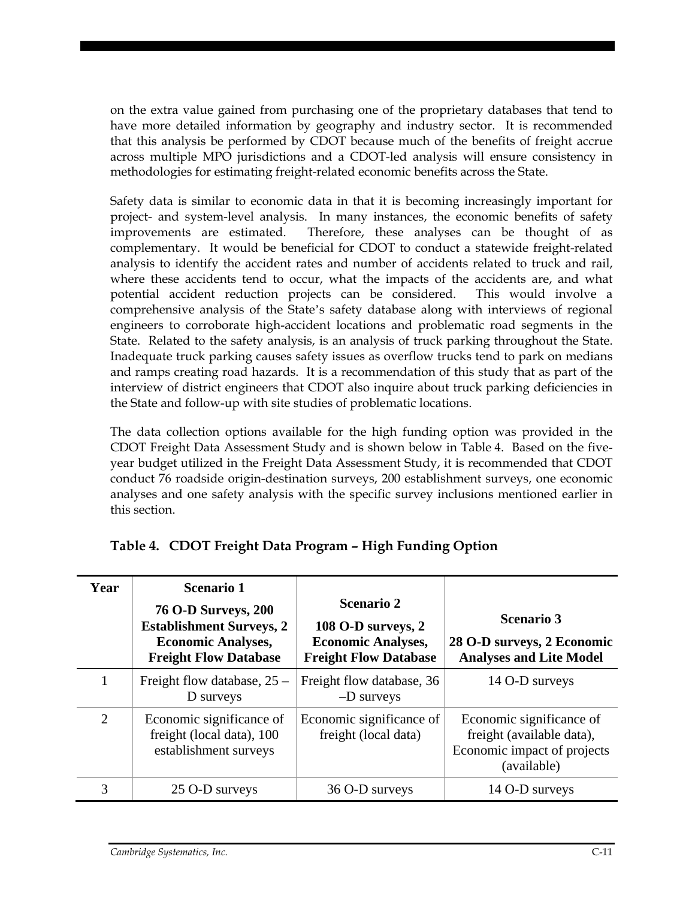on the extra value gained from purchasing one of the proprietary databases that tend to have more detailed information by geography and industry sector. It is recommended that this analysis be performed by CDOT because much of the benefits of freight accrue across multiple MPO jurisdictions and a CDOT-led analysis will ensure consistency in methodologies for estimating freight-related economic benefits across the State.

Safety data is similar to economic data in that it is becoming increasingly important for project- and system-level analysis. In many instances, the economic benefits of safety improvements are estimated. Therefore, these analyses can be thought of as complementary. It would be beneficial for CDOT to conduct a statewide freight-related analysis to identify the accident rates and number of accidents related to truck and rail, where these accidents tend to occur, what the impacts of the accidents are, and what potential accident reduction projects can be considered. This would involve a comprehensive analysis of the State's safety database along with interviews of regional engineers to corroborate high-accident locations and problematic road segments in the State. Related to the safety analysis, is an analysis of truck parking throughout the State. Inadequate truck parking causes safety issues as overflow trucks tend to park on medians and ramps creating road hazards. It is a recommendation of this study that as part of the interview of district engineers that CDOT also inquire about truck parking deficiencies in the State and follow-up with site studies of problematic locations.

The data collection options available for the high funding option was provided in the CDOT Freight Data Assessment Study and is shown below in Table 4. Based on the fiveyear budget utilized in the Freight Data Assessment Study, it is recommended that CDOT conduct 76 roadside origin-destination surveys, 200 establishment surveys, one economic analyses and one safety analysis with the specific survey inclusions mentioned earlier in this section.

| Year           | <b>Scenario 1</b><br><b>76 O-D Surveys, 200</b><br><b>Establishment Surveys, 2</b><br><b>Economic Analyses,</b><br><b>Freight Flow Database</b> | <b>Scenario 2</b><br>108 O-D surveys, 2<br><b>Economic Analyses,</b><br><b>Freight Flow Database</b> | <b>Scenario 3</b><br>28 O-D surveys, 2 Economic<br><b>Analyses and Lite Model</b>                   |
|----------------|-------------------------------------------------------------------------------------------------------------------------------------------------|------------------------------------------------------------------------------------------------------|-----------------------------------------------------------------------------------------------------|
|                | Freight flow database, $25 -$<br>D surveys                                                                                                      | Freight flow database, 36<br>$-D$ surveys                                                            | 14 O-D surveys                                                                                      |
| $\overline{2}$ | Economic significance of<br>freight (local data), 100<br>establishment surveys                                                                  | Economic significance of<br>freight (local data)                                                     | Economic significance of<br>freight (available data),<br>Economic impact of projects<br>(available) |
| 3              | 25 O-D surveys                                                                                                                                  | 36 O-D surveys                                                                                       | 14 O-D surveys                                                                                      |

## **Table 4. CDOT Freight Data Program – High Funding Option**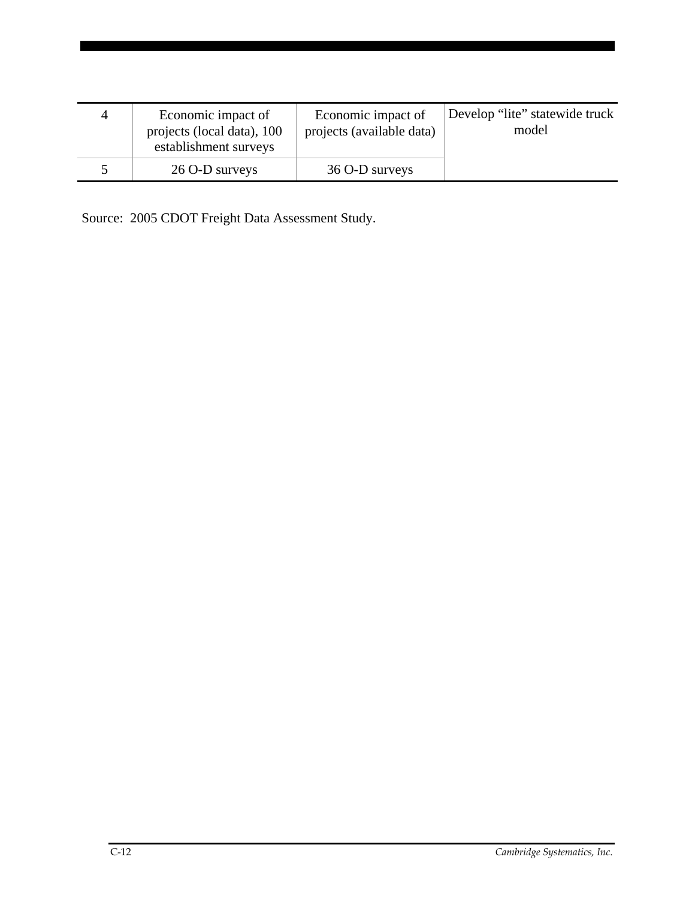| Æ | Economic impact of<br>projects (local data), 100<br>establishment surveys | Economic impact of<br>projects (available data) | Develop "lite" statewide truck<br>model |
|---|---------------------------------------------------------------------------|-------------------------------------------------|-----------------------------------------|
|   | 26 O-D surveys                                                            | 36 O-D surveys                                  |                                         |

Source: 2005 CDOT Freight Data Assessment Study.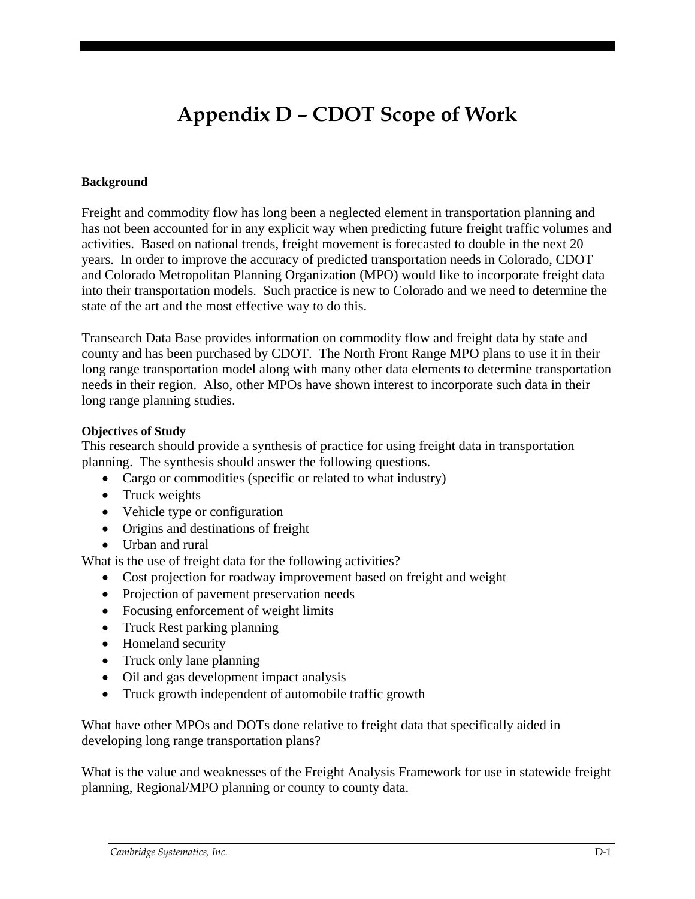# **Appendix D – CDOT Scope of Work**

### **Background**

Freight and commodity flow has long been a neglected element in transportation planning and has not been accounted for in any explicit way when predicting future freight traffic volumes and activities. Based on national trends, freight movement is forecasted to double in the next 20 years. In order to improve the accuracy of predicted transportation needs in Colorado, CDOT and Colorado Metropolitan Planning Organization (MPO) would like to incorporate freight data into their transportation models. Such practice is new to Colorado and we need to determine the state of the art and the most effective way to do this.

Transearch Data Base provides information on commodity flow and freight data by state and county and has been purchased by CDOT. The North Front Range MPO plans to use it in their long range transportation model along with many other data elements to determine transportation needs in their region. Also, other MPOs have shown interest to incorporate such data in their long range planning studies.

#### **Objectives of Study**

This research should provide a synthesis of practice for using freight data in transportation planning. The synthesis should answer the following questions.

- Cargo or commodities (specific or related to what industry)
- Truck weights
- Vehicle type or configuration
- Origins and destinations of freight
- Urban and rural

What is the use of freight data for the following activities?

- Cost projection for roadway improvement based on freight and weight
- Projection of pavement preservation needs
- Focusing enforcement of weight limits
- Truck Rest parking planning
- Homeland security
- Truck only lane planning
- Oil and gas development impact analysis
- Truck growth independent of automobile traffic growth

What have other MPOs and DOTs done relative to freight data that specifically aided in developing long range transportation plans?

What is the value and weaknesses of the Freight Analysis Framework for use in statewide freight planning, Regional/MPO planning or county to county data.